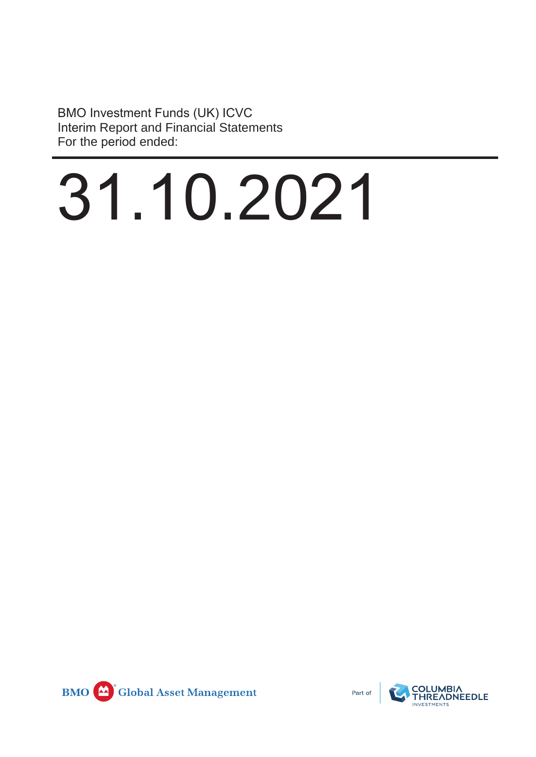BMO Investment Funds (UK) ICVC Interim Report and Financial Statements For the period ended:

# 31.10.2021



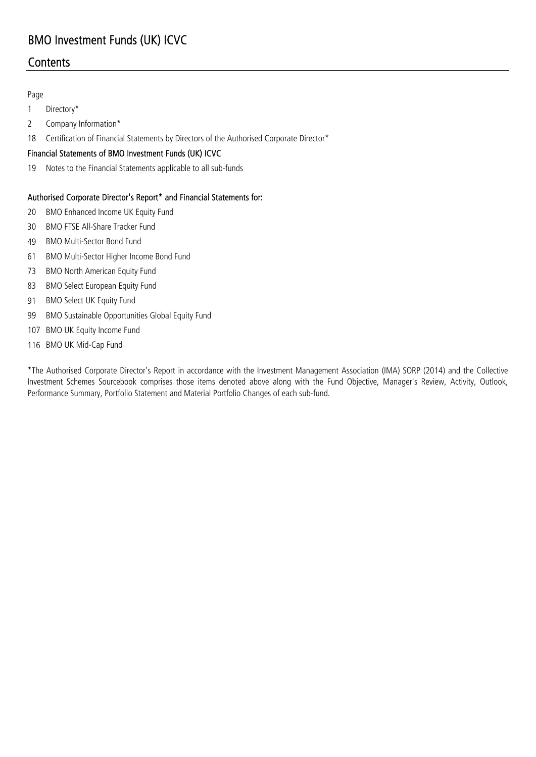# **Contents**

### Page

- 1 Directory\*
- 2 Company Information\*
- 18 Certification of Financial Statements by Directors of the Authorised Corporate Director\*

### Financial Statements of BMO Investment Funds (UK) ICVC

19 Notes to the Financial Statements applicable to all sub-funds

### Authorised Corporate Director's Report\* and Financial Statements for:

- 20 BMO Enhanced Income UK Equity Fund
- 30 BMO FTSE All-Share Tracker Fund
- 49 BMO Multi-Sector Bond Fund
- 61 BMO Multi-Sector Higher Income Bond Fund
- 73 BMO North American Equity Fund
- 83 BMO Select European Equity Fund
- 91 BMO Select UK Equity Fund
- 99 BMO Sustainable Opportunities Global Equity Fund
- 107 BMO UK Equity Income Fund
- 116 BMO UK Mid-Cap Fund

\*The Authorised Corporate Director's Report in accordance with the Investment Management Association (IMA) SORP (2014) and the Collective Investment Schemes Sourcebook comprises those items denoted above along with the Fund Objective, Manager's Review, Activity, Outlook, Performance Summary, Portfolio Statement and Material Portfolio Changes of each sub-fund.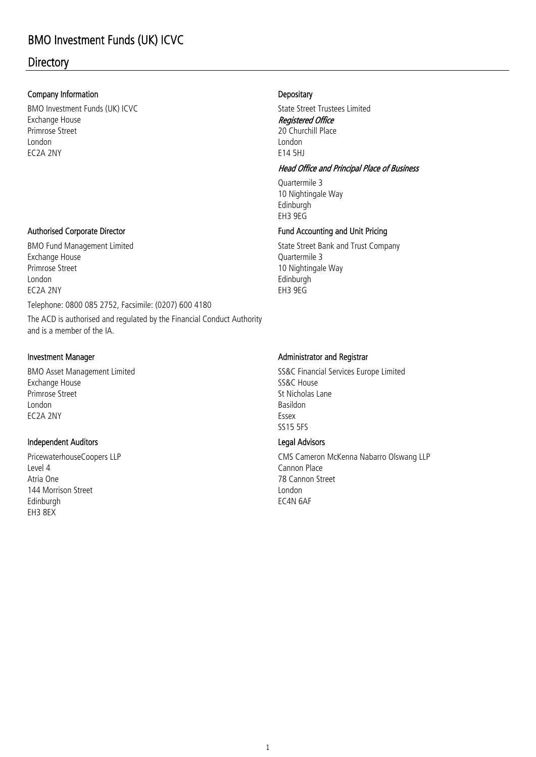# **Directory**

### Company Information

Primrose Street London EC2A 2NY Exchange House BMO Investment Funds (UK) ICVC

Telephone: 0800 085 2752, Facsimile: (0207) 600 4180 The ACD is authorised and regulated by the Financial Conduct Authority and is a member of the IA. BMO Fund Management Limited **State Street Bank and Trust Company** EC2A 2NY Exchange House Primrose Street London

### Investment Manager

London Basildon Primrose Street Street Street Street Street Street Street Street Street Street Street Street Street Street Street Street Street Street Street Street Street Street Street Street Street Street Street Street Street Street Str BMO Asset Management Limited Exchange House EC2A 2NY Essex

### Independent Auditors

Edinburgh EH3 8EX Atria One Level 4 Cannon Place 144 Morrison Street

### **Depositary**

Registered Office 20 Churchill Place E14 5HJ London State Street Trustees Limited

### Head Office and Principal Place of Business

Quartermile 3 Edinburgh EH3 9EG 10 Nightingale Way

### Authorised Corporate Director **Fund Accounting and Unit Pricing**

Edinburgh Quartermile 3 10 Nightingale Way EH3 9EG

### Administrator and Registrar

SS15 5FS SS&C House SS&C Financial Services Europe Limited

### Legal Advisors

78 Cannon Street EC4N 6AF London PricewaterhouseCoopers LLP **CMS Cameron McKenna Nabarro Olswang LLP**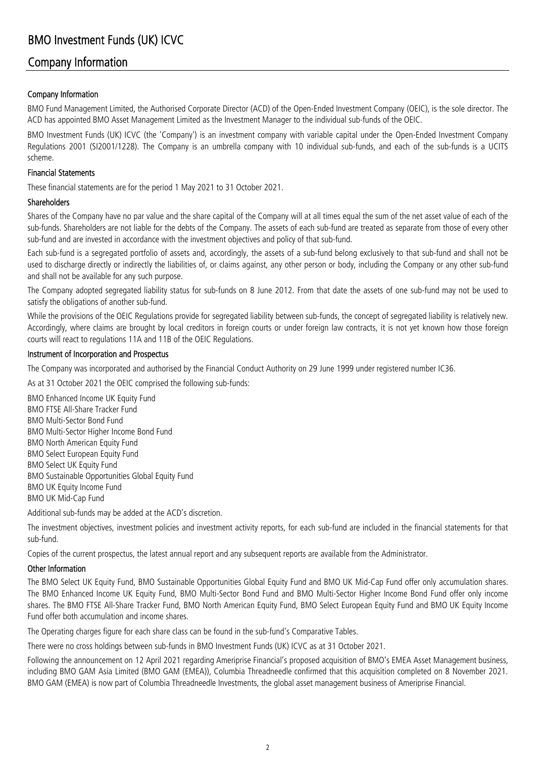## Company Information

### Company Information

BMO Fund Management Limited, the Authorised Corporate Director (ACD) of the Open-Ended Investment Company (OEIC), is the sole director. The ACD has appointed BMO Asset Management Limited as the Investment Manager to the individual sub-funds of the OEIC.

BMO Investment Funds (UK) ICVC (the 'Company') is an investment company with variable capital under the Open-Ended Investment Company Regulations 2001 (SI2001/1228). The Company is an umbrella company with 10 individual sub-funds, and each of the sub-funds is a UCITS scheme.

### Financial Statements

These financial statements are for the period 1 May 2021 to 31 October 2021.

### Shareholders

Shares of the Company have no par value and the share capital of the Company will at all times equal the sum of the net asset value of each of the sub-funds. Shareholders are not liable for the debts of the Company. The assets of each sub-fund are treated as separate from those of every other sub-fund and are invested in accordance with the investment objectives and policy of that sub-fund.

Each sub-fund is a segregated portfolio of assets and, accordingly, the assets of a sub-fund belong exclusively to that sub-fund and shall not be used to discharge directly or indirectly the liabilities of, or claims against, any other person or body, including the Company or any other sub-fund and shall not be available for any such purpose.

The Company adopted segregated liability status for sub-funds on 8 June 2012. From that date the assets of one sub-fund may not be used to satisfy the obligations of another sub-fund.

While the provisions of the OEIC Regulations provide for segregated liability between sub-funds, the concept of segregated liability is relatively new. Accordingly, where claims are brought by local creditors in foreign courts or under foreign law contracts, it is not yet known how those foreign courts will react to regulations 11A and 11B of the OEIC Regulations.

### Instrument of Incorporation and Prospectus

The Company was incorporated and authorised by the Financial Conduct Authority on 29 June 1999 under registered number IC36.

As at 31 October 2021 the OEIC comprised the following sub-funds:

BMO Sustainable Opportunities Global Equity Fund BMO Enhanced Income UK Equity Fund BMO FTSE All-Share Tracker Fund BMO Multi-Sector Bond Fund BMO UK Equity Income Fund BMO Select UK Equity Fund BMO North American Equity Fund BMO Select European Equity Fund BMO UK Mid-Cap Fund BMO Multi-Sector Higher Income Bond Fund

Additional sub-funds may be added at the ACD's discretion.

The investment objectives, investment policies and investment activity reports, for each sub-fund are included in the financial statements for that sub-fund.

Copies of the current prospectus, the latest annual report and any subsequent reports are available from the Administrator.

### Other Information

The BMO Select UK Equity Fund, BMO Sustainable Opportunities Global Equity Fund and BMO UK Mid-Cap Fund offer only accumulation shares. The BMO Enhanced Income UK Equity Fund, BMO Multi-Sector Bond Fund and BMO Multi-Sector Higher Income Bond Fund offer only income shares. The BMO FTSE All-Share Tracker Fund, BMO North American Equity Fund, BMO Select European Equity Fund and BMO UK Equity Income Fund offer both accumulation and income shares.

The Operating charges figure for each share class can be found in the sub-fund's Comparative Tables.

There were no cross holdings between sub-funds in BMO Investment Funds (UK) ICVC as at 31 October 2021.

Following the announcement on 12 April 2021 regarding Ameriprise Financial's proposed acquisition of BMO's EMEA Asset Management business, including BMO GAM Asia Limited (BMO GAM (EMEA)), Columbia Threadneedle confirmed that this acquisition completed on 8 November 2021. BMO GAM (EMEA) is now part of Columbia Threadneedle Investments, the global asset management business of Ameriprise Financial.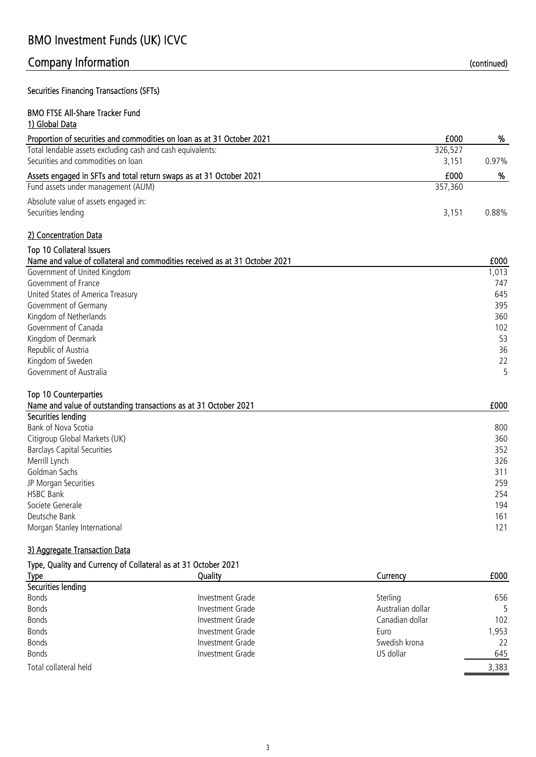# Company Information and the continued) continued continued and the continued of the continued of the continued

### Securities Financing Transactions (SFTs)

### BMO FTSE All-Share Tracker Fund 1) Global Data

| Proportion of securities and commodities on loan as at 31 October 2021 | £000    | %        |
|------------------------------------------------------------------------|---------|----------|
| Total lendable assets excluding cash and cash equivalents:             | 326,527 |          |
| Securities and commodities on loan                                     | 3.151   | $0.97\%$ |
| Assets engaged in SFTs and total return swaps as at 31 October 2021    | £000    | %        |
| Fund assets under management (AUM)                                     | 357,360 |          |
| Absolute value of assets engaged in:<br>Securities lending             | 3.151   | 0.88%    |
| 2) Concentration Data                                                  |         |          |

### Top 10 Collateral Issuers

| Name and value of collateral and commodities received as at 31 October 2021 | £000  |
|-----------------------------------------------------------------------------|-------|
| Government of United Kingdom                                                | 1,013 |
| Government of France                                                        | 747   |
| United States of America Treasury                                           | 645   |
| Government of Germany                                                       | 395   |
| Kingdom of Netherlands                                                      | 360   |
| Government of Canada                                                        | 102   |
| Kingdom of Denmark                                                          | 53    |
| Republic of Austria                                                         | 36    |
| Kingdom of Sweden                                                           | 22    |
| Government of Australia                                                     |       |

### Top 10 Counterparties

| Name and value of outstanding transactions as at 31 October 2021 | £000 |
|------------------------------------------------------------------|------|
| Securities lending                                               |      |
| Bank of Nova Scotia                                              | 800  |
| Citigroup Global Markets (UK)                                    | 360  |
| <b>Barclays Capital Securities</b>                               | 352  |
| Merrill Lynch                                                    | 326  |
| Goldman Sachs                                                    | 311  |
| JP Morgan Securities                                             | 259  |
| <b>HSBC Bank</b>                                                 | 254  |
| Societe Generale                                                 | 194  |
| Deutsche Bank                                                    | 161  |
| Morgan Stanley International                                     | 121  |

### 3) Aggregate Transaction Data

| Type, Quality and Currency of Collateral as at 31 October 2021 |                  |                   |       |
|----------------------------------------------------------------|------------------|-------------------|-------|
| <b>Type</b>                                                    | Quality          | Currencv          | £000  |
| Securities lending                                             |                  |                   |       |
| Bonds                                                          | Investment Grade | Sterling          | 656   |
| Bonds                                                          | Investment Grade | Australian dollar | 5.    |
| Bonds                                                          | Investment Grade | Canadian dollar   | 102   |
| Bonds                                                          | Investment Grade | Euro              | 1,953 |
| Bonds                                                          | Investment Grade | Swedish krona     | 22    |
| Bonds                                                          | Investment Grade | US dollar         | 645   |
| Total collateral held                                          |                  |                   | 3,383 |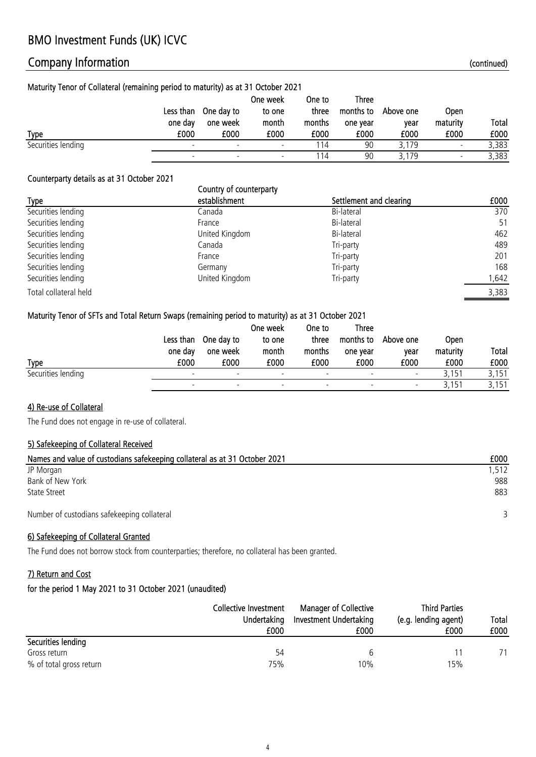# Company Information (continued)

### Maturity Tenor of Collateral (remaining period to maturity) as at 31 October 2021

|                    | Less than | One day to | One week<br>to one       | One to<br>three | Three<br>months to | Above one | Open                     |       |
|--------------------|-----------|------------|--------------------------|-----------------|--------------------|-----------|--------------------------|-------|
|                    | one day   | one week   | month                    | months          | one year           | vear      | maturity                 | Total |
| <b>Type</b>        | £000      | £000       | £000                     | £000            | £000               | £000      | £000                     | £000  |
| Securities lending |           |            | $\overline{\phantom{0}}$ | 14              | 90                 | 3.179     | $\overline{\phantom{a}}$ | 3,383 |
|                    |           |            |                          |                 | 90                 | 3,179     |                          | 3,383 |

### Counterparty details as at 31 October 2021

|                       | Country of counterparty |                         |       |
|-----------------------|-------------------------|-------------------------|-------|
| <b>Type</b>           | establishment           | Settlement and clearing | £000  |
| Securities lending    | Canada                  | Bi-lateral              | 370   |
| Securities lending    | France                  | Bi-lateral              | 51    |
| Securities lending    | United Kingdom          | Bi-lateral              | 462   |
| Securities lending    | Canada                  | Tri-party               | 489   |
| Securities lending    | France                  | Tri-party               | 201   |
| Securities lending    | Germany                 | Tri-party               | 168   |
| Securities lending    | United Kingdom          | Tri-party               | 1,642 |
| Total collateral held |                         |                         | 3,383 |

### Maturity Tenor of SFTs and Total Return Swaps (remaining period to maturity) as at 31 October 2021

|                    |         |                      | One week | One to                   | <b>Three</b>             |                          |             |       |
|--------------------|---------|----------------------|----------|--------------------------|--------------------------|--------------------------|-------------|-------|
|                    |         | Less than One day to | to one   | three                    | months to                | Above one                | <b>Open</b> |       |
|                    | one day | one week             | month    | months                   | one year                 | year                     | maturity    | Total |
| <b>Type</b>        | £000    | £000                 | £000     | £000                     | £000                     | £000                     | £000        | £000  |
| Securities lending |         |                      |          | $\overline{\phantom{a}}$ | $\overline{\phantom{a}}$ | $\overline{\phantom{a}}$ | 3,151       | 3,151 |
|                    |         |                      |          | $\overline{\phantom{a}}$ |                          | $\overline{\phantom{0}}$ | 3,151       | 3,151 |

### 4) Re-use of Collateral

The Fund does not engage in re-use of collateral.

### 5) Safekeeping of Collateral Received

| Names and value of custodians safekeeping collateral as at 31 October 2021 | £000  |
|----------------------------------------------------------------------------|-------|
| JP Morgan                                                                  | 1,512 |
| Bank of New York                                                           | 988   |
| <b>State Street</b>                                                        | 883   |
| Number of custodians safekeeping collateral                                |       |

### 6) Safekeeping of Collateral Granted

The Fund does not borrow stock from counterparties; therefore, no collateral has been granted.

### 7) Return and Cost

|                         | Collective Investment<br>Undertaking<br>£000 | <b>Manager of Collective</b><br>Investment Undertaking<br>£000 | <b>Third Parties</b><br>(e.g. lending agent)<br>£000 | <b>Total</b><br>£000 |
|-------------------------|----------------------------------------------|----------------------------------------------------------------|------------------------------------------------------|----------------------|
| Securities lending      |                                              |                                                                |                                                      |                      |
| Gross return            | 54                                           |                                                                |                                                      |                      |
| % of total gross return | 75%                                          | 10%                                                            | 15%                                                  |                      |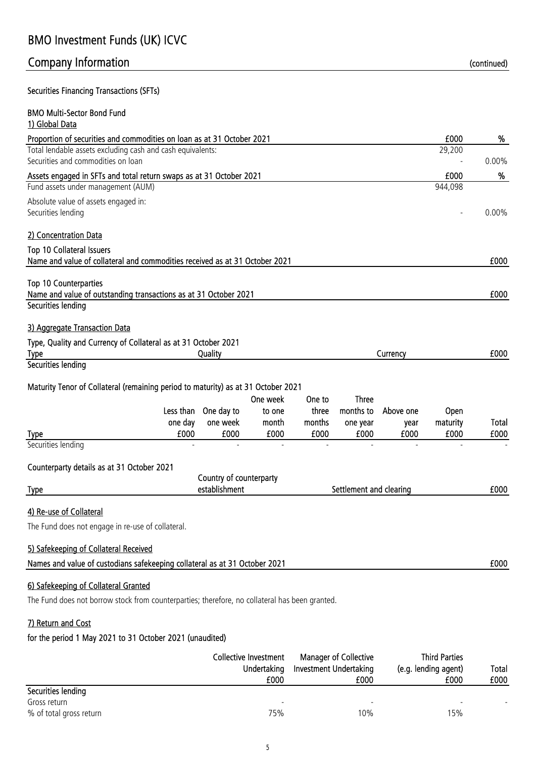# Company Information and the continued) continued continued and the continued of the continued of the continued

Securities Financing Transactions (SFTs)

| <b>BMO Multi-Sector Bond Fund</b><br>1) Global Data                                                                                    |                         |          |        |                         |           |                 |          |
|----------------------------------------------------------------------------------------------------------------------------------------|-------------------------|----------|--------|-------------------------|-----------|-----------------|----------|
| Proportion of securities and commodities on loan as at 31 October 2021                                                                 |                         |          |        |                         |           | £000            | %        |
| Total lendable assets excluding cash and cash equivalents:                                                                             |                         |          |        |                         |           | 29,200          |          |
| Securities and commodities on loan                                                                                                     |                         |          |        |                         |           |                 | $0.00\%$ |
| Assets engaged in SFTs and total return swaps as at 31 October 2021                                                                    |                         |          |        |                         |           | £000<br>944,098 | %        |
| Fund assets under management (AUM)                                                                                                     |                         |          |        |                         |           |                 |          |
| Absolute value of assets engaged in:<br>Securities lending                                                                             |                         |          |        |                         |           |                 | $0.00\%$ |
| 2) Concentration Data                                                                                                                  |                         |          |        |                         |           |                 |          |
| <b>Top 10 Collateral Issuers</b><br>Name and value of collateral and commodities received as at 31 October 2021                        |                         |          |        |                         |           |                 | £000     |
| <b>Top 10 Counterparties</b><br>Name and value of outstanding transactions as at 31 October 2021<br>Securities lending                 |                         |          |        |                         |           |                 | £000     |
| 3) Aggregate Transaction Data                                                                                                          |                         |          |        |                         |           |                 |          |
| Type, Quality and Currency of Collateral as at 31 October 2021<br><b>Type</b>                                                          | Quality                 |          |        |                         | Currency  |                 | £000     |
| Securities lending                                                                                                                     |                         |          |        |                         |           |                 |          |
| Maturity Tenor of Collateral (remaining period to maturity) as at 31 October 2021                                                      |                         |          |        |                         |           |                 |          |
|                                                                                                                                        |                         | One week | One to | <b>Three</b>            |           |                 |          |
|                                                                                                                                        | Less than One day to    | to one   | three  | months to               | Above one | Open            |          |
| one day                                                                                                                                | one week                | month    | months | one year                | year      | maturity        | Total    |
| £000<br><b>Type</b><br>Securities lending                                                                                              | £000                    | £000     | £000   | £000                    | £000      | £000            | £000     |
| Counterparty details as at 31 October 2021                                                                                             |                         |          |        |                         |           |                 |          |
|                                                                                                                                        | Country of counterparty |          |        |                         |           |                 |          |
| <b>Type</b>                                                                                                                            | establishment           |          |        | Settlement and clearing |           |                 | £000     |
| 4) Re-use of Collateral                                                                                                                |                         |          |        |                         |           |                 |          |
| The Fund does not engage in re-use of collateral.                                                                                      |                         |          |        |                         |           |                 |          |
| 5) Safekeeping of Collateral Received                                                                                                  |                         |          |        |                         |           |                 |          |
| Names and value of custodians safekeeping collateral as at 31 October 2021                                                             |                         |          |        |                         |           |                 | £000     |
| 6) Safekeeping of Collateral Granted<br>The Fund does not borrow stock from counterparties; therefore, no collateral has been granted. |                         |          |        |                         |           |                 |          |

### 7) Return and Cost

|                         | Collective Investment    | <b>Manager of Collective</b> | <b>Third Parties</b> | Total |
|-------------------------|--------------------------|------------------------------|----------------------|-------|
|                         | Undertaking              | Investment Undertaking       | (e.g. lending agent) |       |
|                         | £000                     | £000                         | £000                 | £000  |
| Securities lending      |                          |                              |                      |       |
| Gross return            | $\overline{\phantom{a}}$ | $\overline{\phantom{a}}$     |                      |       |
| % of total gross return | 75%                      | 10%                          | 15%                  |       |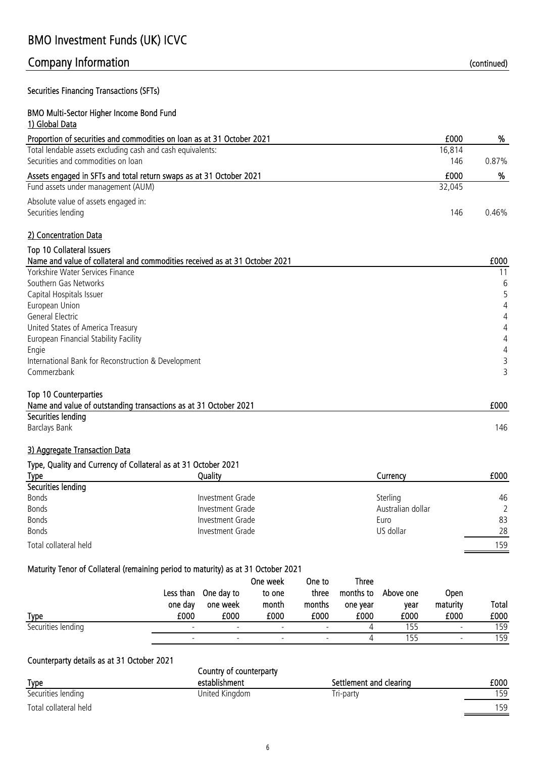### Securities Financing Transactions (SFTs)

### BMO Multi-Sector Higher Income Bond Fund 1) Global Data

| <i>u s</i> uvvar vata                                                       |        |       |
|-----------------------------------------------------------------------------|--------|-------|
| Proportion of securities and commodities on loan as at 31 October 2021      | £000   | %     |
| Total lendable assets excluding cash and cash equivalents:                  | 16,814 |       |
| Securities and commodities on loan                                          | 146    | 0.87% |
| Assets engaged in SFTs and total return swaps as at 31 October 2021         | £000   | %     |
| Fund assets under management (AUM)                                          | 32,045 |       |
| Absolute value of assets engaged in:                                        |        |       |
| Securities lending                                                          | 146    | 0.46% |
| 2) Concentration Data                                                       |        |       |
| Top 10 Collateral Issuers                                                   |        |       |
| Name and value of collateral and commodities received as at 31 October 2021 |        | £000  |
| Yorkshire Water Services Finance                                            |        | 11    |
| Southern Gas Networks                                                       |        | 6     |
| Capital Hospitals Issuer                                                    |        |       |
| European Union                                                              |        | 4     |
| General Electric                                                            |        | 4     |
| United States of America Treasury                                           |        | 4     |

### European Financial Stability Facility 4 Engie de la provincia de la contrada de la contrada de la contrada de la contrada de la contrada de la contrad<br>Engie International Bank for Reconstruction & Development 3 Commerzbank 3

### Top 10 Counterparties Name and value of outstanding transactions as at 31 October 2021 **EXECUTE:** Name and value of outstanding transactions as at 31 October 2021 Securities lending

Barclays Bank 146

### 3) Aggregate Transaction Data

### Type, Quality and Currency of Collateral as at 31 October 2021

| .<br><u>Type</u>      | Quality          | Currency          | £000 |
|-----------------------|------------------|-------------------|------|
| Securities lending    |                  |                   |      |
| <b>Bonds</b>          | Investment Grade | Sterling          | 46   |
| Bonds                 | Investment Grade | Australian dollar | 2    |
| <b>Bonds</b>          | Investment Grade | Euro              | 83   |
| <b>Bonds</b>          | Investment Grade | US dollar         | 28   |
| Total collateral held |                  |                   | 159  |

### Maturity Tenor of Collateral (remaining period to maturity) as at 31 October 2021

|                    | Less than<br>one day | One day to               | One week<br>to one<br>month | One to<br>three          | <b>Three</b><br>months to | Above one | <b>Open</b><br>maturity  | Total |
|--------------------|----------------------|--------------------------|-----------------------------|--------------------------|---------------------------|-----------|--------------------------|-------|
|                    |                      | one week                 |                             | months                   | one year                  | vear      |                          |       |
| <b>Type</b>        | £000                 | £000                     | £000                        | £000                     | £000                      | £000      | £000                     | £000  |
| Securities lending |                      | $\overline{\phantom{0}}$ |                             |                          |                           | 155       | $\overline{\phantom{0}}$ | 159   |
|                    |                      |                          |                             | $\overline{\phantom{a}}$ |                           | 155       |                          | 159   |

### Counterparty details as at 31 October 2021

|                       | Country of counterparty |                         |      |  |  |  |
|-----------------------|-------------------------|-------------------------|------|--|--|--|
| <b>Type</b>           | establishment           | Settlement and clearing | £000 |  |  |  |
| Securities lending    | United Kingdom          | Tri-party               | 159  |  |  |  |
| Total collateral held |                         |                         | 59   |  |  |  |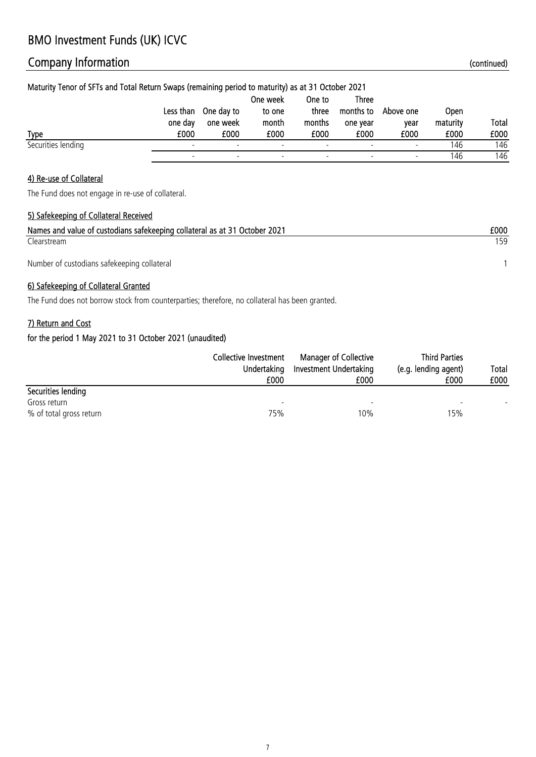# Company Information **Company Information** (continued)

| Maturity Tenor of SFTs and Total Return Swaps (remaining period to maturity) as at 31 October 2021 |           |            |          |                          |                          |                          |          |              |
|----------------------------------------------------------------------------------------------------|-----------|------------|----------|--------------------------|--------------------------|--------------------------|----------|--------------|
|                                                                                                    |           |            | One week | One to                   | Three                    |                          |          |              |
|                                                                                                    | Less than | One day to | to one   | three                    | months to                | Above one                | Open     |              |
|                                                                                                    | one day   | one week   | month    | months                   | one vear                 | vear                     | maturity | <b>Total</b> |
| <b>Type</b>                                                                                        | £000      | £000       | £000     | £000                     | £000                     | £000                     | £000     | £000         |
| Securities lending                                                                                 |           |            |          | $\overline{\phantom{a}}$ | $\overline{\phantom{0}}$ | $\overline{\phantom{a}}$ | 146      | 146          |
|                                                                                                    |           |            |          |                          |                          |                          | 146      | 146          |

### 4) Re-use of Collateral

The Fund does not engage in re-use of collateral.

### 5) Safekeeping of Collateral Received

| Names and value of custodians safekeeping collateral as at 31 October 2021 | £000 |
|----------------------------------------------------------------------------|------|
| Clearstream                                                                | 159  |
| Number of custodians safekeeping collateral                                |      |

### 6) Safekeeping of Collateral Granted

The Fund does not borrow stock from counterparties; therefore, no collateral has been granted.

### 7) Return and Cost

|                         | Collective Investment<br>Undertaking | <b>Manager of Collective</b><br>Investment Undertaking | <b>Third Parties</b><br>(e.g. lending agent) | Total |
|-------------------------|--------------------------------------|--------------------------------------------------------|----------------------------------------------|-------|
|                         | £000                                 | £000                                                   | £000                                         | £000  |
| Securities lending      |                                      |                                                        |                                              |       |
| Gross return            | $\overline{\phantom{a}}$             | $\overline{\phantom{a}}$                               | $\overline{\phantom{0}}$                     |       |
| % of total gross return | 75%                                  | 10%                                                    | 15%                                          |       |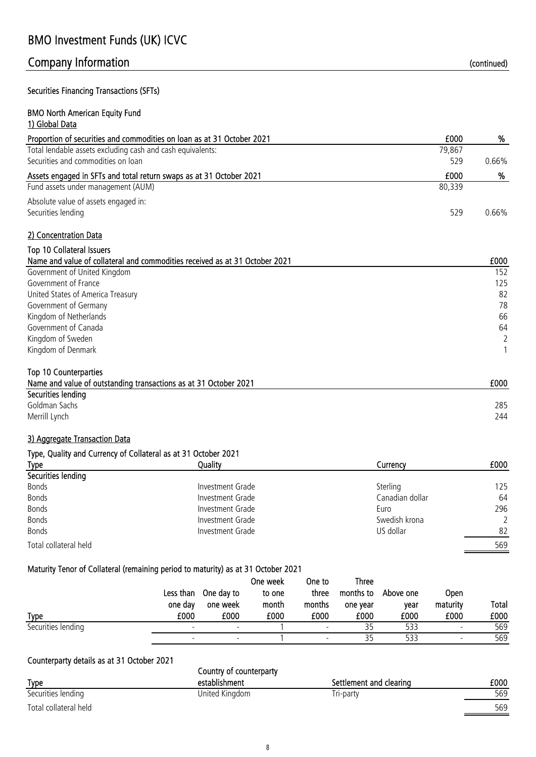Securities Financing Transactions (SFTs)

### BMO North American Equity Fund 1) Global Data

| Proportion of securities and commodities on loan as at 31 October 2021      | £000   | %     |
|-----------------------------------------------------------------------------|--------|-------|
| Total lendable assets excluding cash and cash equivalents:                  | 79,867 |       |
| Securities and commodities on loan                                          | 529    | 0.66% |
| Assets engaged in SFTs and total return swaps as at 31 October 2021         | £000   | %     |
| Fund assets under management (AUM)                                          | 80,339 |       |
| Absolute value of assets engaged in:                                        |        |       |
| Securities lending                                                          | 529    | 0.66% |
| 2) Concentration Data                                                       |        |       |
| <b>Top 10 Collateral Issuers</b>                                            |        |       |
| Name and value of collateral and commodities received as at 31 October 2021 |        | £000  |
| Government of United Kingdom                                                |        | 152   |
| Government of France                                                        |        | 125   |
| United States of America Treasury                                           |        | 82    |
| Government of Germany                                                       |        | 78    |

Kingdom of Netherlands 66 Government of Canada 64 Kingdom of Sweden 2 Kingdom of Denmark 1

Name and value of outstanding transactions as at 31 October 2021 **EXECUTE:** Name and value of outstanding transactions as at 31 October 2021

### 3) Aggregate Transaction Data

Top 10 Counterparties

Securities lending

### Type, Quality and Currency of Collateral as at 31 October 2021

| .<br><b>Type</b>      | Quality          | Currency        | £000 |
|-----------------------|------------------|-----------------|------|
| Securities lending    |                  |                 |      |
| <b>Bonds</b>          | Investment Grade | Sterling        | 125  |
| <b>Bonds</b>          | Investment Grade | Canadian dollar | 64   |
| <b>Bonds</b>          | Investment Grade | Euro            | 296  |
| <b>Bonds</b>          | Investment Grade | Swedish krona   |      |
| <b>Bonds</b>          | Investment Grade | US dollar       | 82   |
| Total collateral held |                  |                 | 569  |

### Maturity Tenor of Collateral (remaining period to maturity) as at 31 October 2021

|                    |           |                          | One week | One to                   | <b>Three</b> |           |                          |       |
|--------------------|-----------|--------------------------|----------|--------------------------|--------------|-----------|--------------------------|-------|
|                    | Less than | One day to               | to one   | three                    | months to    | Above one | <b>Open</b>              |       |
|                    | one day   | one week                 | month    | months                   | one year     | vear      | maturity                 | Total |
| <b>Type</b>        | £000      | £000                     | £000     | £000                     | £000         | £000      | £000                     | £000  |
| Securities lending |           | $\overline{\phantom{0}}$ |          | -                        |              | 533       |                          | 569   |
|                    |           |                          |          | $\overline{\phantom{a}}$ |              | 533       | $\overline{\phantom{a}}$ | 569   |

### Counterparty details as at 31 October 2021

|                       | Country of counterparty |                         |      |  |  |  |
|-----------------------|-------------------------|-------------------------|------|--|--|--|
| <b>Type</b>           | establishment           | Settlement and clearing | £000 |  |  |  |
| Securities lending    | United Kingdom          | Tri-party               | 569  |  |  |  |
| Total collateral held |                         |                         | 569  |  |  |  |

Goldman Sachs 285 Merrill Lynch 244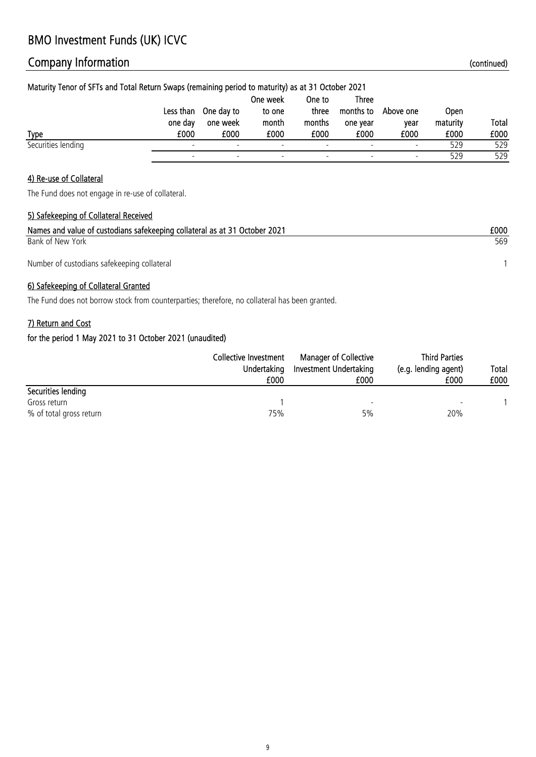# Company Information **Company Information** (continued)

| Maturity Tenor of SFTs and Total Return Swaps (remaining period to maturity) as at 31 October 2021 |           |            |          |                          |                          |                          |             |              |
|----------------------------------------------------------------------------------------------------|-----------|------------|----------|--------------------------|--------------------------|--------------------------|-------------|--------------|
|                                                                                                    |           |            | One week | One to                   | Three                    |                          |             |              |
|                                                                                                    | Less than | One day to | to one   | three                    | months to                | Above one                | <b>Open</b> |              |
|                                                                                                    | one day   | one week   | month    | months                   | one year                 | vear                     | maturity    | <b>Total</b> |
| <b>Type</b>                                                                                        | £000      | £000       | £000     | £000                     | £000                     | £000                     | £000        | £000         |
| Securities lending                                                                                 |           |            |          | $\overline{\phantom{a}}$ | $\overline{\phantom{0}}$ | $\overline{\phantom{a}}$ | 529         | 529          |
|                                                                                                    |           |            |          |                          |                          |                          | 529         | 529          |

### 4) Re-use of Collateral

The Fund does not engage in re-use of collateral.

### 5) Safekeeping of Collateral Received

| Names and value of custodians safekeeping collateral as at 31 October 2021 | £000 |
|----------------------------------------------------------------------------|------|
| Bank of New York                                                           | 569  |
| Number of custodians safekeeping collateral                                |      |

### 6) Safekeeping of Collateral Granted

The Fund does not borrow stock from counterparties; therefore, no collateral has been granted.

### 7) Return and Cost

|                         | Collective Investment<br>Undertaking | <b>Manager of Collective</b><br>Investment Undertaking | <b>Third Parties</b><br>(e.g. lending agent) | Total |
|-------------------------|--------------------------------------|--------------------------------------------------------|----------------------------------------------|-------|
|                         | £000                                 | £000                                                   | £000                                         | £000  |
| Securities lending      |                                      |                                                        |                                              |       |
| Gross return            |                                      | $\overline{\phantom{a}}$                               |                                              |       |
| % of total gross return | 75%                                  | 5%                                                     | 20%                                          |       |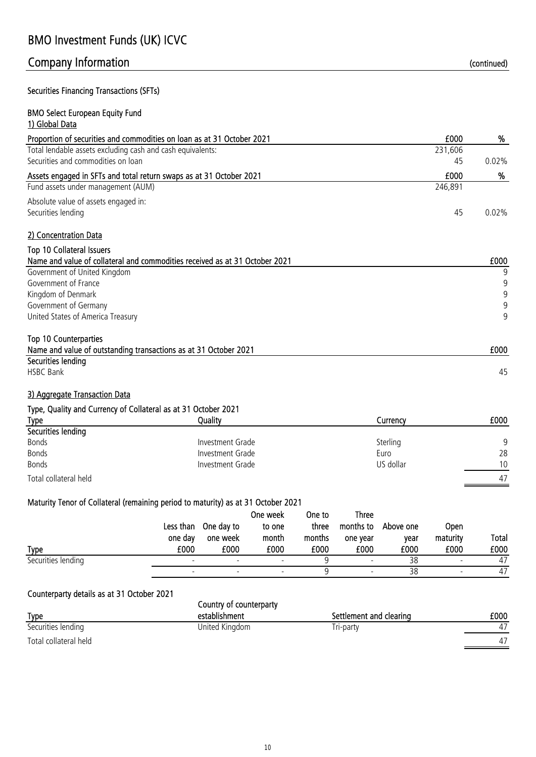### Securities Financing Transactions (SFTs)

### BMO Select European Equity Fund 1) Global Data

| Proportion of securities and commodities on loan as at 31 October 2021      | £000    | %        |
|-----------------------------------------------------------------------------|---------|----------|
| Total lendable assets excluding cash and cash equivalents:                  | 231,606 |          |
| Securities and commodities on loan                                          | 45      | $0.02\%$ |
| Assets engaged in SFTs and total return swaps as at 31 October 2021         | £000    | %        |
| Fund assets under management (AUM)                                          | 246,891 |          |
| Absolute value of assets engaged in:                                        |         |          |
| Securities lending                                                          | 45      | $0.02\%$ |
| 2) Concentration Data                                                       |         |          |
| <b>Top 10 Collateral Issuers</b>                                            |         |          |
| Name and value of collateral and commodities received as at 31 October 2021 |         | £000     |
| Government of United Kingdom                                                |         | 9        |
| Government of France                                                        |         | 9        |
| Kingdom of Denmark                                                          |         | 9        |
| Government of Germany                                                       |         | 9        |
| United States of America Treasury                                           |         | 9        |
| <b>Top 10 Counterparties</b>                                                |         |          |

| Name and value of outstanding transactions as at 31 October 2021 | £000 |
|------------------------------------------------------------------|------|
| Securities lending                                               |      |
| <b>HSBC Bank</b>                                                 |      |
|                                                                  |      |

### 3) Aggregate Transaction Data

Type, Quality and Currency of Collateral as at 31 October 2021

| <b>Type</b>           | Quality          | Currencv  | £000 |
|-----------------------|------------------|-----------|------|
| Securities lending    |                  |           |      |
| Bonds                 | Investment Grade | Sterling  | Q    |
| <b>Bonds</b>          | Investment Grade | Euro      | 28   |
| <b>Bonds</b>          | Investment Grade | US dollar | 10   |
| Total collateral held |                  |           | 47   |

### Maturity Tenor of Collateral (remaining period to maturity) as at 31 October 2021

|                    |           |                          | One week                 | One to | <b>Three</b>             |           |                          |       |
|--------------------|-----------|--------------------------|--------------------------|--------|--------------------------|-----------|--------------------------|-------|
|                    | Less than | One day to               | to one                   | three  | months to                | Above one | <b>Open</b>              |       |
|                    | one day   | one week                 | month                    | months | one year                 | vear      | maturity                 | Total |
| <b>Type</b>        | £000      | £000                     | £000                     | £000   | £000                     | £000      | £000                     | £000  |
| Securities lending |           |                          |                          |        |                          | 38        |                          | 47    |
|                    |           | $\overline{\phantom{0}}$ | $\overline{\phantom{0}}$ |        | $\overline{\phantom{0}}$ | 38        | $\overline{\phantom{0}}$ | 47    |

### Counterparty details as at 31 October 2021

|                       | Country of counterparty |                         |      |
|-----------------------|-------------------------|-------------------------|------|
| <b>Type</b>           | establishment           | Settlement and clearing | £000 |
| Securities lending    | United Kingdom          | Tri-party               | 47   |
| Total collateral held |                         |                         | 47   |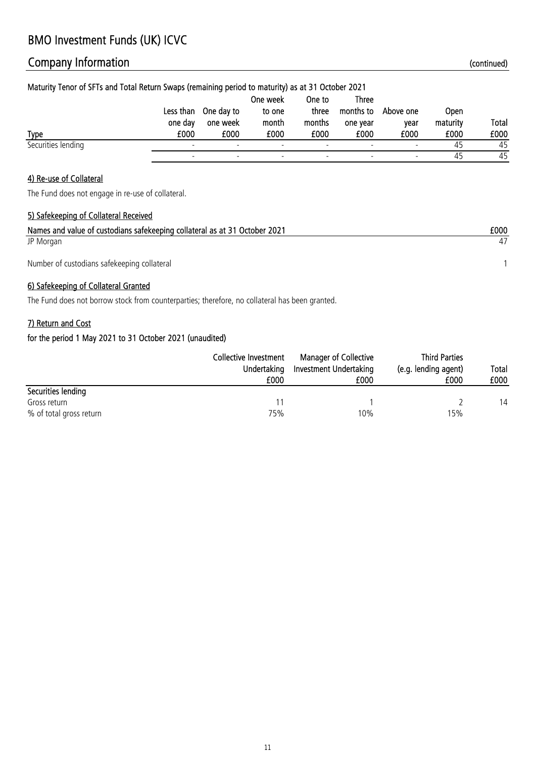# Company Information **Company Information** (continued)

| Maturity Tenor of SFTs and Total Return Swaps (remaining period to maturity) as at 31 October 2021 |           |            |          |                          |           |           |          |              |
|----------------------------------------------------------------------------------------------------|-----------|------------|----------|--------------------------|-----------|-----------|----------|--------------|
|                                                                                                    |           |            | One week | One to                   | Three     |           |          |              |
|                                                                                                    | Less than | One day to | to one   | three                    | months to | Above one | Open     |              |
|                                                                                                    | one day   | one week   | month    | months                   | one vear  | vear      | maturity | <b>Total</b> |
| <b>Type</b>                                                                                        | £000      | £000       | £000     | £000                     | £000      | £000      | £000     | £000         |
| Securities lending                                                                                 |           |            |          | $\overline{\phantom{a}}$ |           |           | 45       | 45           |
|                                                                                                    |           |            |          |                          |           |           | 45       | 45           |

### 4) Re-use of Collateral

The Fund does not engage in re-use of collateral.

### 5) Safekeeping of Collateral Received

| Names and value of custodians safekeeping collateral as at 31 October 2021 | £000 |
|----------------------------------------------------------------------------|------|
| JP Morgan                                                                  |      |
| Number of custodians safekeeping collateral                                |      |

### 6) Safekeeping of Collateral Granted

The Fund does not borrow stock from counterparties; therefore, no collateral has been granted.

### 7) Return and Cost

|                         | Collective Investment<br>Undertaking<br>£000 | <b>Manager of Collective</b><br>Investment Undertaking<br>£000 | <b>Third Parties</b><br>(e.g. lending agent)<br>£000 | Total<br>£000 |
|-------------------------|----------------------------------------------|----------------------------------------------------------------|------------------------------------------------------|---------------|
| Securities lending      |                                              |                                                                |                                                      |               |
| Gross return            |                                              |                                                                |                                                      | 14            |
| % of total gross return | 75%                                          | 10%                                                            | 15%                                                  |               |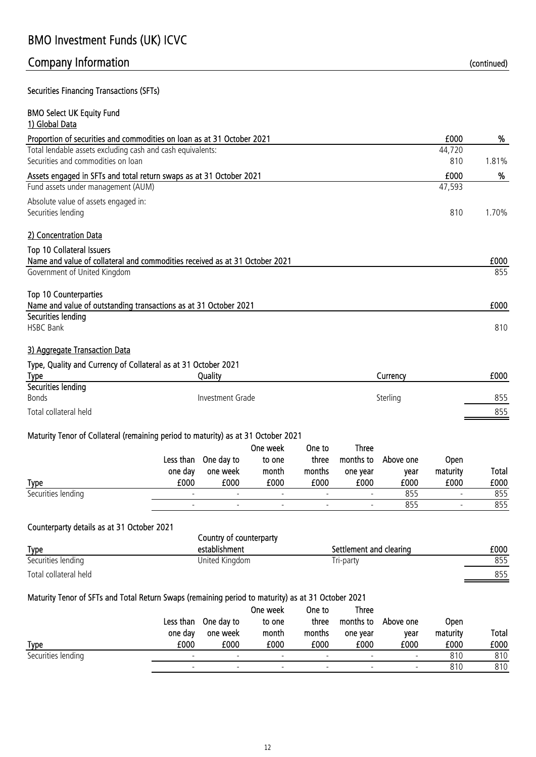### Securities Financing Transactions (SFTs)

| <b>BMO Select UK Equity Fund</b><br>1) Global Data                          |        |       |
|-----------------------------------------------------------------------------|--------|-------|
| Proportion of securities and commodities on loan as at 31 October 2021      | £000   | %     |
| Total lendable assets excluding cash and cash equivalents:                  | 44,720 |       |
| Securities and commodities on loan                                          | 810    | 1.81% |
| Assets engaged in SFTs and total return swaps as at 31 October 2021         | £000   | %     |
| Fund assets under management (AUM)                                          | 47,593 |       |
| Absolute value of assets engaged in:                                        |        |       |
| Securities lending                                                          | 810    | 1.70% |
| 2) Concentration Data                                                       |        |       |
| <b>Top 10 Collateral Issuers</b>                                            |        |       |
| Name and value of collateral and commodities received as at 31 October 2021 |        | £000  |
| Government of United Kingdom                                                |        | 855   |
| <b>Top 10 Counterparties</b>                                                |        |       |
| Name and value of outstanding transactions as at 31 October 2021            |        | £000  |
| Securities lending                                                          |        |       |
| <b>HSBC Bank</b>                                                            |        | 810   |
| $\sim$ $\sim$ $\sim$ $\sim$ $\sim$ $\sim$ $\sim$ $\sim$                     |        |       |

### 3) Aggregate Transaction Data

### Type, Quality and Currency of Collateral as at 31 October 2021

| <b>Type</b>           | Quality          | Currencv | £000 |
|-----------------------|------------------|----------|------|
| Securities lending    |                  |          |      |
| <b>Bonds</b>          | Investment Grade | Sterling | 855  |
| Total collateral held |                  |          | 855  |
|                       |                  |          |      |

### Maturity Tenor of Collateral (remaining period to maturity) as at 31 October 2021

|                    |         |                          | One week                 | One to                   | <b>Three</b>             |           |                          |       |
|--------------------|---------|--------------------------|--------------------------|--------------------------|--------------------------|-----------|--------------------------|-------|
|                    |         | Less than One day to     | to one                   | three                    | months to                | Above one | <b>Open</b>              |       |
|                    | one day | one week                 | month                    | months                   | one year                 | vear      | maturity                 | Total |
| <b>Type</b>        | £000    | £000                     | £000                     | £000                     | £000                     | £000      | £000                     | £000  |
| Securities lending |         | $\overline{\phantom{0}}$ |                          | $\overline{\phantom{a}}$ | $\overline{\phantom{a}}$ | 855       | $\overline{\phantom{0}}$ | 855   |
|                    |         | $\overline{\phantom{a}}$ | $\overline{\phantom{a}}$ |                          | $\overline{\phantom{a}}$ | 855       | $\overline{\phantom{a}}$ | 855   |

### Counterparty details as at 31 October 2021

|                       | Country of counterparty |                         |      |  |  |
|-----------------------|-------------------------|-------------------------|------|--|--|
| <b>Type</b>           | establishment           | Settlement and clearing | £000 |  |  |
| Securities lending    | United Kingdom          | Tri-party               | 855  |  |  |
| Total collateral held |                         |                         | 855  |  |  |

### Maturity Tenor of SFTs and Total Return Swaps (remaining period to maturity) as at 31 October 2021

|                    |           |                          | One week                 | One to                   | <b>Three</b>             |                          |             |       |
|--------------------|-----------|--------------------------|--------------------------|--------------------------|--------------------------|--------------------------|-------------|-------|
|                    | Less than | One day to               | to one                   | three                    | months to                | Above one                | <b>Open</b> |       |
|                    | one day   | one week                 | month                    | months                   | one year                 | vear                     | maturity    | Total |
| <b>Type</b>        | £000      | £000                     | £000                     | £000                     | £000                     | £000                     | £000        | £000  |
| Securities lending |           | $\overline{\phantom{a}}$ | $\overline{\phantom{0}}$ | $\overline{\phantom{a}}$ | $\overline{\phantom{a}}$ | $\overline{\phantom{0}}$ | 810         | 810   |
|                    |           |                          |                          | $\overline{\phantom{0}}$ |                          | $\overline{\phantom{a}}$ | 810         | 810   |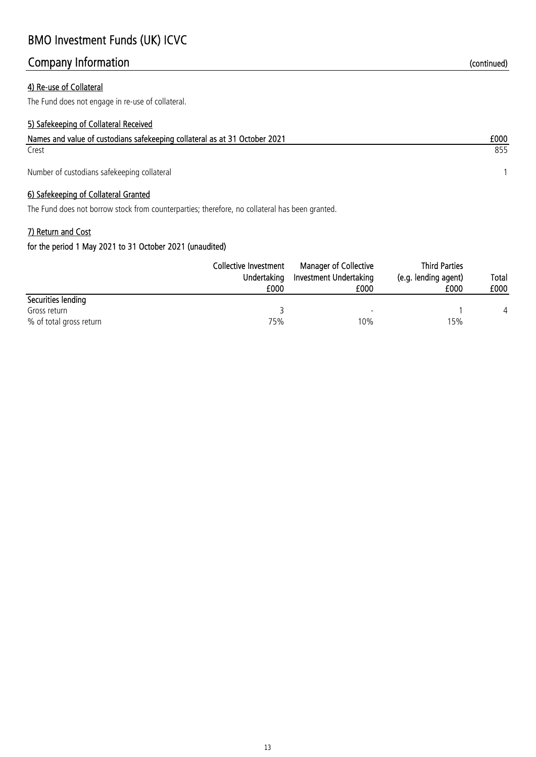### 4) Re-use of Collateral

The Fund does not engage in re-use of collateral.

### 5) Safekeeping of Collateral Received

| Names and value of custodians safekeeping collateral as at 31 October 2021 | £000 |
|----------------------------------------------------------------------------|------|
| Crest                                                                      | 855  |
| Number of custodians safekeeping collateral                                |      |

### 6) Safekeeping of Collateral Granted

The Fund does not borrow stock from counterparties; therefore, no collateral has been granted.

### 7) Return and Cost

|                         | Collective Investment | <b>Manager of Collective</b> | <b>Third Parties</b> |       |  |
|-------------------------|-----------------------|------------------------------|----------------------|-------|--|
|                         | Undertaking           | Investment Undertaking       | (e.g. lending agent) | Total |  |
|                         | £000                  | £000                         | £000                 | £000  |  |
| Securities lending      |                       |                              |                      |       |  |
| Gross return            |                       | $\overline{\phantom{0}}$     |                      |       |  |
| % of total gross return | 75%                   | 10%                          | 15%                  |       |  |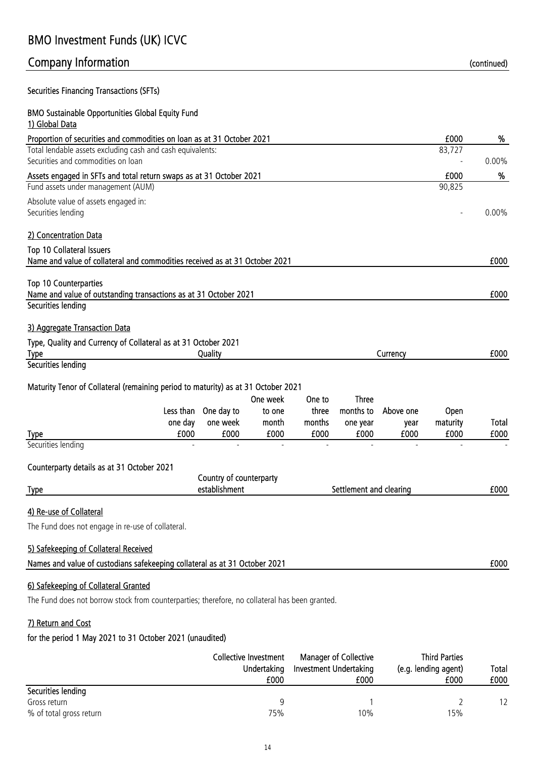### Securities Financing Transactions (SFTs)

### BMO Sustainable Opportunities Global Equity Fund 1) Global Data Proportion of securities and commodities on loan as at 31 October 2021 **1999 1000** 2010 1999 E000 Total lendable assets excluding cash and cash equivalents: 83,727 Securities and commodities on loan  $\sim$  0.00% Assets engaged in SFTs and total return swaps as at 31 October 2021 **EXECUTE:** Assets engaged in SFTs and total return swaps as at 31 October 2021 Fund assets under management (AUM) 90,825 Absolute value of assets engaged in: Securities lending - 0.00% 2) Concentration Data Top 10 Collateral Issuers Name and value of collateral and commodities received as at 31 October 2021 **EDUA EDUA EDUA EDUA EDUA EDUA** Top 10 Counterparties Name and value of outstanding transactions as at 31 October 2021 **EXECUTE:** Name and value of outstanding transactions as at 31 October 2021 Securities lending 3) Aggregate Transaction Data Type, Quality and Currency of Collateral as at 31 October 2021 Type Quality Currency £000 Securities lending Maturity Tenor of Collateral (remaining period to maturity) as at 31 October 2021 Type Less than one day £000 One day to one week £000 One week to one month £000 One to three months £000 Three months to one year £000 Above one year £000 **Open** maturity £000 Total £000 Securities lending Counterparty details as at 31 October 2021 Type £000 establishment Settlement and clearing 4) Re-use of Collateral The Fund does not engage in re-use of collateral. 5) Safekeeping of Collateral Received Country of counterparty

| Names and value of custodians safekeeping collateral as at 31 October 2021 | £00C |
|----------------------------------------------------------------------------|------|
|----------------------------------------------------------------------------|------|

### 6) Safekeeping of Collateral Granted

The Fund does not borrow stock from counterparties; therefore, no collateral has been granted.

### 7) Return and Cost

|                         | Collective Investment<br>Undertaking<br>£000 | <b>Manager of Collective</b><br>Investment Undertaking<br>£000 | <b>Third Parties</b><br>(e.g. lending agent)<br>£000 | Total<br>£000 |
|-------------------------|----------------------------------------------|----------------------------------------------------------------|------------------------------------------------------|---------------|
| Securities lending      |                                              |                                                                |                                                      |               |
| Gross return            |                                              |                                                                |                                                      |               |
| % of total gross return | 75%                                          | 10%                                                            | 15%                                                  |               |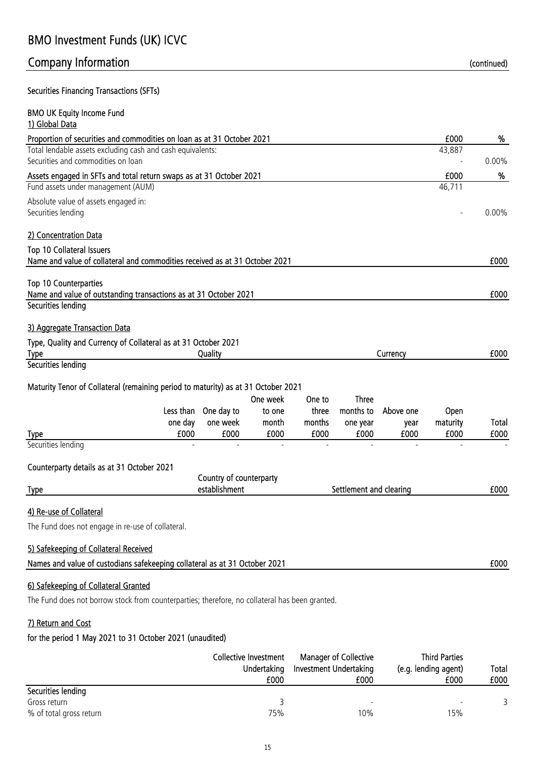# Company Information and the continued) continued continued and the continued of the continued of the continued

Securities Financing Transactions (SFTs)

| <b>BMO UK Equity Income Fund</b><br>1) Global Data                                                                                                                                                                                                            |                  |          |
|---------------------------------------------------------------------------------------------------------------------------------------------------------------------------------------------------------------------------------------------------------------|------------------|----------|
| Proportion of securities and commodities on loan as at 31 October 2021                                                                                                                                                                                        | £000             | %        |
| Total lendable assets excluding cash and cash equivalents:                                                                                                                                                                                                    | 43,887           |          |
| Securities and commodities on loan                                                                                                                                                                                                                            |                  | $0.00\%$ |
| Assets engaged in SFTs and total return swaps as at 31 October 2021                                                                                                                                                                                           | £000             | %        |
| Fund assets under management (AUM)                                                                                                                                                                                                                            | 46,711           |          |
| Absolute value of assets engaged in:<br>Securities lending                                                                                                                                                                                                    |                  | $0.00\%$ |
| 2) Concentration Data                                                                                                                                                                                                                                         |                  |          |
| <b>Top 10 Collateral Issuers</b>                                                                                                                                                                                                                              |                  |          |
| Name and value of collateral and commodities received as at 31 October 2021                                                                                                                                                                                   |                  | £000     |
| <b>Top 10 Counterparties</b><br>Name and value of outstanding transactions as at 31 October 2021                                                                                                                                                              |                  | £000     |
| Securities lending                                                                                                                                                                                                                                            |                  |          |
| 3) Aggregate Transaction Data                                                                                                                                                                                                                                 |                  |          |
| Type, Quality and Currency of Collateral as at 31 October 2021<br>Quality<br>Currency<br><b>Type</b>                                                                                                                                                          |                  | £000     |
| Securities lending                                                                                                                                                                                                                                            |                  |          |
| Maturity Tenor of Collateral (remaining period to maturity) as at 31 October 2021<br><b>Three</b><br>One week<br>One to<br>months to<br>Less than<br>One day to<br>three<br>Above one<br>to one<br>one day<br>one week<br>months<br>month<br>one year<br>year | Open<br>maturity | Total    |
| £000<br>£000<br>£000<br>£000<br>£000<br>£000<br><b>Type</b>                                                                                                                                                                                                   | £000             | £000     |
| Securities lending                                                                                                                                                                                                                                            |                  |          |
| Counterparty details as at 31 October 2021                                                                                                                                                                                                                    |                  |          |
| Country of counterparty                                                                                                                                                                                                                                       |                  |          |
| establishment<br>Settlement and clearing<br><b>Type</b>                                                                                                                                                                                                       |                  | £000     |
| 4) Re-use of Collateral                                                                                                                                                                                                                                       |                  |          |
| The Fund does not engage in re-use of collateral.                                                                                                                                                                                                             |                  |          |
| 5) Safekeeping of Collateral Received                                                                                                                                                                                                                         |                  |          |
| Names and value of custodians safekeeping collateral as at 31 October 2021                                                                                                                                                                                    |                  | £000     |
| 6) Safekeeping of Collateral Granted                                                                                                                                                                                                                          |                  |          |
| The Fund does not borrow stock from counterparties; therefore, no collateral has been granted.                                                                                                                                                                |                  |          |

### 7) Return and Cost

|                         | Collective Investment | <b>Manager of Collective</b> | <b>Third Parties</b> |       |  |
|-------------------------|-----------------------|------------------------------|----------------------|-------|--|
|                         | Undertaking           | Investment Undertaking       | (e.g. lending agent) | Total |  |
|                         | £000                  | £000                         | £000                 | £000  |  |
| Securities lending      |                       |                              |                      |       |  |
| Gross return            |                       | $\overline{\phantom{0}}$     |                      |       |  |
| % of total gross return | 75%                   | 10%                          | 15%                  |       |  |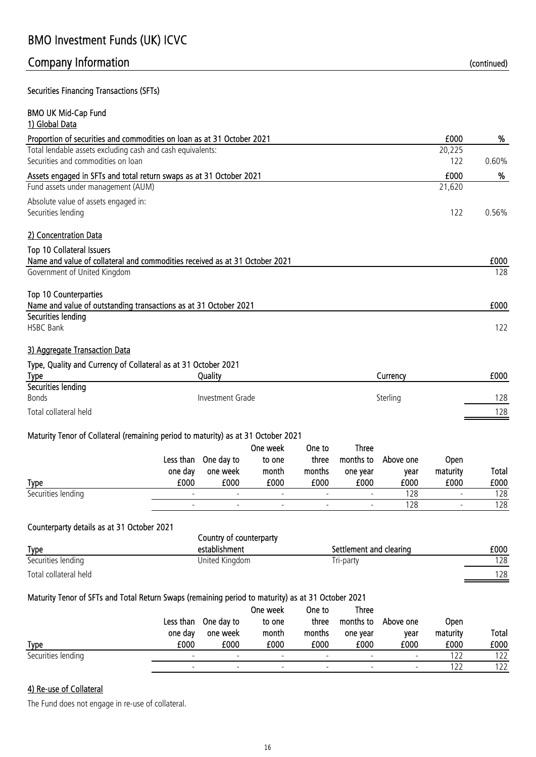### Securities Financing Transactions (SFTs)

| <b>BMO UK Mid-Cap Fund</b>                                                  |        |       |
|-----------------------------------------------------------------------------|--------|-------|
| 1) Global Data                                                              |        |       |
| Proportion of securities and commodities on loan as at 31 October 2021      | £000   | %     |
| Total lendable assets excluding cash and cash equivalents:                  | 20,225 |       |
| Securities and commodities on loan                                          | 122    | 0.60% |
| Assets engaged in SFTs and total return swaps as at 31 October 2021         | £000   | %     |
| Fund assets under management (AUM)                                          | 21,620 |       |
| Absolute value of assets engaged in:                                        |        |       |
| Securities lending                                                          | 122    | 0.56% |
| 2) Concentration Data                                                       |        |       |
| Top 10 Collateral Issuers                                                   |        |       |
| Name and value of collateral and commodities received as at 31 October 2021 |        | £000  |
| Government of United Kingdom                                                |        | 128   |
| Top 10 Counterparties                                                       |        |       |
| Name and value of outstanding transactions as at 31 October 2021            |        | £000  |
| Securities lending                                                          |        |       |
| <b>HSBC Bank</b>                                                            |        | 122   |

### 3) Aggregate Transaction Data

### Type, Quality and Currency of Collateral as at 31 October 2021

| <b>Type</b>           | Quality          | Currency | £000 |
|-----------------------|------------------|----------|------|
| Securities lending    |                  |          |      |
| <b>Bonds</b>          | Investment Grade | Sterling | 128  |
| Total collateral held |                  |          | 128  |
|                       |                  |          |      |

### Maturity Tenor of Collateral (remaining period to maturity) as at 31 October 2021

|                    |         | Less than One day to     | One week<br>to one       | One to<br>three | <b>Three</b><br>months to | Above one | Open                     |       |
|--------------------|---------|--------------------------|--------------------------|-----------------|---------------------------|-----------|--------------------------|-------|
|                    | one day | one week                 | month                    | months          | one year                  | vear      | maturity                 | Total |
| <b>Type</b>        | £000    | £000                     | £000                     | £000            | £000                      | £000      | £000                     | £000  |
| Securities lending |         | $\overline{\phantom{0}}$ |                          |                 | $\overline{\phantom{a}}$  | 128       | $\overline{\phantom{0}}$ | 128   |
|                    |         | $\overline{\phantom{0}}$ | $\overline{\phantom{a}}$ |                 | $\overline{\phantom{a}}$  | 128       |                          | 128   |

### Counterparty details as at 31 October 2021

|                       | Country of counterparty |                         |      |  |  |  |
|-----------------------|-------------------------|-------------------------|------|--|--|--|
| <b>Type</b>           | establishment           | Settlement and clearing | £000 |  |  |  |
| Securities lending    | United Kingdom          | Tri-party               | 128  |  |  |  |
| Total collateral held |                         |                         | 128  |  |  |  |

### Maturity Tenor of SFTs and Total Return Swaps (remaining period to maturity) as at 31 October 2021

| <b>Type</b>        | Less than<br>one day<br>£000 | One day to<br>one week<br>£000 | One week<br>to one<br>month<br>£000 | One to<br>three<br>months<br>£000 | <b>Three</b><br>months to<br>one year<br>£000 | Above one<br>vear<br>£000 | <b>Open</b><br>maturity<br>£000 | Total<br>£000 |
|--------------------|------------------------------|--------------------------------|-------------------------------------|-----------------------------------|-----------------------------------------------|---------------------------|---------------------------------|---------------|
| Securities lending |                              |                                | $\overline{\phantom{0}}$            | $\overline{\phantom{a}}$          | $\overline{\phantom{a}}$                      | $\overline{\phantom{a}}$  | 122                             | 122           |
|                    |                              | $\overline{\phantom{0}}$       | $\overline{\phantom{0}}$            | $\overline{\phantom{a}}$          | $\overline{\phantom{0}}$                      | $\overline{\phantom{a}}$  | 122                             | 122           |

### 4) Re-use of Collateral

The Fund does not engage in re-use of collateral.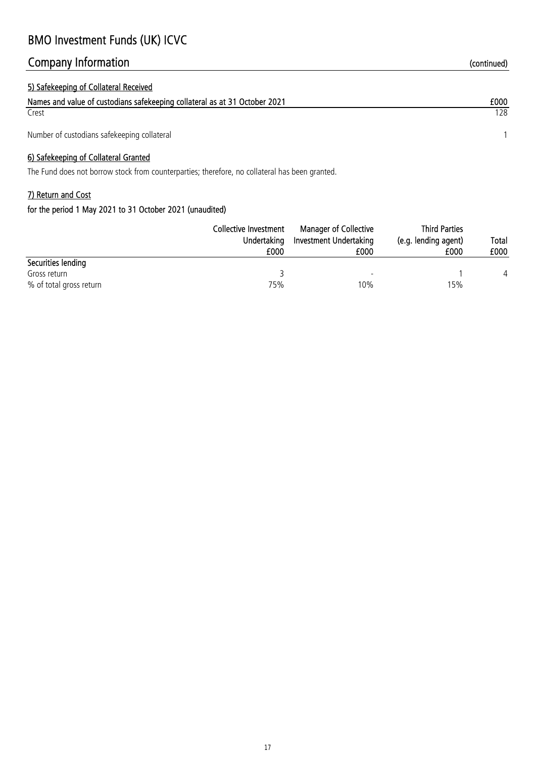# Company Information and the continued) continued continued and the continued of the continued of the continued

| 5) Safekeeping of Collateral Received                                      |      |
|----------------------------------------------------------------------------|------|
| Names and value of custodians safekeeping collateral as at 31 October 2021 | £000 |
| Crest                                                                      | 128. |
| Number of custodians safekeeping collateral                                |      |

### 6) Safekeeping of Collateral Granted

The Fund does not borrow stock from counterparties; therefore, no collateral has been granted.

## 7) Return and Cost

|                         | Collective Investment<br>Undertaking<br>£000 | <b>Manager of Collective</b><br>Investment Undertaking<br>£000 | <b>Third Parties</b><br>(e.g. lending agent)<br>£000 | Total<br>£000 |
|-------------------------|----------------------------------------------|----------------------------------------------------------------|------------------------------------------------------|---------------|
| Securities lending      |                                              |                                                                |                                                      |               |
| Gross return            |                                              |                                                                |                                                      | 4             |
| % of total gross return | 75%                                          | 10%                                                            | 15%                                                  |               |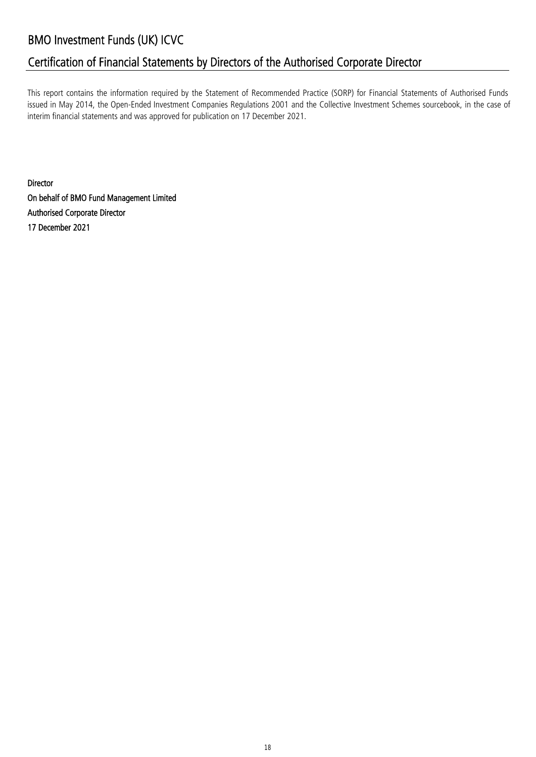# Certification of Financial Statements by Directors of the Authorised Corporate Director

This report contains the information required by the Statement of Recommended Practice (SORP) for Financial Statements of Authorised Funds issued in May 2014, the Open-Ended Investment Companies Regulations 2001 and the Collective Investment Schemes sourcebook, in the case of interim financial statements and was approved for publication on 17 December 2021.

Director On behalf of BMO Fund Management Limited Authorised Corporate Director 17 December 2021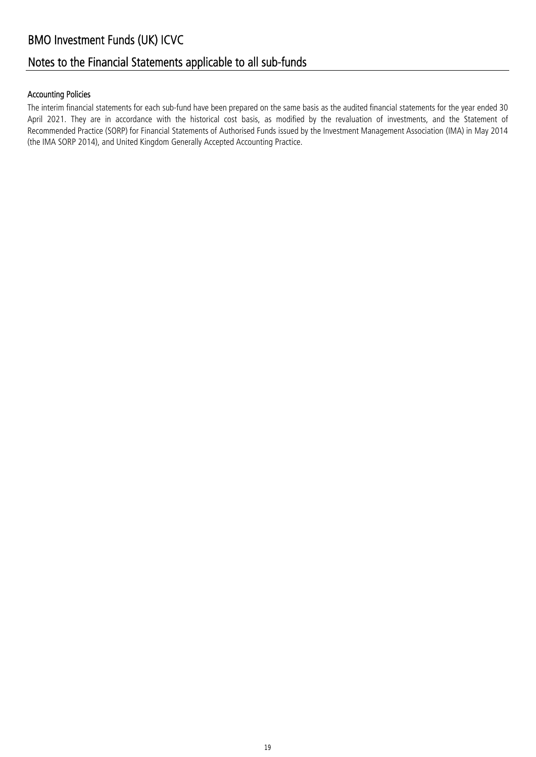# Notes to the Financial Statements applicable to all sub-funds

### Accounting Policies

The interim financial statements for each sub-fund have been prepared on the same basis as the audited financial statements for the year ended 30 April 2021. They are in accordance with the historical cost basis, as modified by the revaluation of investments, and the Statement of Recommended Practice (SORP) for Financial Statements of Authorised Funds issued by the Investment Management Association (IMA) in May 2014 (the IMA SORP 2014), and United Kingdom Generally Accepted Accounting Practice.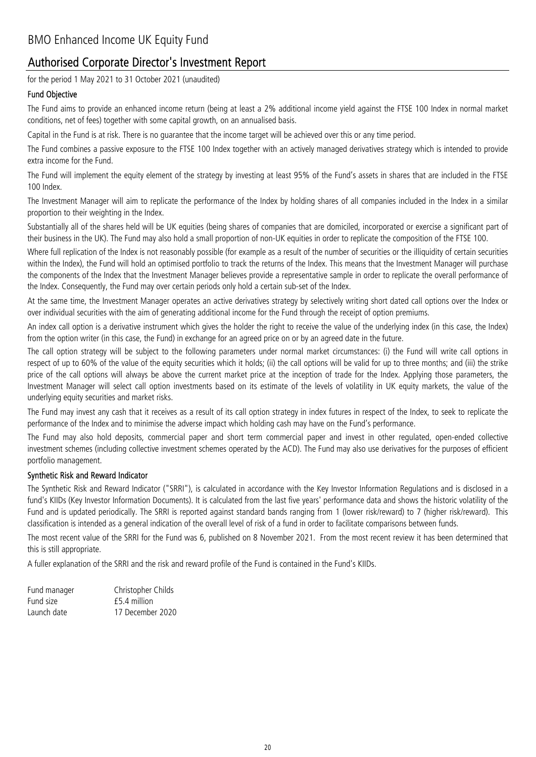# Authorised Corporate Director's Investment Report

for the period 1 May 2021 to 31 October 2021 (unaudited)

### Fund Objective

The Fund aims to provide an enhanced income return (being at least a 2% additional income yield against the FTSE 100 Index in normal market conditions, net of fees) together with some capital growth, on an annualised basis.

Capital in the Fund is at risk. There is no guarantee that the income target will be achieved over this or any time period.

The Fund combines a passive exposure to the FTSE 100 Index together with an actively managed derivatives strategy which is intended to provide extra income for the Fund.

The Fund will implement the equity element of the strategy by investing at least 95% of the Fund's assets in shares that are included in the FTSE 100 Index.

The Investment Manager will aim to replicate the performance of the Index by holding shares of all companies included in the Index in a similar proportion to their weighting in the Index.

Substantially all of the shares held will be UK equities (being shares of companies that are domiciled, incorporated or exercise a significant part of their business in the UK). The Fund may also hold a small proportion of non-UK equities in order to replicate the composition of the FTSE 100.

Where full replication of the Index is not reasonably possible (for example as a result of the number of securities or the illiquidity of certain securities within the Index), the Fund will hold an optimised portfolio to track the returns of the Index. This means that the Investment Manager will purchase the components of the Index that the Investment Manager believes provide a representative sample in order to replicate the overall performance of the Index. Consequently, the Fund may over certain periods only hold a certain sub-set of the Index.

At the same time, the Investment Manager operates an active derivatives strategy by selectively writing short dated call options over the Index or over individual securities with the aim of generating additional income for the Fund through the receipt of option premiums.

An index call option is a derivative instrument which gives the holder the right to receive the value of the underlying index (in this case, the Index) from the option writer (in this case, the Fund) in exchange for an agreed price on or by an agreed date in the future.

The call option strategy will be subject to the following parameters under normal market circumstances: (i) the Fund will write call options in respect of up to 60% of the value of the equity securities which it holds; (ii) the call options will be valid for up to three months; and (iii) the strike price of the call options will always be above the current market price at the inception of trade for the Index. Applying those parameters, the Investment Manager will select call option investments based on its estimate of the levels of volatility in UK equity markets, the value of the underlying equity securities and market risks.

The Fund may invest any cash that it receives as a result of its call option strategy in index futures in respect of the Index, to seek to replicate the performance of the Index and to minimise the adverse impact which holding cash may have on the Fund's performance.

The Fund may also hold deposits, commercial paper and short term commercial paper and invest in other regulated, open-ended collective investment schemes (including collective investment schemes operated by the ACD). The Fund may also use derivatives for the purposes of efficient portfolio management.

### Synthetic Risk and Reward Indicator

The Synthetic Risk and Reward Indicator ("SRRI"), is calculated in accordance with the Key Investor Information Regulations and is disclosed in a fund's KIIDs (Key Investor Information Documents). It is calculated from the last five years' performance data and shows the historic volatility of the Fund and is updated periodically. The SRRI is reported against standard bands ranging from 1 (lower risk/reward) to 7 (higher risk/reward). This classification is intended as a general indication of the overall level of risk of a fund in order to facilitate comparisons between funds.

The most recent value of the SRRI for the Fund was 6, published on 8 November 2021. From the most recent review it has been determined that this is still appropriate.

A fuller explanation of the SRRI and the risk and reward profile of the Fund is contained in the Fund's KIIDs.

| Fund manager | Christopher Childs |
|--------------|--------------------|
| Fund size    | f5.4 million       |
| Launch date  | 17 December 2020   |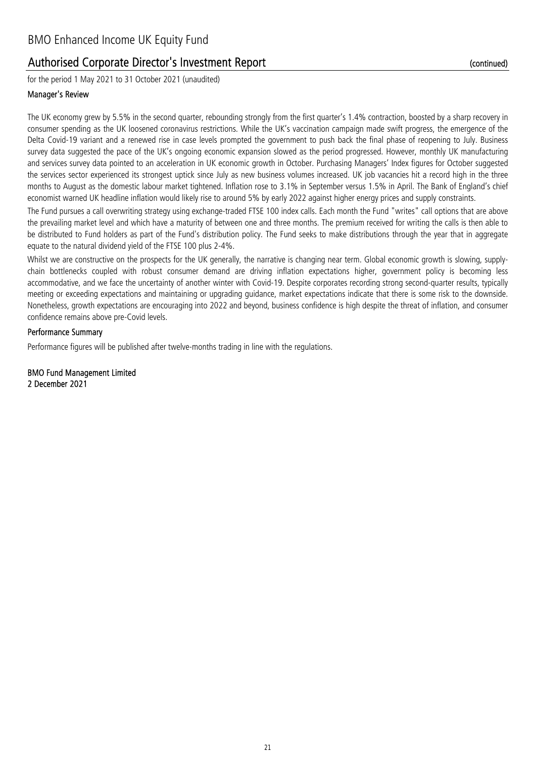# Authorised Corporate Director's Investment Report

for the period 1 May 2021 to 31 October 2021 (unaudited)

### Manager's Review

The UK economy grew by 5.5% in the second quarter, rebounding strongly from the first quarter's 1.4% contraction, boosted by a sharp recovery in consumer spending as the UK loosened coronavirus restrictions. While the UK's vaccination campaign made swift progress, the emergence of the Delta Covid-19 variant and a renewed rise in case levels prompted the government to push back the final phase of reopening to July. Business survey data suggested the pace of the UK's ongoing economic expansion slowed as the period progressed. However, monthly UK manufacturing and services survey data pointed to an acceleration in UK economic growth in October. Purchasing Managers' Index figures for October suggested the services sector experienced its strongest uptick since July as new business volumes increased. UK job vacancies hit a record high in the three months to August as the domestic labour market tightened. Inflation rose to 3.1% in September versus 1.5% in April. The Bank of England's chief economist warned UK headline inflation would likely rise to around 5% by early 2022 against higher energy prices and supply constraints.

The Fund pursues a call overwriting strategy using exchange-traded FTSE 100 index calls. Each month the Fund "writes" call options that are above the prevailing market level and which have a maturity of between one and three months. The premium received for writing the calls is then able to be distributed to Fund holders as part of the Fund's distribution policy. The Fund seeks to make distributions through the year that in aggregate equate to the natural dividend yield of the FTSE 100 plus 2-4%.

Whilst we are constructive on the prospects for the UK generally, the narrative is changing near term. Global economic growth is slowing, supplychain bottlenecks coupled with robust consumer demand are driving inflation expectations higher, government policy is becoming less accommodative, and we face the uncertainty of another winter with Covid-19. Despite corporates recording strong second-quarter results, typically meeting or exceeding expectations and maintaining or upgrading guidance, market expectations indicate that there is some risk to the downside. Nonetheless, growth expectations are encouraging into 2022 and beyond, business confidence is high despite the threat of inflation, and consumer confidence remains above pre-Covid levels.

### Performance Summary

Performance figures will be published after twelve-months trading in line with the regulations.

2 December 2021 BMO Fund Management Limited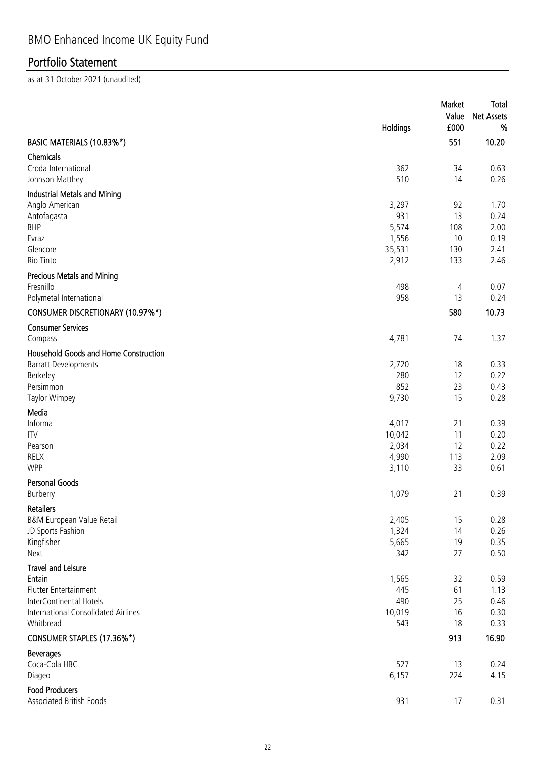|                                                                                                                                                    | Holdings                                   | Market<br>Value<br>£000     | Total<br><b>Net Assets</b><br>%      |
|----------------------------------------------------------------------------------------------------------------------------------------------------|--------------------------------------------|-----------------------------|--------------------------------------|
| BASIC MATERIALS (10.83%*)                                                                                                                          |                                            | 551                         | 10.20                                |
| Chemicals<br>Croda International<br>Johnson Matthey                                                                                                | 362<br>510                                 | 34<br>14                    | 0.63<br>0.26                         |
| Industrial Metals and Mining<br>Anglo American<br>Antofagasta<br><b>BHP</b><br>Evraz                                                               | 3,297<br>931<br>5,574<br>1,556             | 92<br>13<br>108<br>10       | 1.70<br>0.24<br>2.00<br>0.19         |
| Glencore<br>Rio Tinto                                                                                                                              | 35,531<br>2,912                            | 130<br>133                  | 2.41<br>2.46                         |
| Precious Metals and Mining<br>Fresnillo<br>Polymetal International                                                                                 | 498<br>958                                 | 4<br>13                     | 0.07<br>0.24                         |
| <b>CONSUMER DISCRETIONARY (10.97%*)</b><br><b>Consumer Services</b>                                                                                |                                            | 580                         | 10.73                                |
| Compass<br>Household Goods and Home Construction<br><b>Barratt Developments</b><br>Berkeley<br>Persimmon<br>Taylor Wimpey                          | 4,781<br>2,720<br>280<br>852<br>9,730      | 74<br>18<br>12<br>23<br>15  | 1.37<br>0.33<br>0.22<br>0.43<br>0.28 |
| Media<br>Informa<br><b>ITV</b><br>Pearson<br><b>RELX</b><br><b>WPP</b>                                                                             | 4,017<br>10,042<br>2,034<br>4,990<br>3,110 | 21<br>11<br>12<br>113<br>33 | 0.39<br>0.20<br>0.22<br>2.09<br>0.61 |
| <b>Personal Goods</b><br>Burberry                                                                                                                  | 1,079                                      | 21                          | 0.39                                 |
| <b>Retailers</b><br>B&M European Value Retail<br>JD Sports Fashion<br>Kingfisher<br>Next                                                           | 2,405<br>1,324<br>5,665<br>342             | 15<br>14<br>19<br>27        | 0.28<br>0.26<br>0.35<br>0.50         |
| <b>Travel and Leisure</b><br>Entain<br><b>Flutter Entertainment</b><br>InterContinental Hotels<br>International Consolidated Airlines<br>Whitbread | 1,565<br>445<br>490<br>10,019<br>543       | 32<br>61<br>25<br>16<br>18  | 0.59<br>1.13<br>0.46<br>0.30<br>0.33 |
| CONSUMER STAPLES (17.36%*)                                                                                                                         |                                            | 913                         | 16.90                                |
| <b>Beverages</b><br>Coca-Cola HBC<br>Diageo                                                                                                        | 527<br>6,157                               | 13<br>224                   | 0.24<br>4.15                         |
| <b>Food Producers</b><br>Associated British Foods                                                                                                  | 931                                        | 17                          | 0.31                                 |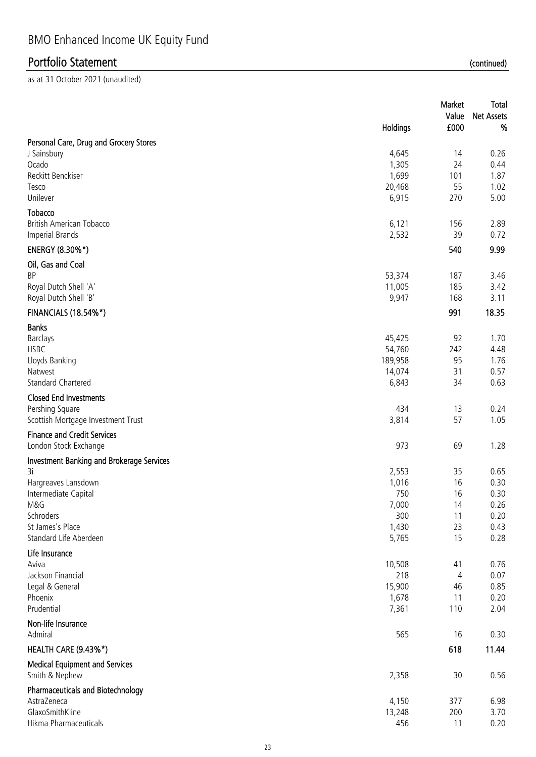|                                                    | Holdings          | Market<br>Value<br>£000 | Total<br>Net Assets<br>% |
|----------------------------------------------------|-------------------|-------------------------|--------------------------|
| Personal Care, Drug and Grocery Stores             |                   |                         |                          |
| J Sainsbury                                        | 4,645             | 14                      | 0.26                     |
| Ocado                                              | 1,305             | 24                      | 0.44                     |
| Reckitt Benckiser                                  | 1,699             | 101                     | 1.87                     |
| Tesco                                              | 20,468            | 55                      | 1.02                     |
| Unilever                                           | 6,915             | 270                     | 5.00                     |
| Tobacco                                            |                   |                         |                          |
| British American Tobacco<br><b>Imperial Brands</b> | 6,121<br>2,532    | 156<br>39               | 2.89<br>0.72             |
|                                                    |                   |                         |                          |
| ENERGY (8.30%*)                                    |                   | 540                     | 9.99                     |
| Oil, Gas and Coal                                  |                   |                         |                          |
| <b>BP</b>                                          | 53,374            | 187                     | 3.46                     |
| Royal Dutch Shell 'A'<br>Royal Dutch Shell 'B'     | 11,005<br>9,947   | 185<br>168              | 3.42<br>3.11             |
|                                                    |                   |                         |                          |
| <b>FINANCIALS (18.54%*)</b>                        |                   | 991                     | 18.35                    |
| <b>Banks</b>                                       |                   |                         |                          |
| <b>Barclays</b>                                    | 45,425            | 92                      | 1.70                     |
| <b>HSBC</b>                                        | 54,760            | 242                     | 4.48                     |
| Lloyds Banking<br>Natwest                          | 189,958<br>14,074 | 95<br>31                | 1.76<br>0.57             |
| <b>Standard Chartered</b>                          | 6,843             | 34                      | 0.63                     |
| <b>Closed End Investments</b>                      |                   |                         |                          |
| Pershing Square                                    | 434               | 13                      | 0.24                     |
| Scottish Mortgage Investment Trust                 | 3,814             | 57                      | 1.05                     |
| <b>Finance and Credit Services</b>                 |                   |                         |                          |
| London Stock Exchange                              | 973               | 69                      | 1.28                     |
| <b>Investment Banking and Brokerage Services</b>   |                   |                         |                          |
| 3i                                                 | 2,553             | 35                      | 0.65                     |
| Hargreaves Lansdown                                | 1,016             | 16                      | 0.30                     |
| Intermediate Capital                               | 750               | 16                      | 0.30                     |
| M&G                                                | 7,000             | 14                      | 0.26                     |
| Schroders                                          | 300               | 11                      | 0.20                     |
| St James's Place                                   | 1,430             | 23                      | 0.43                     |
| Standard Life Aberdeen                             | 5,765             | 15                      | 0.28                     |
| Life Insurance                                     |                   |                         |                          |
| Aviva<br>Jackson Financial                         | 10,508<br>218     | 41<br>4                 | 0.76<br>0.07             |
| Legal & General                                    | 15,900            | 46                      | 0.85                     |
| Phoenix                                            | 1,678             | 11                      | 0.20                     |
| Prudential                                         | 7,361             | 110                     | 2.04                     |
| Non-life Insurance                                 | 565               |                         |                          |
| Admiral                                            |                   | 16                      | 0.30                     |
| HEALTH CARE (9.43%*)                               |                   | 618                     | 11.44                    |
| <b>Medical Equipment and Services</b>              |                   |                         |                          |
| Smith & Nephew                                     | 2,358             | 30                      | 0.56                     |
| <b>Pharmaceuticals and Biotechnology</b>           |                   |                         |                          |
| AstraZeneca                                        | 4,150             | 377                     | 6.98                     |
| GlaxoSmithKline<br>Hikma Pharmaceuticals           | 13,248            | 200                     | 3.70                     |
|                                                    | 456               | 11                      | 0.20                     |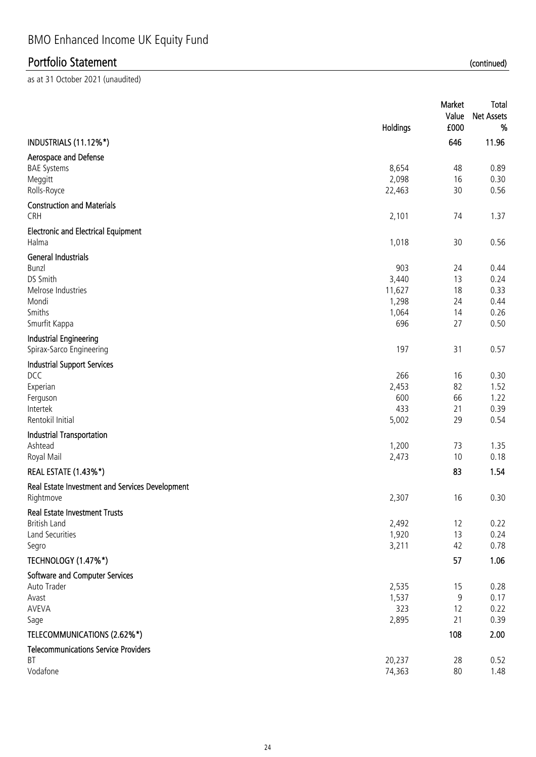|                                                                                                                  | Holdings                                        | Market<br>Value<br>£000          | <b>Total</b><br><b>Net Assets</b><br>%       |
|------------------------------------------------------------------------------------------------------------------|-------------------------------------------------|----------------------------------|----------------------------------------------|
| INDUSTRIALS (11.12%*)                                                                                            |                                                 | 646                              | 11.96                                        |
| Aerospace and Defense<br><b>BAE Systems</b><br>Meggitt<br>Rolls-Royce                                            | 8,654<br>2,098<br>22,463                        | 48<br>16<br>30                   | 0.89<br>0.30<br>0.56                         |
| <b>Construction and Materials</b><br>CRH                                                                         | 2,101                                           | 74                               | 1.37                                         |
| <b>Electronic and Electrical Equipment</b><br>Halma                                                              | 1,018                                           | 30                               | 0.56                                         |
| <b>General Industrials</b><br><b>Bunzl</b><br>DS Smith<br>Melrose Industries<br>Mondi<br>Smiths<br>Smurfit Kappa | 903<br>3,440<br>11,627<br>1,298<br>1,064<br>696 | 24<br>13<br>18<br>24<br>14<br>27 | 0.44<br>0.24<br>0.33<br>0.44<br>0.26<br>0.50 |
| <b>Industrial Engineering</b><br>Spirax-Sarco Engineering                                                        | 197                                             | 31                               | 0.57                                         |
| <b>Industrial Support Services</b><br>DCC<br>Experian<br>Ferguson<br>Intertek<br>Rentokil Initial                | 266<br>2,453<br>600<br>433<br>5,002             | 16<br>82<br>66<br>21<br>29       | 0.30<br>1.52<br>1.22<br>0.39<br>0.54         |
| <b>Industrial Transportation</b><br>Ashtead<br>Royal Mail                                                        | 1,200<br>2,473                                  | 73<br>10                         | 1.35<br>0.18                                 |
| <b>REAL ESTATE (1.43%*)</b>                                                                                      |                                                 | 83                               | 1.54                                         |
| Real Estate Investment and Services Development<br>Rightmove                                                     | 2,307                                           | 16                               | 0.30                                         |
| <b>Real Estate Investment Trusts</b><br><b>British Land</b><br><b>Land Securities</b><br>Segro                   | 2,492<br>1,920<br>3,211                         | 12<br>13<br>42                   | 0.22<br>0.24<br>0.78                         |
| TECHNOLOGY (1.47%*)                                                                                              |                                                 | 57                               | 1.06                                         |
| Software and Computer Services<br>Auto Trader<br>Avast<br>AVEVA<br>Sage                                          | 2,535<br>1,537<br>323<br>2,895                  | 15<br>9<br>12<br>21              | 0.28<br>0.17<br>0.22<br>0.39                 |
| TELECOMMUNICATIONS (2.62%*)                                                                                      |                                                 | 108                              | 2.00                                         |
| <b>Telecommunications Service Providers</b><br><b>BT</b><br>Vodafone                                             | 20,237<br>74,363                                | 28<br>80                         | 0.52<br>1.48                                 |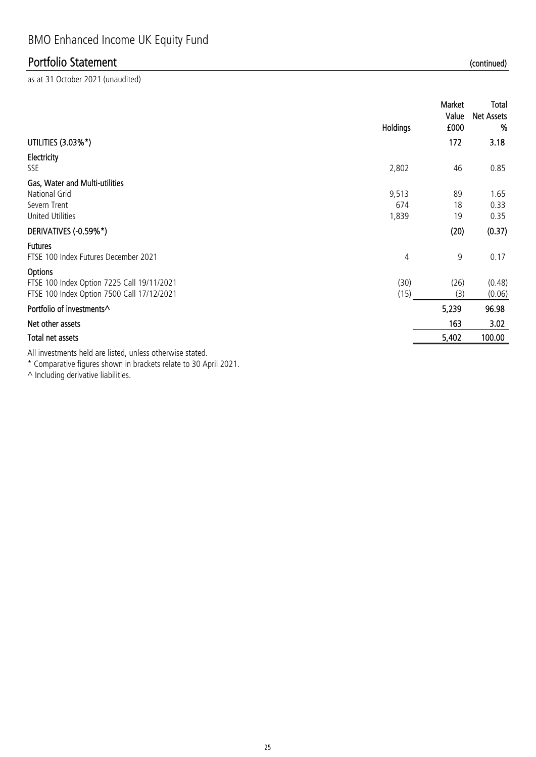as at 31 October 2021 (unaudited)

|                                                                                                                                                                                                                                   | Holdings     | Market<br>Value<br>£000 | Total<br><b>Net Assets</b><br>% |
|-----------------------------------------------------------------------------------------------------------------------------------------------------------------------------------------------------------------------------------|--------------|-------------------------|---------------------------------|
| UTILITIES (3.03%*)                                                                                                                                                                                                                |              | 172                     | 3.18                            |
| Electricity<br>SSE                                                                                                                                                                                                                | 2,802        | 46                      | 0.85                            |
| Gas, Water and Multi-utilities                                                                                                                                                                                                    |              |                         |                                 |
| National Grid<br>Severn Trent                                                                                                                                                                                                     | 9,513<br>674 | 89<br>18                | 1.65<br>0.33                    |
| <b>United Utilities</b>                                                                                                                                                                                                           | 1,839        | 19                      | 0.35                            |
| DERIVATIVES (-0.59%*)                                                                                                                                                                                                             |              | (20)                    | (0.37)                          |
| <b>Futures</b><br>FTSE 100 Index Futures December 2021                                                                                                                                                                            | 4            | 9                       | 0.17                            |
| Options                                                                                                                                                                                                                           |              |                         |                                 |
| FTSE 100 Index Option 7225 Call 19/11/2021<br>FTSE 100 Index Option 7500 Call 17/12/2021                                                                                                                                          | (30)<br>(15) | (26)<br>(3)             | (0.48)<br>(0.06)                |
| Portfolio of investments^                                                                                                                                                                                                         |              | 5,239                   | 96.98                           |
| Net other assets                                                                                                                                                                                                                  |              | 163                     | 3.02                            |
| Total net assets                                                                                                                                                                                                                  |              | 5,402                   | 100.00                          |
| $\bullet$ 11. The contract of the contract of the contract of the contract of the contract of the contract of the contract of the contract of the contract of the contract of the contract of the contract of the contract of the |              |                         |                                 |

All investments held are listed, unless otherwise stated.

\* Comparative figures shown in brackets relate to 30 April 2021.

 $\wedge$  Including derivative liabilities.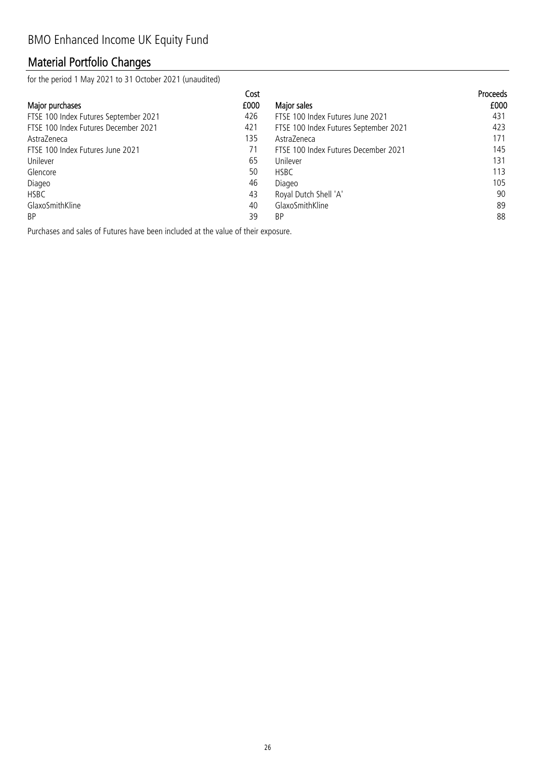# Material Portfolio Changes

for the period 1 May 2021 to 31 October 2021 (unaudited)

|                                       | Cost |                                       | <b>Proceeds</b> |
|---------------------------------------|------|---------------------------------------|-----------------|
| Major purchases                       | £000 | Major sales                           | £000            |
| FTSE 100 Index Futures September 2021 | 426  | FTSE 100 Index Futures June 2021      | 431             |
| FTSE 100 Index Futures December 2021  | 421  | FTSE 100 Index Futures September 2021 | 423             |
| AstraZeneca                           | 135  | AstraZeneca                           | 171             |
| FTSE 100 Index Futures June 2021      | 71   | FTSE 100 Index Futures December 2021  | 145             |
| Unilever                              | 65   | Unilever                              | 131             |
| Glencore                              | 50   | <b>HSBC</b>                           | 113             |
| Diageo                                | 46   | Diageo                                | 105             |
| <b>HSBC</b>                           | 43   | Royal Dutch Shell 'A'                 | 90              |
| GlaxoSmithKline                       | 40   | GlaxoSmithKline                       | 89              |
| <b>BP</b>                             | 39   | BP                                    | 88              |

Purchases and sales of Futures have been included at the value of their exposure.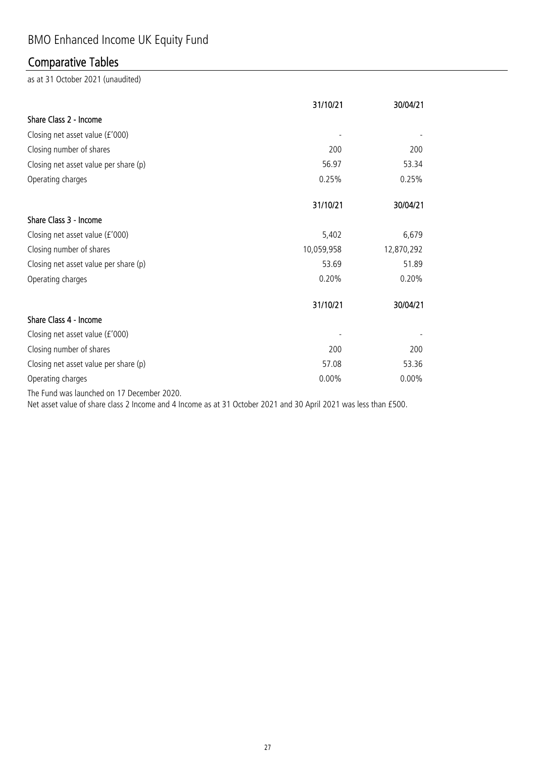# BMO Enhanced Income UK Equity Fund

# Comparative Tables

as at 31 October 2021 (unaudited)

|                                       | 31/10/21   | 30/04/21   |
|---------------------------------------|------------|------------|
| Share Class 2 - Income                |            |            |
| Closing net asset value (£'000)       |            |            |
| Closing number of shares              | 200        | 200        |
| Closing net asset value per share (p) | 56.97      | 53.34      |
| Operating charges                     | 0.25%      | 0.25%      |
|                                       | 31/10/21   | 30/04/21   |
| Share Class 3 - Income                |            |            |
| Closing net asset value (£'000)       | 5,402      | 6,679      |
| Closing number of shares              | 10,059,958 | 12,870,292 |
| Closing net asset value per share (p) | 53.69      | 51.89      |
| Operating charges                     | 0.20%      | 0.20%      |
|                                       | 31/10/21   | 30/04/21   |
| Share Class 4 - Income                |            |            |
| Closing net asset value (£'000)       |            |            |
| Closing number of shares              | 200        | 200        |
| Closing net asset value per share (p) | 57.08      | 53.36      |
| Operating charges                     | 0.00%      | $0.00\%$   |
|                                       |            |            |

The Fund was launched on 17 December 2020.

Net asset value of share class 2 Income and 4 Income as at 31 October 2021 and 30 April 2021 was less than £500.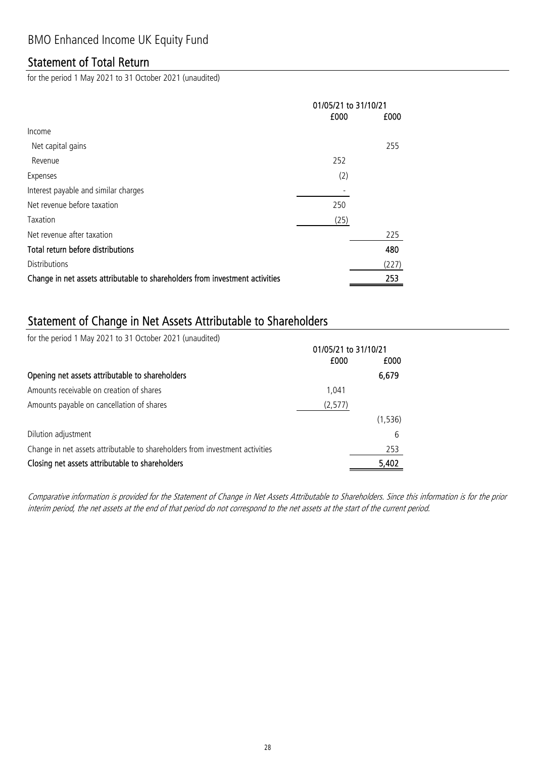# Statement of Total Return

for the period 1 May 2021 to 31 October 2021 (unaudited)

|                                                                              | 01/05/21 to 31/10/21 |       |
|------------------------------------------------------------------------------|----------------------|-------|
|                                                                              | £000                 | £000  |
| Income                                                                       |                      |       |
| Net capital gains                                                            |                      | 255   |
| Revenue                                                                      | 252                  |       |
| Expenses                                                                     | (2)                  |       |
| Interest payable and similar charges                                         |                      |       |
| Net revenue before taxation                                                  | 250                  |       |
| Taxation                                                                     | (25)                 |       |
| Net revenue after taxation                                                   |                      | 225   |
| Total return before distributions                                            |                      | 480   |
| <b>Distributions</b>                                                         |                      | (227) |
| Change in net assets attributable to shareholders from investment activities |                      | 253   |

# Statement of Change in Net Assets Attributable to Shareholders

for the period 1 May 2021 to 31 October 2021 (unaudited)

|                                                                              | 01/05/21 to 31/10/21 |          |
|------------------------------------------------------------------------------|----------------------|----------|
|                                                                              | £000                 | £000     |
| Opening net assets attributable to shareholders                              |                      | 6,679    |
| Amounts receivable on creation of shares                                     | 1.041                |          |
| Amounts payable on cancellation of shares                                    | (2, 577)             |          |
|                                                                              |                      | (1, 536) |
| Dilution adjustment                                                          |                      | 6        |
| Change in net assets attributable to shareholders from investment activities |                      | 253      |
| Closing net assets attributable to shareholders                              |                      | 5,402    |

Comparative information is provided for the Statement of Change in Net Assets Attributable to Shareholders. Since this information is for the prior interim period, the net assets at the end of that period do not correspond to the net assets at the start of the current period.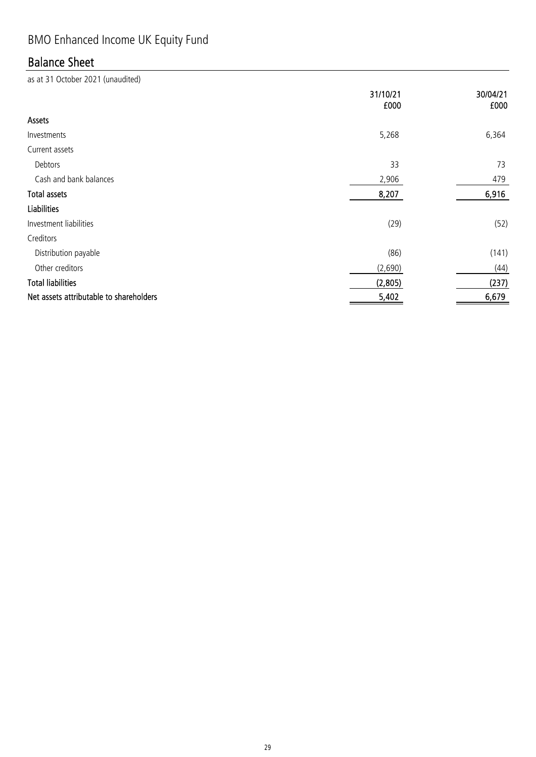# BMO Enhanced Income UK Equity Fund

# Balance Sheet

|                                         | 31/10/21<br>£000 | 30/04/21<br>£000 |
|-----------------------------------------|------------------|------------------|
| Assets                                  |                  |                  |
| Investments                             | 5,268            | 6,364            |
| Current assets                          |                  |                  |
| Debtors                                 | 33               | 73               |
| Cash and bank balances                  | 2,906            | 479              |
| <b>Total assets</b>                     | 8,207            | 6,916            |
| <b>Liabilities</b>                      |                  |                  |
| Investment liabilities                  | (29)             | (52)             |
| Creditors                               |                  |                  |
| Distribution payable                    | (86)             | (141)            |
| Other creditors                         | (2,690)          | (44)             |
| <b>Total liabilities</b>                | (2,805)          | (237)            |
| Net assets attributable to shareholders | 5,402            | 6,679            |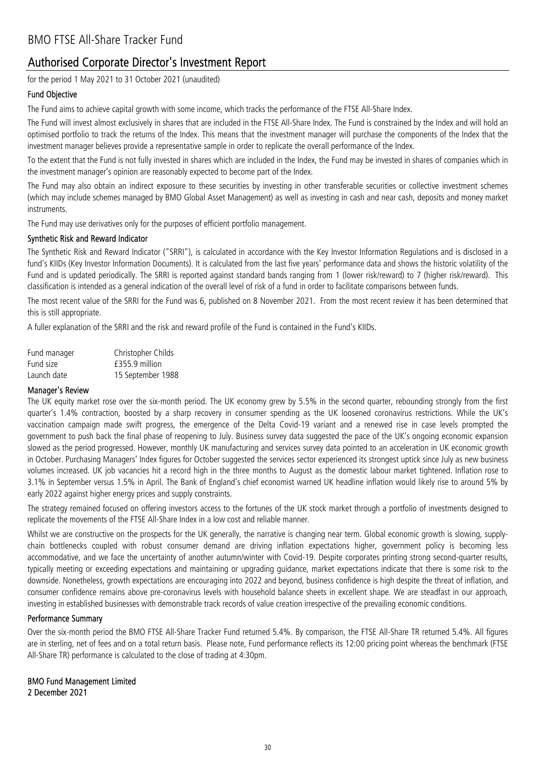# Authorised Corporate Director's Investment Report

for the period 1 May 2021 to 31 October 2021 (unaudited)

### Fund Objective

The Fund aims to achieve capital growth with some income, which tracks the performance of the FTSE All-Share Index.

The Fund will invest almost exclusively in shares that are included in the FTSE All-Share Index. The Fund is constrained by the Index and will hold an optimised portfolio to track the returns of the Index. This means that the investment manager will purchase the components of the Index that the investment manager believes provide a representative sample in order to replicate the overall performance of the Index.

To the extent that the Fund is not fully invested in shares which are included in the Index, the Fund may be invested in shares of companies which in the investment manager's opinion are reasonably expected to become part of the Index.

The Fund may also obtain an indirect exposure to these securities by investing in other transferable securities or collective investment schemes (which may include schemes managed by BMO Global Asset Management) as well as investing in cash and near cash, deposits and money market instruments.

The Fund may use derivatives only for the purposes of efficient portfolio management.

### Synthetic Risk and Reward Indicator

The Synthetic Risk and Reward Indicator ("SRRI"), is calculated in accordance with the Key Investor Information Regulations and is disclosed in a fund's KIIDs (Key Investor Information Documents). It is calculated from the last five years' performance data and shows the historic volatility of the Fund and is updated periodically. The SRRI is reported against standard bands ranging from 1 (lower risk/reward) to 7 (higher risk/reward). This classification is intended as a general indication of the overall level of risk of a fund in order to facilitate comparisons between funds.

The most recent value of the SRRI for the Fund was 6, published on 8 November 2021. From the most recent review it has been determined that this is still appropriate.

A fuller explanation of the SRRI and the risk and reward profile of the Fund is contained in the Fund's KIIDs.

| Fund manager | Christopher Childs |
|--------------|--------------------|
| Fund size    | £355.9 million     |
| Launch date  | 15 September 1988  |

### Manager's Review

The UK equity market rose over the six-month period. The UK economy grew by 5.5% in the second quarter, rebounding strongly from the first quarter's 1.4% contraction, boosted by a sharp recovery in consumer spending as the UK loosened coronavirus restrictions. While the UK's vaccination campaign made swift progress, the emergence of the Delta Covid-19 variant and a renewed rise in case levels prompted the government to push back the final phase of reopening to July. Business survey data suggested the pace of the UK's ongoing economic expansion slowed as the period progressed. However, monthly UK manufacturing and services survey data pointed to an acceleration in UK economic growth in October. Purchasing Managers' Index figures for October suggested the services sector experienced its strongest uptick since July as new business volumes increased. UK job vacancies hit a record high in the three months to August as the domestic labour market tightened. Inflation rose to 3.1% in September versus 1.5% in April. The Bank of England's chief economist warned UK headline inflation would likely rise to around 5% by early 2022 against higher energy prices and supply constraints.

The strategy remained focused on offering investors access to the fortunes of the UK stock market through a portfolio of investments designed to replicate the movements of the FTSE All-Share Index in a low cost and reliable manner.

Whilst we are constructive on the prospects for the UK generally, the narrative is changing near term. Global economic growth is slowing, supplychain bottlenecks coupled with robust consumer demand are driving inflation expectations higher, government policy is becoming less accommodative, and we face the uncertainty of another autumn/winter with Covid-19. Despite corporates printing strong second-quarter results, typically meeting or exceeding expectations and maintaining or upgrading guidance, market expectations indicate that there is some risk to the downside. Nonetheless, growth expectations are encouraging into 2022 and beyond, business confidence is high despite the threat of inflation, and consumer confidence remains above pre-coronavirus levels with household balance sheets in excellent shape. We are steadfast in our approach, investing in established businesses with demonstrable track records of value creation irrespective of the prevailing economic conditions.

### Performance Summary

Over the six-month period the BMO FTSE All-Share Tracker Fund returned 5.4%. By comparison, the FTSE All-Share TR returned 5.4%. All figures are in sterling, net of fees and on a total return basis. Please note, Fund performance reflects its 12:00 pricing point whereas the benchmark (FTSE All-Share TR) performance is calculated to the close of trading at 4:30pm.

2 December 2021 BMO Fund Management Limited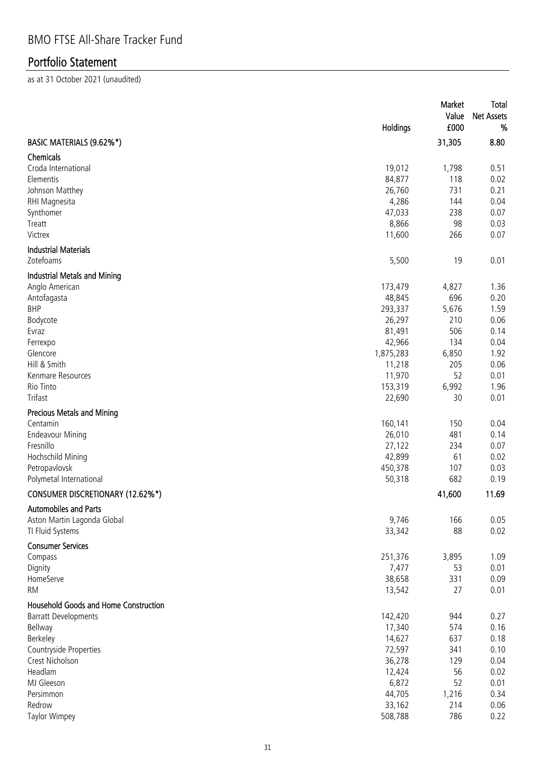|                                              | Holdings          | Market<br>Value<br>£000 | Total<br><b>Net Assets</b><br>% |
|----------------------------------------------|-------------------|-------------------------|---------------------------------|
| BASIC MATERIALS (9.62%*)                     |                   | 31,305                  | 8.80                            |
| <b>Chemicals</b><br>Croda International      |                   |                         | 0.51                            |
| Elementis                                    | 19,012<br>84,877  | 1,798<br>118            | 0.02                            |
| Johnson Matthey                              | 26,760            | 731                     | 0.21                            |
| RHI Magnesita                                | 4,286             | 144                     | 0.04                            |
| Synthomer                                    | 47,033            | 238                     | 0.07                            |
| Treatt                                       | 8,866             | 98                      | 0.03                            |
| Victrex                                      | 11,600            | 266                     | 0.07                            |
| <b>Industrial Materials</b>                  |                   |                         |                                 |
| Zotefoams                                    | 5,500             | 19                      | 0.01                            |
| <b>Industrial Metals and Mining</b>          |                   |                         |                                 |
| Anglo American                               | 173,479           | 4,827                   | 1.36                            |
| Antofagasta<br><b>BHP</b>                    | 48,845<br>293,337 | 696                     | 0.20                            |
|                                              | 26,297            | 5,676<br>210            | 1.59<br>0.06                    |
| Bodycote<br>Evraz                            | 81,491            | 506                     | 0.14                            |
| Ferrexpo                                     | 42,966            | 134                     | 0.04                            |
| Glencore                                     | 1,875,283         | 6,850                   | 1.92                            |
| Hill & Smith                                 | 11,218            | 205                     | 0.06                            |
| Kenmare Resources                            | 11,970            | 52                      | 0.01                            |
| Rio Tinto                                    | 153,319           | 6,992                   | 1.96                            |
| Trifast                                      | 22,690            | 30                      | 0.01                            |
| <b>Precious Metals and Mining</b>            |                   |                         |                                 |
| Centamin                                     | 160,141           | 150                     | 0.04                            |
| <b>Endeavour Mining</b>                      | 26,010            | 481                     | 0.14                            |
| Fresnillo                                    | 27,122            | 234                     | 0.07                            |
| Hochschild Mining                            | 42,899            | 61                      | 0.02                            |
| Petropavlovsk                                | 450,378           | 107                     | 0.03                            |
| Polymetal International                      | 50,318            | 682                     | 0.19                            |
| CONSUMER DISCRETIONARY (12.62%*)             |                   | 41,600                  | 11.69                           |
| Automobiles and Parts                        |                   |                         |                                 |
| Aston Martin Lagonda Global                  | 9,746             | 166                     | 0.05                            |
| TI Fluid Systems                             | 33,342            | 88                      | 0.02                            |
| <b>Consumer Services</b>                     |                   |                         |                                 |
| Compass                                      | 251,376           | 3,895                   | 1.09                            |
| Dignity                                      | 7,477             | 53                      | 0.01                            |
| HomeServe                                    | 38,658            | 331                     | 0.09                            |
| <b>RM</b>                                    | 13,542            | 27                      | 0.01                            |
| <b>Household Goods and Home Construction</b> |                   |                         |                                 |
| <b>Barratt Developments</b>                  | 142,420           | 944                     | 0.27                            |
| Bellway                                      | 17,340            | 574                     | 0.16                            |
| Berkeley                                     | 14,627            | 637                     | 0.18                            |
| Countryside Properties                       | 72,597            | 341                     | 0.10                            |
| Crest Nicholson                              | 36,278            | 129                     | 0.04                            |
| Headlam                                      | 12,424            | 56                      | 0.02                            |
| MJ Gleeson                                   | 6,872             | 52                      | 0.01                            |
| Persimmon                                    | 44,705            | 1,216                   | 0.34                            |
| Redrow                                       | 33,162            | 214                     | 0.06                            |
| <b>Taylor Wimpey</b>                         | 508,788           | 786                     | 0.22                            |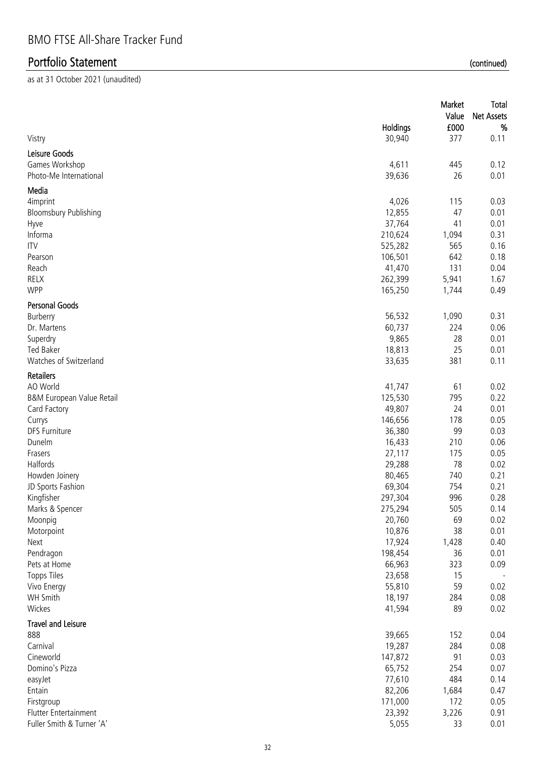| Vistry                                                    | Holdings<br>30,940 | Market<br>Value<br>£000<br>377 | Total<br><b>Net Assets</b><br>%<br>0.11 |
|-----------------------------------------------------------|--------------------|--------------------------------|-----------------------------------------|
|                                                           |                    |                                |                                         |
| Leisure Goods<br>Games Workshop<br>Photo-Me International | 4,611<br>39,636    | 445<br>26                      | 0.12<br>0.01                            |
| Media                                                     |                    |                                |                                         |
| 4imprint                                                  | 4,026              | 115                            | 0.03                                    |
| <b>Bloomsbury Publishing</b>                              | 12,855             | 47                             | 0.01                                    |
| Hyve                                                      | 37,764             | 41                             | 0.01                                    |
| Informa                                                   | 210,624            | 1,094                          | 0.31                                    |
| <b>ITV</b>                                                | 525,282            | 565                            | 0.16                                    |
| Pearson                                                   | 106,501            | 642                            | 0.18                                    |
| Reach                                                     | 41,470             | 131                            | 0.04                                    |
| RELX                                                      | 262,399            | 5,941                          | 1.67                                    |
| <b>WPP</b>                                                | 165,250            | 1,744                          | 0.49                                    |
| <b>Personal Goods</b>                                     |                    |                                |                                         |
| Burberry                                                  | 56,532             | 1,090                          | 0.31                                    |
| Dr. Martens                                               | 60,737             | 224                            | 0.06                                    |
| Superdry                                                  | 9,865              | 28                             | 0.01                                    |
| <b>Ted Baker</b>                                          | 18,813             | 25                             | 0.01                                    |
| Watches of Switzerland                                    | 33,635             | 381                            | 0.11                                    |
| <b>Retailers</b>                                          |                    |                                |                                         |
| AO World                                                  | 41,747             | 61                             | 0.02                                    |
| B&M European Value Retail                                 | 125,530            | 795                            | 0.22                                    |
| Card Factory                                              | 49,807             | 24                             | 0.01                                    |
| Currys                                                    | 146,656            | 178                            | 0.05                                    |
| <b>DFS Furniture</b>                                      | 36,380             | 99                             | 0.03                                    |
| Dunelm                                                    | 16,433             | 210                            | 0.06                                    |
| Frasers                                                   | 27,117             | 175                            | 0.05                                    |
| Halfords                                                  | 29,288             | 78                             | 0.02                                    |
| Howden Joinery                                            | 80,465             | 740                            | 0.21                                    |
| JD Sports Fashion                                         | 69,304             | 754                            | 0.21                                    |
| Kingfisher                                                | 297,304            | 996                            | 0.28                                    |
| Marks & Spencer                                           | 275,294            | 505                            | 0.14                                    |
| Moonpig                                                   | 20,760             | 69                             | 0.02                                    |
| Motorpoint                                                | 10,876             | 38                             | 0.01                                    |
| Next                                                      | 17,924             | 1,428                          | 0.40                                    |
| Pendragon                                                 | 198,454            | 36                             | 0.01                                    |
| Pets at Home                                              | 66,963             | 323                            | 0.09                                    |
| <b>Topps Tiles</b>                                        | 23,658             | 15                             |                                         |
| Vivo Energy                                               | 55,810             | 59                             | 0.02                                    |
| WH Smith                                                  | 18,197             | 284                            | 0.08                                    |
| Wickes                                                    | 41,594             | 89                             | 0.02                                    |
| <b>Travel and Leisure</b><br>888                          | 39,665             | 152                            | 0.04                                    |
| Carnival                                                  | 19,287             | 284                            | 0.08                                    |
| Cineworld                                                 | 147,872            | 91                             | 0.03                                    |
| Domino's Pizza                                            | 65,752             | 254                            | 0.07                                    |
| easyJet                                                   | 77,610             | 484                            | 0.14                                    |
| Entain                                                    | 82,206             | 1,684                          | 0.47                                    |
| Firstgroup                                                | 171,000            | 172                            | 0.05                                    |
| Flutter Entertainment                                     | 23,392             | 3,226                          | 0.91                                    |
| Fuller Smith & Turner 'A'                                 | 5,055              | 33                             | 0.01                                    |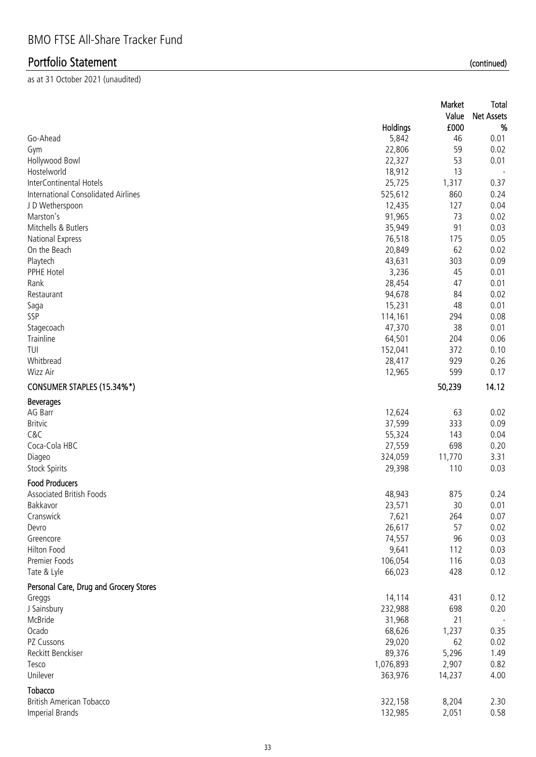|                                                       |                   | Market<br>Value | <b>Total</b><br><b>Net Assets</b> |
|-------------------------------------------------------|-------------------|-----------------|-----------------------------------|
| Go-Ahead                                              | Holdings<br>5,842 | £000<br>46      | %<br>0.01                         |
| Gym                                                   | 22,806            | 59              | 0.02                              |
| Hollywood Bowl                                        | 22,327            | 53              | 0.01                              |
| Hostelworld                                           | 18,912            | 13              | $\overline{\phantom{a}}$          |
| InterContinental Hotels                               | 25,725            | 1,317           | 0.37                              |
| International Consolidated Airlines                   | 525,612           | 860             | 0.24                              |
| J D Wetherspoon                                       | 12,435            | 127             | 0.04                              |
| Marston's                                             | 91,965            | 73              | 0.02                              |
| Mitchells & Butlers                                   | 35,949            | 91              | 0.03                              |
| National Express                                      | 76,518            | 175             | 0.05                              |
| On the Beach                                          | 20,849            | 62              | 0.02                              |
| Playtech                                              | 43,631            | 303             | 0.09                              |
| PPHE Hotel                                            | 3,236             | 45              | 0.01                              |
| Rank                                                  | 28,454            | 47              | 0.01                              |
| Restaurant                                            | 94,678            | 84              | 0.02                              |
| Saga                                                  | 15,231            | 48              | 0.01                              |
| SSP                                                   | 114,161           | 294             | 0.08                              |
| Stagecoach                                            | 47,370            | 38              | 0.01                              |
| Trainline                                             | 64,501            | 204             | 0.06                              |
| TUI                                                   | 152,041           | 372             | 0.10                              |
| Whitbread                                             | 28,417            | 929             | 0.26                              |
| Wizz Air                                              | 12,965            | 599             | 0.17                              |
| CONSUMER STAPLES (15.34%*)                            |                   | 50,239          | 14.12                             |
| <b>Beverages</b>                                      |                   |                 |                                   |
| AG Barr                                               | 12,624            | 63              | 0.02                              |
| <b>Britvic</b>                                        | 37,599            | 333             | 0.09                              |
| C&C                                                   | 55,324            | 143             | 0.04                              |
| Coca-Cola HBC                                         | 27,559            | 698             | 0.20                              |
| Diageo                                                | 324,059           | 11,770          | 3.31                              |
| <b>Stock Spirits</b>                                  | 29,398            | 110             | 0.03                              |
| <b>Food Producers</b>                                 |                   |                 |                                   |
| <b>Associated British Foods</b>                       | 48,943            | 875             | 0.24                              |
| Bakkavor                                              | 23,571            | 30              | 0.01                              |
| Cranswick                                             | 7,621             | 264             | 0.07                              |
| Devro                                                 | 26,617            | 57              | 0.02                              |
| Greencore<br>Hilton Food                              | 74,557<br>9,641   | 96              | 0.03<br>0.03                      |
| Premier Foods                                         | 106,054           | 112<br>116      | 0.03                              |
|                                                       | 66,023            | 428             | 0.12                              |
| Tate & Lyle<br>Personal Care, Drug and Grocery Stores |                   |                 |                                   |
| Greggs                                                | 14,114            | 431             | 0.12                              |
| J Sainsbury                                           | 232,988           | 698             | 0.20                              |
| McBride                                               | 31,968            | 21              |                                   |
| Ocado                                                 | 68,626            | 1,237           | 0.35                              |
| PZ Cussons                                            | 29,020            | 62              | 0.02                              |
| Reckitt Benckiser                                     | 89,376            | 5,296           | 1.49                              |
| Tesco                                                 | 1,076,893         | 2,907           | 0.82                              |
| Unilever                                              | 363,976           | 14,237          | 4.00                              |
| Tobacco                                               |                   |                 |                                   |
| <b>British American Tobacco</b>                       | 322,158           | 8,204           | 2.30                              |
| Imperial Brands                                       | 132,985           | 2,051           | 0.58                              |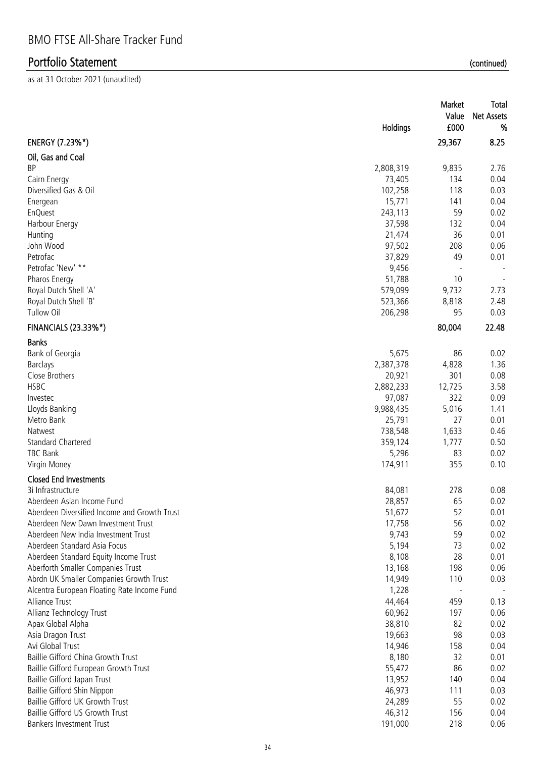|                                              | Holdings  | Market<br>Value<br>£000 | <b>Total</b><br><b>Net Assets</b><br>% |
|----------------------------------------------|-----------|-------------------------|----------------------------------------|
| ENERGY (7.23%*)                              |           | 29,367                  | 8.25                                   |
| Oil, Gas and Coal                            |           |                         |                                        |
| <b>BP</b>                                    | 2,808,319 | 9,835                   | 2.76                                   |
| Cairn Energy                                 | 73,405    | 134                     | 0.04                                   |
| Diversified Gas & Oil                        | 102,258   | 118                     | 0.03                                   |
| Energean                                     | 15,771    | 141                     | 0.04                                   |
| <b>EnQuest</b>                               | 243,113   | 59                      | 0.02                                   |
| Harbour Energy                               | 37,598    | 132                     | 0.04                                   |
| Hunting                                      | 21,474    | 36                      | 0.01                                   |
| John Wood                                    | 97,502    | 208                     | 0.06                                   |
| Petrofac                                     | 37,829    | 49                      | 0.01                                   |
| Petrofac 'New' **                            | 9,456     |                         |                                        |
| Pharos Energy                                | 51,788    | 10                      | $\overline{\phantom{a}}$               |
| Royal Dutch Shell 'A'                        | 579,099   | 9,732                   | 2.73                                   |
| Royal Dutch Shell 'B'                        | 523,366   | 8,818                   | 2.48                                   |
| Tullow Oil                                   | 206,298   | 95                      | 0.03                                   |
| <b>FINANCIALS (23.33%*)</b>                  |           | 80,004                  | 22.48                                  |
| <b>Banks</b>                                 |           |                         |                                        |
| Bank of Georgia                              | 5,675     | 86                      | 0.02                                   |
| <b>Barclays</b>                              | 2,387,378 | 4,828                   | 1.36                                   |
| Close Brothers                               | 20,921    | 301                     | 0.08                                   |
| <b>HSBC</b>                                  | 2,882,233 | 12,725                  | 3.58                                   |
| Investec                                     | 97,087    | 322                     | 0.09                                   |
| Lloyds Banking                               | 9,988,435 | 5,016                   | 1.41                                   |
| Metro Bank                                   | 25,791    | 27                      | 0.01                                   |
| Natwest                                      | 738,548   | 1,633                   | 0.46                                   |
| <b>Standard Chartered</b>                    | 359,124   | 1,777                   | 0.50                                   |
| TBC Bank                                     | 5,296     | 83                      | 0.02                                   |
| Virgin Money                                 | 174,911   | 355                     | 0.10                                   |
|                                              |           |                         |                                        |
| <b>Closed End Investments</b>                |           |                         |                                        |
| 3i Infrastructure                            | 84,081    | 278                     | 0.08                                   |
| Aberdeen Asian Income Fund                   | 28,857    | 65                      | 0.02                                   |
| Aberdeen Diversified Income and Growth Trust | 51,672    | 52                      | 0.01                                   |
| Aberdeen New Dawn Investment Trust           | 17,758    | 56                      | 0.02                                   |
| Aberdeen New India Investment Trust          | 9,743     | 59                      | 0.02                                   |
| Aberdeen Standard Asia Focus                 | 5,194     | 73                      | 0.02                                   |
| Aberdeen Standard Equity Income Trust        | 8,108     | 28                      | 0.01                                   |
| Aberforth Smaller Companies Trust            | 13,168    | 198                     | 0.06                                   |
| Abrdn UK Smaller Companies Growth Trust      | 14,949    | 110                     | 0.03                                   |
| Alcentra European Floating Rate Income Fund  | 1,228     |                         |                                        |
| Alliance Trust                               | 44,464    | 459                     | 0.13                                   |
| Allianz Technology Trust                     | 60,962    | 197                     | 0.06                                   |
| Apax Global Alpha                            | 38,810    | 82                      | 0.02                                   |
| Asia Dragon Trust                            | 19,663    | 98                      | 0.03                                   |
| Avi Global Trust                             | 14,946    | 158                     | 0.04                                   |
| Baillie Gifford China Growth Trust           | 8,180     | 32                      | 0.01                                   |
| Baillie Gifford European Growth Trust        | 55,472    | 86                      | 0.02                                   |
| Baillie Gifford Japan Trust                  | 13,952    | 140                     | 0.04                                   |
| Baillie Gifford Shin Nippon                  | 46,973    | 111                     | 0.03                                   |
| Baillie Gifford UK Growth Trust              | 24,289    | 55                      | 0.02                                   |
| Baillie Gifford US Growth Trust              | 46,312    | 156                     | 0.04                                   |
| Bankers Investment Trust                     | 191,000   | 218                     | 0.06                                   |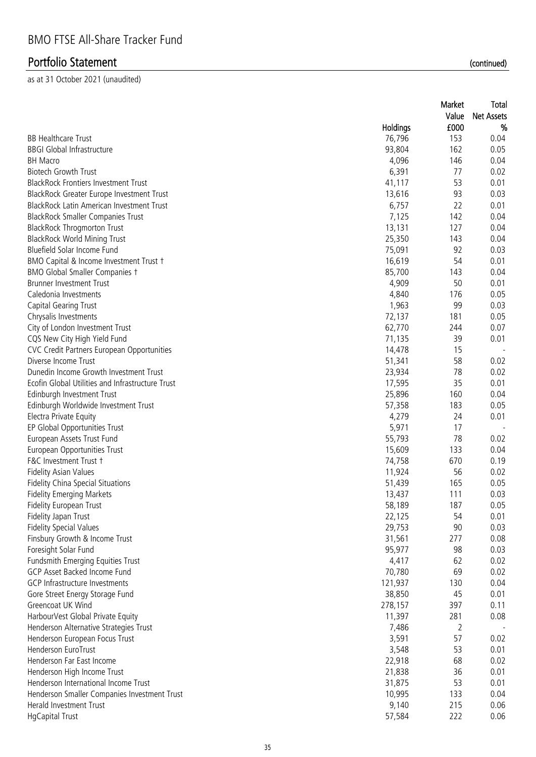|                                                                     |          | Market | <b>Total</b>      |
|---------------------------------------------------------------------|----------|--------|-------------------|
|                                                                     |          | Value  | <b>Net Assets</b> |
|                                                                     | Holdings | £000   | %                 |
| <b>BB Healthcare Trust</b>                                          | 76,796   | 153    | 0.04              |
| <b>BBGI Global Infrastructure</b>                                   | 93,804   | 162    | 0.05              |
| <b>BH Macro</b>                                                     | 4,096    | 146    | 0.04              |
| <b>Biotech Growth Trust</b>                                         | 6,391    | 77     | 0.02              |
| <b>BlackRock Frontiers Investment Trust</b>                         | 41,117   | 53     | 0.01              |
| BlackRock Greater Europe Investment Trust                           | 13,616   | 93     | 0.03              |
| BlackRock Latin American Investment Trust                           | 6,757    | 22     | 0.01              |
| <b>BlackRock Smaller Companies Trust</b>                            | 7,125    | 142    | 0.04              |
| <b>BlackRock Throgmorton Trust</b>                                  | 13,131   | 127    | 0.04              |
| <b>BlackRock World Mining Trust</b>                                 | 25,350   | 143    | 0.04              |
| Bluefield Solar Income Fund                                         | 75,091   | 92     | 0.03              |
| BMO Capital & Income Investment Trust +                             | 16,619   | 54     | 0.01              |
| BMO Global Smaller Companies +                                      | 85,700   | 143    | 0.04              |
| <b>Brunner Investment Trust</b>                                     | 4,909    | 50     | 0.01              |
| Caledonia Investments                                               | 4,840    | 176    | 0.05              |
| <b>Capital Gearing Trust</b>                                        | 1,963    | 99     | 0.03              |
| Chrysalis Investments                                               | 72,137   | 181    | 0.05              |
| City of London Investment Trust                                     | 62,770   | 244    | 0.07              |
| CQS New City High Yield Fund                                        | 71,135   | 39     | 0.01              |
| CVC Credit Partners European Opportunities                          | 14,478   | 15     |                   |
| Diverse Income Trust                                                | 51,341   | 58     | 0.02              |
| Dunedin Income Growth Investment Trust                              | 23,934   | 78     | 0.02              |
| Ecofin Global Utilities and Infrastructure Trust                    | 17,595   | 35     | 0.01              |
| Edinburgh Investment Trust                                          | 25,896   | 160    | 0.04              |
| Edinburgh Worldwide Investment Trust                                | 57,358   | 183    | 0.05              |
| Electra Private Equity                                              | 4,279    | 24     | 0.01              |
| EP Global Opportunities Trust                                       | 5,971    | 17     |                   |
| European Assets Trust Fund                                          | 55,793   | 78     | 0.02              |
| European Opportunities Trust                                        | 15,609   | 133    | 0.04              |
| F&C Investment Trust +                                              | 74,758   | 670    | 0.19              |
| <b>Fidelity Asian Values</b>                                        | 11,924   | 56     | 0.02              |
| Fidelity China Special Situations                                   | 51,439   | 165    | 0.05              |
| <b>Fidelity Emerging Markets</b>                                    | 13,437   | 111    | 0.03              |
| Fidelity European Trust                                             | 58,189   | 187    | 0.05              |
| Fidelity Japan Trust                                                | 22,125   | 54     | 0.01              |
| <b>Fidelity Special Values</b>                                      | 29,753   | 90     | 0.03              |
| Finsbury Growth & Income Trust                                      | 31,561   | 277    | 0.08              |
| Foresight Solar Fund                                                | 95,977   | 98     | 0.03              |
| Fundsmith Emerging Equities Trust                                   | 4,417    | 62     | 0.02              |
| GCP Asset Backed Income Fund                                        | 70,780   | 69     | 0.02              |
| GCP Infrastructure Investments                                      | 121,937  | 130    | 0.04              |
| Gore Street Energy Storage Fund                                     | 38,850   | 45     | 0.01              |
| Greencoat UK Wind                                                   | 278,157  | 397    | 0.11              |
| HarbourVest Global Private Equity                                   | 11,397   | 281    | 0.08              |
| Henderson Alternative Strategies Trust                              | 7,486    | 2      |                   |
| Henderson European Focus Trust                                      | 3,591    | 57     | 0.02              |
| Henderson EuroTrust                                                 | 3,548    | 53     | 0.01              |
| Henderson Far East Income                                           | 22,918   | 68     | 0.02              |
|                                                                     |          | 36     |                   |
| Henderson High Income Trust<br>Henderson International Income Trust | 21,838   | 53     | 0.01<br>0.01      |
|                                                                     | 31,875   |        |                   |
| Henderson Smaller Companies Investment Trust                        | 10,995   | 133    | 0.04              |
| Herald Investment Trust                                             | 9,140    | 215    | 0.06              |
| <b>HgCapital Trust</b>                                              | 57,584   | 222    | 0.06              |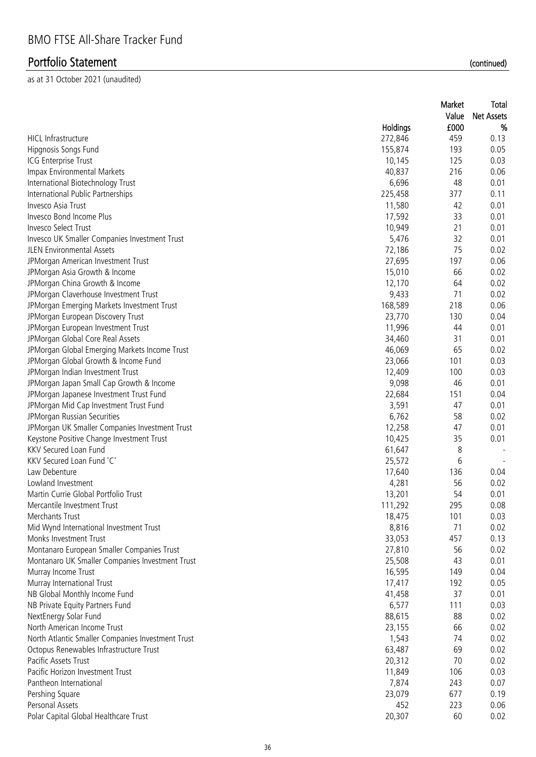|                                                   |          | Market<br>Value | Total<br><b>Net Assets</b> |
|---------------------------------------------------|----------|-----------------|----------------------------|
|                                                   | Holdings | £000            | %                          |
| <b>HICL Infrastructure</b>                        | 272,846  | 459             | 0.13                       |
| Hipgnosis Songs Fund                              | 155,874  | 193             | 0.05                       |
| ICG Enterprise Trust                              | 10,145   | 125             | 0.03                       |
| Impax Environmental Markets                       | 40,837   | 216             | 0.06                       |
| International Biotechnology Trust                 | 6,696    | 48              | 0.01                       |
| International Public Partnerships                 | 225,458  | 377             | 0.11                       |
| Invesco Asia Trust                                | 11,580   | 42              | 0.01                       |
| Invesco Bond Income Plus                          | 17,592   | 33              | 0.01                       |
| Invesco Select Trust                              | 10,949   | 21              | 0.01                       |
| Invesco UK Smaller Companies Investment Trust     | 5,476    | 32              | 0.01                       |
| <b>JLEN Environmental Assets</b>                  | 72,186   | 75              | 0.02                       |
| JPMorgan American Investment Trust                | 27,695   | 197             | 0.06                       |
| JPMorgan Asia Growth & Income                     | 15,010   | 66              | 0.02                       |
| JPMorgan China Growth & Income                    | 12,170   | 64              | 0.02                       |
| JPMorgan Claverhouse Investment Trust             | 9,433    | 71              | 0.02                       |
| JPMorgan Emerging Markets Investment Trust        | 168,589  | 218             | 0.06                       |
| JPMorgan European Discovery Trust                 | 23,770   | 130             | 0.04                       |
| JPMorgan European Investment Trust                | 11,996   | 44              | 0.01                       |
| JPMorgan Global Core Real Assets                  | 34,460   | 31              | 0.01                       |
| JPMorgan Global Emerging Markets Income Trust     | 46,069   | 65              | 0.02                       |
| JPMorgan Global Growth & Income Fund              | 23,066   | 101             | 0.03                       |
| JPMorgan Indian Investment Trust                  | 12,409   | 100             | 0.03                       |
| JPMorgan Japan Small Cap Growth & Income          | 9,098    | 46              | 0.01                       |
| JPMorgan Japanese Investment Trust Fund           | 22,684   | 151             | 0.04                       |
| JPMorgan Mid Cap Investment Trust Fund            | 3,591    | 47              | 0.01                       |
| JPMorgan Russian Securities                       | 6,762    | 58              | 0.02                       |
| JPMorgan UK Smaller Companies Investment Trust    | 12,258   | 47              | 0.01                       |
| Keystone Positive Change Investment Trust         | 10,425   | 35              | 0.01                       |
| KKV Secured Loan Fund                             | 61,647   | 8               | $\overline{\phantom{a}}$   |
| KKV Secured Loan Fund 'C'                         | 25,572   | 6               | $\overline{\phantom{a}}$   |
| Law Debenture                                     | 17,640   | 136             | 0.04                       |
| Lowland Investment                                | 4,281    | 56              | 0.02                       |
| Martin Currie Global Portfolio Trust              | 13,201   | 54              | 0.01                       |
| Mercantile Investment Trust                       | 111,292  | 295             | 0.08                       |
| Merchants Trust                                   | 18,475   | 101             | 0.03                       |
| Mid Wynd International Investment Trust           | 8,816    | 71              | 0.02                       |
| Monks Investment Trust                            | 33,053   | 457             | 0.13                       |
| Montanaro European Smaller Companies Trust        | 27,810   | 56              | 0.02                       |
| Montanaro UK Smaller Companies Investment Trust   | 25,508   | 43              | 0.01                       |
| Murray Income Trust                               | 16,595   | 149             | 0.04                       |
| Murray International Trust                        | 17,417   | 192             | 0.05                       |
| NB Global Monthly Income Fund                     | 41,458   | 37              | 0.01                       |
| NB Private Equity Partners Fund                   | 6,577    | 111             | 0.03                       |
| NextEnergy Solar Fund                             | 88,615   | 88              | 0.02                       |
| North American Income Trust                       | 23,155   | 66              | 0.02                       |
| North Atlantic Smaller Companies Investment Trust | 1,543    | 74              | 0.02                       |
| Octopus Renewables Infrastructure Trust           | 63,487   | 69              | 0.02                       |
| Pacific Assets Trust                              | 20,312   | 70              | 0.02                       |
| Pacific Horizon Investment Trust                  | 11,849   | 106             | 0.03                       |
| Pantheon International                            | 7,874    | 243             | 0.07                       |
|                                                   | 23,079   | 677             | 0.19                       |
| Pershing Square<br>Personal Assets                | 452      | 223             | 0.06                       |
|                                                   | 20,307   | 60              |                            |
| Polar Capital Global Healthcare Trust             |          |                 | 0.02                       |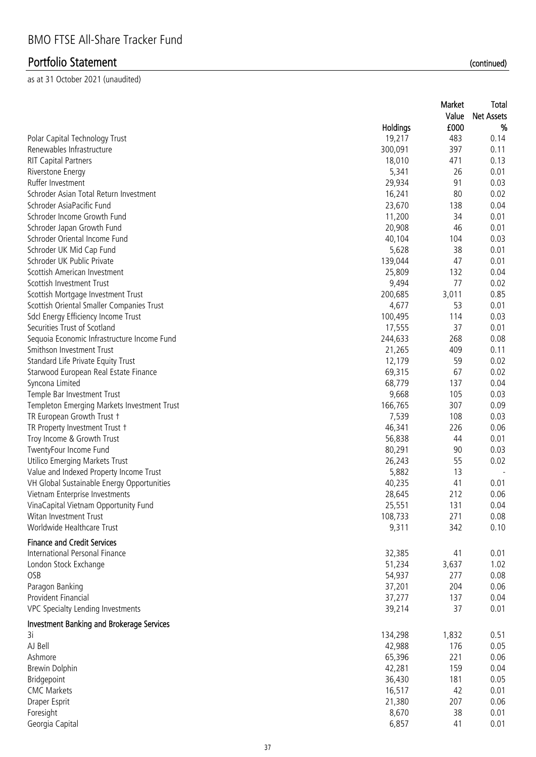| £000<br>%<br><b>Holdings</b><br>19,217<br>483<br>Polar Capital Technology Trust<br>0.14<br>Renewables Infrastructure<br>300,091<br>397<br>0.11<br><b>RIT Capital Partners</b><br>18,010<br>471<br>0.13<br>5,341<br>26<br>0.01<br>Riverstone Energy<br>91<br>29,934<br>0.03<br>Ruffer Investment<br>Schroder Asian Total Return Investment<br>16,241<br>80<br>0.02<br>Schroder AsiaPacific Fund<br>23,670<br>0.04<br>138<br>Schroder Income Growth Fund<br>11,200<br>34<br>0.01<br>Schroder Japan Growth Fund<br>20,908<br>46<br>0.01<br>Schroder Oriental Income Fund<br>0.03<br>40,104<br>104<br>Schroder UK Mid Cap Fund<br>38<br>0.01<br>5,628<br>Schroder UK Public Private<br>139,044<br>0.01<br>47<br>Scottish American Investment<br>25,809<br>0.04<br>132<br>9,494<br>77<br>0.02<br>Scottish Investment Trust<br>200,685<br>3,011<br>0.85<br>Scottish Mortgage Investment Trust<br>Scottish Oriental Smaller Companies Trust<br>4,677<br>53<br>0.01<br>Sdcl Energy Efficiency Income Trust<br>100,495<br>0.03<br>114<br>Securities Trust of Scotland<br>37<br>17,555<br>0.01<br>Sequoia Economic Infrastructure Income Fund<br>244,633<br>268<br>0.08<br>Smithson Investment Trust<br>21,265<br>0.11<br>409<br>Standard Life Private Equity Trust<br>12,179<br>59<br>0.02<br>67<br>69,315<br>0.02<br>Starwood European Real Estate Finance<br>Syncona Limited<br>68,779<br>0.04<br>137<br>Temple Bar Investment Trust<br>9,668<br>105<br>0.03<br>166,765<br>307<br>0.09<br>Templeton Emerging Markets Investment Trust<br>TR European Growth Trust +<br>0.03<br>7,539<br>108<br>0.06<br>TR Property Investment Trust +<br>46,341<br>226<br>0.01<br>Troy Income & Growth Trust<br>56,838<br>44<br>80,291<br>90<br>0.03<br>TwentyFour Income Fund<br>26,243<br>55<br>0.02<br>Utilico Emerging Markets Trust<br>Value and Indexed Property Income Trust<br>5,882<br>13<br>VH Global Sustainable Energy Opportunities<br>40,235<br>41<br>0.01<br>212<br>0.06<br>Vietnam Enterprise Investments<br>28,645<br>25,551<br>VinaCapital Vietnam Opportunity Fund<br>131<br>0.04<br>Witan Investment Trust<br>108,733<br>271<br>0.08<br>Worldwide Healthcare Trust<br>9,311<br>342<br>0.10<br><b>Finance and Credit Services</b><br>International Personal Finance<br>32,385<br>41<br>0.01<br>London Stock Exchange<br>51,234<br>3,637<br>1.02<br>OSB<br>54,937<br>277<br>0.08<br>Paragon Banking<br>37,201<br>204<br>0.06<br>Provident Financial<br>37,277<br>0.04<br>137<br>VPC Specialty Lending Investments<br>39,214<br>37<br>0.01<br><b>Investment Banking and Brokerage Services</b><br>3i<br>1,832<br>134,298<br>0.51<br>AJ Bell<br>42,988<br>176<br>0.05<br>65,396<br>221<br>0.06<br>Ashmore<br>42,281<br>0.04<br>Brewin Dolphin<br>159<br>36,430<br>0.05<br>Bridgepoint<br>181<br><b>CMC Markets</b><br>16,517<br>0.01<br>42<br>Draper Esprit<br>21,380<br>207<br>0.06<br>Foresight<br>8,670<br>38<br>0.01 |                 |       | Market<br>Value | Total<br><b>Net Assets</b> |
|-------------------------------------------------------------------------------------------------------------------------------------------------------------------------------------------------------------------------------------------------------------------------------------------------------------------------------------------------------------------------------------------------------------------------------------------------------------------------------------------------------------------------------------------------------------------------------------------------------------------------------------------------------------------------------------------------------------------------------------------------------------------------------------------------------------------------------------------------------------------------------------------------------------------------------------------------------------------------------------------------------------------------------------------------------------------------------------------------------------------------------------------------------------------------------------------------------------------------------------------------------------------------------------------------------------------------------------------------------------------------------------------------------------------------------------------------------------------------------------------------------------------------------------------------------------------------------------------------------------------------------------------------------------------------------------------------------------------------------------------------------------------------------------------------------------------------------------------------------------------------------------------------------------------------------------------------------------------------------------------------------------------------------------------------------------------------------------------------------------------------------------------------------------------------------------------------------------------------------------------------------------------------------------------------------------------------------------------------------------------------------------------------------------------------------------------------------------------------------------------------------------------------------------------------------------------------------------------------------------------------------------------------------------------------------------------------------------------------------------------------------------------------------------------------------------------------------------------------------------------------------------------------------------------|-----------------|-------|-----------------|----------------------------|
|                                                                                                                                                                                                                                                                                                                                                                                                                                                                                                                                                                                                                                                                                                                                                                                                                                                                                                                                                                                                                                                                                                                                                                                                                                                                                                                                                                                                                                                                                                                                                                                                                                                                                                                                                                                                                                                                                                                                                                                                                                                                                                                                                                                                                                                                                                                                                                                                                                                                                                                                                                                                                                                                                                                                                                                                                                                                                                                   |                 |       |                 |                            |
|                                                                                                                                                                                                                                                                                                                                                                                                                                                                                                                                                                                                                                                                                                                                                                                                                                                                                                                                                                                                                                                                                                                                                                                                                                                                                                                                                                                                                                                                                                                                                                                                                                                                                                                                                                                                                                                                                                                                                                                                                                                                                                                                                                                                                                                                                                                                                                                                                                                                                                                                                                                                                                                                                                                                                                                                                                                                                                                   |                 |       |                 |                            |
|                                                                                                                                                                                                                                                                                                                                                                                                                                                                                                                                                                                                                                                                                                                                                                                                                                                                                                                                                                                                                                                                                                                                                                                                                                                                                                                                                                                                                                                                                                                                                                                                                                                                                                                                                                                                                                                                                                                                                                                                                                                                                                                                                                                                                                                                                                                                                                                                                                                                                                                                                                                                                                                                                                                                                                                                                                                                                                                   |                 |       |                 |                            |
|                                                                                                                                                                                                                                                                                                                                                                                                                                                                                                                                                                                                                                                                                                                                                                                                                                                                                                                                                                                                                                                                                                                                                                                                                                                                                                                                                                                                                                                                                                                                                                                                                                                                                                                                                                                                                                                                                                                                                                                                                                                                                                                                                                                                                                                                                                                                                                                                                                                                                                                                                                                                                                                                                                                                                                                                                                                                                                                   |                 |       |                 |                            |
|                                                                                                                                                                                                                                                                                                                                                                                                                                                                                                                                                                                                                                                                                                                                                                                                                                                                                                                                                                                                                                                                                                                                                                                                                                                                                                                                                                                                                                                                                                                                                                                                                                                                                                                                                                                                                                                                                                                                                                                                                                                                                                                                                                                                                                                                                                                                                                                                                                                                                                                                                                                                                                                                                                                                                                                                                                                                                                                   |                 |       |                 |                            |
|                                                                                                                                                                                                                                                                                                                                                                                                                                                                                                                                                                                                                                                                                                                                                                                                                                                                                                                                                                                                                                                                                                                                                                                                                                                                                                                                                                                                                                                                                                                                                                                                                                                                                                                                                                                                                                                                                                                                                                                                                                                                                                                                                                                                                                                                                                                                                                                                                                                                                                                                                                                                                                                                                                                                                                                                                                                                                                                   |                 |       |                 |                            |
|                                                                                                                                                                                                                                                                                                                                                                                                                                                                                                                                                                                                                                                                                                                                                                                                                                                                                                                                                                                                                                                                                                                                                                                                                                                                                                                                                                                                                                                                                                                                                                                                                                                                                                                                                                                                                                                                                                                                                                                                                                                                                                                                                                                                                                                                                                                                                                                                                                                                                                                                                                                                                                                                                                                                                                                                                                                                                                                   |                 |       |                 |                            |
|                                                                                                                                                                                                                                                                                                                                                                                                                                                                                                                                                                                                                                                                                                                                                                                                                                                                                                                                                                                                                                                                                                                                                                                                                                                                                                                                                                                                                                                                                                                                                                                                                                                                                                                                                                                                                                                                                                                                                                                                                                                                                                                                                                                                                                                                                                                                                                                                                                                                                                                                                                                                                                                                                                                                                                                                                                                                                                                   |                 |       |                 |                            |
|                                                                                                                                                                                                                                                                                                                                                                                                                                                                                                                                                                                                                                                                                                                                                                                                                                                                                                                                                                                                                                                                                                                                                                                                                                                                                                                                                                                                                                                                                                                                                                                                                                                                                                                                                                                                                                                                                                                                                                                                                                                                                                                                                                                                                                                                                                                                                                                                                                                                                                                                                                                                                                                                                                                                                                                                                                                                                                                   |                 |       |                 |                            |
|                                                                                                                                                                                                                                                                                                                                                                                                                                                                                                                                                                                                                                                                                                                                                                                                                                                                                                                                                                                                                                                                                                                                                                                                                                                                                                                                                                                                                                                                                                                                                                                                                                                                                                                                                                                                                                                                                                                                                                                                                                                                                                                                                                                                                                                                                                                                                                                                                                                                                                                                                                                                                                                                                                                                                                                                                                                                                                                   |                 |       |                 |                            |
|                                                                                                                                                                                                                                                                                                                                                                                                                                                                                                                                                                                                                                                                                                                                                                                                                                                                                                                                                                                                                                                                                                                                                                                                                                                                                                                                                                                                                                                                                                                                                                                                                                                                                                                                                                                                                                                                                                                                                                                                                                                                                                                                                                                                                                                                                                                                                                                                                                                                                                                                                                                                                                                                                                                                                                                                                                                                                                                   |                 |       |                 |                            |
|                                                                                                                                                                                                                                                                                                                                                                                                                                                                                                                                                                                                                                                                                                                                                                                                                                                                                                                                                                                                                                                                                                                                                                                                                                                                                                                                                                                                                                                                                                                                                                                                                                                                                                                                                                                                                                                                                                                                                                                                                                                                                                                                                                                                                                                                                                                                                                                                                                                                                                                                                                                                                                                                                                                                                                                                                                                                                                                   |                 |       |                 |                            |
|                                                                                                                                                                                                                                                                                                                                                                                                                                                                                                                                                                                                                                                                                                                                                                                                                                                                                                                                                                                                                                                                                                                                                                                                                                                                                                                                                                                                                                                                                                                                                                                                                                                                                                                                                                                                                                                                                                                                                                                                                                                                                                                                                                                                                                                                                                                                                                                                                                                                                                                                                                                                                                                                                                                                                                                                                                                                                                                   |                 |       |                 |                            |
|                                                                                                                                                                                                                                                                                                                                                                                                                                                                                                                                                                                                                                                                                                                                                                                                                                                                                                                                                                                                                                                                                                                                                                                                                                                                                                                                                                                                                                                                                                                                                                                                                                                                                                                                                                                                                                                                                                                                                                                                                                                                                                                                                                                                                                                                                                                                                                                                                                                                                                                                                                                                                                                                                                                                                                                                                                                                                                                   |                 |       |                 |                            |
|                                                                                                                                                                                                                                                                                                                                                                                                                                                                                                                                                                                                                                                                                                                                                                                                                                                                                                                                                                                                                                                                                                                                                                                                                                                                                                                                                                                                                                                                                                                                                                                                                                                                                                                                                                                                                                                                                                                                                                                                                                                                                                                                                                                                                                                                                                                                                                                                                                                                                                                                                                                                                                                                                                                                                                                                                                                                                                                   |                 |       |                 |                            |
|                                                                                                                                                                                                                                                                                                                                                                                                                                                                                                                                                                                                                                                                                                                                                                                                                                                                                                                                                                                                                                                                                                                                                                                                                                                                                                                                                                                                                                                                                                                                                                                                                                                                                                                                                                                                                                                                                                                                                                                                                                                                                                                                                                                                                                                                                                                                                                                                                                                                                                                                                                                                                                                                                                                                                                                                                                                                                                                   |                 |       |                 |                            |
|                                                                                                                                                                                                                                                                                                                                                                                                                                                                                                                                                                                                                                                                                                                                                                                                                                                                                                                                                                                                                                                                                                                                                                                                                                                                                                                                                                                                                                                                                                                                                                                                                                                                                                                                                                                                                                                                                                                                                                                                                                                                                                                                                                                                                                                                                                                                                                                                                                                                                                                                                                                                                                                                                                                                                                                                                                                                                                                   |                 |       |                 |                            |
|                                                                                                                                                                                                                                                                                                                                                                                                                                                                                                                                                                                                                                                                                                                                                                                                                                                                                                                                                                                                                                                                                                                                                                                                                                                                                                                                                                                                                                                                                                                                                                                                                                                                                                                                                                                                                                                                                                                                                                                                                                                                                                                                                                                                                                                                                                                                                                                                                                                                                                                                                                                                                                                                                                                                                                                                                                                                                                                   |                 |       |                 |                            |
|                                                                                                                                                                                                                                                                                                                                                                                                                                                                                                                                                                                                                                                                                                                                                                                                                                                                                                                                                                                                                                                                                                                                                                                                                                                                                                                                                                                                                                                                                                                                                                                                                                                                                                                                                                                                                                                                                                                                                                                                                                                                                                                                                                                                                                                                                                                                                                                                                                                                                                                                                                                                                                                                                                                                                                                                                                                                                                                   |                 |       |                 |                            |
|                                                                                                                                                                                                                                                                                                                                                                                                                                                                                                                                                                                                                                                                                                                                                                                                                                                                                                                                                                                                                                                                                                                                                                                                                                                                                                                                                                                                                                                                                                                                                                                                                                                                                                                                                                                                                                                                                                                                                                                                                                                                                                                                                                                                                                                                                                                                                                                                                                                                                                                                                                                                                                                                                                                                                                                                                                                                                                                   |                 |       |                 |                            |
|                                                                                                                                                                                                                                                                                                                                                                                                                                                                                                                                                                                                                                                                                                                                                                                                                                                                                                                                                                                                                                                                                                                                                                                                                                                                                                                                                                                                                                                                                                                                                                                                                                                                                                                                                                                                                                                                                                                                                                                                                                                                                                                                                                                                                                                                                                                                                                                                                                                                                                                                                                                                                                                                                                                                                                                                                                                                                                                   |                 |       |                 |                            |
|                                                                                                                                                                                                                                                                                                                                                                                                                                                                                                                                                                                                                                                                                                                                                                                                                                                                                                                                                                                                                                                                                                                                                                                                                                                                                                                                                                                                                                                                                                                                                                                                                                                                                                                                                                                                                                                                                                                                                                                                                                                                                                                                                                                                                                                                                                                                                                                                                                                                                                                                                                                                                                                                                                                                                                                                                                                                                                                   |                 |       |                 |                            |
|                                                                                                                                                                                                                                                                                                                                                                                                                                                                                                                                                                                                                                                                                                                                                                                                                                                                                                                                                                                                                                                                                                                                                                                                                                                                                                                                                                                                                                                                                                                                                                                                                                                                                                                                                                                                                                                                                                                                                                                                                                                                                                                                                                                                                                                                                                                                                                                                                                                                                                                                                                                                                                                                                                                                                                                                                                                                                                                   |                 |       |                 |                            |
|                                                                                                                                                                                                                                                                                                                                                                                                                                                                                                                                                                                                                                                                                                                                                                                                                                                                                                                                                                                                                                                                                                                                                                                                                                                                                                                                                                                                                                                                                                                                                                                                                                                                                                                                                                                                                                                                                                                                                                                                                                                                                                                                                                                                                                                                                                                                                                                                                                                                                                                                                                                                                                                                                                                                                                                                                                                                                                                   |                 |       |                 |                            |
|                                                                                                                                                                                                                                                                                                                                                                                                                                                                                                                                                                                                                                                                                                                                                                                                                                                                                                                                                                                                                                                                                                                                                                                                                                                                                                                                                                                                                                                                                                                                                                                                                                                                                                                                                                                                                                                                                                                                                                                                                                                                                                                                                                                                                                                                                                                                                                                                                                                                                                                                                                                                                                                                                                                                                                                                                                                                                                                   |                 |       |                 |                            |
|                                                                                                                                                                                                                                                                                                                                                                                                                                                                                                                                                                                                                                                                                                                                                                                                                                                                                                                                                                                                                                                                                                                                                                                                                                                                                                                                                                                                                                                                                                                                                                                                                                                                                                                                                                                                                                                                                                                                                                                                                                                                                                                                                                                                                                                                                                                                                                                                                                                                                                                                                                                                                                                                                                                                                                                                                                                                                                                   |                 |       |                 |                            |
|                                                                                                                                                                                                                                                                                                                                                                                                                                                                                                                                                                                                                                                                                                                                                                                                                                                                                                                                                                                                                                                                                                                                                                                                                                                                                                                                                                                                                                                                                                                                                                                                                                                                                                                                                                                                                                                                                                                                                                                                                                                                                                                                                                                                                                                                                                                                                                                                                                                                                                                                                                                                                                                                                                                                                                                                                                                                                                                   |                 |       |                 |                            |
|                                                                                                                                                                                                                                                                                                                                                                                                                                                                                                                                                                                                                                                                                                                                                                                                                                                                                                                                                                                                                                                                                                                                                                                                                                                                                                                                                                                                                                                                                                                                                                                                                                                                                                                                                                                                                                                                                                                                                                                                                                                                                                                                                                                                                                                                                                                                                                                                                                                                                                                                                                                                                                                                                                                                                                                                                                                                                                                   |                 |       |                 |                            |
|                                                                                                                                                                                                                                                                                                                                                                                                                                                                                                                                                                                                                                                                                                                                                                                                                                                                                                                                                                                                                                                                                                                                                                                                                                                                                                                                                                                                                                                                                                                                                                                                                                                                                                                                                                                                                                                                                                                                                                                                                                                                                                                                                                                                                                                                                                                                                                                                                                                                                                                                                                                                                                                                                                                                                                                                                                                                                                                   |                 |       |                 |                            |
|                                                                                                                                                                                                                                                                                                                                                                                                                                                                                                                                                                                                                                                                                                                                                                                                                                                                                                                                                                                                                                                                                                                                                                                                                                                                                                                                                                                                                                                                                                                                                                                                                                                                                                                                                                                                                                                                                                                                                                                                                                                                                                                                                                                                                                                                                                                                                                                                                                                                                                                                                                                                                                                                                                                                                                                                                                                                                                                   |                 |       |                 |                            |
|                                                                                                                                                                                                                                                                                                                                                                                                                                                                                                                                                                                                                                                                                                                                                                                                                                                                                                                                                                                                                                                                                                                                                                                                                                                                                                                                                                                                                                                                                                                                                                                                                                                                                                                                                                                                                                                                                                                                                                                                                                                                                                                                                                                                                                                                                                                                                                                                                                                                                                                                                                                                                                                                                                                                                                                                                                                                                                                   |                 |       |                 |                            |
|                                                                                                                                                                                                                                                                                                                                                                                                                                                                                                                                                                                                                                                                                                                                                                                                                                                                                                                                                                                                                                                                                                                                                                                                                                                                                                                                                                                                                                                                                                                                                                                                                                                                                                                                                                                                                                                                                                                                                                                                                                                                                                                                                                                                                                                                                                                                                                                                                                                                                                                                                                                                                                                                                                                                                                                                                                                                                                                   |                 |       |                 |                            |
|                                                                                                                                                                                                                                                                                                                                                                                                                                                                                                                                                                                                                                                                                                                                                                                                                                                                                                                                                                                                                                                                                                                                                                                                                                                                                                                                                                                                                                                                                                                                                                                                                                                                                                                                                                                                                                                                                                                                                                                                                                                                                                                                                                                                                                                                                                                                                                                                                                                                                                                                                                                                                                                                                                                                                                                                                                                                                                                   |                 |       |                 |                            |
|                                                                                                                                                                                                                                                                                                                                                                                                                                                                                                                                                                                                                                                                                                                                                                                                                                                                                                                                                                                                                                                                                                                                                                                                                                                                                                                                                                                                                                                                                                                                                                                                                                                                                                                                                                                                                                                                                                                                                                                                                                                                                                                                                                                                                                                                                                                                                                                                                                                                                                                                                                                                                                                                                                                                                                                                                                                                                                                   |                 |       |                 |                            |
|                                                                                                                                                                                                                                                                                                                                                                                                                                                                                                                                                                                                                                                                                                                                                                                                                                                                                                                                                                                                                                                                                                                                                                                                                                                                                                                                                                                                                                                                                                                                                                                                                                                                                                                                                                                                                                                                                                                                                                                                                                                                                                                                                                                                                                                                                                                                                                                                                                                                                                                                                                                                                                                                                                                                                                                                                                                                                                                   |                 |       |                 |                            |
|                                                                                                                                                                                                                                                                                                                                                                                                                                                                                                                                                                                                                                                                                                                                                                                                                                                                                                                                                                                                                                                                                                                                                                                                                                                                                                                                                                                                                                                                                                                                                                                                                                                                                                                                                                                                                                                                                                                                                                                                                                                                                                                                                                                                                                                                                                                                                                                                                                                                                                                                                                                                                                                                                                                                                                                                                                                                                                                   |                 |       |                 |                            |
|                                                                                                                                                                                                                                                                                                                                                                                                                                                                                                                                                                                                                                                                                                                                                                                                                                                                                                                                                                                                                                                                                                                                                                                                                                                                                                                                                                                                                                                                                                                                                                                                                                                                                                                                                                                                                                                                                                                                                                                                                                                                                                                                                                                                                                                                                                                                                                                                                                                                                                                                                                                                                                                                                                                                                                                                                                                                                                                   |                 |       |                 |                            |
|                                                                                                                                                                                                                                                                                                                                                                                                                                                                                                                                                                                                                                                                                                                                                                                                                                                                                                                                                                                                                                                                                                                                                                                                                                                                                                                                                                                                                                                                                                                                                                                                                                                                                                                                                                                                                                                                                                                                                                                                                                                                                                                                                                                                                                                                                                                                                                                                                                                                                                                                                                                                                                                                                                                                                                                                                                                                                                                   |                 |       |                 |                            |
|                                                                                                                                                                                                                                                                                                                                                                                                                                                                                                                                                                                                                                                                                                                                                                                                                                                                                                                                                                                                                                                                                                                                                                                                                                                                                                                                                                                                                                                                                                                                                                                                                                                                                                                                                                                                                                                                                                                                                                                                                                                                                                                                                                                                                                                                                                                                                                                                                                                                                                                                                                                                                                                                                                                                                                                                                                                                                                                   |                 |       |                 |                            |
|                                                                                                                                                                                                                                                                                                                                                                                                                                                                                                                                                                                                                                                                                                                                                                                                                                                                                                                                                                                                                                                                                                                                                                                                                                                                                                                                                                                                                                                                                                                                                                                                                                                                                                                                                                                                                                                                                                                                                                                                                                                                                                                                                                                                                                                                                                                                                                                                                                                                                                                                                                                                                                                                                                                                                                                                                                                                                                                   |                 |       |                 |                            |
|                                                                                                                                                                                                                                                                                                                                                                                                                                                                                                                                                                                                                                                                                                                                                                                                                                                                                                                                                                                                                                                                                                                                                                                                                                                                                                                                                                                                                                                                                                                                                                                                                                                                                                                                                                                                                                                                                                                                                                                                                                                                                                                                                                                                                                                                                                                                                                                                                                                                                                                                                                                                                                                                                                                                                                                                                                                                                                                   |                 |       |                 |                            |
|                                                                                                                                                                                                                                                                                                                                                                                                                                                                                                                                                                                                                                                                                                                                                                                                                                                                                                                                                                                                                                                                                                                                                                                                                                                                                                                                                                                                                                                                                                                                                                                                                                                                                                                                                                                                                                                                                                                                                                                                                                                                                                                                                                                                                                                                                                                                                                                                                                                                                                                                                                                                                                                                                                                                                                                                                                                                                                                   |                 |       |                 |                            |
|                                                                                                                                                                                                                                                                                                                                                                                                                                                                                                                                                                                                                                                                                                                                                                                                                                                                                                                                                                                                                                                                                                                                                                                                                                                                                                                                                                                                                                                                                                                                                                                                                                                                                                                                                                                                                                                                                                                                                                                                                                                                                                                                                                                                                                                                                                                                                                                                                                                                                                                                                                                                                                                                                                                                                                                                                                                                                                                   |                 |       |                 |                            |
|                                                                                                                                                                                                                                                                                                                                                                                                                                                                                                                                                                                                                                                                                                                                                                                                                                                                                                                                                                                                                                                                                                                                                                                                                                                                                                                                                                                                                                                                                                                                                                                                                                                                                                                                                                                                                                                                                                                                                                                                                                                                                                                                                                                                                                                                                                                                                                                                                                                                                                                                                                                                                                                                                                                                                                                                                                                                                                                   |                 |       |                 |                            |
|                                                                                                                                                                                                                                                                                                                                                                                                                                                                                                                                                                                                                                                                                                                                                                                                                                                                                                                                                                                                                                                                                                                                                                                                                                                                                                                                                                                                                                                                                                                                                                                                                                                                                                                                                                                                                                                                                                                                                                                                                                                                                                                                                                                                                                                                                                                                                                                                                                                                                                                                                                                                                                                                                                                                                                                                                                                                                                                   |                 |       |                 |                            |
|                                                                                                                                                                                                                                                                                                                                                                                                                                                                                                                                                                                                                                                                                                                                                                                                                                                                                                                                                                                                                                                                                                                                                                                                                                                                                                                                                                                                                                                                                                                                                                                                                                                                                                                                                                                                                                                                                                                                                                                                                                                                                                                                                                                                                                                                                                                                                                                                                                                                                                                                                                                                                                                                                                                                                                                                                                                                                                                   |                 |       |                 |                            |
|                                                                                                                                                                                                                                                                                                                                                                                                                                                                                                                                                                                                                                                                                                                                                                                                                                                                                                                                                                                                                                                                                                                                                                                                                                                                                                                                                                                                                                                                                                                                                                                                                                                                                                                                                                                                                                                                                                                                                                                                                                                                                                                                                                                                                                                                                                                                                                                                                                                                                                                                                                                                                                                                                                                                                                                                                                                                                                                   |                 |       |                 |                            |
|                                                                                                                                                                                                                                                                                                                                                                                                                                                                                                                                                                                                                                                                                                                                                                                                                                                                                                                                                                                                                                                                                                                                                                                                                                                                                                                                                                                                                                                                                                                                                                                                                                                                                                                                                                                                                                                                                                                                                                                                                                                                                                                                                                                                                                                                                                                                                                                                                                                                                                                                                                                                                                                                                                                                                                                                                                                                                                                   |                 |       |                 |                            |
|                                                                                                                                                                                                                                                                                                                                                                                                                                                                                                                                                                                                                                                                                                                                                                                                                                                                                                                                                                                                                                                                                                                                                                                                                                                                                                                                                                                                                                                                                                                                                                                                                                                                                                                                                                                                                                                                                                                                                                                                                                                                                                                                                                                                                                                                                                                                                                                                                                                                                                                                                                                                                                                                                                                                                                                                                                                                                                                   |                 |       |                 |                            |
|                                                                                                                                                                                                                                                                                                                                                                                                                                                                                                                                                                                                                                                                                                                                                                                                                                                                                                                                                                                                                                                                                                                                                                                                                                                                                                                                                                                                                                                                                                                                                                                                                                                                                                                                                                                                                                                                                                                                                                                                                                                                                                                                                                                                                                                                                                                                                                                                                                                                                                                                                                                                                                                                                                                                                                                                                                                                                                                   |                 |       |                 |                            |
|                                                                                                                                                                                                                                                                                                                                                                                                                                                                                                                                                                                                                                                                                                                                                                                                                                                                                                                                                                                                                                                                                                                                                                                                                                                                                                                                                                                                                                                                                                                                                                                                                                                                                                                                                                                                                                                                                                                                                                                                                                                                                                                                                                                                                                                                                                                                                                                                                                                                                                                                                                                                                                                                                                                                                                                                                                                                                                                   |                 |       |                 |                            |
|                                                                                                                                                                                                                                                                                                                                                                                                                                                                                                                                                                                                                                                                                                                                                                                                                                                                                                                                                                                                                                                                                                                                                                                                                                                                                                                                                                                                                                                                                                                                                                                                                                                                                                                                                                                                                                                                                                                                                                                                                                                                                                                                                                                                                                                                                                                                                                                                                                                                                                                                                                                                                                                                                                                                                                                                                                                                                                                   |                 |       |                 |                            |
|                                                                                                                                                                                                                                                                                                                                                                                                                                                                                                                                                                                                                                                                                                                                                                                                                                                                                                                                                                                                                                                                                                                                                                                                                                                                                                                                                                                                                                                                                                                                                                                                                                                                                                                                                                                                                                                                                                                                                                                                                                                                                                                                                                                                                                                                                                                                                                                                                                                                                                                                                                                                                                                                                                                                                                                                                                                                                                                   | Georgia Capital | 6,857 | 41              | 0.01                       |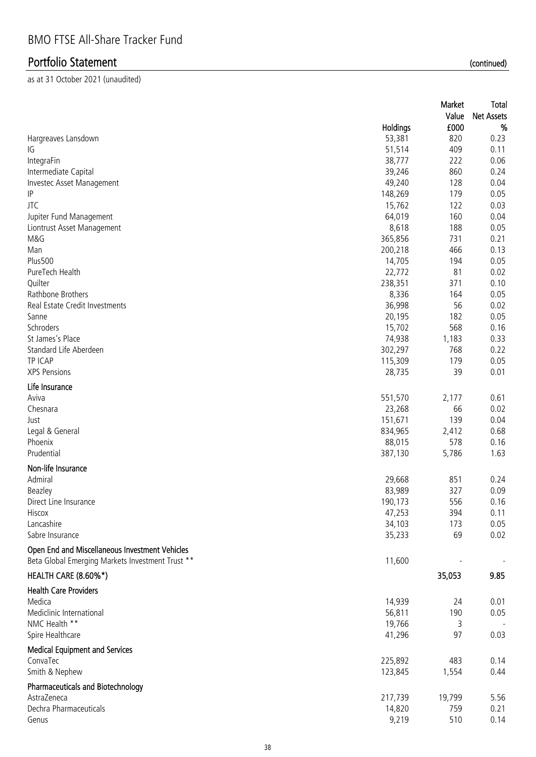| Value<br><b>Net Assets</b><br>%<br>Holdings<br>£000<br>53,381<br>820<br>0.23<br>Hargreaves Lansdown<br>51,514<br>409<br>0.11<br>IG<br>38,777<br>0.06<br>222<br>IntegraFin<br>39,246<br>0.24<br>Intermediate Capital<br>860<br>49,240<br>Investec Asset Management<br>128<br>0.04<br>IP<br>148,269<br>179<br>0.05<br><b>JTC</b><br>15,762<br>122<br>0.03<br>64,019<br>0.04<br>Jupiter Fund Management<br>160<br>8,618<br>0.05<br>Liontrust Asset Management<br>188<br>365,856<br>0.21<br>M&G<br>731<br>0.13<br>200,218<br>466<br>Man<br><b>Plus500</b><br>0.05<br>14,705<br>194<br>PureTech Health<br>0.02<br>22,772<br>81<br>238,351<br>0.10<br>Quilter<br>371<br>Rathbone Brothers<br>8,336<br>0.05<br>164<br>Real Estate Credit Investments<br>36,998<br>0.02<br>56<br>20,195<br>0.05<br>Sanne<br>182<br>Schroders<br>15,702<br>568<br>0.16<br>St James's Place<br>74,938<br>0.33<br>1,183<br>Standard Life Aberdeen<br>302,297<br>0.22<br>768<br>TP ICAP<br>115,309<br>0.05<br>179<br><b>XPS Pensions</b><br>28,735<br>39<br>0.01<br>Life Insurance<br>Aviva<br>551,570<br>2,177<br>0.61<br>23,268<br>Chesnara<br>66<br>0.02<br>151,671<br>139<br>0.04<br>Just<br>0.68<br>Legal & General<br>834,965<br>2,412<br>578<br>Phoenix<br>88,015<br>0.16<br>Prudential<br>387,130<br>5,786<br>1.63<br>Non-life Insurance<br>851<br>Admiral<br>0.24<br>29,668<br>83,989<br>327<br>0.09<br>Beazley<br>190,173<br>556<br>0.16<br>Direct Line Insurance<br>47,253<br>394<br>0.11<br>Hiscox<br>Lancashire<br>34,103<br>173<br>0.05<br>Sabre Insurance<br>35,233<br>69<br>0.02<br>Open End and Miscellaneous Investment Vehicles<br>Beta Global Emerging Markets Investment Trust **<br>11,600 |
|--------------------------------------------------------------------------------------------------------------------------------------------------------------------------------------------------------------------------------------------------------------------------------------------------------------------------------------------------------------------------------------------------------------------------------------------------------------------------------------------------------------------------------------------------------------------------------------------------------------------------------------------------------------------------------------------------------------------------------------------------------------------------------------------------------------------------------------------------------------------------------------------------------------------------------------------------------------------------------------------------------------------------------------------------------------------------------------------------------------------------------------------------------------------------------------------------------------------------------------------------------------------------------------------------------------------------------------------------------------------------------------------------------------------------------------------------------------------------------------------------------------------------------------------------------------------------------------------------------------------------------------------------------------------------------------|
|                                                                                                                                                                                                                                                                                                                                                                                                                                                                                                                                                                                                                                                                                                                                                                                                                                                                                                                                                                                                                                                                                                                                                                                                                                                                                                                                                                                                                                                                                                                                                                                                                                                                                      |
|                                                                                                                                                                                                                                                                                                                                                                                                                                                                                                                                                                                                                                                                                                                                                                                                                                                                                                                                                                                                                                                                                                                                                                                                                                                                                                                                                                                                                                                                                                                                                                                                                                                                                      |
|                                                                                                                                                                                                                                                                                                                                                                                                                                                                                                                                                                                                                                                                                                                                                                                                                                                                                                                                                                                                                                                                                                                                                                                                                                                                                                                                                                                                                                                                                                                                                                                                                                                                                      |
|                                                                                                                                                                                                                                                                                                                                                                                                                                                                                                                                                                                                                                                                                                                                                                                                                                                                                                                                                                                                                                                                                                                                                                                                                                                                                                                                                                                                                                                                                                                                                                                                                                                                                      |
|                                                                                                                                                                                                                                                                                                                                                                                                                                                                                                                                                                                                                                                                                                                                                                                                                                                                                                                                                                                                                                                                                                                                                                                                                                                                                                                                                                                                                                                                                                                                                                                                                                                                                      |
|                                                                                                                                                                                                                                                                                                                                                                                                                                                                                                                                                                                                                                                                                                                                                                                                                                                                                                                                                                                                                                                                                                                                                                                                                                                                                                                                                                                                                                                                                                                                                                                                                                                                                      |
|                                                                                                                                                                                                                                                                                                                                                                                                                                                                                                                                                                                                                                                                                                                                                                                                                                                                                                                                                                                                                                                                                                                                                                                                                                                                                                                                                                                                                                                                                                                                                                                                                                                                                      |
|                                                                                                                                                                                                                                                                                                                                                                                                                                                                                                                                                                                                                                                                                                                                                                                                                                                                                                                                                                                                                                                                                                                                                                                                                                                                                                                                                                                                                                                                                                                                                                                                                                                                                      |
|                                                                                                                                                                                                                                                                                                                                                                                                                                                                                                                                                                                                                                                                                                                                                                                                                                                                                                                                                                                                                                                                                                                                                                                                                                                                                                                                                                                                                                                                                                                                                                                                                                                                                      |
|                                                                                                                                                                                                                                                                                                                                                                                                                                                                                                                                                                                                                                                                                                                                                                                                                                                                                                                                                                                                                                                                                                                                                                                                                                                                                                                                                                                                                                                                                                                                                                                                                                                                                      |
|                                                                                                                                                                                                                                                                                                                                                                                                                                                                                                                                                                                                                                                                                                                                                                                                                                                                                                                                                                                                                                                                                                                                                                                                                                                                                                                                                                                                                                                                                                                                                                                                                                                                                      |
|                                                                                                                                                                                                                                                                                                                                                                                                                                                                                                                                                                                                                                                                                                                                                                                                                                                                                                                                                                                                                                                                                                                                                                                                                                                                                                                                                                                                                                                                                                                                                                                                                                                                                      |
|                                                                                                                                                                                                                                                                                                                                                                                                                                                                                                                                                                                                                                                                                                                                                                                                                                                                                                                                                                                                                                                                                                                                                                                                                                                                                                                                                                                                                                                                                                                                                                                                                                                                                      |
|                                                                                                                                                                                                                                                                                                                                                                                                                                                                                                                                                                                                                                                                                                                                                                                                                                                                                                                                                                                                                                                                                                                                                                                                                                                                                                                                                                                                                                                                                                                                                                                                                                                                                      |
|                                                                                                                                                                                                                                                                                                                                                                                                                                                                                                                                                                                                                                                                                                                                                                                                                                                                                                                                                                                                                                                                                                                                                                                                                                                                                                                                                                                                                                                                                                                                                                                                                                                                                      |
|                                                                                                                                                                                                                                                                                                                                                                                                                                                                                                                                                                                                                                                                                                                                                                                                                                                                                                                                                                                                                                                                                                                                                                                                                                                                                                                                                                                                                                                                                                                                                                                                                                                                                      |
|                                                                                                                                                                                                                                                                                                                                                                                                                                                                                                                                                                                                                                                                                                                                                                                                                                                                                                                                                                                                                                                                                                                                                                                                                                                                                                                                                                                                                                                                                                                                                                                                                                                                                      |
|                                                                                                                                                                                                                                                                                                                                                                                                                                                                                                                                                                                                                                                                                                                                                                                                                                                                                                                                                                                                                                                                                                                                                                                                                                                                                                                                                                                                                                                                                                                                                                                                                                                                                      |
|                                                                                                                                                                                                                                                                                                                                                                                                                                                                                                                                                                                                                                                                                                                                                                                                                                                                                                                                                                                                                                                                                                                                                                                                                                                                                                                                                                                                                                                                                                                                                                                                                                                                                      |
|                                                                                                                                                                                                                                                                                                                                                                                                                                                                                                                                                                                                                                                                                                                                                                                                                                                                                                                                                                                                                                                                                                                                                                                                                                                                                                                                                                                                                                                                                                                                                                                                                                                                                      |
|                                                                                                                                                                                                                                                                                                                                                                                                                                                                                                                                                                                                                                                                                                                                                                                                                                                                                                                                                                                                                                                                                                                                                                                                                                                                                                                                                                                                                                                                                                                                                                                                                                                                                      |
|                                                                                                                                                                                                                                                                                                                                                                                                                                                                                                                                                                                                                                                                                                                                                                                                                                                                                                                                                                                                                                                                                                                                                                                                                                                                                                                                                                                                                                                                                                                                                                                                                                                                                      |
|                                                                                                                                                                                                                                                                                                                                                                                                                                                                                                                                                                                                                                                                                                                                                                                                                                                                                                                                                                                                                                                                                                                                                                                                                                                                                                                                                                                                                                                                                                                                                                                                                                                                                      |
|                                                                                                                                                                                                                                                                                                                                                                                                                                                                                                                                                                                                                                                                                                                                                                                                                                                                                                                                                                                                                                                                                                                                                                                                                                                                                                                                                                                                                                                                                                                                                                                                                                                                                      |
|                                                                                                                                                                                                                                                                                                                                                                                                                                                                                                                                                                                                                                                                                                                                                                                                                                                                                                                                                                                                                                                                                                                                                                                                                                                                                                                                                                                                                                                                                                                                                                                                                                                                                      |
|                                                                                                                                                                                                                                                                                                                                                                                                                                                                                                                                                                                                                                                                                                                                                                                                                                                                                                                                                                                                                                                                                                                                                                                                                                                                                                                                                                                                                                                                                                                                                                                                                                                                                      |
|                                                                                                                                                                                                                                                                                                                                                                                                                                                                                                                                                                                                                                                                                                                                                                                                                                                                                                                                                                                                                                                                                                                                                                                                                                                                                                                                                                                                                                                                                                                                                                                                                                                                                      |
|                                                                                                                                                                                                                                                                                                                                                                                                                                                                                                                                                                                                                                                                                                                                                                                                                                                                                                                                                                                                                                                                                                                                                                                                                                                                                                                                                                                                                                                                                                                                                                                                                                                                                      |
|                                                                                                                                                                                                                                                                                                                                                                                                                                                                                                                                                                                                                                                                                                                                                                                                                                                                                                                                                                                                                                                                                                                                                                                                                                                                                                                                                                                                                                                                                                                                                                                                                                                                                      |
|                                                                                                                                                                                                                                                                                                                                                                                                                                                                                                                                                                                                                                                                                                                                                                                                                                                                                                                                                                                                                                                                                                                                                                                                                                                                                                                                                                                                                                                                                                                                                                                                                                                                                      |
|                                                                                                                                                                                                                                                                                                                                                                                                                                                                                                                                                                                                                                                                                                                                                                                                                                                                                                                                                                                                                                                                                                                                                                                                                                                                                                                                                                                                                                                                                                                                                                                                                                                                                      |
|                                                                                                                                                                                                                                                                                                                                                                                                                                                                                                                                                                                                                                                                                                                                                                                                                                                                                                                                                                                                                                                                                                                                                                                                                                                                                                                                                                                                                                                                                                                                                                                                                                                                                      |
|                                                                                                                                                                                                                                                                                                                                                                                                                                                                                                                                                                                                                                                                                                                                                                                                                                                                                                                                                                                                                                                                                                                                                                                                                                                                                                                                                                                                                                                                                                                                                                                                                                                                                      |
|                                                                                                                                                                                                                                                                                                                                                                                                                                                                                                                                                                                                                                                                                                                                                                                                                                                                                                                                                                                                                                                                                                                                                                                                                                                                                                                                                                                                                                                                                                                                                                                                                                                                                      |
|                                                                                                                                                                                                                                                                                                                                                                                                                                                                                                                                                                                                                                                                                                                                                                                                                                                                                                                                                                                                                                                                                                                                                                                                                                                                                                                                                                                                                                                                                                                                                                                                                                                                                      |
|                                                                                                                                                                                                                                                                                                                                                                                                                                                                                                                                                                                                                                                                                                                                                                                                                                                                                                                                                                                                                                                                                                                                                                                                                                                                                                                                                                                                                                                                                                                                                                                                                                                                                      |
|                                                                                                                                                                                                                                                                                                                                                                                                                                                                                                                                                                                                                                                                                                                                                                                                                                                                                                                                                                                                                                                                                                                                                                                                                                                                                                                                                                                                                                                                                                                                                                                                                                                                                      |
|                                                                                                                                                                                                                                                                                                                                                                                                                                                                                                                                                                                                                                                                                                                                                                                                                                                                                                                                                                                                                                                                                                                                                                                                                                                                                                                                                                                                                                                                                                                                                                                                                                                                                      |
|                                                                                                                                                                                                                                                                                                                                                                                                                                                                                                                                                                                                                                                                                                                                                                                                                                                                                                                                                                                                                                                                                                                                                                                                                                                                                                                                                                                                                                                                                                                                                                                                                                                                                      |
| HEALTH CARE (8.60%*)<br>35,053<br>9.85                                                                                                                                                                                                                                                                                                                                                                                                                                                                                                                                                                                                                                                                                                                                                                                                                                                                                                                                                                                                                                                                                                                                                                                                                                                                                                                                                                                                                                                                                                                                                                                                                                               |
|                                                                                                                                                                                                                                                                                                                                                                                                                                                                                                                                                                                                                                                                                                                                                                                                                                                                                                                                                                                                                                                                                                                                                                                                                                                                                                                                                                                                                                                                                                                                                                                                                                                                                      |
| <b>Health Care Providers</b><br>Medica                                                                                                                                                                                                                                                                                                                                                                                                                                                                                                                                                                                                                                                                                                                                                                                                                                                                                                                                                                                                                                                                                                                                                                                                                                                                                                                                                                                                                                                                                                                                                                                                                                               |
| 14,939<br>0.01<br>24                                                                                                                                                                                                                                                                                                                                                                                                                                                                                                                                                                                                                                                                                                                                                                                                                                                                                                                                                                                                                                                                                                                                                                                                                                                                                                                                                                                                                                                                                                                                                                                                                                                                 |
| 56,811<br>Mediclinic International<br>190<br>0.05                                                                                                                                                                                                                                                                                                                                                                                                                                                                                                                                                                                                                                                                                                                                                                                                                                                                                                                                                                                                                                                                                                                                                                                                                                                                                                                                                                                                                                                                                                                                                                                                                                    |
| NMC Health **<br>19,766<br>3                                                                                                                                                                                                                                                                                                                                                                                                                                                                                                                                                                                                                                                                                                                                                                                                                                                                                                                                                                                                                                                                                                                                                                                                                                                                                                                                                                                                                                                                                                                                                                                                                                                         |
| 41,296<br>Spire Healthcare<br>97<br>0.03                                                                                                                                                                                                                                                                                                                                                                                                                                                                                                                                                                                                                                                                                                                                                                                                                                                                                                                                                                                                                                                                                                                                                                                                                                                                                                                                                                                                                                                                                                                                                                                                                                             |
| <b>Medical Equipment and Services</b>                                                                                                                                                                                                                                                                                                                                                                                                                                                                                                                                                                                                                                                                                                                                                                                                                                                                                                                                                                                                                                                                                                                                                                                                                                                                                                                                                                                                                                                                                                                                                                                                                                                |
| ConvaTec<br>225,892<br>483<br>0.14                                                                                                                                                                                                                                                                                                                                                                                                                                                                                                                                                                                                                                                                                                                                                                                                                                                                                                                                                                                                                                                                                                                                                                                                                                                                                                                                                                                                                                                                                                                                                                                                                                                   |
| Smith & Nephew<br>0.44<br>123,845<br>1,554                                                                                                                                                                                                                                                                                                                                                                                                                                                                                                                                                                                                                                                                                                                                                                                                                                                                                                                                                                                                                                                                                                                                                                                                                                                                                                                                                                                                                                                                                                                                                                                                                                           |
| <b>Pharmaceuticals and Biotechnology</b>                                                                                                                                                                                                                                                                                                                                                                                                                                                                                                                                                                                                                                                                                                                                                                                                                                                                                                                                                                                                                                                                                                                                                                                                                                                                                                                                                                                                                                                                                                                                                                                                                                             |
| 5.56<br>AstraZeneca<br>217,739<br>19,799                                                                                                                                                                                                                                                                                                                                                                                                                                                                                                                                                                                                                                                                                                                                                                                                                                                                                                                                                                                                                                                                                                                                                                                                                                                                                                                                                                                                                                                                                                                                                                                                                                             |
| Dechra Pharmaceuticals<br>14,820<br>759<br>0.21                                                                                                                                                                                                                                                                                                                                                                                                                                                                                                                                                                                                                                                                                                                                                                                                                                                                                                                                                                                                                                                                                                                                                                                                                                                                                                                                                                                                                                                                                                                                                                                                                                      |
| 9,219<br>510<br>0.14<br>Genus                                                                                                                                                                                                                                                                                                                                                                                                                                                                                                                                                                                                                                                                                                                                                                                                                                                                                                                                                                                                                                                                                                                                                                                                                                                                                                                                                                                                                                                                                                                                                                                                                                                        |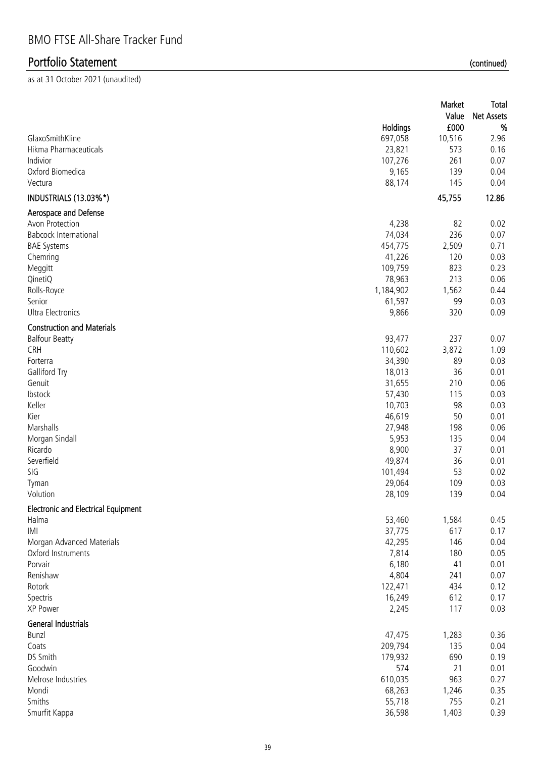|                                                            |           | Market<br>Value | Total<br><b>Net Assets</b> |
|------------------------------------------------------------|-----------|-----------------|----------------------------|
|                                                            | Holdings  | £000            | $\%$                       |
| GlaxoSmithKline                                            | 697,058   | 10,516          | 2.96                       |
| Hikma Pharmaceuticals                                      | 23,821    | 573             | 0.16                       |
| Indivior                                                   | 107,276   | 261             | 0.07                       |
| Oxford Biomedica                                           | 9,165     | 139             | 0.04                       |
| Vectura                                                    | 88,174    | 145             | 0.04                       |
| INDUSTRIALS (13.03%*)                                      |           | 45,755          | 12.86                      |
| Aerospace and Defense                                      |           |                 |                            |
| Avon Protection                                            | 4,238     | 82              | 0.02                       |
| <b>Babcock International</b>                               | 74,034    | 236             | 0.07                       |
| <b>BAE Systems</b>                                         | 454,775   | 2,509           | 0.71                       |
| Chemring                                                   | 41,226    | 120             | 0.03                       |
| Meggitt                                                    | 109,759   | 823             | 0.23                       |
| QinetiQ                                                    | 78,963    | 213             | 0.06                       |
| Rolls-Royce                                                | 1,184,902 | 1,562           | 0.44                       |
| Senior                                                     | 61,597    | 99              | 0.03                       |
| <b>Ultra Electronics</b>                                   | 9,866     | 320             | 0.09                       |
| <b>Construction and Materials</b><br><b>Balfour Beatty</b> | 93,477    | 237             | 0.07                       |
| CRH                                                        | 110,602   | 3,872           | 1.09                       |
| Forterra                                                   | 34,390    | 89              | 0.03                       |
| Galliford Try                                              | 18,013    | 36              | 0.01                       |
| Genuit                                                     | 31,655    | 210             | 0.06                       |
| Ibstock                                                    | 57,430    | 115             | 0.03                       |
| Keller                                                     | 10,703    | 98              | 0.03                       |
| Kier                                                       | 46,619    | 50              | 0.01                       |
| Marshalls                                                  | 27,948    | 198             | 0.06                       |
| Morgan Sindall                                             | 5,953     | 135             | 0.04                       |
| Ricardo                                                    | 8,900     | 37              | 0.01                       |
| Severfield                                                 | 49,874    | 36              | 0.01                       |
| SIG                                                        | 101,494   | 53              | 0.02                       |
| Tyman                                                      | 29,064    | 109             | 0.03                       |
| Volution                                                   | 28,109    | 139             | 0.04                       |
| <b>Electronic and Electrical Equipment</b>                 |           |                 |                            |
| Halma                                                      | 53,460    | 1,584           | 0.45                       |
| IMI                                                        | 37,775    | 617             | 0.17                       |
| Morgan Advanced Materials                                  | 42,295    | 146             | 0.04                       |
| Oxford Instruments                                         | 7,814     | 180             | 0.05                       |
| Porvair                                                    | 6,180     | 41              | 0.01                       |
| Renishaw                                                   | 4,804     | 241             | 0.07                       |
| Rotork                                                     | 122,471   | 434             | 0.12                       |
| Spectris                                                   | 16,249    | 612             | 0.17                       |
| XP Power                                                   | 2,245     | 117             | 0.03                       |
| General Industrials                                        |           |                 |                            |
| <b>Bunzl</b>                                               | 47,475    | 1,283           | 0.36                       |
| Coats                                                      | 209,794   | 135             | 0.04                       |
| DS Smith                                                   | 179,932   | 690             | 0.19                       |
| Goodwin                                                    | 574       | 21              | 0.01                       |
| Melrose Industries                                         | 610,035   | 963             | 0.27                       |
| Mondi                                                      | 68,263    | 1,246           | 0.35                       |
| Smiths                                                     | 55,718    | 755             | 0.21                       |
| Smurfit Kappa                                              | 36,598    | 1,403           | 0.39                       |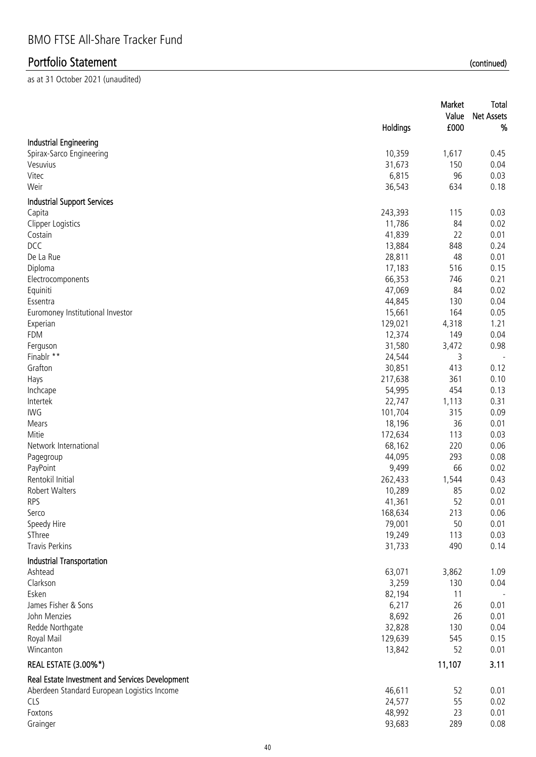|                                                 |                   | Market<br>Value | <b>Total</b><br>Net Assets |
|-------------------------------------------------|-------------------|-----------------|----------------------------|
|                                                 | Holdings          | £000            | %                          |
| <b>Industrial Engineering</b>                   |                   |                 |                            |
| Spirax-Sarco Engineering                        | 10,359            | 1,617           | 0.45                       |
| Vesuvius                                        | 31,673            | 150             | 0.04                       |
| Vitec                                           | 6,815             | 96              | 0.03                       |
| Weir                                            | 36,543            | 634             | 0.18                       |
| <b>Industrial Support Services</b>              |                   |                 |                            |
| Capita                                          | 243,393           | 115             | 0.03                       |
| Clipper Logistics                               | 11,786            | 84              | 0.02                       |
| Costain                                         | 41,839            | 22              | 0.01                       |
| DCC                                             | 13,884            | 848             | 0.24                       |
| De La Rue                                       | 28,811            | 48              | 0.01                       |
| Diploma                                         | 17,183            | 516             | 0.15                       |
| Electrocomponents                               | 66,353            | 746             | 0.21                       |
| Equiniti                                        | 47,069            | 84              | 0.02                       |
| Essentra                                        | 44,845            | 130             | 0.04                       |
| Euromoney Institutional Investor                | 15,661            | 164             | 0.05                       |
| Experian                                        | 129,021           | 4,318           | 1.21                       |
| FDM                                             | 12,374            | 149             | 0.04                       |
| Ferguson                                        | 31,580            | 3,472           | 0.98                       |
| Finablr **                                      | 24,544            | 3               |                            |
| Grafton                                         | 30,851            | 413             | 0.12                       |
| Hays                                            | 217,638           | 361             | 0.10                       |
| Inchcape                                        | 54,995            | 454             | 0.13                       |
| Intertek                                        | 22,747            | 1,113           | 0.31                       |
| IWG                                             | 101,704           | 315             | 0.09                       |
| Mears                                           | 18,196            | 36              | 0.01                       |
| Mitie                                           | 172,634           | 113             | 0.03                       |
| Network International                           | 68,162            | 220             | 0.06                       |
| Pagegroup                                       | 44,095            | 293             | 0.08                       |
| PayPoint                                        | 9,499             | 66              | 0.02                       |
| Rentokil Initial                                | 262,433           | 1,544           | 0.43                       |
| <b>Robert Walters</b>                           | 10,289            | 85              | 0.02                       |
| RPS                                             | 41,361            | 52              | 0.01                       |
| Serco                                           | 168,634           | 213             | 0.06                       |
| Speedy Hire<br>SThree                           | 79,001<br>19,249  | 50<br>113       | 0.01<br>0.03               |
| Travis Perkins                                  | 31,733            | 490             | 0.14                       |
|                                                 |                   |                 |                            |
| <b>Industrial Transportation</b>                |                   |                 |                            |
| Ashtead                                         | 63,071            | 3,862           | 1.09                       |
| Clarkson                                        | 3,259             | 130             | 0.04                       |
| Esken                                           | 82,194            | 11              |                            |
| James Fisher & Sons                             | 6,217             | 26              | 0.01                       |
| John Menzies                                    | 8,692             | 26              | 0.01                       |
| Redde Northgate                                 | 32,828            | 130             | 0.04                       |
| Royal Mail<br>Wincanton                         | 129,639<br>13,842 | 545<br>52       | 0.15<br>0.01               |
|                                                 |                   |                 |                            |
| REAL ESTATE (3.00%*)                            |                   | 11,107          | 3.11                       |
| Real Estate Investment and Services Development |                   |                 |                            |
| Aberdeen Standard European Logistics Income     | 46,611            | 52              | 0.01                       |
| CLS                                             | 24,577            | 55              | 0.02                       |
| Foxtons                                         | 48,992<br>93,683  | 23<br>289       | 0.01                       |
| Grainger                                        |                   |                 | 0.08                       |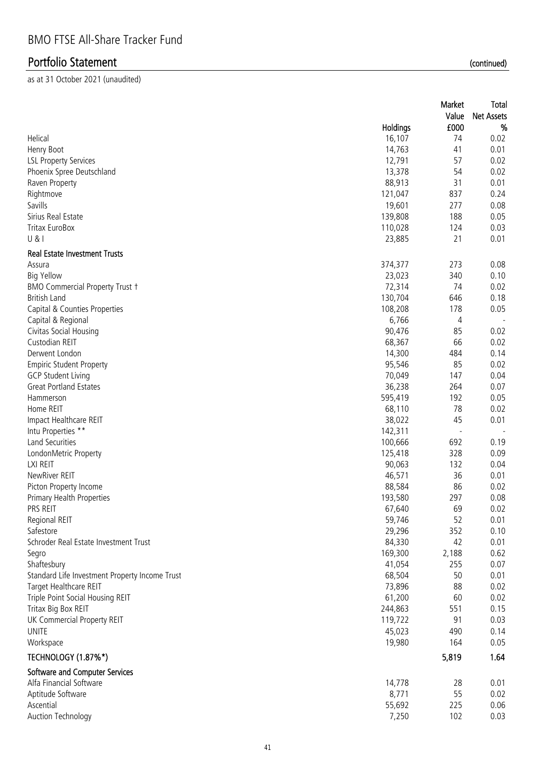|                                                |                 | Market                   | <b>Total</b>      |
|------------------------------------------------|-----------------|--------------------------|-------------------|
|                                                |                 | Value                    | <b>Net Assets</b> |
|                                                | <b>Holdings</b> | £000                     | %                 |
| Helical                                        | 16,107          | 74                       | 0.02              |
| Henry Boot                                     | 14,763          | 41                       | 0.01              |
| <b>LSL Property Services</b>                   | 12,791          | 57                       | 0.02              |
| Phoenix Spree Deutschland                      | 13,378          | 54                       | 0.02              |
| Raven Property                                 | 88,913          | 31                       | 0.01              |
| Rightmove                                      | 121,047         | 837                      | 0.24              |
| Savills                                        | 19,601          | 277                      | 0.08              |
| Sirius Real Estate                             | 139,808         | 188                      | 0.05              |
| <b>Tritax EuroBox</b>                          | 110,028         | 124                      | 0.03              |
| U &                                            | 23,885          | 21                       | 0.01              |
| <b>Real Estate Investment Trusts</b>           |                 |                          |                   |
| Assura                                         | 374,377         | 273                      | 0.08              |
| <b>Big Yellow</b>                              | 23,023          | 340                      | 0.10              |
| <b>BMO Commercial Property Trust +</b>         | 72,314          | 74                       | 0.02              |
| <b>British Land</b>                            | 130,704         | 646                      | 0.18              |
| Capital & Counties Properties                  | 108,208         | 178                      | 0.05              |
| Capital & Regional                             | 6,766           | 4                        |                   |
| Civitas Social Housing                         | 90,476          | 85                       | 0.02              |
| Custodian REIT                                 | 68,367          | 66                       | 0.02              |
| Derwent London                                 | 14,300          | 484                      | 0.14              |
| <b>Empiric Student Property</b>                | 95,546          | 85                       | 0.02              |
| <b>GCP Student Living</b>                      | 70,049          | 147                      | 0.04              |
| <b>Great Portland Estates</b>                  | 36,238          | 264                      | 0.07              |
| Hammerson                                      | 595,419         | 192                      | 0.05              |
| Home REIT                                      | 68,110          | 78                       | 0.02              |
| Impact Healthcare REIT                         | 38,022          | 45                       | 0.01              |
| Intu Properties **                             | 142,311         | $\overline{\phantom{a}}$ |                   |
| Land Securities                                | 100,666         | 692                      | 0.19              |
| LondonMetric Property                          | 125,418         | 328                      | 0.09              |
| LXI REIT                                       | 90,063          | 132                      | 0.04              |
| NewRiver REIT                                  | 46,571          | 36                       | 0.01              |
| Picton Property Income                         | 88,584          | 86                       | 0.02              |
| <b>Primary Health Properties</b>               | 193,580         | 297                      | 0.08              |
| PRS REIT                                       | 67,640          | 69                       | 0.02              |
| Regional REIT                                  | 59,746          | 52                       | 0.01              |
| Safestore                                      | 29,296          | 352                      | 0.10              |
| Schroder Real Estate Investment Trust          | 84,330          | 42                       | 0.01              |
| Segro                                          | 169,300         | 2,188                    | 0.62              |
| Shaftesbury                                    | 41,054          | 255                      | 0.07              |
| Standard Life Investment Property Income Trust | 68,504          | 50                       | 0.01              |
| Target Healthcare REIT                         | 73,896          | 88                       | 0.02              |
| Triple Point Social Housing REIT               | 61,200          | 60                       | 0.02              |
| Tritax Big Box REIT                            | 244,863         | 551                      | 0.15              |
| UK Commercial Property REIT                    | 119,722         | 91                       | 0.03              |
|                                                |                 |                          |                   |
| <b>UNITE</b>                                   | 45,023          | 490                      | 0.14              |
| Workspace                                      | 19,980          | 164                      | 0.05              |
| TECHNOLOGY (1.87%*)                            |                 | 5,819                    | 1.64              |
| Software and Computer Services                 |                 |                          |                   |
| Alfa Financial Software                        | 14,778          | 28                       | 0.01              |
| Aptitude Software                              | 8,771           | 55                       | 0.02              |
| Ascential                                      | 55,692          | 225                      | 0.06              |
| <b>Auction Technology</b>                      | 7,250           | 102                      | 0.03              |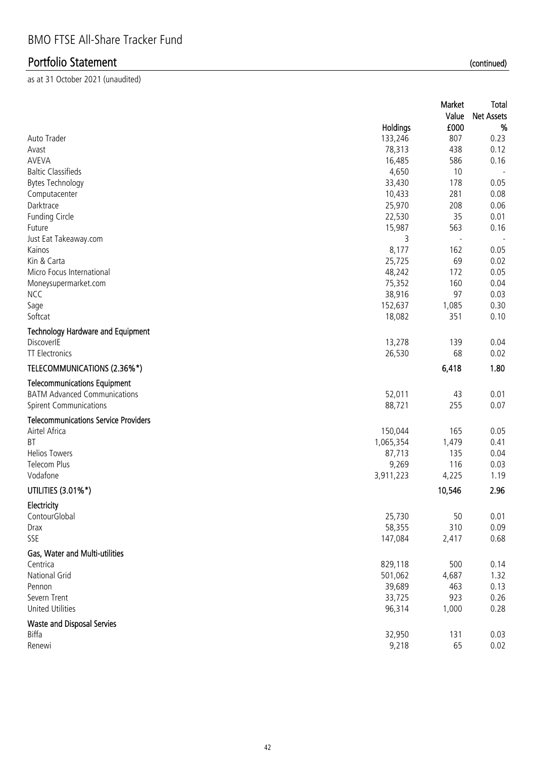|                                             |           | Market<br>Value          | Total<br><b>Net Assets</b> |
|---------------------------------------------|-----------|--------------------------|----------------------------|
|                                             | Holdings  | £000                     | %                          |
| Auto Trader                                 | 133,246   | 807                      | 0.23                       |
| Avast                                       | 78,313    | 438                      | 0.12                       |
| AVEVA                                       | 16,485    | 586                      | 0.16                       |
| <b>Baltic Classifieds</b>                   | 4,650     | 10                       |                            |
| <b>Bytes Technology</b>                     | 33,430    | 178                      | 0.05                       |
| Computacenter                               | 10,433    | 281                      | 0.08                       |
| Darktrace                                   | 25,970    | 208                      | 0.06                       |
| <b>Funding Circle</b>                       | 22,530    | 35                       | 0.01                       |
| Future                                      | 15,987    | 563                      | 0.16                       |
| Just Eat Takeaway.com                       | 3         | $\overline{\phantom{a}}$ |                            |
| Kainos                                      | 8,177     | 162                      | 0.05                       |
| Kin & Carta                                 | 25,725    | 69                       | 0.02                       |
| Micro Focus International                   | 48,242    | 172                      | 0.05                       |
| Moneysupermarket.com                        | 75,352    | 160                      | 0.04                       |
| <b>NCC</b>                                  | 38,916    | 97                       | 0.03                       |
| Sage                                        | 152,637   | 1,085                    | 0.30                       |
| Softcat                                     | 18,082    | 351                      | 0.10                       |
| <b>Technology Hardware and Equipment</b>    |           |                          |                            |
| DiscoverIE                                  | 13,278    | 139                      | 0.04                       |
| <b>TT Electronics</b>                       | 26,530    | 68                       | 0.02                       |
| TELECOMMUNICATIONS (2.36%*)                 |           | 6,418                    | 1.80                       |
| <b>Telecommunications Equipment</b>         |           |                          |                            |
| <b>BATM Advanced Communications</b>         | 52,011    | 43                       | 0.01                       |
| <b>Spirent Communications</b>               | 88,721    | 255                      | 0.07                       |
|                                             |           |                          |                            |
| <b>Telecommunications Service Providers</b> |           |                          |                            |
| Airtel Africa                               | 150,044   | 165                      | 0.05                       |
| BT                                          | 1,065,354 | 1,479                    | 0.41                       |
| <b>Helios Towers</b>                        | 87,713    | 135                      | 0.04                       |
| <b>Telecom Plus</b>                         | 9,269     | 116                      | 0.03                       |
| Vodafone                                    | 3,911,223 | 4,225                    | 1.19                       |
| UTILITIES (3.01%*)                          |           | 10,546                   | 2.96                       |
| Electricity                                 |           |                          |                            |
| ContourGlobal                               | 25,730    | 50                       | 0.01                       |
| <b>Drax</b>                                 | 58,355    | 310                      | 0.09                       |
| SSE                                         | 147,084   | 2,417                    | 0.68                       |
| Gas, Water and Multi-utilities              |           |                          |                            |
| Centrica                                    | 829,118   | 500                      | 0.14                       |
| National Grid                               | 501,062   | 4,687                    | 1.32                       |
| Pennon                                      | 39,689    | 463                      | 0.13                       |
| Severn Trent                                | 33,725    | 923                      | 0.26                       |
| <b>United Utilities</b>                     | 96,314    | 1,000                    | 0.28                       |
| <b>Waste and Disposal Servies</b>           |           |                          |                            |
| <b>Biffa</b>                                | 32,950    | 131                      | 0.03                       |
| Renewi                                      | 9,218     | 65                       | 0.02                       |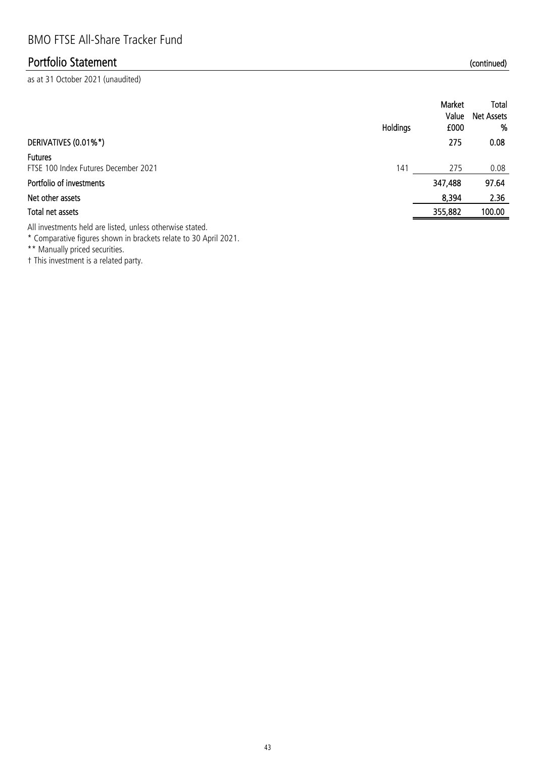as at 31 October 2021 (unaudited)

|                                                        | Holdings | Market<br>Value<br>£000 | Total<br><b>Net Assets</b><br>% |
|--------------------------------------------------------|----------|-------------------------|---------------------------------|
| DERIVATIVES (0.01%*)                                   |          | 275                     | 0.08                            |
| <b>Futures</b><br>FTSE 100 Index Futures December 2021 | 141      | 275                     | 0.08                            |
| Portfolio of investments                               |          | 347,488                 | 97.64                           |
| Net other assets                                       |          | 8,394                   | 2.36                            |
| Total net assets                                       |          | 355,882                 | 100.00                          |
|                                                        |          |                         |                                 |

All investments held are listed, unless otherwise stated.

\* Comparative figures shown in brackets relate to 30 April 2021.

\*\* Manually priced securities.

† This investment is a related party.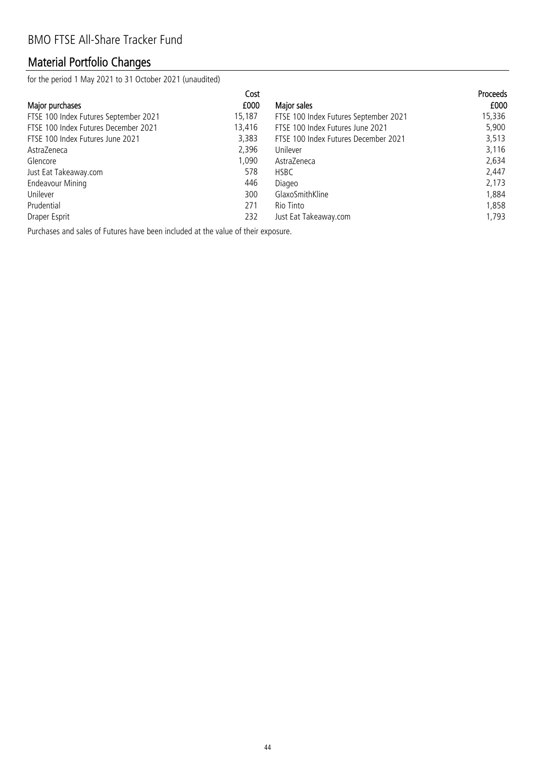# Material Portfolio Changes

for the period 1 May 2021 to 31 October 2021 (unaudited)

|                                       | Cost   |                                       | <b>Proceeds</b> |
|---------------------------------------|--------|---------------------------------------|-----------------|
| Major purchases                       | £000   | Major sales                           | £000            |
| FTSE 100 Index Futures September 2021 | 15,187 | FTSE 100 Index Futures September 2021 | 15,336          |
| FTSE 100 Index Futures December 2021  | 13,416 | FTSE 100 Index Futures June 2021      | 5,900           |
| FTSE 100 Index Futures June 2021      | 3,383  | FTSE 100 Index Futures December 2021  | 3,513           |
| AstraZeneca                           | 2,396  | Unilever                              | 3,116           |
| Glencore                              | 1.090  | AstraZeneca                           | 2,634           |
| Just Eat Takeaway.com                 | 578    | <b>HSBC</b>                           | 2,447           |
| <b>Endeavour Mining</b>               | 446    | Diageo                                | 2,173           |
| Unilever                              | 300    | GlaxoSmithKline                       | 1,884           |
| Prudential                            | 271    | Rio Tinto                             | 1,858           |
| Draper Esprit                         | 232    | Just Eat Takeaway.com                 | 1.793           |

Purchases and sales of Futures have been included at the value of their exposure.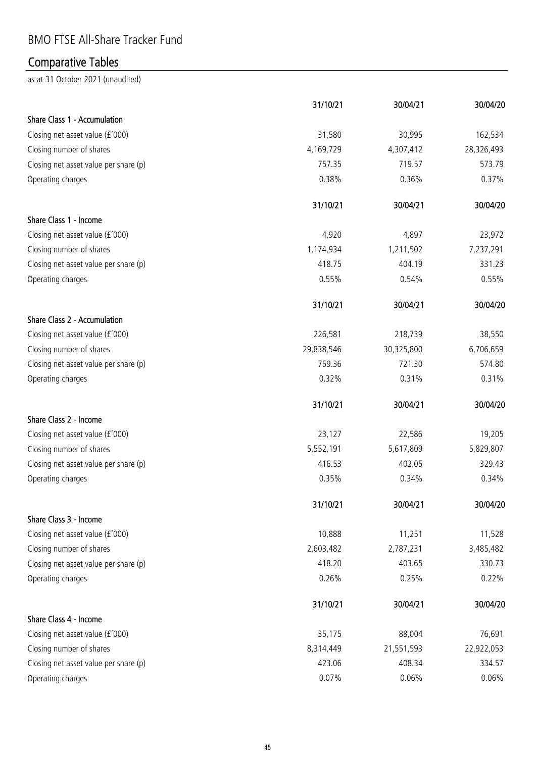## BMO FTSE All-Share Tracker Fund

# Comparative Tables

|                                       | 31/10/21   | 30/04/21   | 30/04/20   |
|---------------------------------------|------------|------------|------------|
| Share Class 1 - Accumulation          |            |            |            |
| Closing net asset value (£'000)       | 31,580     | 30,995     | 162,534    |
| Closing number of shares              | 4,169,729  | 4,307,412  | 28,326,493 |
| Closing net asset value per share (p) | 757.35     | 719.57     | 573.79     |
| Operating charges                     | 0.38%      | 0.36%      | 0.37%      |
|                                       | 31/10/21   | 30/04/21   | 30/04/20   |
| Share Class 1 - Income                |            |            |            |
| Closing net asset value (£'000)       | 4,920      | 4,897      | 23,972     |
| Closing number of shares              | 1,174,934  | 1,211,502  | 7,237,291  |
| Closing net asset value per share (p) | 418.75     | 404.19     | 331.23     |
| Operating charges                     | 0.55%      | 0.54%      | 0.55%      |
|                                       | 31/10/21   | 30/04/21   | 30/04/20   |
| Share Class 2 - Accumulation          |            |            |            |
| Closing net asset value (£'000)       | 226,581    | 218,739    | 38,550     |
| Closing number of shares              | 29,838,546 | 30,325,800 | 6,706,659  |
| Closing net asset value per share (p) | 759.36     | 721.30     | 574.80     |
| Operating charges                     | 0.32%      | 0.31%      | 0.31%      |
|                                       | 31/10/21   | 30/04/21   | 30/04/20   |
| Share Class 2 - Income                |            |            |            |
| Closing net asset value (£'000)       | 23,127     | 22,586     | 19,205     |
| Closing number of shares              | 5,552,191  | 5,617,809  | 5,829,807  |
| Closing net asset value per share (p) | 416.53     | 402.05     | 329.43     |
| Operating charges                     | 0.35%      | 0.34%      | 0.34%      |
|                                       | 31/10/21   | 30/04/21   | 30/04/20   |
| Share Class 3 - Income                |            |            |            |
| Closing net asset value (£'000)       | 10,888     | 11,251     | 11,528     |
| Closing number of shares              | 2,603,482  | 2,787,231  | 3,485,482  |
| Closing net asset value per share (p) | 418.20     | 403.65     | 330.73     |
| Operating charges                     | 0.26%      | 0.25%      | 0.22%      |
|                                       | 31/10/21   | 30/04/21   | 30/04/20   |
| Share Class 4 - Income                |            |            |            |
| Closing net asset value (£'000)       | 35,175     | 88,004     | 76,691     |
| Closing number of shares              | 8,314,449  | 21,551,593 | 22,922,053 |
| Closing net asset value per share (p) | 423.06     | 408.34     | 334.57     |
| Operating charges                     | 0.07%      | 0.06%      | 0.06%      |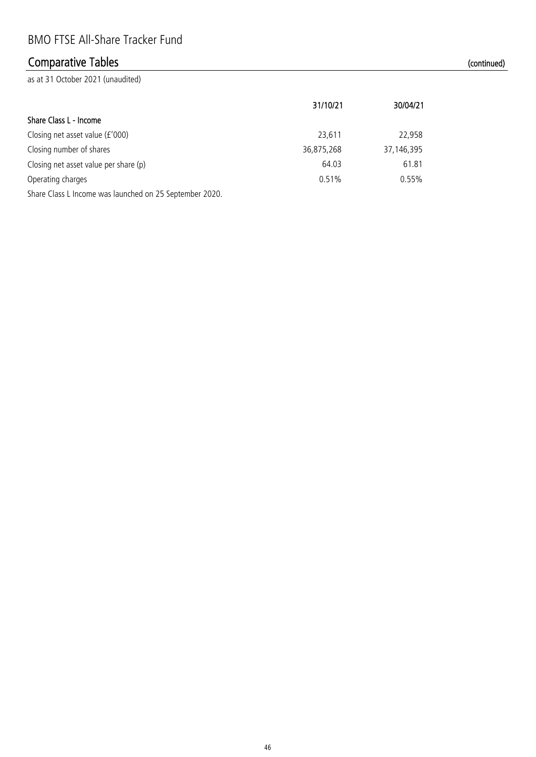## Comparative Tables (continued)

|                                                         | 31/10/21   | 30/04/21     |
|---------------------------------------------------------|------------|--------------|
| Share Class L - Income                                  |            |              |
| Closing net asset value (£'000)                         | 23,611     | 22,958       |
| Closing number of shares                                | 36,875,268 | 37, 146, 395 |
| Closing net asset value per share (p)                   | 64.03      | 61.81        |
| Operating charges                                       | 0.51%      | 0.55%        |
| Share Class L Income was launched on 25 September 2020. |            |              |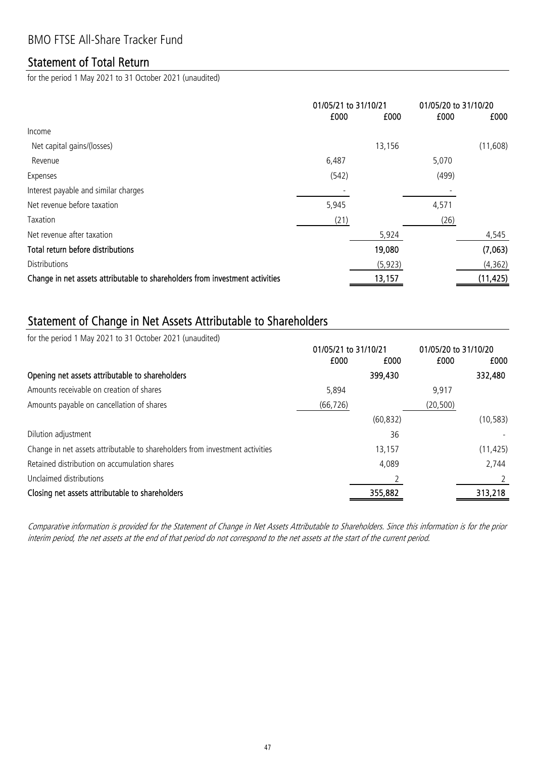#### BMO FTSE All-Share Tracker Fund

#### Statement of Total Return

for the period 1 May 2021 to 31 October 2021 (unaudited)

|                                                                              | 01/05/21 to 31/10/21 |          | 01/05/20 to 31/10/20 |           |
|------------------------------------------------------------------------------|----------------------|----------|----------------------|-----------|
|                                                                              | £000                 | £000     | £000                 | £000      |
| Income                                                                       |                      |          |                      |           |
| Net capital gains/(losses)                                                   |                      | 13,156   |                      | (11,608)  |
| Revenue                                                                      | 6,487                |          | 5,070                |           |
| Expenses                                                                     | (542)                |          | (499)                |           |
| Interest payable and similar charges                                         |                      |          |                      |           |
| Net revenue before taxation                                                  | 5,945                |          | 4,571                |           |
| Taxation                                                                     | (21)                 |          | (26)                 |           |
| Net revenue after taxation                                                   |                      | 5,924    |                      | 4,545     |
| Total return before distributions                                            |                      | 19,080   |                      | (7,063)   |
| <b>Distributions</b>                                                         |                      | (5, 923) |                      | (4, 362)  |
| Change in net assets attributable to shareholders from investment activities |                      | 13,157   |                      | (11, 425) |

### Statement of Change in Net Assets Attributable to Shareholders

for the period 1 May 2021 to 31 October 2021 (unaudited)

|                                                                              | 01/05/21 to 31/10/21 |           | 01/05/20 to 31/10/20 |           |
|------------------------------------------------------------------------------|----------------------|-----------|----------------------|-----------|
|                                                                              | £000                 | £000      | £000                 | £000      |
| Opening net assets attributable to shareholders                              |                      | 399,430   |                      | 332,480   |
| Amounts receivable on creation of shares                                     | 5,894                |           | 9.917                |           |
| Amounts payable on cancellation of shares                                    | (66, 726)            |           | (20, 500)            |           |
|                                                                              |                      | (60, 832) |                      | (10, 583) |
| Dilution adjustment                                                          |                      | 36        |                      |           |
| Change in net assets attributable to shareholders from investment activities |                      | 13,157    |                      | (11, 425) |
| Retained distribution on accumulation shares                                 |                      | 4,089     |                      | 2,744     |
| Unclaimed distributions                                                      |                      |           |                      |           |
| Closing net assets attributable to shareholders                              |                      | 355,882   |                      | 313,218   |

Comparative information is provided for the Statement of Change in Net Assets Attributable to Shareholders. Since this information is for the prior interim period, the net assets at the end of that period do not correspond to the net assets at the start of the current period.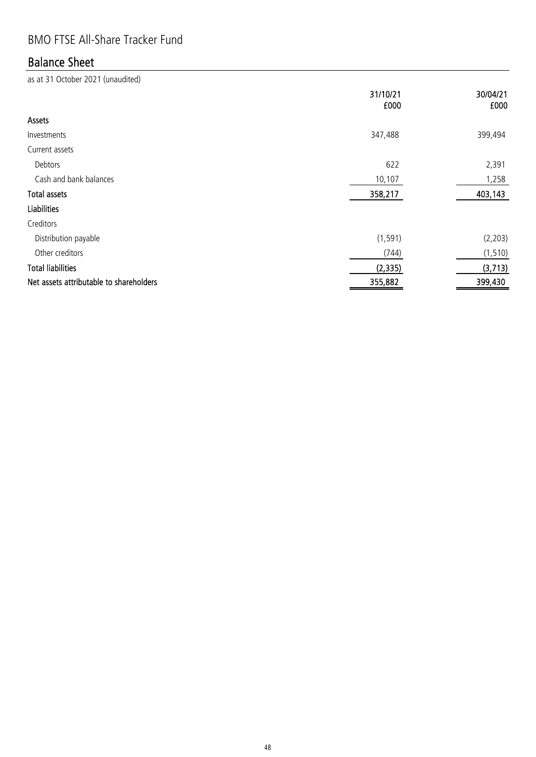## BMO FTSE All-Share Tracker Fund

## Balance Sheet

|                                         | 31/10/21<br>£000 | 30/04/21<br>£000 |
|-----------------------------------------|------------------|------------------|
| Assets                                  |                  |                  |
| Investments                             | 347,488          | 399,494          |
| Current assets                          |                  |                  |
| Debtors                                 | 622              | 2,391            |
| Cash and bank balances                  | 10,107           | 1,258            |
| <b>Total assets</b>                     | 358,217          | 403,143          |
| <b>Liabilities</b>                      |                  |                  |
| Creditors                               |                  |                  |
| Distribution payable                    | (1, 591)         | (2, 203)         |
| Other creditors                         | (744)            | (1, 510)         |
| <b>Total liabilities</b>                | (2, 335)         | (3, 713)         |
| Net assets attributable to shareholders | 355,882          | 399,430          |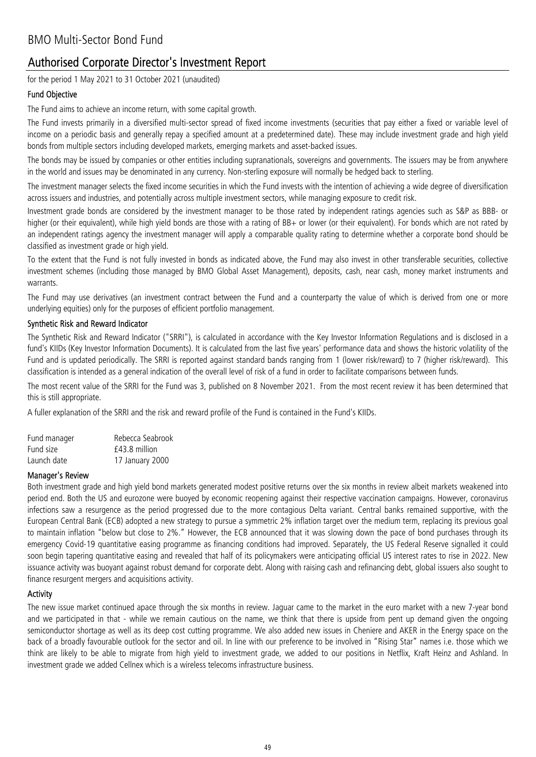#### Authorised Corporate Director's Investment Report

for the period 1 May 2021 to 31 October 2021 (unaudited)

#### Fund Objective

The Fund aims to achieve an income return, with some capital growth.

The Fund invests primarily in a diversified multi-sector spread of fixed income investments (securities that pay either a fixed or variable level of income on a periodic basis and generally repay a specified amount at a predetermined date). These may include investment grade and high yield bonds from multiple sectors including developed markets, emerging markets and asset-backed issues.

The bonds may be issued by companies or other entities including supranationals, sovereigns and governments. The issuers may be from anywhere in the world and issues may be denominated in any currency. Non-sterling exposure will normally be hedged back to sterling.

The investment manager selects the fixed income securities in which the Fund invests with the intention of achieving a wide degree of diversification across issuers and industries, and potentially across multiple investment sectors, while managing exposure to credit risk.

Investment grade bonds are considered by the investment manager to be those rated by independent ratings agencies such as S&P as BBB- or higher (or their equivalent), while high yield bonds are those with a rating of BB+ or lower (or their equivalent). For bonds which are not rated by an independent ratings agency the investment manager will apply a comparable quality rating to determine whether a corporate bond should be classified as investment grade or high yield.

To the extent that the Fund is not fully invested in bonds as indicated above, the Fund may also invest in other transferable securities, collective investment schemes (including those managed by BMO Global Asset Management), deposits, cash, near cash, money market instruments and warrants.

The Fund may use derivatives (an investment contract between the Fund and a counterparty the value of which is derived from one or more underlying equities) only for the purposes of efficient portfolio management.

#### Synthetic Risk and Reward Indicator

The Synthetic Risk and Reward Indicator ("SRRI"), is calculated in accordance with the Key Investor Information Regulations and is disclosed in a fund's KIIDs (Key Investor Information Documents). It is calculated from the last five years' performance data and shows the historic volatility of the Fund and is updated periodically. The SRRI is reported against standard bands ranging from 1 (lower risk/reward) to 7 (higher risk/reward). This classification is intended as a general indication of the overall level of risk of a fund in order to facilitate comparisons between funds.

The most recent value of the SRRI for the Fund was 3, published on 8 November 2021. From the most recent review it has been determined that this is still appropriate.

A fuller explanation of the SRRI and the risk and reward profile of the Fund is contained in the Fund's KIIDs.

| Fund manager | Rebecca Seabrook |
|--------------|------------------|
| Fund size    | £43.8 million    |
| Launch date  | 17 January 2000  |

#### Manager's Review

Both investment grade and high yield bond markets generated modest positive returns over the six months in review albeit markets weakened into period end. Both the US and eurozone were buoyed by economic reopening against their respective vaccination campaigns. However, coronavirus infections saw a resurgence as the period progressed due to the more contagious Delta variant. Central banks remained supportive, with the European Central Bank (ECB) adopted a new strategy to pursue a symmetric 2% inflation target over the medium term, replacing its previous goal to maintain inflation "below but close to 2%." However, the ECB announced that it was slowing down the pace of bond purchases through its emergency Covid-19 quantitative easing programme as financing conditions had improved. Separately, the US Federal Reserve signalled it could soon begin tapering quantitative easing and revealed that half of its policymakers were anticipating official US interest rates to rise in 2022. New issuance activity was buoyant against robust demand for corporate debt. Along with raising cash and refinancing debt, global issuers also sought to finance resurgent mergers and acquisitions activity.

#### **Activity**

The new issue market continued apace through the six months in review. Jaguar came to the market in the euro market with a new 7-year bond and we participated in that - while we remain cautious on the name, we think that there is upside from pent up demand given the ongoing semiconductor shortage as well as its deep cost cutting programme. We also added new issues in Cheniere and AKER in the Energy space on the back of a broadly favourable outlook for the sector and oil. In line with our preference to be involved in "Rising Star" names i.e. those which we think are likely to be able to migrate from high yield to investment grade, we added to our positions in Netflix, Kraft Heinz and Ashland. In investment grade we added Cellnex which is a wireless telecoms infrastructure business.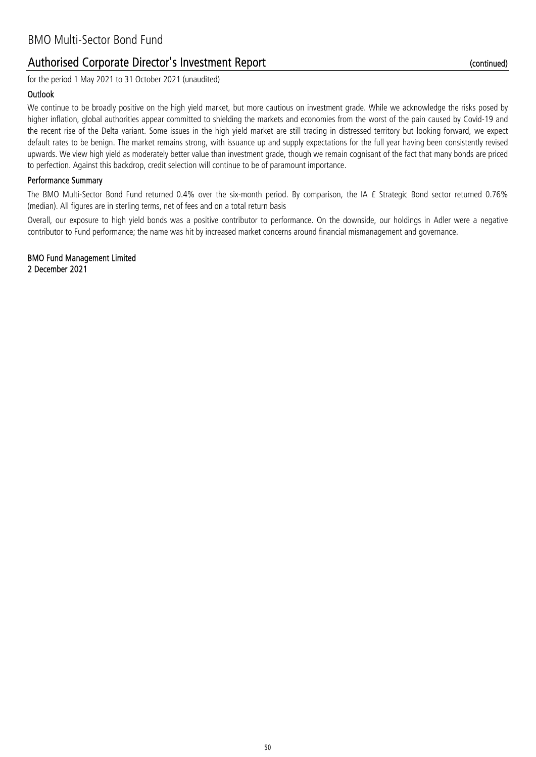#### Authorised Corporate Director's Investment Report

for the period 1 May 2021 to 31 October 2021 (unaudited)

#### **Outlook**

We continue to be broadly positive on the high yield market, but more cautious on investment grade. While we acknowledge the risks posed by higher inflation, global authorities appear committed to shielding the markets and economies from the worst of the pain caused by Covid-19 and the recent rise of the Delta variant. Some issues in the high yield market are still trading in distressed territory but looking forward, we expect default rates to be benign. The market remains strong, with issuance up and supply expectations for the full year having been consistently revised upwards. We view high yield as moderately better value than investment grade, though we remain cognisant of the fact that many bonds are priced to perfection. Against this backdrop, credit selection will continue to be of paramount importance.

#### Performance Summary

The BMO Multi-Sector Bond Fund returned 0.4% over the six-month period. By comparison, the IA £ Strategic Bond sector returned 0.76% (median). All figures are in sterling terms, net of fees and on a total return basis

Overall, our exposure to high yield bonds was a positive contributor to performance. On the downside, our holdings in Adler were a negative contributor to Fund performance; the name was hit by increased market concerns around financial mismanagement and governance.

2 December 2021 BMO Fund Management Limited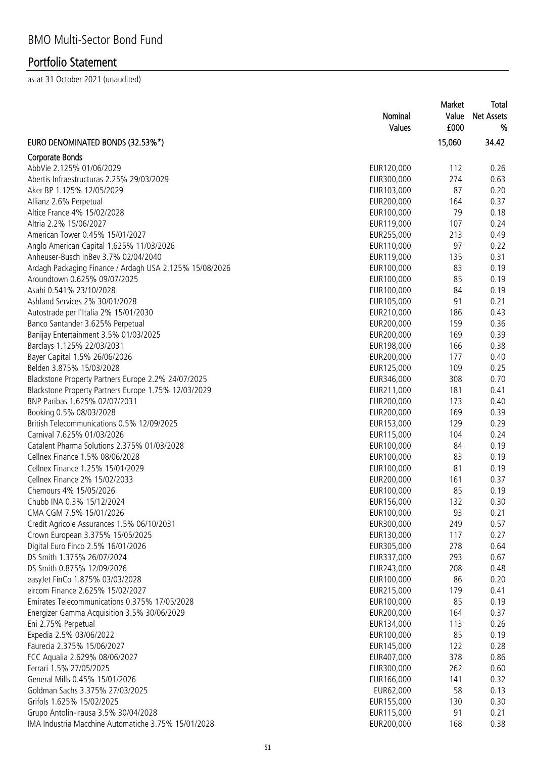|                                                         | Nominal<br><b>Values</b> | Market<br>Value<br>£000 | Total<br><b>Net Assets</b><br>% |
|---------------------------------------------------------|--------------------------|-------------------------|---------------------------------|
| EURO DENOMINATED BONDS (32.53%*)                        |                          | 15,060                  | 34.42                           |
| Corporate Bonds                                         |                          |                         |                                 |
| AbbVie 2.125% 01/06/2029                                | EUR120,000               | 112                     | 0.26                            |
| Abertis Infraestructuras 2.25% 29/03/2029               | EUR300,000               | 274                     | 0.63                            |
| Aker BP 1.125% 12/05/2029                               | EUR103,000               | 87                      | 0.20                            |
| Allianz 2.6% Perpetual                                  | EUR200,000               | 164                     | 0.37                            |
| Altice France 4% 15/02/2028                             | EUR100,000               | 79                      | 0.18                            |
| Altria 2.2% 15/06/2027                                  | EUR119,000               | 107                     | 0.24                            |
| American Tower 0.45% 15/01/2027                         | EUR255,000               | 213                     | 0.49                            |
| Anglo American Capital 1.625% 11/03/2026                | EUR110,000               | 97                      | 0.22                            |
| Anheuser-Busch InBev 3.7% 02/04/2040                    | EUR119,000               | 135                     | 0.31                            |
| Ardagh Packaging Finance / Ardagh USA 2.125% 15/08/2026 | EUR100,000               | 83                      | 0.19                            |
| Aroundtown 0.625% 09/07/2025                            | EUR100,000               | 85                      | 0.19                            |
| Asahi 0.541% 23/10/2028                                 | EUR100,000               | 84                      | 0.19                            |
| Ashland Services 2% 30/01/2028                          | EUR105,000               | 91                      | 0.21                            |
| Autostrade per l'Italia 2% 15/01/2030                   | EUR210,000               | 186                     | 0.43                            |
| Banco Santander 3.625% Perpetual                        | EUR200,000               | 159                     | 0.36                            |
| Banijay Entertainment 3.5% 01/03/2025                   | EUR200,000               | 169                     | 0.39                            |
| Barclays 1.125% 22/03/2031                              | EUR198,000               | 166                     | 0.38                            |
| Bayer Capital 1.5% 26/06/2026                           | EUR200,000               | 177                     | 0.40                            |
| Belden 3.875% 15/03/2028                                | EUR125,000               | 109                     | 0.25                            |
| Blackstone Property Partners Europe 2.2% 24/07/2025     | EUR346,000               | 308                     | 0.70                            |
| Blackstone Property Partners Europe 1.75% 12/03/2029    | EUR211,000               | 181                     | 0.41                            |
| BNP Paribas 1.625% 02/07/2031                           | EUR200,000               | 173                     | 0.40                            |
| Booking 0.5% 08/03/2028                                 | EUR200,000               | 169                     | 0.39                            |
| British Telecommunications 0.5% 12/09/2025              | EUR153,000               | 129                     | 0.29                            |
| Carnival 7.625% 01/03/2026                              | EUR115,000               | 104                     | 0.24                            |
| Catalent Pharma Solutions 2.375% 01/03/2028             | EUR100,000               | 84                      | 0.19                            |
| Cellnex Finance 1.5% 08/06/2028                         | EUR100,000               | 83                      | 0.19                            |
| Cellnex Finance 1.25% 15/01/2029                        | EUR100,000               | 81                      | 0.19                            |
| Cellnex Finance 2% 15/02/2033                           | EUR200,000               | 161                     | 0.37                            |
| Chemours 4% 15/05/2026                                  | EUR100,000               | 85                      | 0.19                            |
| Chubb INA 0.3% 15/12/2024                               | EUR156,000               | 132                     | 0.30                            |
| CMA CGM 7.5% 15/01/2026                                 | EUR100,000               | 93                      | 0.21                            |
| Credit Agricole Assurances 1.5% 06/10/2031              | EUR300,000               | 249                     | 0.57                            |
| Crown European 3.375% 15/05/2025                        | EUR130,000               | 117                     | 0.27                            |
| Digital Euro Finco 2.5% 16/01/2026                      | EUR305,000               | 278                     | 0.64                            |
| DS Smith 1.375% 26/07/2024                              | EUR337,000               | 293                     | 0.67                            |
| DS Smith 0.875% 12/09/2026                              | EUR243,000               | 208                     | 0.48                            |
| easyJet FinCo 1.875% 03/03/2028                         | EUR100,000               | 86                      | 0.20                            |
| eircom Finance 2.625% 15/02/2027                        | EUR215,000               | 179                     | 0.41                            |
| Emirates Telecommunications 0.375% 17/05/2028           | EUR100,000               | 85                      | 0.19                            |
| Energizer Gamma Acquisition 3.5% 30/06/2029             | EUR200,000               | 164                     | 0.37                            |
| Eni 2.75% Perpetual                                     | EUR134,000               | 113                     | 0.26                            |
| Expedia 2.5% 03/06/2022                                 | EUR100,000               | 85                      | 0.19                            |
| Faurecia 2.375% 15/06/2027                              | EUR145,000               | 122                     | 0.28                            |
| FCC Aqualia 2.629% 08/06/2027                           | EUR407,000               | 378                     | 0.86                            |
| Ferrari 1.5% 27/05/2025                                 | EUR300,000               | 262                     | 0.60                            |
| General Mills 0.45% 15/01/2026                          | EUR166,000               | 141                     | 0.32                            |
| Goldman Sachs 3.375% 27/03/2025                         | EUR62,000                | 58                      | 0.13                            |
| Grifols 1.625% 15/02/2025                               | EUR155,000               | 130                     | 0.30                            |
| Grupo Antolin-Irausa 3.5% 30/04/2028                    | EUR115,000               | 91                      | 0.21                            |
| IMA Industria Macchine Automatiche 3.75% 15/01/2028     | EUR200,000               | 168                     | 0.38                            |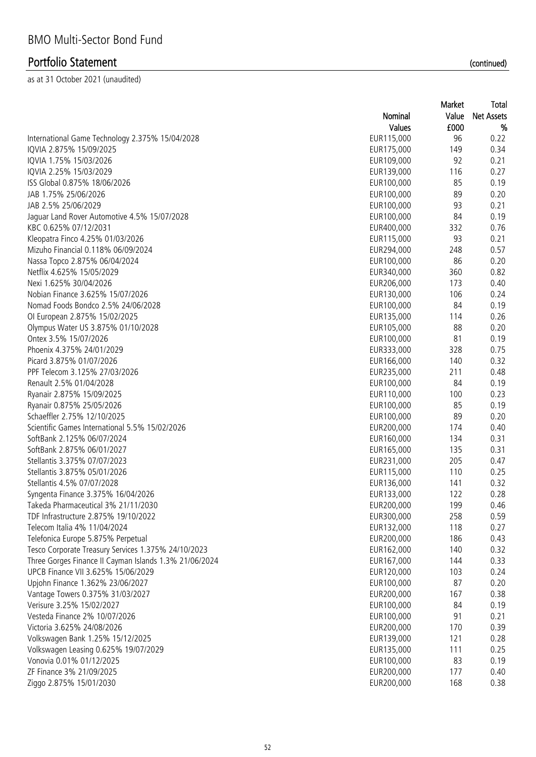|                                                        |            | Market | Total             |
|--------------------------------------------------------|------------|--------|-------------------|
|                                                        | Nominal    | Value  | <b>Net Assets</b> |
|                                                        | Values     | £000   | %                 |
| International Game Technology 2.375% 15/04/2028        | EUR115,000 | 96     | 0.22              |
| IQVIA 2.875% 15/09/2025                                | EUR175,000 | 149    | 0.34              |
| IQVIA 1.75% 15/03/2026                                 | EUR109,000 | 92     | 0.21              |
| IQVIA 2.25% 15/03/2029                                 | EUR139,000 | 116    | 0.27              |
| ISS Global 0.875% 18/06/2026                           | EUR100,000 | 85     | 0.19              |
| JAB 1.75% 25/06/2026                                   | EUR100,000 | 89     | 0.20              |
| JAB 2.5% 25/06/2029                                    | EUR100,000 | 93     | 0.21              |
| Jaguar Land Rover Automotive 4.5% 15/07/2028           | EUR100,000 | 84     | 0.19              |
| KBC 0.625% 07/12/2031                                  | EUR400,000 | 332    | 0.76              |
| Kleopatra Finco 4.25% 01/03/2026                       | EUR115,000 | 93     | 0.21              |
| Mizuho Financial 0.118% 06/09/2024                     | EUR294,000 | 248    | 0.57              |
| Nassa Topco 2.875% 06/04/2024                          | EUR100,000 | 86     | 0.20              |
| Netflix 4.625% 15/05/2029                              | EUR340,000 | 360    | 0.82              |
| Nexi 1.625% 30/04/2026                                 | EUR206,000 | 173    | 0.40              |
| Nobian Finance 3.625% 15/07/2026                       | EUR130,000 | 106    | 0.24              |
| Nomad Foods Bondco 2.5% 24/06/2028                     |            |        | 0.19              |
|                                                        | EUR100,000 | 84     |                   |
| Ol European 2.875% 15/02/2025                          | EUR135,000 | 114    | 0.26              |
| Olympus Water US 3.875% 01/10/2028                     | EUR105,000 | 88     | 0.20              |
| Ontex 3.5% 15/07/2026                                  | EUR100,000 | 81     | 0.19              |
| Phoenix 4.375% 24/01/2029                              | EUR333,000 | 328    | 0.75              |
| Picard 3.875% 01/07/2026                               | EUR166,000 | 140    | 0.32              |
| PPF Telecom 3.125% 27/03/2026                          | EUR235,000 | 211    | 0.48              |
| Renault 2.5% 01/04/2028                                | EUR100,000 | 84     | 0.19              |
| Ryanair 2.875% 15/09/2025                              | EUR110,000 | 100    | 0.23              |
| Ryanair 0.875% 25/05/2026                              | EUR100,000 | 85     | 0.19              |
| Schaeffler 2.75% 12/10/2025                            | EUR100,000 | 89     | 0.20              |
| Scientific Games International 5.5% 15/02/2026         | EUR200,000 | 174    | 0.40              |
| SoftBank 2.125% 06/07/2024                             | EUR160,000 | 134    | 0.31              |
| SoftBank 2.875% 06/01/2027                             | EUR165,000 | 135    | 0.31              |
| Stellantis 3.375% 07/07/2023                           | EUR231,000 | 205    | 0.47              |
| Stellantis 3.875% 05/01/2026                           | EUR115,000 | 110    | 0.25              |
| Stellantis 4.5% 07/07/2028                             | EUR136,000 | 141    | 0.32              |
| Syngenta Finance 3.375% 16/04/2026                     | EUR133,000 | 122    | 0.28              |
| Takeda Pharmaceutical 3% 21/11/2030                    | EUR200,000 | 199    | 0.46              |
| TDF Infrastructure 2.875% 19/10/2022                   | EUR300,000 | 258    | 0.59              |
| Telecom Italia 4% 11/04/2024                           | EUR132,000 | 118    | 0.27              |
| Telefonica Europe 5.875% Perpetual                     | EUR200,000 | 186    | 0.43              |
| Tesco Corporate Treasury Services 1.375% 24/10/2023    | EUR162,000 | 140    | 0.32              |
| Three Gorges Finance II Cayman Islands 1.3% 21/06/2024 | EUR167,000 | 144    | 0.33              |
| UPCB Finance VII 3.625% 15/06/2029                     | EUR120,000 | 103    | 0.24              |
| Upjohn Finance 1.362% 23/06/2027                       | EUR100,000 | 87     | 0.20              |
| Vantage Towers 0.375% 31/03/2027                       | EUR200,000 | 167    | 0.38              |
| Verisure 3.25% 15/02/2027                              | EUR100,000 | 84     | 0.19              |
| Vesteda Finance 2% 10/07/2026                          | EUR100,000 | 91     | 0.21              |
| Victoria 3.625% 24/08/2026                             | EUR200,000 | 170    | 0.39              |
| Volkswagen Bank 1.25% 15/12/2025                       | EUR139,000 | 121    | 0.28              |
| Volkswagen Leasing 0.625% 19/07/2029                   | EUR135,000 | 111    | 0.25              |
| Vonovia 0.01% 01/12/2025                               | EUR100,000 | 83     | 0.19              |
| ZF Finance 3% 21/09/2025                               | EUR200,000 | 177    | 0.40              |
| Ziggo 2.875% 15/01/2030                                | EUR200,000 | 168    | 0.38              |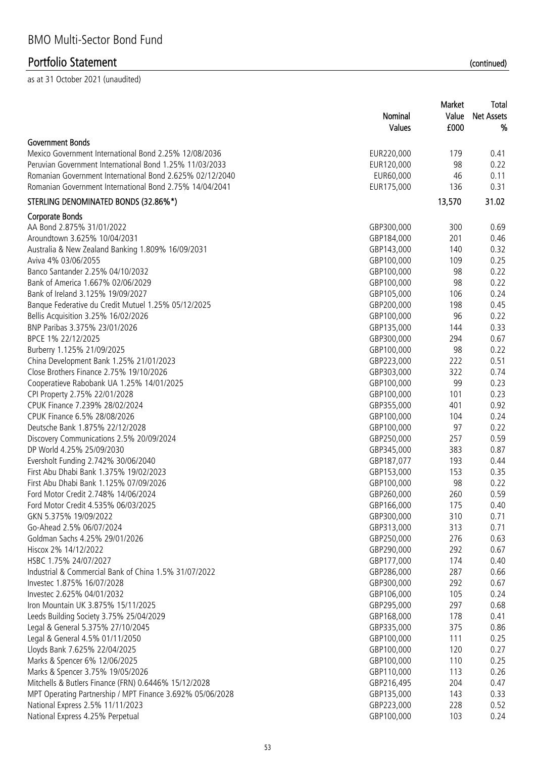|                                                           | Market     |        | Total             |  |
|-----------------------------------------------------------|------------|--------|-------------------|--|
|                                                           | Nominal    | Value  | <b>Net Assets</b> |  |
|                                                           | Values     | £000   | %                 |  |
| Government Bonds                                          |            |        |                   |  |
| Mexico Government International Bond 2.25% 12/08/2036     | EUR220,000 | 179    | 0.41              |  |
| Peruvian Government International Bond 1.25% 11/03/2033   | EUR120,000 | 98     | 0.22              |  |
| Romanian Government International Bond 2.625% 02/12/2040  | EUR60,000  | 46     | 0.11              |  |
| Romanian Government International Bond 2.75% 14/04/2041   | EUR175,000 | 136    | 0.31              |  |
| STERLING DENOMINATED BONDS (32.86%*)                      |            | 13,570 | 31.02             |  |
| Corporate Bonds                                           |            |        |                   |  |
| AA Bond 2.875% 31/01/2022                                 | GBP300,000 | 300    | 0.69              |  |
| Aroundtown 3.625% 10/04/2031                              | GBP184,000 | 201    | 0.46              |  |
| Australia & New Zealand Banking 1.809% 16/09/2031         | GBP143,000 | 140    | 0.32              |  |
| Aviva 4% 03/06/2055                                       | GBP100,000 | 109    | 0.25              |  |
| Banco Santander 2.25% 04/10/2032                          | GBP100,000 | 98     | 0.22              |  |
| Bank of America 1.667% 02/06/2029                         | GBP100,000 | 98     | 0.22              |  |
| Bank of Ireland 3.125% 19/09/2027                         | GBP105,000 | 106    | 0.24              |  |
| Banque Federative du Credit Mutuel 1.25% 05/12/2025       | GBP200,000 | 198    | 0.45              |  |
| Bellis Acquisition 3.25% 16/02/2026                       | GBP100,000 | 96     | 0.22              |  |
| BNP Paribas 3.375% 23/01/2026                             | GBP135,000 | 144    | 0.33              |  |
| BPCE 1% 22/12/2025                                        | GBP300,000 | 294    | 0.67              |  |
| Burberry 1.125% 21/09/2025                                | GBP100,000 | 98     | 0.22              |  |
| China Development Bank 1.25% 21/01/2023                   | GBP223,000 | 222    | 0.51              |  |
| Close Brothers Finance 2.75% 19/10/2026                   | GBP303,000 | 322    | 0.74              |  |
| Cooperatieve Rabobank UA 1.25% 14/01/2025                 | GBP100,000 | 99     | 0.23              |  |
| CPI Property 2.75% 22/01/2028                             | GBP100,000 | 101    | 0.23              |  |
| CPUK Finance 7.239% 28/02/2024                            | GBP355,000 | 401    | 0.92              |  |
| CPUK Finance 6.5% 28/08/2026                              | GBP100,000 | 104    | 0.24              |  |
| Deutsche Bank 1.875% 22/12/2028                           | GBP100,000 | 97     | 0.22              |  |
| Discovery Communications 2.5% 20/09/2024                  | GBP250,000 | 257    | 0.59              |  |
| DP World 4.25% 25/09/2030                                 | GBP345,000 | 383    | 0.87              |  |
| Eversholt Funding 2.742% 30/06/2040                       | GBP187,077 | 193    | 0.44              |  |
| First Abu Dhabi Bank 1.375% 19/02/2023                    | GBP153,000 | 153    | 0.35              |  |
| First Abu Dhabi Bank 1.125% 07/09/2026                    | GBP100,000 | 98     | 0.22              |  |
| Ford Motor Credit 2.748% 14/06/2024                       | GBP260,000 | 260    | 0.59              |  |
| Ford Motor Credit 4.535% 06/03/2025                       | GBP166,000 | 175    | 0.40              |  |
| GKN 5.375% 19/09/2022                                     | GBP300,000 | 310    | 0.71              |  |
| Go-Ahead 2.5% 06/07/2024                                  | GBP313,000 | 313    | 0.71              |  |
| Goldman Sachs 4.25% 29/01/2026                            | GBP250,000 | 276    | 0.63              |  |
| Hiscox 2% 14/12/2022                                      | GBP290,000 | 292    | 0.67              |  |
| HSBC 1.75% 24/07/2027                                     | GBP177,000 | 174    | 0.40              |  |
| Industrial & Commercial Bank of China 1.5% 31/07/2022     | GBP286,000 | 287    | 0.66              |  |
| Investec 1.875% 16/07/2028                                | GBP300,000 | 292    | 0.67              |  |
| Investec 2.625% 04/01/2032                                | GBP106,000 | 105    | 0.24              |  |
| Iron Mountain UK 3.875% 15/11/2025                        | GBP295,000 | 297    | 0.68              |  |
| Leeds Building Society 3.75% 25/04/2029                   | GBP168,000 | 178    | 0.41              |  |
| Legal & General 5.375% 27/10/2045                         | GBP335,000 | 375    | 0.86              |  |
| Legal & General 4.5% 01/11/2050                           | GBP100,000 | 111    | 0.25              |  |
| Lloyds Bank 7.625% 22/04/2025                             | GBP100,000 | 120    | 0.27              |  |
| Marks & Spencer 6% 12/06/2025                             | GBP100,000 | 110    | 0.25              |  |
| Marks & Spencer 3.75% 19/05/2026                          | GBP110,000 | 113    | 0.26              |  |
| Mitchells & Butlers Finance (FRN) 0.6446% 15/12/2028      | GBP216,495 | 204    | 0.47              |  |
| MPT Operating Partnership / MPT Finance 3.692% 05/06/2028 | GBP135,000 | 143    | 0.33              |  |
| National Express 2.5% 11/11/2023                          | GBP223,000 | 228    | 0.52              |  |
| National Express 4.25% Perpetual                          | GBP100,000 | 103    | 0.24              |  |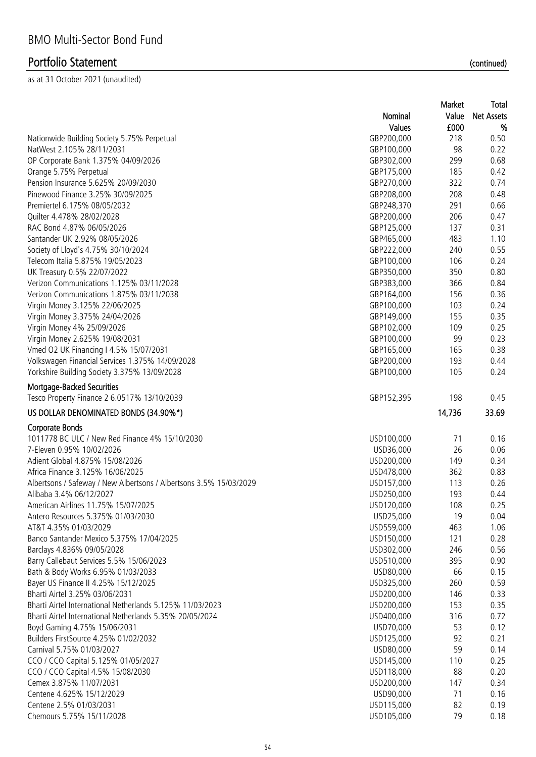|                                                                           |            | Market    | Total             |
|---------------------------------------------------------------------------|------------|-----------|-------------------|
|                                                                           | Nominal    | Value     | <b>Net Assets</b> |
|                                                                           | Values     | £000      | %                 |
| Nationwide Building Society 5.75% Perpetual                               | GBP200,000 | 218       | 0.50              |
| NatWest 2.105% 28/11/2031                                                 | GBP100,000 | 98        | 0.22              |
| OP Corporate Bank 1.375% 04/09/2026                                       | GBP302,000 | 299       | 0.68              |
| Orange 5.75% Perpetual                                                    | GBP175,000 | 185       | 0.42              |
| Pension Insurance 5.625% 20/09/2030                                       | GBP270,000 | 322       | 0.74              |
| Pinewood Finance 3.25% 30/09/2025                                         | GBP208,000 | 208       | 0.48              |
| Premiertel 6.175% 08/05/2032                                              | GBP248,370 | 291       | 0.66              |
| Quilter 4.478% 28/02/2028                                                 | GBP200,000 | 206       | 0.47              |
| RAC Bond 4.87% 06/05/2026                                                 | GBP125,000 | 137       | 0.31              |
| Santander UK 2.92% 08/05/2026                                             | GBP465,000 | 483       | 1.10              |
| Society of Lloyd's 4.75% 30/10/2024                                       | GBP222,000 | 240       | 0.55              |
| Telecom Italia 5.875% 19/05/2023                                          | GBP100,000 | 106       | 0.24              |
| UK Treasury 0.5% 22/07/2022                                               | GBP350,000 | 350       | 0.80              |
| Verizon Communications 1.125% 03/11/2028                                  | GBP383,000 | 366       | 0.84              |
| Verizon Communications 1.875% 03/11/2038                                  | GBP164,000 | 156       | 0.36              |
| Virgin Money 3.125% 22/06/2025                                            | GBP100,000 | 103       | 0.24              |
| Virgin Money 3.375% 24/04/2026                                            | GBP149,000 | 155       | 0.35              |
| Virgin Money 4% 25/09/2026                                                | GBP102,000 | 109       | 0.25              |
| Virgin Money 2.625% 19/08/2031                                            | GBP100,000 | 99        | 0.23              |
| Vmed O2 UK Financing I 4.5% 15/07/2031                                    | GBP165,000 | 165       | 0.38              |
| Volkswagen Financial Services 1.375% 14/09/2028                           | GBP200,000 | 193       | 0.44              |
| Yorkshire Building Society 3.375% 13/09/2028                              | GBP100,000 | 105       | 0.24              |
|                                                                           |            |           |                   |
| Mortgage-Backed Securities<br>Tesco Property Finance 2 6.0517% 13/10/2039 | GBP152,395 | 198       | 0.45              |
| US DOLLAR DENOMINATED BONDS (34.90%*)                                     |            | 14,736    | 33.69             |
| <b>Corporate Bonds</b>                                                    |            |           |                   |
| 1011778 BC ULC / New Red Finance 4% 15/10/2030                            | USD100,000 | 71        | 0.16              |
| 7-Eleven 0.95% 10/02/2026                                                 | USD36,000  | 26        | 0.06              |
| Adient Global 4.875% 15/08/2026                                           | USD200,000 | 149       | 0.34              |
| Africa Finance 3.125% 16/06/2025                                          | USD478,000 | 362       | 0.83              |
| Albertsons / Safeway / New Albertsons / Albertsons 3.5% 15/03/2029        | USD157,000 | 113       | 0.26              |
| Alibaba 3.4% 06/12/2027                                                   | USD250,000 | 193       | 0.44              |
| American Airlines 11.75% 15/07/2025                                       | USD120,000 | 108       | 0.25              |
| Antero Resources 5.375% 01/03/2030                                        | USD25,000  | 19        | 0.04              |
| AT&T 4.35% 01/03/2029                                                     | USD559,000 | 463       | 1.06              |
| Banco Santander Mexico 5.375% 17/04/2025                                  | USD150,000 | 121       | 0.28              |
| Barclays 4.836% 09/05/2028                                                | USD302,000 | 246       | 0.56              |
| Barry Callebaut Services 5.5% 15/06/2023                                  | USD510,000 | 395       | 0.90              |
| Bath & Body Works 6.95% 01/03/2033                                        | USD80,000  | 66        | 0.15              |
| Bayer US Finance II 4.25% 15/12/2025                                      | USD325,000 | 260       | 0.59              |
| Bharti Airtel 3.25% 03/06/2031                                            | USD200,000 | 146       | 0.33              |
| Bharti Airtel International Netherlands 5.125% 11/03/2023                 | USD200,000 | 153       | 0.35              |
| Bharti Airtel International Netherlands 5.35% 20/05/2024                  | USD400,000 | 316       | 0.72              |
| Boyd Gaming 4.75% 15/06/2031                                              | USD70,000  | 53        | 0.12              |
| Builders FirstSource 4.25% 01/02/2032                                     | USD125,000 | 92        | 0.21              |
| Carnival 5.75% 01/03/2027                                                 | USD80,000  | 59        | 0.14              |
|                                                                           |            |           |                   |
| CCO / CCO Capital 5.125% 01/05/2027                                       | USD145,000 | 110<br>88 | 0.25              |
| CCO / CCO Capital 4.5% 15/08/2030                                         | USD118,000 |           | 0.20              |
| Cemex 3.875% 11/07/2031                                                   | USD200,000 | 147       | 0.34              |
| Centene 4.625% 15/12/2029                                                 | USD90,000  | 71        | 0.16              |
| Centene 2.5% 01/03/2031                                                   | USD115,000 | 82        | 0.19              |
| Chemours 5.75% 15/11/2028                                                 | USD105,000 | 79        | 0.18              |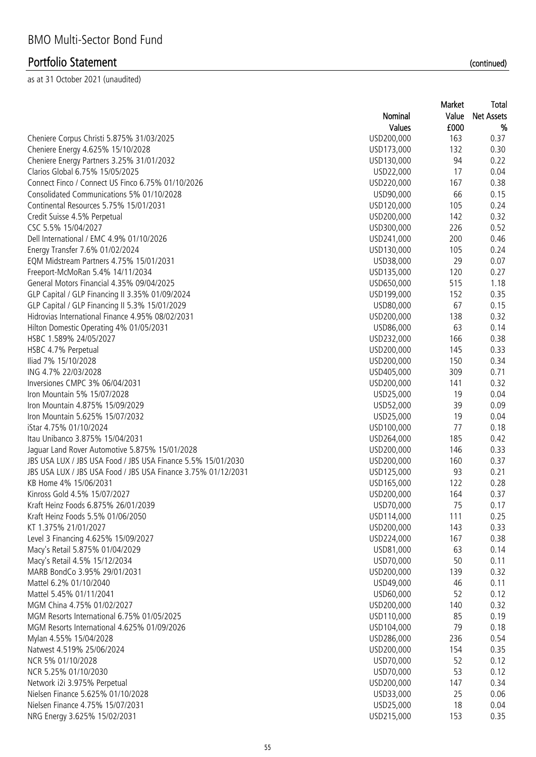|                                                               |            | Market | Total             |
|---------------------------------------------------------------|------------|--------|-------------------|
|                                                               | Nominal    | Value  | <b>Net Assets</b> |
|                                                               | Values     | £000   | %                 |
| Cheniere Corpus Christi 5.875% 31/03/2025                     | USD200,000 | 163    | 0.37              |
| Cheniere Energy 4.625% 15/10/2028                             | USD173,000 | 132    | 0.30              |
| Cheniere Energy Partners 3.25% 31/01/2032                     | USD130,000 | 94     | 0.22              |
| Clarios Global 6.75% 15/05/2025                               | USD22,000  | 17     | 0.04              |
| Connect Finco / Connect US Finco 6.75% 01/10/2026             | USD220,000 | 167    | 0.38              |
| Consolidated Communications 5% 01/10/2028                     | USD90,000  | 66     | 0.15              |
| Continental Resources 5.75% 15/01/2031                        | USD120,000 | 105    | 0.24              |
| Credit Suisse 4.5% Perpetual                                  | USD200,000 | 142    | 0.32              |
| CSC 5.5% 15/04/2027                                           | USD300,000 | 226    | 0.52              |
| Dell International / EMC 4.9% 01/10/2026                      | USD241,000 | 200    | 0.46              |
| Energy Transfer 7.6% 01/02/2024                               | USD130,000 | 105    | 0.24              |
| EQM Midstream Partners 4.75% 15/01/2031                       | USD38,000  | 29     | 0.07              |
| Freeport-McMoRan 5.4% 14/11/2034                              | USD135,000 | 120    | 0.27              |
| General Motors Financial 4.35% 09/04/2025                     | USD650,000 | 515    | 1.18              |
| GLP Capital / GLP Financing II 3.35% 01/09/2024               | USD199,000 | 152    | 0.35              |
| GLP Capital / GLP Financing II 5.3% 15/01/2029                | USD80,000  | 67     | 0.15              |
| Hidrovias International Finance 4.95% 08/02/2031              | USD200,000 | 138    | 0.32              |
| Hilton Domestic Operating 4% 01/05/2031                       | USD86,000  | 63     | 0.14              |
| HSBC 1.589% 24/05/2027                                        | USD232,000 | 166    | 0.38              |
| HSBC 4.7% Perpetual                                           | USD200,000 | 145    | 0.33              |
| Iliad 7% 15/10/2028                                           | USD200,000 | 150    | 0.34              |
| ING 4.7% 22/03/2028                                           | USD405,000 | 309    | 0.71              |
| Inversiones CMPC 3% 06/04/2031                                | USD200,000 | 141    | 0.32              |
| Iron Mountain 5% 15/07/2028                                   | USD25,000  | 19     | 0.04              |
| Iron Mountain 4.875% 15/09/2029                               | USD52,000  | 39     | 0.09              |
| Iron Mountain 5.625% 15/07/2032                               | USD25,000  | 19     | 0.04              |
| iStar 4.75% 01/10/2024                                        | USD100,000 | 77     | 0.18              |
| Itau Unibanco 3.875% 15/04/2031                               | USD264,000 | 185    | 0.42              |
| Jaguar Land Rover Automotive 5.875% 15/01/2028                | USD200,000 | 146    | 0.33              |
| JBS USA LUX / JBS USA Food / JBS USA Finance 5.5% 15/01/2030  | USD200,000 | 160    | 0.37              |
| JBS USA LUX / JBS USA Food / JBS USA Finance 3.75% 01/12/2031 | USD125,000 | 93     | 0.21              |
| KB Home 4% 15/06/2031                                         | USD165,000 | 122    | 0.28              |
| Kinross Gold 4.5% 15/07/2027                                  | USD200,000 | 164    | 0.37              |
| Kraft Heinz Foods 6.875% 26/01/2039                           | USD70,000  | 75     | 0.17              |
| Kraft Heinz Foods 5.5% 01/06/2050                             | USD114,000 | 111    | 0.25              |
| KT 1.375% 21/01/2027                                          | USD200,000 | 143    | 0.33              |
| Level 3 Financing 4.625% 15/09/2027                           | USD224,000 | 167    | 0.38              |
| Macy's Retail 5.875% 01/04/2029                               | USD81,000  | 63     | 0.14              |
| Macy's Retail 4.5% 15/12/2034                                 | USD70,000  | 50     | 0.11              |
| MARB BondCo 3.95% 29/01/2031                                  | USD200,000 | 139    | 0.32              |
| Mattel 6.2% 01/10/2040                                        | USD49,000  | 46     | 0.11              |
| Mattel 5.45% 01/11/2041                                       | USD60,000  | 52     | 0.12              |
| MGM China 4.75% 01/02/2027                                    | USD200,000 | 140    | 0.32              |
| MGM Resorts International 6.75% 01/05/2025                    | USD110,000 | 85     | 0.19              |
| MGM Resorts International 4.625% 01/09/2026                   | USD104,000 | 79     | 0.18              |
| Mylan 4.55% 15/04/2028                                        | USD286,000 | 236    | 0.54              |
|                                                               |            |        |                   |
| Natwest 4.519% 25/06/2024                                     | USD200,000 | 154    | 0.35              |
| NCR 5% 01/10/2028                                             | USD70,000  | 52     | 0.12              |
| NCR 5.25% 01/10/2030                                          | USD70,000  | 53     | 0.12              |
| Network i2i 3.975% Perpetual                                  | USD200,000 | 147    | 0.34              |
| Nielsen Finance 5.625% 01/10/2028                             | USD33,000  | 25     | 0.06              |
| Nielsen Finance 4.75% 15/07/2031                              | USD25,000  | 18     | 0.04              |
| NRG Energy 3.625% 15/02/2031                                  | USD215,000 | 153    | 0.35              |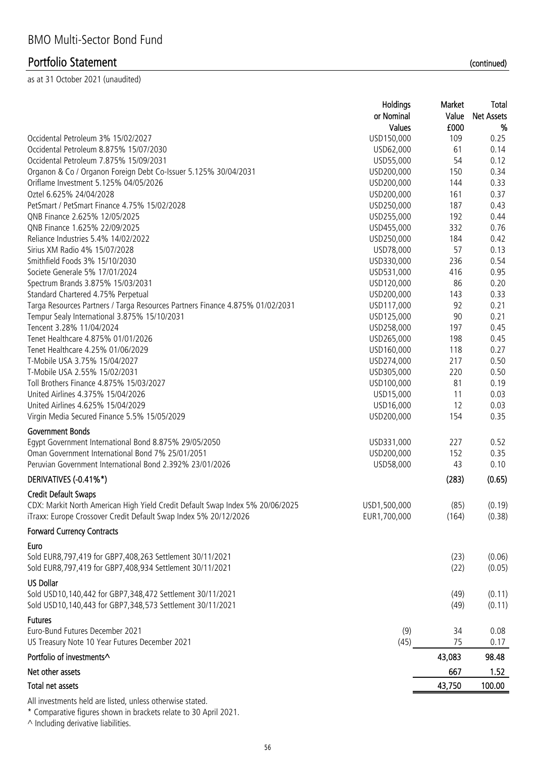as at 31 October 2021 (unaudited)

|                                                                               | Holdings     | Market | Total             |
|-------------------------------------------------------------------------------|--------------|--------|-------------------|
|                                                                               | or Nominal   | Value  | <b>Net Assets</b> |
|                                                                               | Values       | £000   | %                 |
| Occidental Petroleum 3% 15/02/2027                                            | USD150,000   | 109    | 0.25              |
| Occidental Petroleum 8.875% 15/07/2030                                        | USD62,000    | 61     | 0.14              |
| Occidental Petroleum 7.875% 15/09/2031                                        | USD55,000    | 54     | 0.12              |
| Organon & Co / Organon Foreign Debt Co-Issuer 5.125% 30/04/2031               | USD200,000   | 150    | 0.34              |
| Oriflame Investment 5.125% 04/05/2026                                         | USD200,000   | 144    | 0.33              |
| Oztel 6.625% 24/04/2028                                                       | USD200,000   | 161    | 0.37              |
| PetSmart / PetSmart Finance 4.75% 15/02/2028                                  | USD250,000   | 187    | 0.43              |
| QNB Finance 2.625% 12/05/2025                                                 | USD255,000   | 192    | 0.44              |
| QNB Finance 1.625% 22/09/2025                                                 | USD455,000   | 332    | 0.76              |
| Reliance Industries 5.4% 14/02/2022                                           | USD250,000   | 184    | 0.42              |
| Sirius XM Radio 4% 15/07/2028                                                 | USD78,000    | 57     | 0.13              |
| Smithfield Foods 3% 15/10/2030                                                | USD330,000   | 236    | 0.54              |
| Societe Generale 5% 17/01/2024                                                | USD531,000   | 416    | 0.95              |
| Spectrum Brands 3.875% 15/03/2031                                             | USD120,000   | 86     | 0.20              |
| Standard Chartered 4.75% Perpetual                                            | USD200,000   | 143    | 0.33              |
| Targa Resources Partners / Targa Resources Partners Finance 4.875% 01/02/2031 | USD117,000   | 92     | 0.21              |
| Tempur Sealy International 3.875% 15/10/2031                                  | USD125,000   | 90     | 0.21              |
| Tencent 3.28% 11/04/2024                                                      | USD258,000   | 197    | 0.45              |
| Tenet Healthcare 4.875% 01/01/2026                                            | USD265,000   | 198    | 0.45              |
| Tenet Healthcare 4.25% 01/06/2029                                             | USD160,000   | 118    | 0.27              |
| T-Mobile USA 3.75% 15/04/2027                                                 | USD274,000   | 217    | 0.50              |
| T-Mobile USA 2.55% 15/02/2031                                                 | USD305,000   | 220    | 0.50              |
| Toll Brothers Finance 4.875% 15/03/2027                                       | USD100,000   | 81     | 0.19              |
| United Airlines 4.375% 15/04/2026                                             | USD15,000    | 11     | 0.03              |
| United Airlines 4.625% 15/04/2029                                             | USD16,000    | 12     | 0.03              |
| Virgin Media Secured Finance 5.5% 15/05/2029                                  | USD200,000   | 154    | 0.35              |
| <b>Government Bonds</b>                                                       |              |        |                   |
| Egypt Government International Bond 8.875% 29/05/2050                         | USD331,000   | 227    | 0.52              |
| Oman Government International Bond 7% 25/01/2051                              | USD200,000   | 152    | 0.35              |
| Peruvian Government International Bond 2.392% 23/01/2026                      | USD58,000    | 43     | 0.10              |
|                                                                               |              |        |                   |
| DERIVATIVES (-0.41%*)                                                         |              | (283)  | (0.65)            |
| <b>Credit Default Swaps</b>                                                   |              |        |                   |
| CDX: Markit North American High Yield Credit Default Swap Index 5% 20/06/2025 | USD1,500,000 | (85)   | (0.19)            |
| iTraxx: Europe Crossover Credit Default Swap Index 5% 20/12/2026              | EUR1,700,000 | (164)  | (0.38)            |
| <b>Forward Currency Contracts</b>                                             |              |        |                   |
| Euro                                                                          |              |        |                   |
| Sold EUR8,797,419 for GBP7,408,263 Settlement 30/11/2021                      |              | (23)   | (0.06)            |
| Sold EUR8,797,419 for GBP7,408,934 Settlement 30/11/2021                      |              | (22)   | (0.05)            |
| <b>US Dollar</b>                                                              |              |        |                   |
| Sold USD10,140,442 for GBP7,348,472 Settlement 30/11/2021                     |              | (49)   | (0.11)            |
| Sold USD10,140,443 for GBP7,348,573 Settlement 30/11/2021                     |              | (49)   | (0.11)            |
|                                                                               |              |        |                   |
| <b>Futures</b>                                                                |              |        |                   |
| Euro-Bund Futures December 2021                                               | (9)          | 34     | 0.08              |
| US Treasury Note 10 Year Futures December 2021                                | (45)         | 75     | 0.17              |
| Portfolio of investments^                                                     |              | 43,083 | 98.48             |
| Net other assets                                                              |              | 667    | 1.52              |
| Total net assets                                                              |              | 43,750 | 100.00            |
| All investments held are listed, unless otherwise stated.                     |              |        |                   |

\* Comparative figures shown in brackets relate to 30 April 2021.

^ Including derivative liabilities.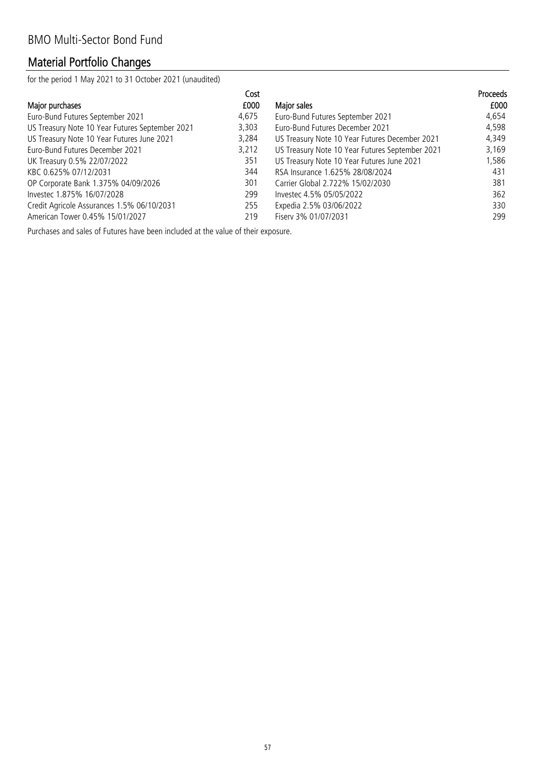# Material Portfolio Changes

for the period 1 May 2021 to 31 October 2021 (unaudited)

|                                                 | Cost  |                                                 | <b>Proceeds</b> |
|-------------------------------------------------|-------|-------------------------------------------------|-----------------|
| Major purchases                                 | £000  | Major sales                                     | £000            |
| Euro-Bund Futures September 2021                | 4,675 | Euro-Bund Futures September 2021                | 4,654           |
| US Treasury Note 10 Year Futures September 2021 | 3,303 | Euro-Bund Futures December 2021                 | 4,598           |
| US Treasury Note 10 Year Futures June 2021      | 3,284 | US Treasury Note 10 Year Futures December 2021  | 4,349           |
| Euro-Bund Futures December 2021                 | 3,212 | US Treasury Note 10 Year Futures September 2021 | 3,169           |
| UK Treasury 0.5% 22/07/2022                     | 351   | US Treasury Note 10 Year Futures June 2021      | 1,586           |
| KBC 0.625% 07/12/2031                           | 344   | RSA Insurance 1.625% 28/08/2024                 | 431             |
| OP Corporate Bank 1.375% 04/09/2026             | 301   | Carrier Global 2.722% 15/02/2030                | 381             |
| Investec 1.875% 16/07/2028                      | 299   | Investec 4.5% 05/05/2022                        | 362             |
| Credit Agricole Assurances 1.5% 06/10/2031      | 255   | Expedia 2.5% 03/06/2022                         | 330             |
| American Tower 0.45% 15/01/2027                 | 219   | Fisery 3% 01/07/2031                            | 299             |

Purchases and sales of Futures have been included at the value of their exposure.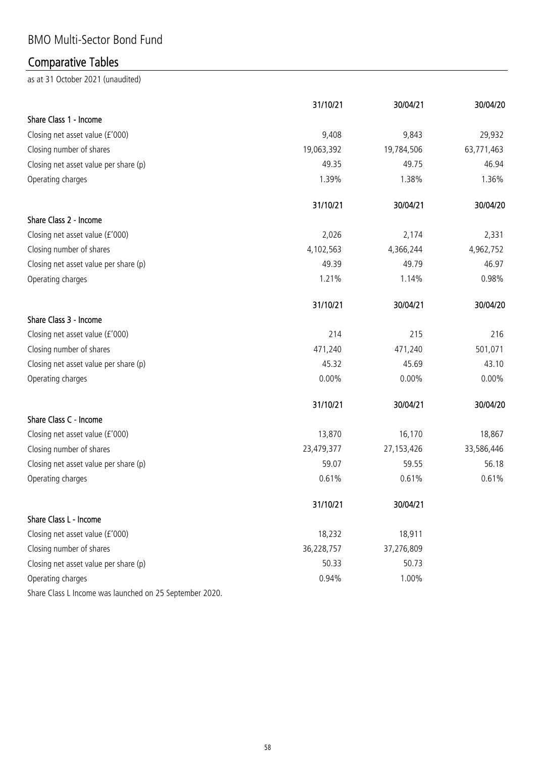## BMO Multi-Sector Bond Fund

# Comparative Tables

|                                                         | 31/10/21   | 30/04/21     | 30/04/20   |
|---------------------------------------------------------|------------|--------------|------------|
| Share Class 1 - Income                                  |            |              |            |
| Closing net asset value (£'000)                         | 9,408      | 9,843        | 29,932     |
| Closing number of shares                                | 19,063,392 | 19,784,506   | 63,771,463 |
| Closing net asset value per share (p)                   | 49.35      | 49.75        | 46.94      |
| Operating charges                                       | 1.39%      | 1.38%        | 1.36%      |
|                                                         | 31/10/21   | 30/04/21     | 30/04/20   |
| Share Class 2 - Income                                  |            |              |            |
| Closing net asset value (£'000)                         | 2,026      | 2,174        | 2,331      |
| Closing number of shares                                | 4,102,563  | 4,366,244    | 4,962,752  |
| Closing net asset value per share (p)                   | 49.39      | 49.79        | 46.97      |
| Operating charges                                       | 1.21%      | 1.14%        | 0.98%      |
|                                                         | 31/10/21   | 30/04/21     | 30/04/20   |
| Share Class 3 - Income                                  |            |              |            |
| Closing net asset value (£'000)                         | 214        | 215          | 216        |
| Closing number of shares                                | 471,240    | 471,240      | 501,071    |
| Closing net asset value per share (p)                   | 45.32      | 45.69        | 43.10      |
| Operating charges                                       | 0.00%      | $0.00\%$     | $0.00\%$   |
|                                                         | 31/10/21   | 30/04/21     | 30/04/20   |
| Share Class C - Income                                  |            |              |            |
| Closing net asset value (£'000)                         | 13,870     | 16,170       | 18,867     |
| Closing number of shares                                | 23,479,377 | 27, 153, 426 | 33,586,446 |
| Closing net asset value per share (p)                   | 59.07      | 59.55        | 56.18      |
| Operating charges                                       | 0.61%      | 0.61%        | 0.61%      |
|                                                         | 31/10/21   | 30/04/21     |            |
| Share Class L - Income                                  |            |              |            |
| Closing net asset value (£'000)                         | 18,232     | 18,911       |            |
| Closing number of shares                                | 36,228,757 | 37,276,809   |            |
| Closing net asset value per share (p)                   | 50.33      | 50.73        |            |
| Operating charges                                       | 0.94%      | 1.00%        |            |
| Share Class L Income was launched on 25 September 2020. |            |              |            |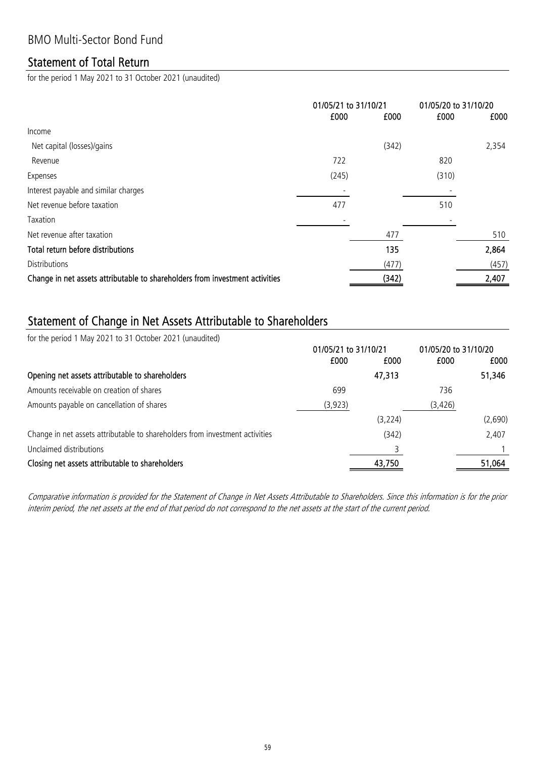#### Statement of Total Return

for the period 1 May 2021 to 31 October 2021 (unaudited)

|                                                                              | 01/05/21 to 31/10/21<br>£000<br>£000 |       | 01/05/20 to 31/10/20<br>£000<br>£000 |       |
|------------------------------------------------------------------------------|--------------------------------------|-------|--------------------------------------|-------|
| Income                                                                       |                                      |       |                                      |       |
| Net capital (losses)/gains                                                   |                                      | (342) |                                      | 2,354 |
| Revenue                                                                      | 722                                  |       | 820                                  |       |
| Expenses                                                                     | (245)                                |       | (310)                                |       |
| Interest payable and similar charges                                         |                                      |       |                                      |       |
| Net revenue before taxation                                                  | 477                                  |       | 510                                  |       |
| Taxation                                                                     |                                      |       |                                      |       |
| Net revenue after taxation                                                   |                                      | 477   |                                      | 510   |
| Total return before distributions                                            |                                      | 135   |                                      | 2,864 |
| <b>Distributions</b>                                                         |                                      | (477) |                                      | (457) |
| Change in net assets attributable to shareholders from investment activities |                                      | (342) |                                      | 2,407 |

#### Statement of Change in Net Assets Attributable to Shareholders

for the period 1 May 2021 to 31 October 2021 (unaudited)

|                                                                              | 01/05/21 to 31/10/21 |          | 01/05/20 to 31/10/20 |         |
|------------------------------------------------------------------------------|----------------------|----------|----------------------|---------|
|                                                                              | £000                 | £000     | £000                 | £000    |
| Opening net assets attributable to shareholders                              |                      | 47,313   |                      | 51,346  |
| Amounts receivable on creation of shares                                     | 699                  |          | 736                  |         |
| Amounts payable on cancellation of shares                                    | (3,923)              |          | (3, 426)             |         |
|                                                                              |                      | (3, 224) |                      | (2,690) |
| Change in net assets attributable to shareholders from investment activities |                      | (342)    |                      | 2,407   |
| Unclaimed distributions                                                      |                      |          |                      |         |
| Closing net assets attributable to shareholders                              |                      | 43,750   |                      | 51,064  |

Comparative information is provided for the Statement of Change in Net Assets Attributable to Shareholders. Since this information is for the prior interim period, the net assets at the end of that period do not correspond to the net assets at the start of the current period.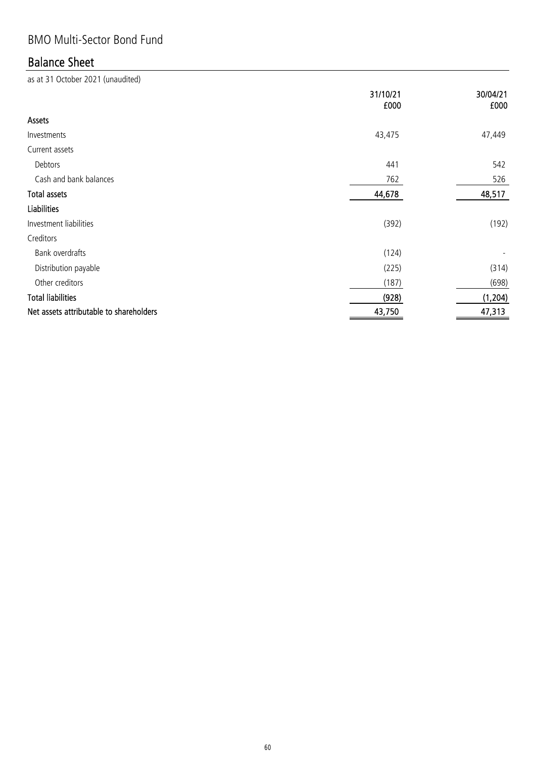## BMO Multi-Sector Bond Fund

## Balance Sheet

|                                         | 31/10/21<br>£000 | 30/04/21<br>£000 |
|-----------------------------------------|------------------|------------------|
| Assets                                  |                  |                  |
| Investments                             | 43,475           | 47,449           |
| Current assets                          |                  |                  |
| Debtors                                 | 441              | 542              |
| Cash and bank balances                  | 762              | 526              |
| <b>Total assets</b>                     | 44,678           | 48,517           |
| <b>Liabilities</b>                      |                  |                  |
| Investment liabilities                  | (392)            | (192)            |
| Creditors                               |                  |                  |
| Bank overdrafts                         | (124)            |                  |
| Distribution payable                    | (225)            | (314)            |
| Other creditors                         | (187)            | (698)            |
| <b>Total liabilities</b>                | (928)            | (1, 204)         |
| Net assets attributable to shareholders | 43,750           | 47,313           |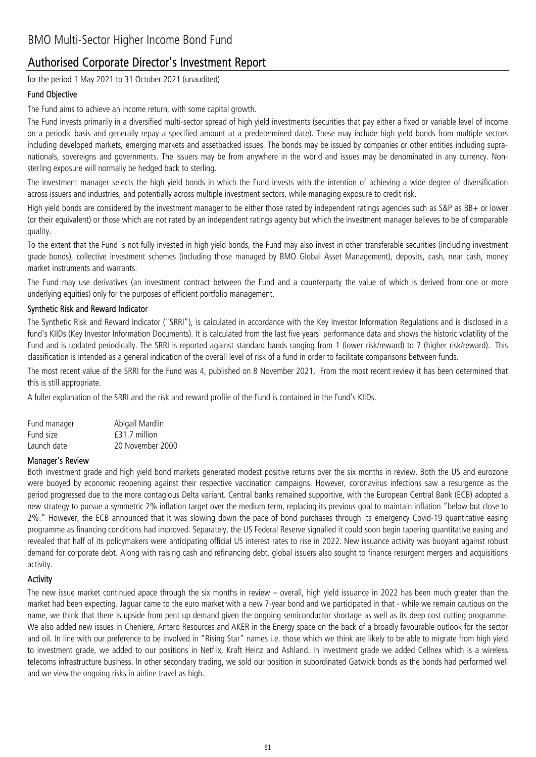#### Authorised Corporate Director's Investment Report

for the period 1 May 2021 to 31 October 2021 (unaudited)

#### Fund Objective

The Fund aims to achieve an income return, with some capital growth.

The Fund invests primarily in a diversified multi-sector spread of high yield investments (securities that pay either a fixed or variable level of income on a periodic basis and generally repay a specified amount at a predetermined date). These may include high yield bonds from multiple sectors including developed markets, emerging markets and assetbacked issues. The bonds may be issued by companies or other entities including supranationals, sovereigns and governments. The issuers may be from anywhere in the world and issues may be denominated in any currency. Nonsterling exposure will normally be hedged back to sterling.

The investment manager selects the high yield bonds in which the Fund invests with the intention of achieving a wide degree of diversification across issuers and industries, and potentially across multiple investment sectors, while managing exposure to credit risk.

High yield bonds are considered by the investment manager to be either those rated by independent ratings agencies such as S&P as BB+ or lower (or their equivalent) or those which are not rated by an independent ratings agency but which the investment manager believes to be of comparable quality.

To the extent that the Fund is not fully invested in high yield bonds, the Fund may also invest in other transferable securities (including investment grade bonds), collective investment schemes (including those managed by BMO Global Asset Management), deposits, cash, near cash, money market instruments and warrants.

The Fund may use derivatives (an investment contract between the Fund and a counterparty the value of which is derived from one or more underlying equities) only for the purposes of efficient portfolio management.

#### Synthetic Risk and Reward Indicator

The Synthetic Risk and Reward Indicator ("SRRI"), is calculated in accordance with the Key Investor Information Regulations and is disclosed in a fund's KIIDs (Key Investor Information Documents). It is calculated from the last five years' performance data and shows the historic volatility of the Fund and is updated periodically. The SRRI is reported against standard bands ranging from 1 (lower risk/reward) to 7 (higher risk/reward). This classification is intended as a general indication of the overall level of risk of a fund in order to facilitate comparisons between funds.

The most recent value of the SRRI for the Fund was 4, published on 8 November 2021. From the most recent review it has been determined that this is still appropriate.

A fuller explanation of the SRRI and the risk and reward profile of the Fund is contained in the Fund's KIIDs.

| Fund manager | Abigail Mardlin  |
|--------------|------------------|
| Fund size    | $f31.7$ million  |
| Launch date  | 20 November 2000 |

#### Manager's Review

Both investment grade and high yield bond markets generated modest positive returns over the six months in review. Both the US and eurozone were buoyed by economic reopening against their respective vaccination campaigns. However, coronavirus infections saw a resurgence as the period progressed due to the more contagious Delta variant. Central banks remained supportive, with the European Central Bank (ECB) adopted a new strategy to pursue a symmetric 2% inflation target over the medium term, replacing its previous goal to maintain inflation "below but close to 2%." However, the ECB announced that it was slowing down the pace of bond purchases through its emergency Covid-19 quantitative easing programme as financing conditions had improved. Separately, the US Federal Reserve signalled it could soon begin tapering quantitative easing and revealed that half of its policymakers were anticipating official US interest rates to rise in 2022. New issuance activity was buoyant against robust demand for corporate debt. Along with raising cash and refinancing debt, global issuers also sought to finance resurgent mergers and acquisitions activity.

#### **Activity**

The new issue market continued apace through the six months in review – overall, high yield issuance in 2022 has been much greater than the market had been expecting. Jaguar came to the euro market with a new 7-year bond and we participated in that - while we remain cautious on the name, we think that there is upside from pent up demand given the ongoing semiconductor shortage as well as its deep cost cutting programme. We also added new issues in Cheniere, Antero Resources and AKER in the Energy space on the back of a broadly favourable outlook for the sector and oil. In line with our preference to be involved in "Rising Star" names i.e. those which we think are likely to be able to migrate from high yield to investment grade, we added to our positions in Netflix, Kraft Heinz and Ashland. In investment grade we added Cellnex which is a wireless telecoms infrastructure business. In other secondary trading, we sold our position in subordinated Gatwick bonds as the bonds had performed well and we view the ongoing risks in airline travel as high.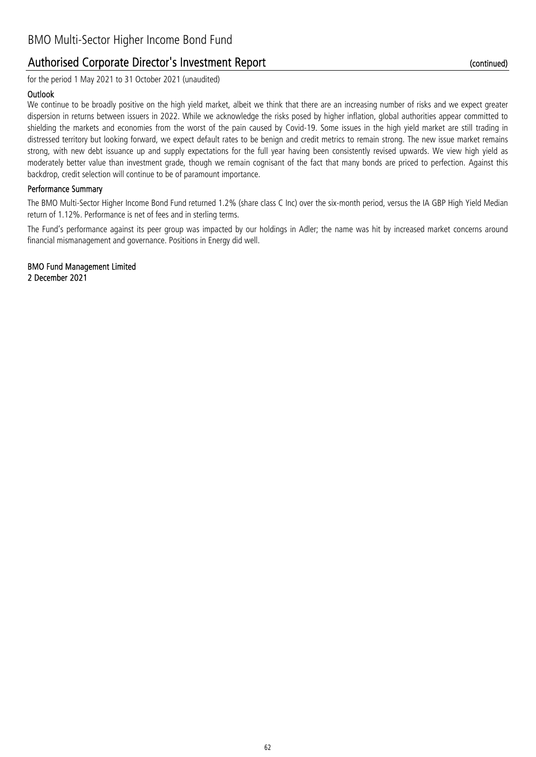#### Authorised Corporate Director's Investment Report

for the period 1 May 2021 to 31 October 2021 (unaudited)

#### **Outlook**

We continue to be broadly positive on the high yield market, albeit we think that there are an increasing number of risks and we expect greater dispersion in returns between issuers in 2022. While we acknowledge the risks posed by higher inflation, global authorities appear committed to shielding the markets and economies from the worst of the pain caused by Covid-19. Some issues in the high yield market are still trading in distressed territory but looking forward, we expect default rates to be benign and credit metrics to remain strong. The new issue market remains strong, with new debt issuance up and supply expectations for the full year having been consistently revised upwards. We view high yield as moderately better value than investment grade, though we remain cognisant of the fact that many bonds are priced to perfection. Against this backdrop, credit selection will continue to be of paramount importance.

#### Performance Summary

The BMO Multi-Sector Higher Income Bond Fund returned 1.2% (share class C Inc) over the six-month period, versus the IA GBP High Yield Median return of 1.12%. Performance is net of fees and in sterling terms.

The Fund's performance against its peer group was impacted by our holdings in Adler; the name was hit by increased market concerns around financial mismanagement and governance. Positions in Energy did well.

2 December 2021 BMO Fund Management Limited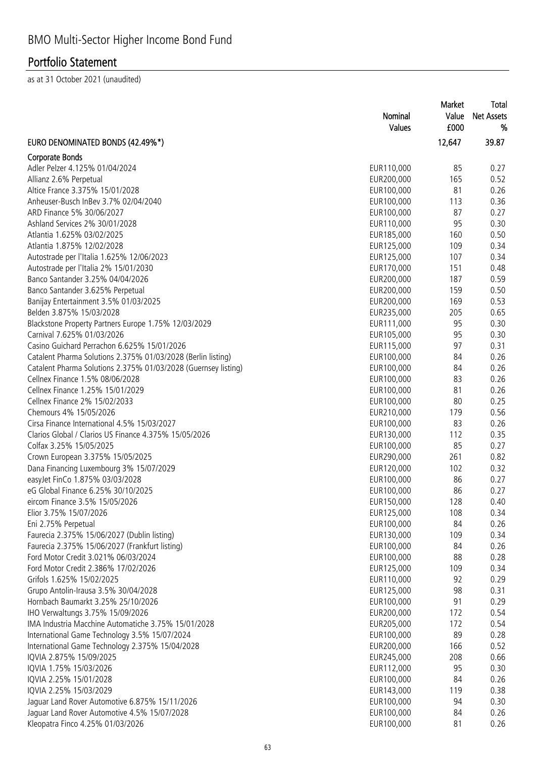|                                                                | Nominal<br>Values | Market<br>Value<br>£000 | Total<br><b>Net Assets</b><br>% |
|----------------------------------------------------------------|-------------------|-------------------------|---------------------------------|
| EURO DENOMINATED BONDS (42.49%*)                               |                   | 12,647                  | 39.87                           |
| <b>Corporate Bonds</b>                                         |                   |                         |                                 |
| Adler Pelzer 4.125% 01/04/2024                                 | EUR110,000        | 85                      | 0.27                            |
| Allianz 2.6% Perpetual                                         | EUR200,000        | 165                     | 0.52                            |
| Altice France 3.375% 15/01/2028                                | EUR100,000        | 81                      | 0.26                            |
| Anheuser-Busch InBev 3.7% 02/04/2040                           | EUR100,000        | 113                     | 0.36                            |
| ARD Finance 5% 30/06/2027                                      | EUR100,000        | 87                      | 0.27                            |
| Ashland Services 2% 30/01/2028                                 | EUR110,000        | 95                      | 0.30                            |
| Atlantia 1.625% 03/02/2025                                     | EUR185,000        | 160                     | 0.50                            |
| Atlantia 1.875% 12/02/2028                                     | EUR125,000        | 109                     | 0.34                            |
| Autostrade per l'Italia 1.625% 12/06/2023                      | EUR125,000        | 107                     | 0.34                            |
| Autostrade per l'Italia 2% 15/01/2030                          | EUR170,000        | 151                     | 0.48                            |
| Banco Santander 3.25% 04/04/2026                               | EUR200,000        | 187                     | 0.59                            |
| Banco Santander 3.625% Perpetual                               | EUR200,000        | 159                     | 0.50                            |
| Banijay Entertainment 3.5% 01/03/2025                          | EUR200,000        | 169                     | 0.53                            |
| Belden 3.875% 15/03/2028                                       | EUR235,000        | 205                     | 0.65                            |
| Blackstone Property Partners Europe 1.75% 12/03/2029           | EUR111,000        | 95                      | 0.30                            |
| Carnival 7.625% 01/03/2026                                     | EUR105,000        | 95                      | 0.30                            |
| Casino Guichard Perrachon 6.625% 15/01/2026                    | EUR115,000        | 97                      | 0.31                            |
| Catalent Pharma Solutions 2.375% 01/03/2028 (Berlin listing)   | EUR100,000        | 84                      | 0.26                            |
| Catalent Pharma Solutions 2.375% 01/03/2028 (Guernsey listing) | EUR100,000        | 84                      | 0.26                            |
| Cellnex Finance 1.5% 08/06/2028                                | EUR100,000        | 83                      | 0.26                            |
| Cellnex Finance 1.25% 15/01/2029                               | EUR100,000        | 81                      | 0.26                            |
| Cellnex Finance 2% 15/02/2033                                  | EUR100,000        | 80                      | 0.25                            |
| Chemours 4% 15/05/2026                                         | EUR210,000        | 179                     | 0.56                            |
| Cirsa Finance International 4.5% 15/03/2027                    | EUR100,000        | 83                      | 0.26                            |
| Clarios Global / Clarios US Finance 4.375% 15/05/2026          | EUR130,000        | 112                     | 0.35                            |
| Colfax 3.25% 15/05/2025                                        | EUR100,000        | 85                      | 0.27                            |
| Crown European 3.375% 15/05/2025                               | EUR290,000        | 261                     | 0.82                            |
| Dana Financing Luxembourg 3% 15/07/2029                        | EUR120,000        | 102                     | 0.32                            |
| easyJet FinCo 1.875% 03/03/2028                                | EUR100,000        | 86                      | 0.27                            |
| eG Global Finance 6.25% 30/10/2025                             | EUR100,000        | 86                      | 0.27                            |
| eircom Finance 3.5% 15/05/2026                                 | EUR150,000        | 128                     | 0.40                            |
| Elior 3.75% 15/07/2026                                         | EUR125,000        | 108                     | 0.34                            |
| Eni 2.75% Perpetual                                            | EUR100,000        | 84                      | 0.26                            |
| Faurecia 2.375% 15/06/2027 (Dublin listing)                    | EUR130,000        | 109                     | 0.34                            |
| Faurecia 2.375% 15/06/2027 (Frankfurt listing)                 | EUR100,000        | 84                      | 0.26                            |
| Ford Motor Credit 3.021% 06/03/2024                            | EUR100,000        | 88                      | 0.28                            |
| Ford Motor Credit 2.386% 17/02/2026                            | EUR125,000        | 109                     | 0.34                            |
| Grifols 1.625% 15/02/2025                                      | EUR110,000        | 92                      | 0.29                            |
| Grupo Antolin-Irausa 3.5% 30/04/2028                           | EUR125,000        | 98                      | 0.31                            |
| Hornbach Baumarkt 3.25% 25/10/2026                             | EUR100,000        | 91                      | 0.29                            |
| IHO Verwaltungs 3.75% 15/09/2026                               | EUR200,000        | 172                     | 0.54                            |
| IMA Industria Macchine Automatiche 3.75% 15/01/2028            | EUR205,000        | 172                     | 0.54                            |
| International Game Technology 3.5% 15/07/2024                  | EUR100,000        | 89                      | 0.28                            |
| International Game Technology 2.375% 15/04/2028                | EUR200,000        | 166                     | 0.52                            |
| IQVIA 2.875% 15/09/2025                                        | EUR245,000        | 208                     | 0.66                            |
| IQVIA 1.75% 15/03/2026                                         | EUR112,000        | 95                      | 0.30                            |
| IQVIA 2.25% 15/01/2028                                         | EUR100,000        | 84                      | 0.26                            |
| IQVIA 2.25% 15/03/2029                                         | EUR143,000        | 119                     | 0.38                            |
| Jaguar Land Rover Automotive 6.875% 15/11/2026                 | EUR100,000        | 94                      | 0.30                            |
| Jaguar Land Rover Automotive 4.5% 15/07/2028                   | EUR100,000        | 84                      | 0.26                            |
| Kleopatra Finco 4.25% 01/03/2026                               | EUR100,000        | 81                      | 0.26                            |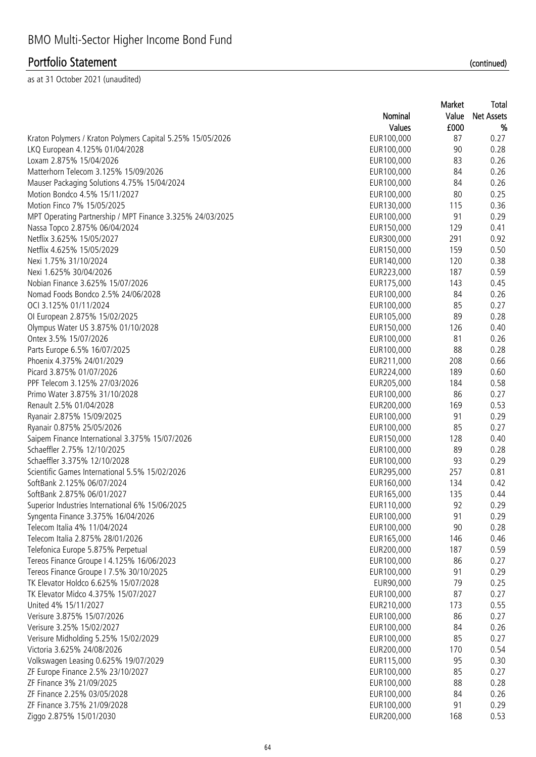as at 31 October 2021 (unaudited)

|                                                            |            | Market | τυιαι             |
|------------------------------------------------------------|------------|--------|-------------------|
|                                                            | Nominal    | Value  | <b>Net Assets</b> |
|                                                            | Values     | £000   | %                 |
| Kraton Polymers / Kraton Polymers Capital 5.25% 15/05/2026 | EUR100,000 | 87     | 0.27              |
| LKQ European 4.125% 01/04/2028                             | EUR100,000 | 90     | 0.28              |
| Loxam 2.875% 15/04/2026                                    | EUR100,000 | 83     | 0.26              |
| Matterhorn Telecom 3.125% 15/09/2026                       | EUR100,000 | 84     | 0.26              |
| Mauser Packaging Solutions 4.75% 15/04/2024                | EUR100,000 | 84     | 0.26              |
| Motion Bondco 4.5% 15/11/2027                              | EUR100,000 | 80     | 0.25              |
| Motion Finco 7% 15/05/2025                                 | EUR130,000 | 115    | 0.36              |
| MPT Operating Partnership / MPT Finance 3.325% 24/03/2025  | EUR100,000 | 91     | 0.29              |
| Nassa Topco 2.875% 06/04/2024                              | EUR150,000 | 129    | 0.41              |
| Netflix 3.625% 15/05/2027                                  | EUR300,000 | 291    | 0.92              |
| Netflix 4.625% 15/05/2029                                  | EUR150,000 | 159    | 0.50              |
| Nexi 1.75% 31/10/2024                                      | EUR140,000 | 120    | 0.38              |
| Nexi 1.625% 30/04/2026                                     | EUR223,000 | 187    | 0.59              |
| Nobian Finance 3.625% 15/07/2026                           | EUR175,000 | 143    | 0.45              |
| Nomad Foods Bondco 2.5% 24/06/2028                         | EUR100,000 | 84     | 0.26              |
| OCI 3.125% 01/11/2024                                      | EUR100,000 | 85     | 0.27              |
| Ol European 2.875% 15/02/2025                              | EUR105,000 | 89     | 0.28              |
| Olympus Water US 3.875% 01/10/2028                         | EUR150,000 | 126    | 0.40              |
| Ontex 3.5% 15/07/2026                                      | EUR100,000 | 81     | 0.26              |
| Parts Europe 6.5% 16/07/2025                               | EUR100,000 | 88     | 0.28              |
| Phoenix 4.375% 24/01/2029                                  | EUR211,000 | 208    | 0.66              |
| Picard 3.875% 01/07/2026                                   | EUR224,000 | 189    | 0.60              |
| PPF Telecom 3.125% 27/03/2026                              | EUR205,000 | 184    | 0.58              |
| Primo Water 3.875% 31/10/2028                              | EUR100,000 | 86     | 0.27              |
| Renault 2.5% 01/04/2028                                    | EUR200,000 | 169    | 0.53              |
| Ryanair 2.875% 15/09/2025                                  | EUR100,000 | 91     | 0.29              |
| Ryanair 0.875% 25/05/2026                                  | EUR100,000 | 85     | 0.27              |
| Saipem Finance International 3.375% 15/07/2026             | EUR150,000 | 128    | 0.40              |
| Schaeffler 2.75% 12/10/2025                                | EUR100,000 | 89     | 0.28              |
| Schaeffler 3.375% 12/10/2028                               | EUR100,000 | 93     | 0.29              |
| Scientific Games International 5.5% 15/02/2026             | EUR295,000 | 257    | 0.81              |
| SoftBank 2.125% 06/07/2024                                 | EUR160,000 | 134    | 0.42              |
| SoftBank 2.875% 06/01/2027                                 | EUR165,000 | 135    | 0.44              |
| Superior Industries International 6% 15/06/2025            | EUR110,000 | 92     | 0.29              |
| Syngenta Finance 3.375% 16/04/2026                         | EUR100,000 | 91     | 0.29              |
| Telecom Italia 4% 11/04/2024                               | EUR100,000 | 90     | 0.28              |
| Telecom Italia 2.875% 28/01/2026                           | EUR165,000 | 146    | 0.46              |
| Telefonica Europe 5.875% Perpetual                         | EUR200,000 | 187    | 0.59              |
| Tereos Finance Groupe I 4.125% 16/06/2023                  | EUR100,000 | 86     | 0.27              |
| Tereos Finance Groupe I 7.5% 30/10/2025                    | EUR100,000 | 91     | 0.29              |
| TK Elevator Holdco 6.625% 15/07/2028                       | EUR90,000  | 79     | 0.25              |
| TK Elevator Midco 4.375% 15/07/2027                        | EUR100,000 | 87     | 0.27              |
| United 4% 15/11/2027                                       | EUR210,000 | 173    | 0.55              |
| Verisure 3.875% 15/07/2026                                 | EUR100,000 | 86     | 0.27              |
| Verisure 3.25% 15/02/2027                                  | EUR100,000 | 84     | 0.26              |
| Verisure Midholding 5.25% 15/02/2029                       | EUR100,000 | 85     | 0.27              |
| Victoria 3.625% 24/08/2026                                 | EUR200,000 | 170    | 0.54              |
| Volkswagen Leasing 0.625% 19/07/2029                       | EUR115,000 | 95     | 0.30              |
| ZF Europe Finance 2.5% 23/10/2027                          | EUR100,000 | 85     | 0.27              |
| ZF Finance 3% 21/09/2025                                   | EUR100,000 | 88     | 0.28              |
| ZF Finance 2.25% 03/05/2028                                | EUR100,000 | 84     | 0.26              |
| ZF Finance 3.75% 21/09/2028                                | EUR100,000 | 91     | 0.29              |
|                                                            |            |        |                   |

Ziggo 2.875% 15/01/2030 **168** 0.53

(continued)

Total

Market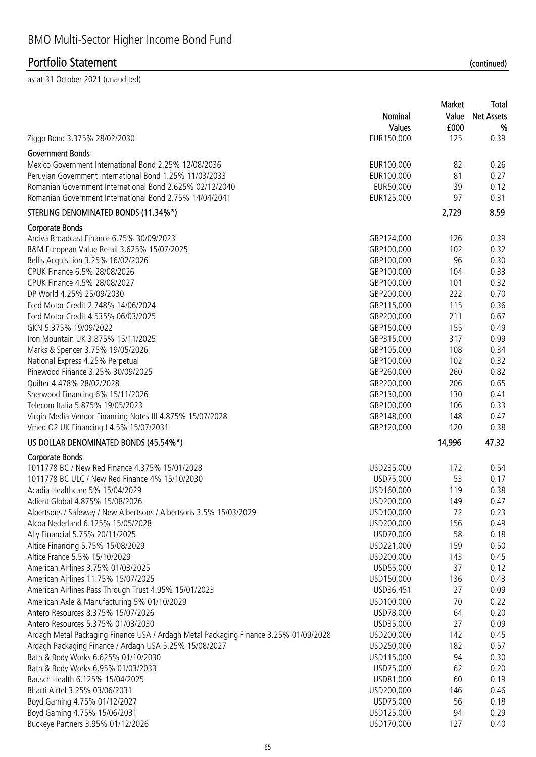|                                                                                      | Market     |        | Total             |
|--------------------------------------------------------------------------------------|------------|--------|-------------------|
|                                                                                      | Nominal    | Value  | <b>Net Assets</b> |
|                                                                                      | Values     | £000   | %                 |
| Ziggo Bond 3.375% 28/02/2030                                                         | EUR150,000 | 125    | 0.39              |
| <b>Government Bonds</b>                                                              |            |        |                   |
| Mexico Government International Bond 2.25% 12/08/2036                                | EUR100,000 | 82     | 0.26              |
| Peruvian Government International Bond 1.25% 11/03/2033                              | EUR100,000 | 81     | 0.27              |
| Romanian Government International Bond 2.625% 02/12/2040                             |            | 39     | 0.12              |
| Romanian Government International Bond 2.75% 14/04/2041                              | EUR50,000  | 97     |                   |
|                                                                                      | EUR125,000 |        | 0.31              |
| STERLING DENOMINATED BONDS (11.34%*)                                                 |            | 2,729  | 8.59              |
| <b>Corporate Bonds</b>                                                               |            |        |                   |
| Arqiva Broadcast Finance 6.75% 30/09/2023                                            | GBP124,000 | 126    | 0.39              |
| B&M European Value Retail 3.625% 15/07/2025                                          | GBP100,000 | 102    | 0.32              |
| Bellis Acquisition 3.25% 16/02/2026                                                  | GBP100,000 | 96     | 0.30              |
| CPUK Finance 6.5% 28/08/2026                                                         | GBP100,000 | 104    | 0.33              |
| CPUK Finance 4.5% 28/08/2027                                                         | GBP100,000 | 101    | 0.32              |
| DP World 4.25% 25/09/2030                                                            | GBP200,000 | 222    | 0.70              |
| Ford Motor Credit 2.748% 14/06/2024                                                  | GBP115,000 | 115    | 0.36              |
| Ford Motor Credit 4.535% 06/03/2025                                                  | GBP200,000 | 211    | 0.67              |
| GKN 5.375% 19/09/2022                                                                | GBP150,000 | 155    | 0.49              |
| Iron Mountain UK 3.875% 15/11/2025                                                   | GBP315,000 | 317    | 0.99              |
| Marks & Spencer 3.75% 19/05/2026                                                     | GBP105,000 | 108    | 0.34              |
| National Express 4.25% Perpetual                                                     | GBP100,000 | 102    | 0.32              |
| Pinewood Finance 3.25% 30/09/2025                                                    | GBP260,000 | 260    | 0.82              |
| Quilter 4.478% 28/02/2028                                                            | GBP200,000 | 206    | 0.65              |
|                                                                                      |            |        |                   |
| Sherwood Financing 6% 15/11/2026                                                     | GBP130,000 | 130    | 0.41              |
| Telecom Italia 5.875% 19/05/2023                                                     | GBP100,000 | 106    | 0.33              |
| Virgin Media Vendor Financing Notes III 4.875% 15/07/2028                            | GBP148,000 | 148    | 0.47              |
| Vmed O2 UK Financing I 4.5% 15/07/2031                                               | GBP120,000 | 120    | 0.38              |
| US DOLLAR DENOMINATED BONDS (45.54%*)                                                |            | 14,996 | 47.32             |
| Corporate Bonds                                                                      |            |        |                   |
| 1011778 BC / New Red Finance 4.375% 15/01/2028                                       | USD235,000 | 172    | 0.54              |
| 1011778 BC ULC / New Red Finance 4% 15/10/2030                                       | USD75,000  | 53     | 0.17              |
| Acadia Healthcare 5% 15/04/2029                                                      | USD160,000 | 119    | 0.38              |
| Adient Global 4.875% 15/08/2026                                                      | USD200,000 | 149    | 0.47              |
| Albertsons / Safeway / New Albertsons / Albertsons 3.5% 15/03/2029                   | USD100,000 | 72     | 0.23              |
| Alcoa Nederland 6.125% 15/05/2028                                                    | USD200,000 | 156    | 0.49              |
| Ally Financial 5.75% 20/11/2025                                                      | USD70,000  | 58     | 0.18              |
| Altice Financing 5.75% 15/08/2029                                                    | USD221,000 | 159    | 0.50              |
| Altice France 5.5% 15/10/2029                                                        | USD200,000 | 143    | 0.45              |
| American Airlines 3.75% 01/03/2025                                                   | USD55,000  | 37     | 0.12              |
| American Airlines 11.75% 15/07/2025                                                  | USD150,000 | 136    | 0.43              |
| American Airlines Pass Through Trust 4.95% 15/01/2023                                | USD36,451  | 27     | 0.09              |
| American Axle & Manufacturing 5% 01/10/2029                                          | USD100,000 | 70     | 0.22              |
| Antero Resources 8.375% 15/07/2026                                                   | USD78,000  | 64     | 0.20              |
|                                                                                      |            |        |                   |
| Antero Resources 5.375% 01/03/2030                                                   | USD35,000  | 27     | 0.09              |
| Ardagh Metal Packaging Finance USA / Ardagh Metal Packaging Finance 3.25% 01/09/2028 | USD200,000 | 142    | 0.45              |
| Ardagh Packaging Finance / Ardagh USA 5.25% 15/08/2027                               | USD250,000 | 182    | 0.57              |
| Bath & Body Works 6.625% 01/10/2030                                                  | USD115,000 | 94     | 0.30              |
| Bath & Body Works 6.95% 01/03/2033                                                   | USD75,000  | 62     | 0.20              |
| Bausch Health 6.125% 15/04/2025                                                      | USD81,000  | 60     | 0.19              |
| Bharti Airtel 3.25% 03/06/2031                                                       | USD200,000 | 146    | 0.46              |
| Boyd Gaming 4.75% 01/12/2027                                                         | USD75,000  | 56     | 0.18              |
| Boyd Gaming 4.75% 15/06/2031                                                         | USD125,000 | 94     | 0.29              |
| Buckeye Partners 3.95% 01/12/2026                                                    | USD170,000 | 127    | 0.40              |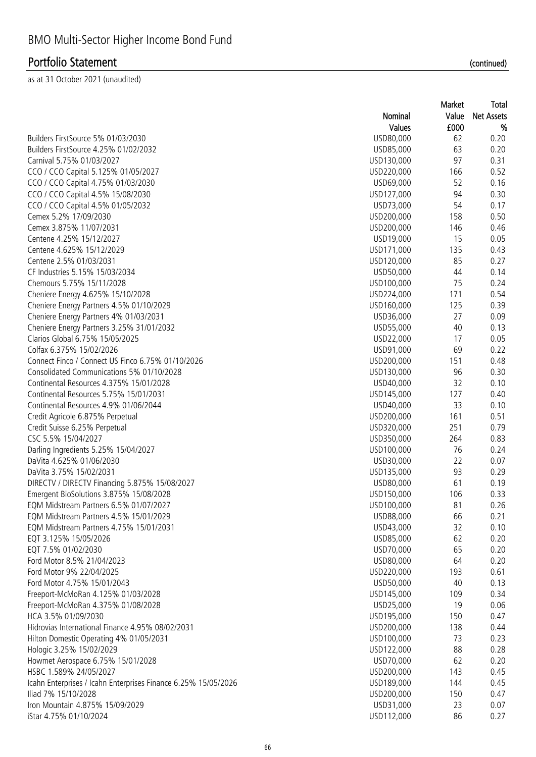|                                                                |            | Market | Total             |
|----------------------------------------------------------------|------------|--------|-------------------|
|                                                                | Nominal    | Value  | <b>Net Assets</b> |
|                                                                | Values     | £000   | %                 |
| Builders FirstSource 5% 01/03/2030                             | USD80,000  | 62     | 0.20              |
| Builders FirstSource 4.25% 01/02/2032                          | USD85,000  | 63     | 0.20              |
| Carnival 5.75% 01/03/2027                                      | USD130,000 | 97     | 0.31              |
| CCO / CCO Capital 5.125% 01/05/2027                            | USD220,000 | 166    | 0.52              |
| CCO / CCO Capital 4.75% 01/03/2030                             | USD69,000  | 52     | 0.16              |
| CCO / CCO Capital 4.5% 15/08/2030                              | USD127,000 | 94     | 0.30              |
| CCO / CCO Capital 4.5% 01/05/2032                              | USD73,000  | 54     | 0.17              |
| Cemex 5.2% 17/09/2030                                          | USD200,000 | 158    | 0.50              |
| Cemex 3.875% 11/07/2031                                        | USD200,000 | 146    | 0.46              |
| Centene 4.25% 15/12/2027                                       | USD19,000  | 15     | 0.05              |
| Centene 4.625% 15/12/2029                                      | USD171,000 | 135    | 0.43              |
| Centene 2.5% 01/03/2031                                        |            | 85     | 0.27              |
|                                                                | USD120,000 |        |                   |
| CF Industries 5.15% 15/03/2034                                 | USD50,000  | 44     | 0.14              |
| Chemours 5.75% 15/11/2028                                      | USD100,000 | 75     | 0.24              |
| Cheniere Energy 4.625% 15/10/2028                              | USD224,000 | 171    | 0.54              |
| Cheniere Energy Partners 4.5% 01/10/2029                       | USD160,000 | 125    | 0.39              |
| Cheniere Energy Partners 4% 01/03/2031                         | USD36,000  | 27     | 0.09              |
| Cheniere Energy Partners 3.25% 31/01/2032                      | USD55,000  | 40     | 0.13              |
| Clarios Global 6.75% 15/05/2025                                | USD22,000  | 17     | 0.05              |
| Colfax 6.375% 15/02/2026                                       | USD91,000  | 69     | 0.22              |
| Connect Finco / Connect US Finco 6.75% 01/10/2026              | USD200,000 | 151    | 0.48              |
| Consolidated Communications 5% 01/10/2028                      | USD130,000 | 96     | 0.30              |
| Continental Resources 4.375% 15/01/2028                        | USD40,000  | 32     | 0.10              |
| Continental Resources 5.75% 15/01/2031                         | USD145,000 | 127    | 0.40              |
| Continental Resources 4.9% 01/06/2044                          | USD40,000  | 33     | 0.10              |
| Credit Agricole 6.875% Perpetual                               | USD200,000 | 161    | 0.51              |
| Credit Suisse 6.25% Perpetual                                  | USD320,000 | 251    | 0.79              |
| CSC 5.5% 15/04/2027                                            | USD350,000 | 264    | 0.83              |
| Darling Ingredients 5.25% 15/04/2027                           | USD100,000 | 76     | 0.24              |
| DaVita 4.625% 01/06/2030                                       | USD30,000  | 22     | 0.07              |
| DaVita 3.75% 15/02/2031                                        | USD135,000 | 93     | 0.29              |
| DIRECTV / DIRECTV Financing 5.875% 15/08/2027                  | USD80,000  | 61     | 0.19              |
| Emergent BioSolutions 3.875% 15/08/2028                        | USD150,000 | 106    | 0.33              |
| EQM Midstream Partners 6.5% 01/07/2027                         | USD100,000 | 81     | 0.26              |
| EQM Midstream Partners 4.5% 15/01/2029                         | USD88,000  | 66     | 0.21              |
| EQM Midstream Partners 4.75% 15/01/2031                        | USD43,000  | 32     | 0.10              |
| EQT 3.125% 15/05/2026                                          | USD85,000  | 62     | 0.20              |
| EQT 7.5% 01/02/2030                                            | USD70,000  | 65     | 0.20              |
| Ford Motor 8.5% 21/04/2023                                     | USD80,000  | 64     | 0.20              |
| Ford Motor 9% 22/04/2025                                       | USD220,000 | 193    | 0.61              |
|                                                                |            |        |                   |
| Ford Motor 4.75% 15/01/2043                                    | USD50,000  | 40     | 0.13              |
| Freeport-McMoRan 4.125% 01/03/2028                             | USD145,000 | 109    | 0.34              |
| Freeport-McMoRan 4.375% 01/08/2028                             | USD25,000  | 19     | 0.06              |
| HCA 3.5% 01/09/2030                                            | USD195,000 | 150    | 0.47              |
| Hidrovias International Finance 4.95% 08/02/2031               | USD200,000 | 138    | 0.44              |
| Hilton Domestic Operating 4% 01/05/2031                        | USD100,000 | 73     | 0.23              |
| Hologic 3.25% 15/02/2029                                       | USD122,000 | 88     | 0.28              |
| Howmet Aerospace 6.75% 15/01/2028                              | USD70,000  | 62     | 0.20              |
| HSBC 1.589% 24/05/2027                                         | USD200,000 | 143    | 0.45              |
| Icahn Enterprises / Icahn Enterprises Finance 6.25% 15/05/2026 | USD189,000 | 144    | 0.45              |
| Iliad 7% 15/10/2028                                            | USD200,000 | 150    | 0.47              |
| Iron Mountain 4.875% 15/09/2029                                | USD31,000  | 23     | 0.07              |
| iStar 4.75% 01/10/2024                                         | USD112,000 | 86     | 0.27              |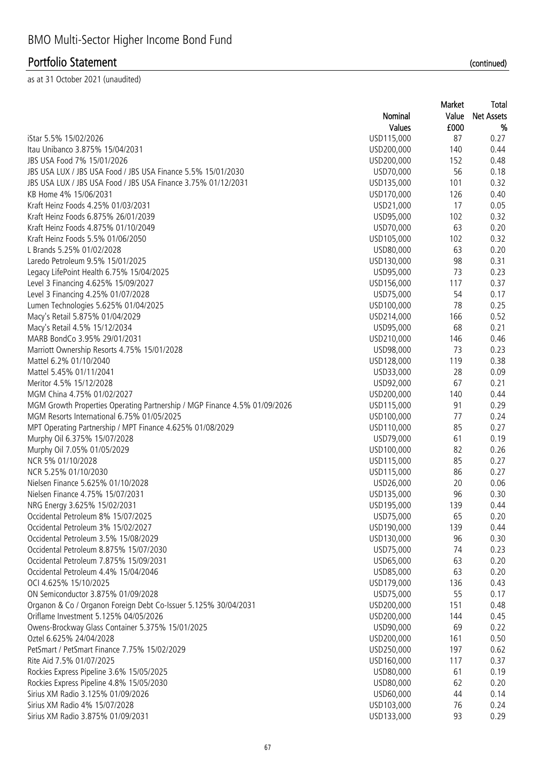|                                                                           |                          | Market   | <b>Total</b>      |
|---------------------------------------------------------------------------|--------------------------|----------|-------------------|
|                                                                           | Nominal                  | Value    | <b>Net Assets</b> |
|                                                                           | Values                   | £000     | %                 |
| iStar 5.5% 15/02/2026                                                     | USD115,000               | 87       | 0.27              |
| Itau Unibanco 3.875% 15/04/2031                                           | USD200,000               | 140      | 0.44              |
| JBS USA Food 7% 15/01/2026                                                | USD200,000               | 152      | 0.48              |
| JBS USA LUX / JBS USA Food / JBS USA Finance 5.5% 15/01/2030              | USD70,000                | 56       | 0.18              |
| JBS USA LUX / JBS USA Food / JBS USA Finance 3.75% 01/12/2031             | USD135,000               | 101      | 0.32              |
| KB Home 4% 15/06/2031                                                     | USD170,000               | 126      | 0.40              |
| Kraft Heinz Foods 4.25% 01/03/2031                                        | USD21,000                | 17       | 0.05              |
| Kraft Heinz Foods 6.875% 26/01/2039                                       | USD95,000                | 102      | 0.32              |
| Kraft Heinz Foods 4.875% 01/10/2049                                       | USD70,000                | 63       | 0.20              |
| Kraft Heinz Foods 5.5% 01/06/2050                                         | USD105,000               | 102      | 0.32              |
| L Brands 5.25% 01/02/2028                                                 | USD80,000                | 63       | 0.20              |
| Laredo Petroleum 9.5% 15/01/2025                                          | USD130,000               | 98       | 0.31              |
| Legacy LifePoint Health 6.75% 15/04/2025                                  | USD95,000                | 73       | 0.23              |
| Level 3 Financing 4.625% 15/09/2027                                       | USD156,000               | 117      | 0.37              |
| Level 3 Financing 4.25% 01/07/2028                                        | USD75,000                | 54       | 0.17              |
| Lumen Technologies 5.625% 01/04/2025                                      | USD100,000               | 78       | 0.25              |
| Macy's Retail 5.875% 01/04/2029                                           | USD214,000               | 166      | 0.52              |
| Macy's Retail 4.5% 15/12/2034                                             | USD95,000                | 68       | 0.21              |
| MARB BondCo 3.95% 29/01/2031                                              | USD210,000               | 146      | 0.46              |
| Marriott Ownership Resorts 4.75% 15/01/2028                               | USD98,000                | 73       | 0.23              |
| Mattel 6.2% 01/10/2040                                                    | USD128,000               | 119      | 0.38              |
| Mattel 5.45% 01/11/2041                                                   | USD33,000                | 28       | 0.09              |
| Meritor 4.5% 15/12/2028                                                   | USD92,000                | 67       | 0.21              |
| MGM China 4.75% 01/02/2027                                                | USD200,000               | 140      | 0.44              |
| MGM Growth Properties Operating Partnership / MGP Finance 4.5% 01/09/2026 | USD115,000               | 91       | 0.29              |
| MGM Resorts International 6.75% 01/05/2025                                | USD100,000               | 77       | 0.24              |
| MPT Operating Partnership / MPT Finance 4.625% 01/08/2029                 | USD110,000               | 85       | 0.27              |
| Murphy Oil 6.375% 15/07/2028                                              | USD79,000                | 61       | 0.19              |
| Murphy Oil 7.05% 01/05/2029                                               | USD100,000               | 82       | 0.26              |
| NCR 5% 01/10/2028                                                         | USD115,000               | 85       | 0.27              |
| NCR 5.25% 01/10/2030                                                      | USD115,000               | 86       | 0.27              |
| Nielsen Finance 5.625% 01/10/2028                                         | USD26,000                | 20       | 0.06              |
| Nielsen Finance 4.75% 15/07/2031                                          | USD135,000               | 96       | 0.30              |
| NRG Energy 3.625% 15/02/2031                                              | USD195,000               | 139      | 0.44              |
| Occidental Petroleum 8% 15/07/2025                                        |                          | 65       |                   |
| Occidental Petroleum 3% 15/02/2027                                        | USD75,000                |          | 0.20              |
| Occidental Petroleum 3.5% 15/08/2029                                      | USD190,000<br>USD130,000 | 139      | 0.44              |
|                                                                           |                          | 96<br>74 | 0.30              |
| Occidental Petroleum 8.875% 15/07/2030                                    | USD75,000<br>USD65,000   |          | 0.23              |
| Occidental Petroleum 7.875% 15/09/2031                                    |                          | 63       | 0.20              |
| Occidental Petroleum 4.4% 15/04/2046                                      | USD85,000                | 63       | 0.20              |
| OCI 4.625% 15/10/2025                                                     | USD179,000               | 136      | 0.43              |
| ON Semiconductor 3.875% 01/09/2028                                        | USD75,000                | 55       | 0.17              |
| Organon & Co / Organon Foreign Debt Co-Issuer 5.125% 30/04/2031           | USD200,000               | 151      | 0.48              |
| Oriflame Investment 5.125% 04/05/2026                                     | USD200,000               | 144      | 0.45              |
| Owens-Brockway Glass Container 5.375% 15/01/2025                          | USD90,000                | 69       | 0.22              |
| Oztel 6.625% 24/04/2028                                                   | USD200,000               | 161      | 0.50              |
| PetSmart / PetSmart Finance 7.75% 15/02/2029                              | USD250,000               | 197      | 0.62              |
| Rite Aid 7.5% 01/07/2025                                                  | USD160,000               | 117      | 0.37              |
| Rockies Express Pipeline 3.6% 15/05/2025                                  | USD80,000                | 61       | 0.19              |
| Rockies Express Pipeline 4.8% 15/05/2030                                  | USD80,000                | 62       | 0.20              |
| Sirius XM Radio 3.125% 01/09/2026                                         | USD60,000                | 44       | 0.14              |
| Sirius XM Radio 4% 15/07/2028                                             | USD103,000               | 76       | 0.24              |
| Sirius XM Radio 3.875% 01/09/2031                                         | USD133,000               | 93       | 0.29              |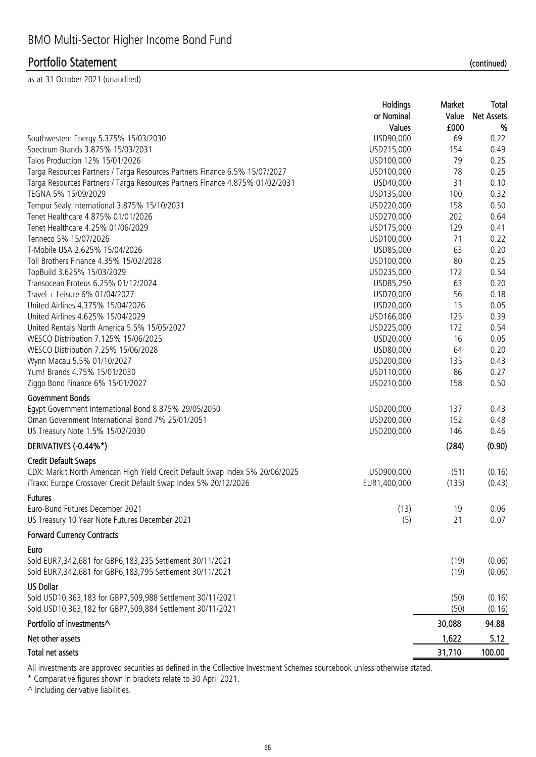as at 31 October 2021 (unaudited)

|                                                                               | Holdings      | Market | Total             |
|-------------------------------------------------------------------------------|---------------|--------|-------------------|
|                                                                               | or Nominal    | Value  | <b>Net Assets</b> |
|                                                                               | <b>Values</b> | £000   | %                 |
| Southwestern Energy 5.375% 15/03/2030                                         | USD90,000     | 69     | 0.22              |
| Spectrum Brands 3.875% 15/03/2031                                             | USD215,000    | 154    | 0.49              |
| Talos Production 12% 15/01/2026                                               | USD100,000    | 79     | 0.25              |
| Targa Resources Partners / Targa Resources Partners Finance 6.5% 15/07/2027   | USD100,000    | 78     | 0.25              |
| Targa Resources Partners / Targa Resources Partners Finance 4.875% 01/02/2031 | USD40,000     | 31     | 0.10              |
| TEGNA 5% 15/09/2029                                                           | USD135,000    | 100    | 0.32              |
| Tempur Sealy International 3.875% 15/10/2031                                  | USD220,000    | 158    | 0.50              |
| Tenet Healthcare 4.875% 01/01/2026                                            | USD270,000    | 202    | 0.64              |
| Tenet Healthcare 4.25% 01/06/2029                                             | USD175,000    | 129    | 0.41              |
| Tenneco 5% 15/07/2026                                                         | USD100,000    | 71     | 0.22              |
| T-Mobile USA 2.625% 15/04/2026                                                | USD85,000     | 63     | 0.20              |
| Toll Brothers Finance 4.35% 15/02/2028                                        | USD100,000    | 80     | 0.25              |
| TopBuild 3.625% 15/03/2029                                                    | USD235,000    | 172    | 0.54              |
| Transocean Proteus 6.25% 01/12/2024                                           | USD85,250     | 63     | 0.20              |
| Travel + Leisure 6% 01/04/2027                                                | USD70,000     | 56     | 0.18              |
| United Airlines 4.375% 15/04/2026                                             | USD20,000     | 15     | 0.05              |
| United Airlines 4.625% 15/04/2029                                             | USD166,000    | 125    | 0.39              |
| United Rentals North America 5.5% 15/05/2027                                  | USD225,000    | 172    | 0.54              |
| WESCO Distribution 7.125% 15/06/2025                                          | USD20,000     | 16     | 0.05              |
| WESCO Distribution 7.25% 15/06/2028                                           | USD80,000     | 64     | 0.20              |
| Wynn Macau 5.5% 01/10/2027                                                    | USD200,000    | 135    | 0.43              |
| Yum! Brands 4.75% 15/01/2030                                                  | USD110,000    | 86     | 0.27              |
| Ziggo Bond Finance 6% 15/01/2027                                              | USD210,000    | 158    | 0.50              |
| <b>Government Bonds</b>                                                       |               |        |                   |
| Egypt Government International Bond 8.875% 29/05/2050                         | USD200,000    | 137    | 0.43              |
| Oman Government International Bond 7% 25/01/2051                              | USD200,000    | 152    | 0.48              |
| US Treasury Note 1.5% 15/02/2030                                              | USD200,000    | 146    | 0.46              |
| DERIVATIVES (-0.44%*)                                                         |               | (284)  | (0.90)            |
|                                                                               |               |        |                   |
| <b>Credit Default Swaps</b>                                                   |               |        |                   |
| CDX: Markit North American High Yield Credit Default Swap Index 5% 20/06/2025 | USD900,000    | (51)   | (0.16)            |
| iTraxx: Europe Crossover Credit Default Swap Index 5% 20/12/2026              | EUR1,400,000  | (135)  | (0.43)            |
| <b>Futures</b>                                                                |               |        |                   |
| Euro-Bund Futures December 2021                                               | (13)          | 19     | 0.06              |
| US Treasury 10 Year Note Futures December 2021                                | (5)           | 21     | 0.07              |
| <b>Forward Currency Contracts</b>                                             |               |        |                   |
| Euro                                                                          |               |        |                   |
| Sold EUR7,342,681 for GBP6,183,235 Settlement 30/11/2021                      |               | (19)   | (0.06)            |
| Sold EUR7,342,681 for GBP6,183,795 Settlement 30/11/2021                      |               | (19)   | (0.06)            |
| <b>US Dollar</b>                                                              |               |        |                   |
| Sold USD10,363,183 for GBP7,509,988 Settlement 30/11/2021                     |               | (50)   | (0.16)            |
| Sold USD10,363,182 for GBP7,509,884 Settlement 30/11/2021                     |               | (50)   |                   |
|                                                                               |               |        | (0.16)            |
| Portfolio of investments^                                                     |               | 30,088 | 94.88             |
| Net other assets                                                              |               | 1,622  | 5.12              |
| Total net assets                                                              |               | 31,710 | 100.00            |

All investments are approved securities as defined in the Collective Investment Schemes sourcebook unless otherwise stated.

\* Comparative figures shown in brackets relate to 30 April 2021.

 $\wedge$  Including derivative liabilities.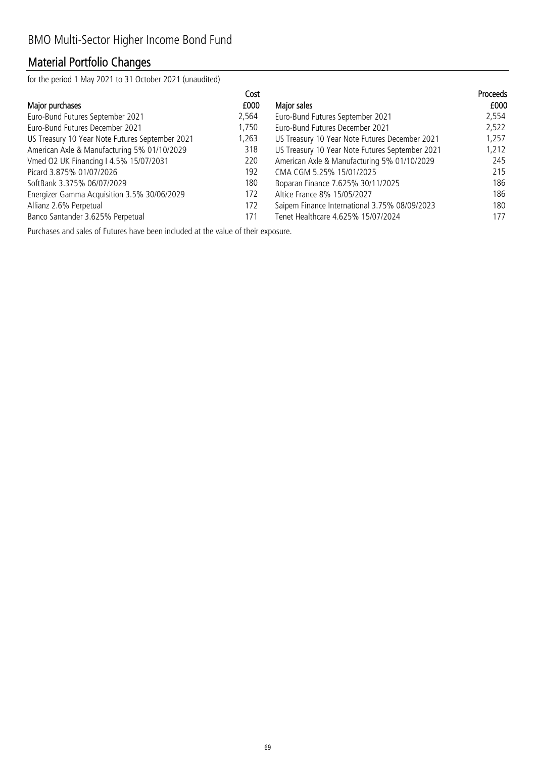## Material Portfolio Changes

for the period 1 May 2021 to 31 October 2021 (unaudited)

|                                                 | Cost  |                                                 | Proceeds |
|-------------------------------------------------|-------|-------------------------------------------------|----------|
| Major purchases                                 | £000  | Major sales                                     | £000     |
| Euro-Bund Futures September 2021                | 2,564 | Euro-Bund Futures September 2021                | 2,554    |
| Euro-Bund Futures December 2021                 | 1.750 | Euro-Bund Futures December 2021                 | 2,522    |
| US Treasury 10 Year Note Futures September 2021 | 1,263 | US Treasury 10 Year Note Futures December 2021  | 1,257    |
| American Axle & Manufacturing 5% 01/10/2029     | 318   | US Treasury 10 Year Note Futures September 2021 | 1,212    |
| Vmed O2 UK Financing I 4.5% 15/07/2031          | 220   | American Axle & Manufacturing 5% 01/10/2029     | 245      |
| Picard 3.875% 01/07/2026                        | 192   | CMA CGM 5.25% 15/01/2025                        | 215      |
| SoftBank 3.375% 06/07/2029                      | 180   | Boparan Finance 7.625% 30/11/2025               | 186      |
| Energizer Gamma Acquisition 3.5% 30/06/2029     | 172   | Altice France 8% 15/05/2027                     | 186      |
| Allianz 2.6% Perpetual                          | 172   | Saipem Finance International 3.75% 08/09/2023   | 180      |
| Banco Santander 3.625% Perpetual                | 171   | Tenet Healthcare 4.625% 15/07/2024              | 177      |

Purchases and sales of Futures have been included at the value of their exposure.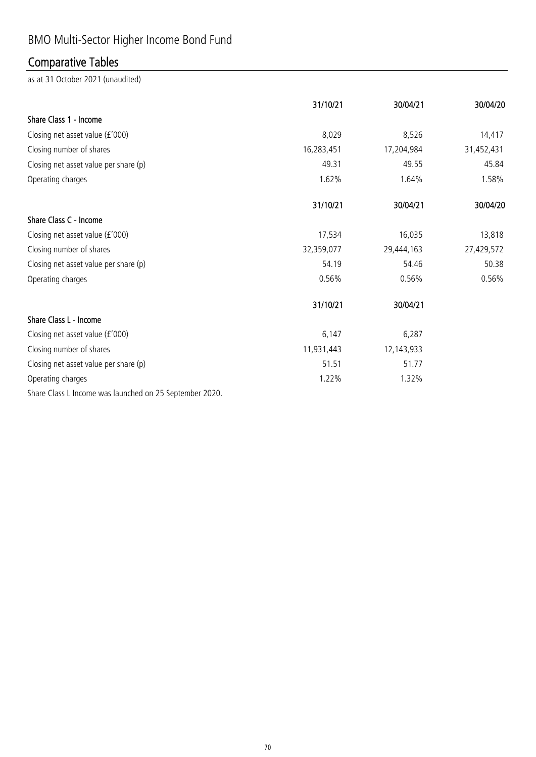# BMO Multi-Sector Higher Income Bond Fund

# Comparative Tables

|                                                         | 31/10/21   | 30/04/21   | 30/04/20   |
|---------------------------------------------------------|------------|------------|------------|
| Share Class 1 - Income                                  |            |            |            |
| Closing net asset value (£'000)                         | 8,029      | 8,526      | 14,417     |
| Closing number of shares                                | 16,283,451 | 17,204,984 | 31,452,431 |
| Closing net asset value per share (p)                   | 49.31      | 49.55      | 45.84      |
| Operating charges                                       | 1.62%      | 1.64%      | 1.58%      |
|                                                         | 31/10/21   | 30/04/21   | 30/04/20   |
| Share Class C - Income                                  |            |            |            |
| Closing net asset value (£'000)                         | 17,534     | 16,035     | 13,818     |
| Closing number of shares                                | 32,359,077 | 29,444,163 | 27,429,572 |
| Closing net asset value per share (p)                   | 54.19      | 54.46      | 50.38      |
| Operating charges                                       | 0.56%      | 0.56%      | 0.56%      |
|                                                         | 31/10/21   | 30/04/21   |            |
| Share Class L - Income                                  |            |            |            |
| Closing net asset value (£'000)                         | 6,147      | 6,287      |            |
| Closing number of shares                                | 11,931,443 | 12,143,933 |            |
| Closing net asset value per share (p)                   | 51.51      | 51.77      |            |
| Operating charges                                       | 1.22%      | 1.32%      |            |
| Share Class L Income was launched on 25 September 2020. |            |            |            |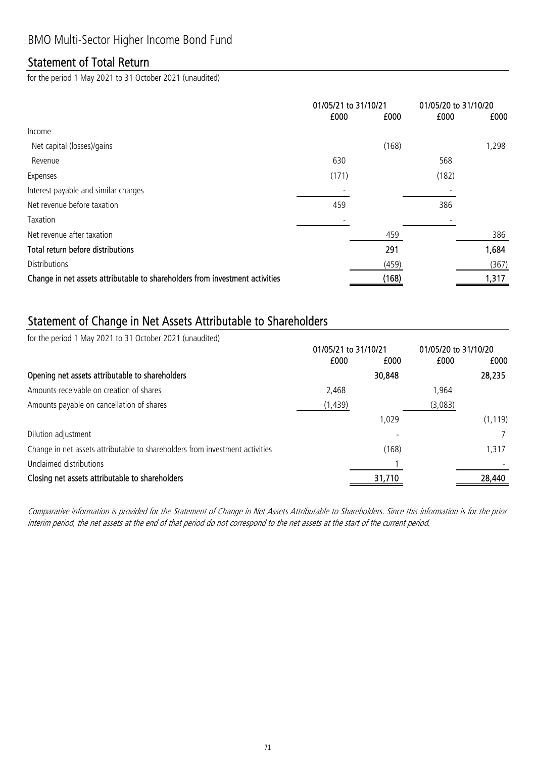### Statement of Total Return

for the period 1 May 2021 to 31 October 2021 (unaudited)

|                                                                              | 01/05/21 to 31/10/21 |       | 01/05/20 to 31/10/20 |       |
|------------------------------------------------------------------------------|----------------------|-------|----------------------|-------|
|                                                                              | £000                 | £000  | £000                 | £000  |
| Income                                                                       |                      |       |                      |       |
| Net capital (losses)/gains                                                   |                      | (168) |                      | 1,298 |
| Revenue                                                                      | 630                  |       | 568                  |       |
| Expenses                                                                     | (171)                |       | (182)                |       |
| Interest payable and similar charges                                         |                      |       |                      |       |
| Net revenue before taxation                                                  | 459                  |       | 386                  |       |
| Taxation                                                                     |                      |       |                      |       |
| Net revenue after taxation                                                   |                      | 459   |                      | 386   |
| Total return before distributions                                            |                      | 291   |                      | 1,684 |
| <b>Distributions</b>                                                         |                      | (459) |                      | (367) |
| Change in net assets attributable to shareholders from investment activities |                      | (168) |                      | 1,317 |

### Statement of Change in Net Assets Attributable to Shareholders

for the period 1 May 2021 to 31 October 2021 (unaudited)

|                                                                              | 01/05/21 to 31/10/21 |        | 01/05/20 to 31/10/20 |          |
|------------------------------------------------------------------------------|----------------------|--------|----------------------|----------|
|                                                                              | £000                 | £000   | £000                 | £000     |
| Opening net assets attributable to shareholders                              |                      | 30,848 |                      | 28,235   |
| Amounts receivable on creation of shares                                     | 2,468                |        | 1.964                |          |
| Amounts payable on cancellation of shares                                    | (1, 439)             |        | (3,083)              |          |
|                                                                              |                      | 1.029  |                      | (1, 119) |
| Dilution adjustment                                                          |                      |        |                      |          |
| Change in net assets attributable to shareholders from investment activities |                      | (168)  |                      | 1,317    |
| Unclaimed distributions                                                      |                      |        |                      |          |
| Closing net assets attributable to shareholders                              |                      | 31,710 |                      | 28,440   |

Comparative information is provided for the Statement of Change in Net Assets Attributable to Shareholders. Since this information is for the prior interim period, the net assets at the end of that period do not correspond to the net assets at the start of the current period.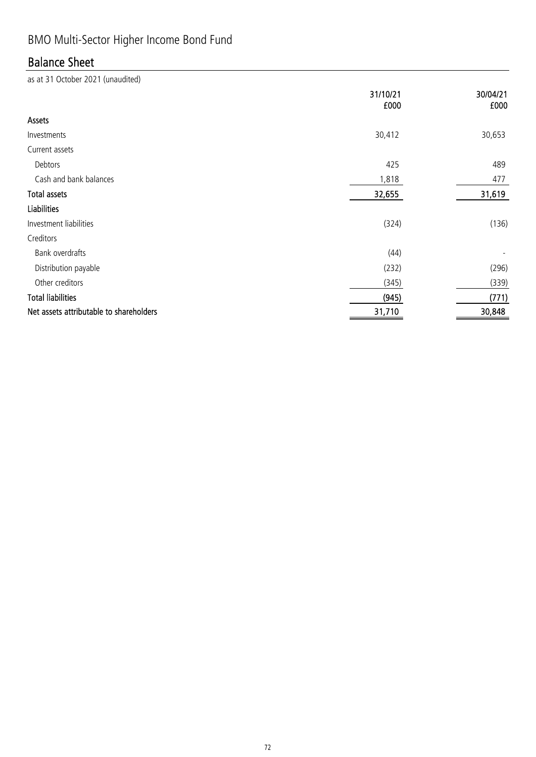# BMO Multi-Sector Higher Income Bond Fund

## Balance Sheet

|                                         | 31/10/21<br>£000 | 30/04/21<br>£000 |
|-----------------------------------------|------------------|------------------|
| Assets                                  |                  |                  |
| Investments                             | 30,412           | 30,653           |
| Current assets                          |                  |                  |
| Debtors                                 | 425              | 489              |
| Cash and bank balances                  | 1,818            | 477              |
| <b>Total assets</b>                     | 32,655           | 31,619           |
| <b>Liabilities</b>                      |                  |                  |
| Investment liabilities                  | (324)            | (136)            |
| Creditors                               |                  |                  |
| Bank overdrafts                         | (44)             |                  |
| Distribution payable                    | (232)            | (296)            |
| Other creditors                         | (345)            | (339)            |
| <b>Total liabilities</b>                | (945)            | (771)            |
| Net assets attributable to shareholders | 31,710           | 30,848           |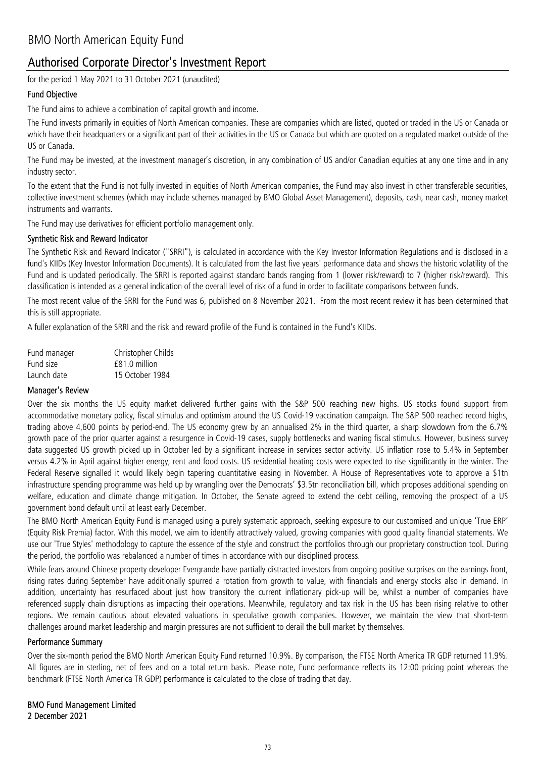### Authorised Corporate Director's Investment Report

for the period 1 May 2021 to 31 October 2021 (unaudited)

#### Fund Objective

The Fund aims to achieve a combination of capital growth and income.

The Fund invests primarily in equities of North American companies. These are companies which are listed, quoted or traded in the US or Canada or which have their headquarters or a significant part of their activities in the US or Canada but which are quoted on a regulated market outside of the US or Canada.

The Fund may be invested, at the investment manager's discretion, in any combination of US and/or Canadian equities at any one time and in any industry sector.

To the extent that the Fund is not fully invested in equities of North American companies, the Fund may also invest in other transferable securities, collective investment schemes (which may include schemes managed by BMO Global Asset Management), deposits, cash, near cash, money market instruments and warrants.

The Fund may use derivatives for efficient portfolio management only.

#### Synthetic Risk and Reward Indicator

The Synthetic Risk and Reward Indicator ("SRRI"), is calculated in accordance with the Key Investor Information Regulations and is disclosed in a fund's KIIDs (Key Investor Information Documents). It is calculated from the last five years' performance data and shows the historic volatility of the Fund and is updated periodically. The SRRI is reported against standard bands ranging from 1 (lower risk/reward) to 7 (higher risk/reward). This classification is intended as a general indication of the overall level of risk of a fund in order to facilitate comparisons between funds.

The most recent value of the SRRI for the Fund was 6, published on 8 November 2021. From the most recent review it has been determined that this is still appropriate.

A fuller explanation of the SRRI and the risk and reward profile of the Fund is contained in the Fund's KIIDs.

| Fund manager | Christopher Childs |
|--------------|--------------------|
| Fund size    | £81.0 million      |
| Launch date  | 15 October 1984    |

#### Manager's Review

Over the six months the US equity market delivered further gains with the S&P 500 reaching new highs. US stocks found support from accommodative monetary policy, fiscal stimulus and optimism around the US Covid-19 vaccination campaign. The S&P 500 reached record highs, trading above 4,600 points by period-end. The US economy grew by an annualised 2% in the third quarter, a sharp slowdown from the 6.7% growth pace of the prior quarter against a resurgence in Covid-19 cases, supply bottlenecks and waning fiscal stimulus. However, business survey data suggested US growth picked up in October led by a significant increase in services sector activity. US inflation rose to 5.4% in September versus 4.2% in April against higher energy, rent and food costs. US residential heating costs were expected to rise significantly in the winter. The Federal Reserve signalled it would likely begin tapering quantitative easing in November. A House of Representatives vote to approve a \$1tn infrastructure spending programme was held up by wrangling over the Democrats' \$3.5tn reconciliation bill, which proposes additional spending on welfare, education and climate change mitigation. In October, the Senate agreed to extend the debt ceiling, removing the prospect of a US government bond default until at least early December.

The BMO North American Equity Fund is managed using a purely systematic approach, seeking exposure to our customised and unique 'True ERP' (Equity Risk Premia) factor. With this model, we aim to identify attractively valued, growing companies with good quality financial statements. We use our 'True Styles' methodology to capture the essence of the style and construct the portfolios through our proprietary construction tool. During the period, the portfolio was rebalanced a number of times in accordance with our disciplined process.

While fears around Chinese property developer Evergrande have partially distracted investors from ongoing positive surprises on the earnings front, rising rates during September have additionally spurred a rotation from growth to value, with financials and energy stocks also in demand. In addition, uncertainty has resurfaced about just how transitory the current inflationary pick-up will be, whilst a number of companies have referenced supply chain disruptions as impacting their operations. Meanwhile, regulatory and tax risk in the US has been rising relative to other regions. We remain cautious about elevated valuations in speculative growth companies. However, we maintain the view that short-term challenges around market leadership and margin pressures are not sufficient to derail the bull market by themselves.

#### Performance Summary

Over the six-month period the BMO North American Equity Fund returned 10.9%. By comparison, the FTSE North America TR GDP returned 11.9%. All figures are in sterling, net of fees and on a total return basis. Please note, Fund performance reflects its 12:00 pricing point whereas the benchmark (FTSE North America TR GDP) performance is calculated to the close of trading that day.

2 December 2021 BMO Fund Management Limited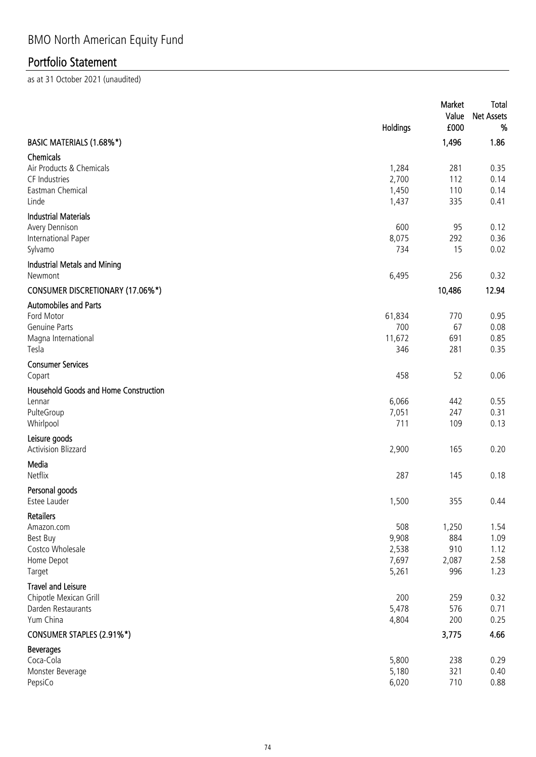|                                             | Holdings | Market<br>Value<br>£000 | Total<br><b>Net Assets</b><br>% |
|---------------------------------------------|----------|-------------------------|---------------------------------|
| BASIC MATERIALS (1.68%*)                    |          | 1,496                   | 1.86                            |
| Chemicals<br>Air Products & Chemicals       | 1,284    | 281                     | 0.35                            |
| CF Industries                               | 2,700    | 112                     | 0.14                            |
| Eastman Chemical                            | 1,450    | 110                     | 0.14                            |
| Linde                                       | 1,437    | 335                     | 0.41                            |
| <b>Industrial Materials</b>                 |          |                         |                                 |
| Avery Dennison                              | 600      | 95                      | 0.12                            |
| International Paper                         | 8,075    | 292                     | 0.36                            |
| Sylvamo                                     | 734      | 15                      | 0.02                            |
| Industrial Metals and Mining                |          |                         |                                 |
| Newmont                                     | 6,495    | 256                     | 0.32                            |
| <b>CONSUMER DISCRETIONARY (17.06%*)</b>     |          | 10,486                  | 12.94                           |
| <b>Automobiles and Parts</b>                |          |                         |                                 |
| Ford Motor                                  | 61,834   | 770                     | 0.95                            |
| <b>Genuine Parts</b>                        | 700      | 67                      | 0.08                            |
| Magna International                         | 11,672   | 691                     | 0.85                            |
| Tesla                                       | 346      | 281                     | 0.35                            |
| <b>Consumer Services</b><br>Copart          | 458      | 52                      | 0.06                            |
| Household Goods and Home Construction       |          |                         |                                 |
| Lennar                                      | 6,066    | 442                     | 0.55                            |
| PulteGroup                                  | 7,051    | 247                     | 0.31                            |
| Whirlpool                                   | 711      | 109                     | 0.13                            |
| Leisure goods<br><b>Activision Blizzard</b> | 2,900    | 165                     | 0.20                            |
| Media                                       |          |                         |                                 |
| Netflix                                     | 287      | 145                     | 0.18                            |
| Personal goods                              |          |                         |                                 |
| Estee Lauder                                | 1,500    | 355                     | 0.44                            |
| <b>Retailers</b>                            |          |                         |                                 |
| Amazon.com                                  | 508      | 1,250                   | 1.54                            |
| Best Buy                                    | 9,908    | 884                     | 1.09                            |
| Costco Wholesale                            | 2,538    | 910                     | 1.12                            |
| Home Depot                                  | 7,697    | 2,087                   | 2.58                            |
| Target                                      | 5,261    | 996                     | 1.23                            |
| <b>Travel and Leisure</b>                   |          |                         |                                 |
| Chipotle Mexican Grill                      | 200      | 259                     | 0.32                            |
| Darden Restaurants                          | 5,478    | 576                     | 0.71                            |
| Yum China                                   | 4,804    | 200                     | 0.25                            |
| CONSUMER STAPLES (2.91%*)                   |          | 3,775                   | 4.66                            |
| <b>Beverages</b>                            |          |                         |                                 |
| Coca-Cola                                   | 5,800    | 238                     | 0.29                            |
| Monster Beverage                            | 5,180    | 321                     | 0.40                            |
| PepsiCo                                     | 6,020    | 710                     | 0.88                            |
|                                             |          |                         |                                 |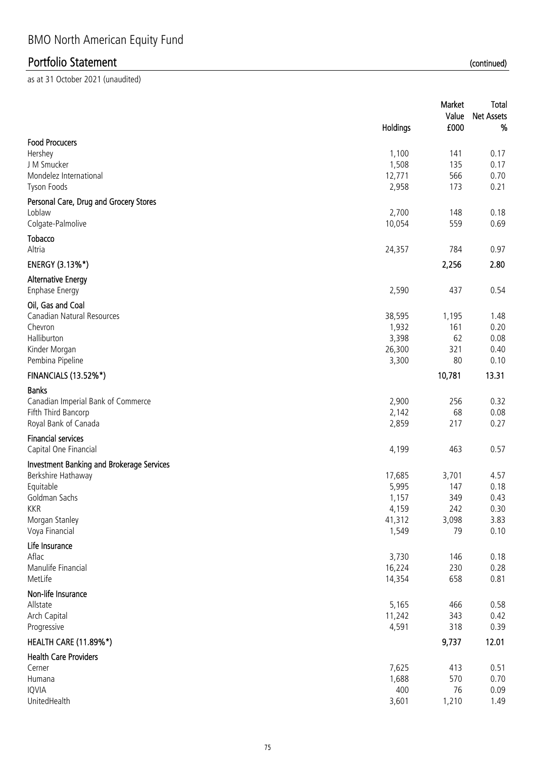|                                                  | Holdings        | Market<br>Value<br>£000 | Total<br><b>Net Assets</b><br>% |
|--------------------------------------------------|-----------------|-------------------------|---------------------------------|
| <b>Food Procucers</b>                            |                 |                         |                                 |
| Hershey                                          | 1,100           | 141                     | 0.17                            |
| J M Smucker                                      | 1,508           | 135                     | 0.17                            |
| Mondelez International                           | 12,771          | 566                     | 0.70                            |
| Tyson Foods                                      | 2,958           | 173                     | 0.21                            |
| Personal Care, Drug and Grocery Stores           |                 |                         |                                 |
| Loblaw                                           | 2,700           | 148                     | 0.18                            |
| Colgate-Palmolive                                | 10,054          | 559                     | 0.69                            |
| Tobacco                                          |                 |                         |                                 |
| Altria                                           | 24,357          | 784                     | 0.97                            |
| ENERGY (3.13%*)                                  |                 | 2,256                   | 2.80                            |
| <b>Alternative Energy</b>                        |                 |                         |                                 |
| <b>Enphase Energy</b>                            | 2,590           | 437                     | 0.54                            |
| Oil, Gas and Coal                                |                 |                         |                                 |
| Canadian Natural Resources                       | 38,595          | 1,195                   | 1.48                            |
| Chevron                                          | 1,932           | 161                     | 0.20                            |
| Halliburton                                      | 3,398           | 62                      | 0.08                            |
| Kinder Morgan                                    | 26,300          | 321                     | 0.40                            |
| Pembina Pipeline                                 | 3,300           | 80                      | 0.10                            |
| <b>FINANCIALS (13.52%*)</b>                      |                 | 10,781                  | 13.31                           |
| <b>Banks</b>                                     |                 |                         |                                 |
| Canadian Imperial Bank of Commerce               | 2,900           | 256                     | 0.32                            |
| Fifth Third Bancorp                              | 2,142           | 68                      | 0.08                            |
| Royal Bank of Canada                             | 2,859           | 217                     | 0.27                            |
| <b>Financial services</b>                        |                 |                         |                                 |
| Capital One Financial                            | 4,199           | 463                     | 0.57                            |
| <b>Investment Banking and Brokerage Services</b> |                 |                         |                                 |
| Berkshire Hathaway                               | 17,685          | 3,701                   | 4.57                            |
| Equitable                                        | 5,995           | 147                     | 0.18                            |
| Goldman Sachs                                    | 1,157           | 349                     | 0.43                            |
| <b>KKR</b>                                       | 4,159           | 242                     | 0.30                            |
| Morgan Stanley<br>Voya Financial                 | 41,312<br>1,549 | 3,098<br>79             | 3.83<br>0.10                    |
|                                                  |                 |                         |                                 |
| Life Insurance<br>Aflac                          | 3,730           |                         |                                 |
| Manulife Financial                               | 16,224          | 146<br>230              | 0.18<br>0.28                    |
| MetLife                                          | 14,354          | 658                     | 0.81                            |
|                                                  |                 |                         |                                 |
| Non-life Insurance<br>Allstate                   | 5,165           | 466                     | 0.58                            |
| Arch Capital                                     | 11,242          | 343                     | 0.42                            |
| Progressive                                      | 4,591           | 318                     | 0.39                            |
| <b>HEALTH CARE (11.89%*)</b>                     |                 | 9,737                   | 12.01                           |
|                                                  |                 |                         |                                 |
| <b>Health Care Providers</b><br>Cerner           | 7,625           | 413                     | 0.51                            |
| Humana                                           | 1,688           | 570                     | 0.70                            |
| <b>IQVIA</b>                                     | 400             | 76                      | 0.09                            |
| UnitedHealth                                     | 3,601           | 1,210                   | 1.49                            |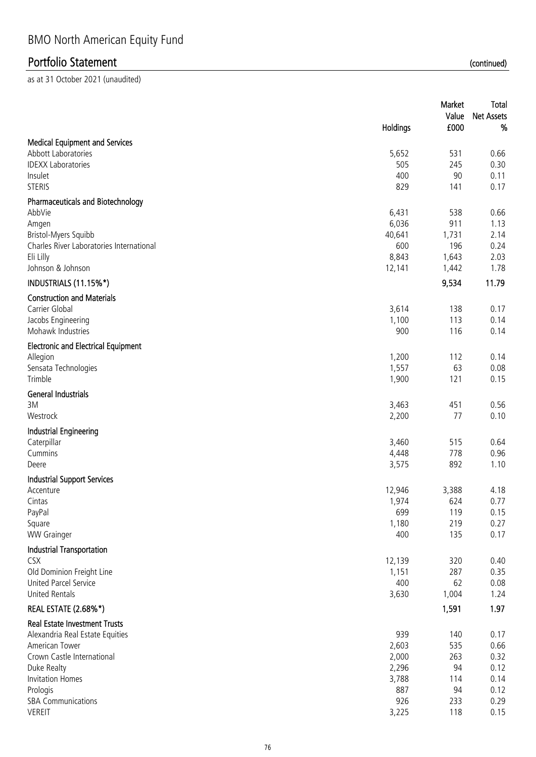|                                                           |                | Market     | Total             |
|-----------------------------------------------------------|----------------|------------|-------------------|
|                                                           |                | Value      | <b>Net Assets</b> |
|                                                           | Holdings       | £000       | %                 |
| <b>Medical Equipment and Services</b>                     |                |            |                   |
| Abbott Laboratories                                       | 5,652          | 531        | 0.66              |
| <b>IDEXX Laboratories</b>                                 | 505            | 245        | 0.30              |
| Insulet                                                   | 400            | 90         | 0.11              |
| <b>STERIS</b>                                             | 829            | 141        | 0.17              |
| <b>Pharmaceuticals and Biotechnology</b>                  |                |            |                   |
| AbbVie                                                    | 6,431          | 538        | 0.66              |
| Amgen                                                     | 6,036          | 911        | 1.13              |
| Bristol-Myers Squibb                                      | 40,641         | 1,731      | 2.14              |
| Charles River Laboratories International                  | 600            | 196        | 0.24              |
| Eli Lilly                                                 | 8,843          | 1,643      | 2.03              |
| Johnson & Johnson                                         | 12,141         | 1,442      | 1.78              |
| INDUSTRIALS (11.15%*)                                     |                | 9,534      | 11.79             |
| <b>Construction and Materials</b>                         |                |            |                   |
| Carrier Global                                            | 3,614          | 138        | 0.17              |
| Jacobs Engineering                                        | 1,100          | 113        | 0.14              |
| Mohawk Industries                                         | 900            | 116        | 0.14              |
| <b>Electronic and Electrical Equipment</b>                |                |            |                   |
| Allegion                                                  | 1,200          | 112        | 0.14              |
| Sensata Technologies                                      | 1,557          | 63         | 0.08              |
| Trimble                                                   | 1,900          | 121        | 0.15              |
| <b>General Industrials</b>                                |                |            |                   |
| 3M                                                        | 3,463          | 451        | 0.56              |
| Westrock                                                  | 2,200          | 77         | 0.10              |
| <b>Industrial Engineering</b>                             |                |            |                   |
| Caterpillar                                               | 3,460          | 515        | 0.64              |
| Cummins                                                   | 4,448          | 778        | 0.96              |
| Deere                                                     | 3,575          | 892        | 1.10              |
| <b>Industrial Support Services</b>                        |                |            |                   |
| Accenture                                                 | 12,946         | 3,388      | 4.18              |
| Cintas                                                    | 1,974          | 624        | 0.77              |
| PayPal                                                    | 699            | 119        | 0.15              |
| Square<br><b>WW Grainger</b>                              | 1,180<br>400   | 219<br>135 | 0.27<br>0.17      |
|                                                           |                |            |                   |
| Industrial Transportation                                 |                |            |                   |
| <b>CSX</b>                                                | 12,139         | 320<br>287 | 0.40              |
| Old Dominion Freight Line<br><b>United Parcel Service</b> | 1,151<br>400   | 62         | 0.35<br>0.08      |
| <b>United Rentals</b>                                     | 3,630          | 1,004      | 1.24              |
|                                                           |                |            | 1.97              |
| <b>REAL ESTATE (2.68%*)</b>                               |                | 1,591      |                   |
| <b>Real Estate Investment Trusts</b>                      |                |            |                   |
| Alexandria Real Estate Equities                           | 939            | 140        | 0.17              |
| American Tower<br>Crown Castle International              | 2,603          | 535        | 0.66              |
| Duke Realty                                               | 2,000<br>2,296 | 263<br>94  | 0.32<br>0.12      |
| <b>Invitation Homes</b>                                   | 3,788          | 114        | 0.14              |
| Prologis                                                  | 887            | 94         | 0.12              |
| <b>SBA Communications</b>                                 | 926            | 233        | 0.29              |
| <b>VEREIT</b>                                             | 3,225          | 118        | 0.15              |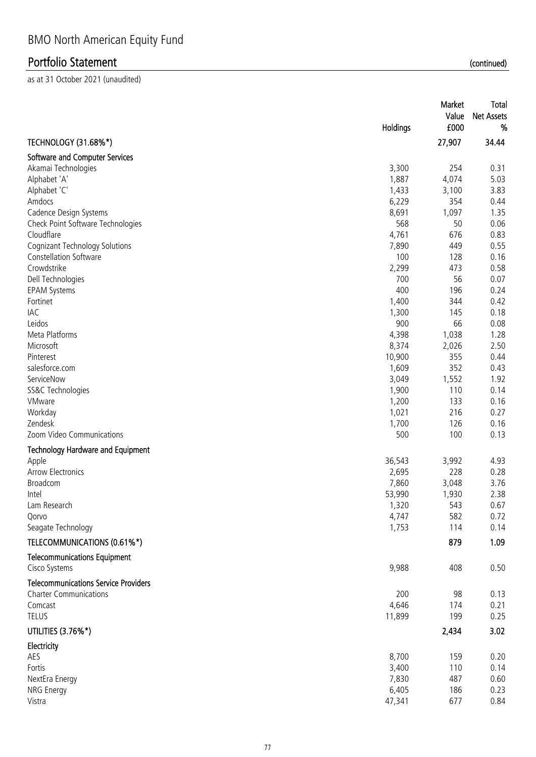|                                                      | Holdings       | Market<br>Value<br>£000 | <b>Total</b><br><b>Net Assets</b><br>% |
|------------------------------------------------------|----------------|-------------------------|----------------------------------------|
| <b>TECHNOLOGY (31.68%*)</b>                          |                | 27,907                  | 34.44                                  |
| Software and Computer Services                       |                |                         |                                        |
| Akamai Technologies                                  | 3,300          | 254                     | 0.31                                   |
| Alphabet 'A'                                         | 1,887          | 4,074                   | 5.03                                   |
| Alphabet 'C'                                         | 1,433          | 3,100                   | 3.83                                   |
| Amdocs                                               | 6,229          | 354                     | 0.44                                   |
| Cadence Design Systems                               | 8,691          | 1,097                   | 1.35                                   |
| Check Point Software Technologies                    | 568            | 50                      | 0.06                                   |
| Cloudflare                                           | 4,761          | 676                     | 0.83                                   |
| <b>Cognizant Technology Solutions</b>                | 7,890          | 449                     | 0.55                                   |
| <b>Constellation Software</b>                        | 100            | 128                     | 0.16                                   |
| Crowdstrike                                          | 2,299          | 473                     | 0.58                                   |
| Dell Technologies                                    | 700            | 56                      | 0.07                                   |
| <b>EPAM Systems</b>                                  | 400            | 196                     | 0.24                                   |
| Fortinet                                             | 1,400          | 344                     | 0.42                                   |
| IAC                                                  | 1,300          | 145                     | 0.18                                   |
| Leidos                                               | 900            | 66                      | 0.08                                   |
| Meta Platforms                                       | 4,398          | 1,038                   | 1.28                                   |
| Microsoft                                            | 8,374          | 2,026                   | 2.50                                   |
| Pinterest                                            | 10,900         | 355                     | 0.44                                   |
| salesforce.com                                       | 1,609          | 352                     | 0.43                                   |
| ServiceNow                                           | 3,049          | 1,552                   | 1.92                                   |
| SS&C Technologies                                    | 1,900          | 110                     | 0.14                                   |
| VMware<br>Workday                                    | 1,200<br>1,021 | 133<br>216              | 0.16<br>0.27                           |
| Zendesk                                              | 1,700          | 126                     | 0.16                                   |
| Zoom Video Communications                            | 500            | 100                     | 0.13                                   |
|                                                      |                |                         |                                        |
| <b>Technology Hardware and Equipment</b>             |                |                         | 4.93                                   |
| Apple<br><b>Arrow Electronics</b>                    | 36,543         | 3,992                   | 0.28                                   |
| Broadcom                                             | 2,695<br>7,860 | 228<br>3,048            | 3.76                                   |
| Intel                                                | 53,990         | 1,930                   | 2.38                                   |
| Lam Research                                         | 1,320          | 543                     | 0.67                                   |
| Qorvo                                                | 4,747          | 582                     | 0.72                                   |
| Seagate Technology                                   | 1,753          | 114                     | 0.14                                   |
|                                                      |                |                         |                                        |
| TELECOMMUNICATIONS (0.61%*)                          |                | 879                     | 1.09                                   |
| <b>Telecommunications Equipment</b><br>Cisco Systems | 9,988          | 408                     | 0.50                                   |
| <b>Telecommunications Service Providers</b>          |                |                         |                                        |
| <b>Charter Communications</b>                        | 200            | 98                      | 0.13                                   |
| Comcast                                              | 4,646          | 174                     | 0.21                                   |
| <b>TELUS</b>                                         | 11,899         | 199                     | 0.25                                   |
| UTILITIES (3.76%*)                                   |                | 2,434                   | 3.02                                   |
| Electricity                                          |                |                         |                                        |
| AES                                                  | 8,700          | 159                     | 0.20                                   |
| Fortis                                               | 3,400          | 110                     | 0.14                                   |
| NextEra Energy                                       | 7,830          | 487                     | 0.60                                   |
| NRG Energy                                           | 6,405          | 186                     | 0.23                                   |
| Vistra                                               | 47,341         | 677                     | 0.84                                   |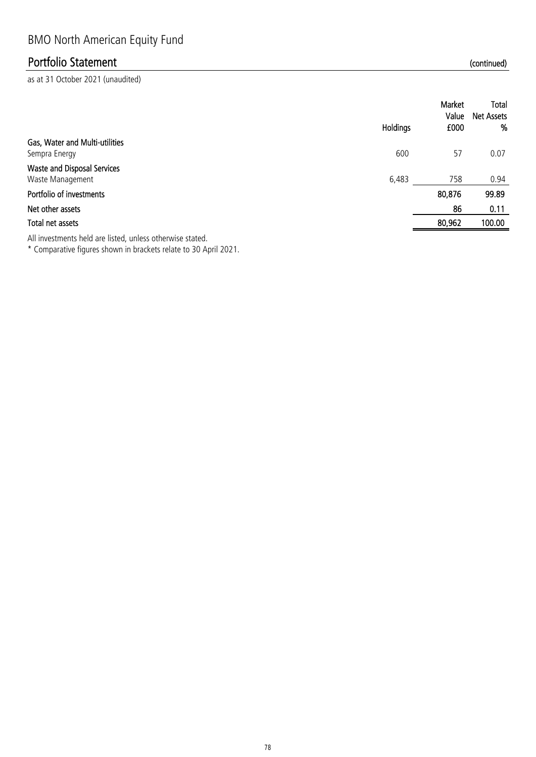as at 31 October 2021 (unaudited)

|                                                        |          | Market<br>Value | Total<br>Net Assets |
|--------------------------------------------------------|----------|-----------------|---------------------|
|                                                        | Holdings | £000            | %                   |
| Gas, Water and Multi-utilities<br>Sempra Energy        | 600      | 57              | 0.07                |
| <b>Waste and Disposal Services</b><br>Waste Management | 6,483    | 758             | 0.94                |
| Portfolio of investments                               |          | 80,876          | 99.89               |
| Net other assets                                       |          | 86              | 0.11                |
| Total net assets                                       |          | 80,962          | 100.00              |
|                                                        |          |                 |                     |

All investments held are listed, unless otherwise stated.

\* Comparative figures shown in brackets relate to 30 April 2021.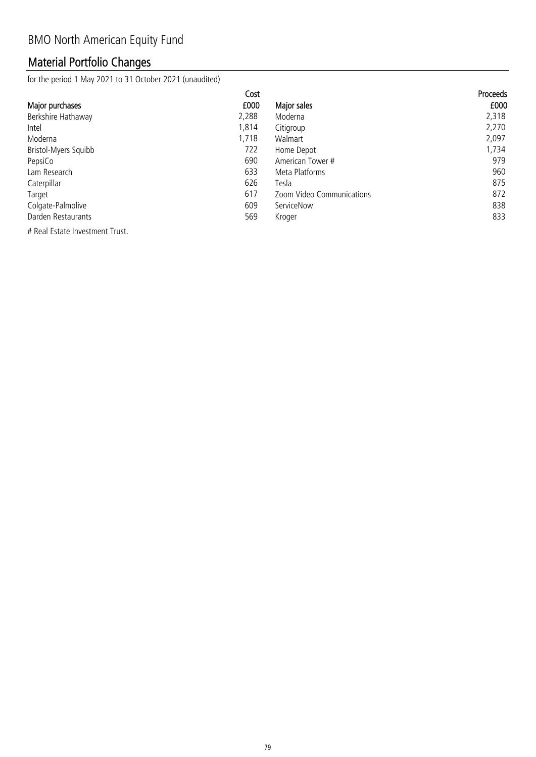## Material Portfolio Changes

for the period 1 May 2021 to 31 October 2021 (unaudited)

|                      | Cost  |                           | <b>Proceeds</b> |
|----------------------|-------|---------------------------|-----------------|
| Major purchases      | £000  | Major sales               | £000            |
| Berkshire Hathaway   | 2,288 | Moderna                   | 2,318           |
| Intel                | 1,814 | Citigroup                 | 2,270           |
| Moderna              | 1,718 | Walmart                   | 2,097           |
| Bristol-Myers Squibb | 722   | Home Depot                | 1,734           |
| PepsiCo              | 690   | American Tower #          | 979             |
| Lam Research         | 633   | Meta Platforms            | 960             |
| Caterpillar          | 626   | Tesla                     | 875             |
| Target               | 617   | Zoom Video Communications | 872             |
| Colgate-Palmolive    | 609   | ServiceNow                | 838             |
| Darden Restaurants   | 569   | Kroger                    | 833             |

# Real Estate Investment Trust.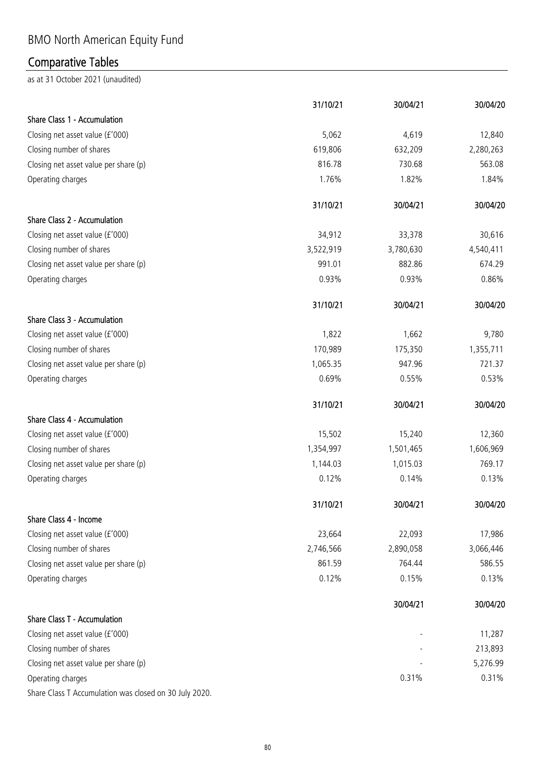# BMO North American Equity Fund

## Comparative Tables

|                                                        | 31/10/21  | 30/04/21  | 30/04/20  |
|--------------------------------------------------------|-----------|-----------|-----------|
| Share Class 1 - Accumulation                           |           |           |           |
| Closing net asset value (£'000)                        | 5,062     | 4,619     | 12,840    |
| Closing number of shares                               | 619,806   | 632,209   | 2,280,263 |
| Closing net asset value per share (p)                  | 816.78    | 730.68    | 563.08    |
| Operating charges                                      | 1.76%     | 1.82%     | 1.84%     |
|                                                        | 31/10/21  | 30/04/21  | 30/04/20  |
| Share Class 2 - Accumulation                           |           |           |           |
| Closing net asset value (£'000)                        | 34,912    | 33,378    | 30,616    |
| Closing number of shares                               | 3,522,919 | 3,780,630 | 4,540,411 |
| Closing net asset value per share (p)                  | 991.01    | 882.86    | 674.29    |
| Operating charges                                      | 0.93%     | 0.93%     | 0.86%     |
|                                                        | 31/10/21  | 30/04/21  | 30/04/20  |
| Share Class 3 - Accumulation                           |           |           |           |
| Closing net asset value (£'000)                        | 1,822     | 1,662     | 9,780     |
| Closing number of shares                               | 170,989   | 175,350   | 1,355,711 |
| Closing net asset value per share (p)                  | 1,065.35  | 947.96    | 721.37    |
| Operating charges                                      | 0.69%     | 0.55%     | 0.53%     |
|                                                        | 31/10/21  | 30/04/21  | 30/04/20  |
| Share Class 4 - Accumulation                           |           |           |           |
| Closing net asset value (£'000)                        | 15,502    | 15,240    | 12,360    |
| Closing number of shares                               | 1,354,997 | 1,501,465 | 1,606,969 |
| Closing net asset value per share (p)                  | 1,144.03  | 1,015.03  | 769.17    |
| Operating charges                                      | 0.12%     | 0.14%     | 0.13%     |
|                                                        | 31/10/21  | 30/04/21  | 30/04/20  |
| Share Class 4 - Income                                 |           |           |           |
| Closing net asset value (£'000)                        | 23,664    | 22,093    | 17,986    |
| Closing number of shares                               | 2,746,566 | 2,890,058 | 3,066,446 |
| Closing net asset value per share (p)                  | 861.59    | 764.44    | 586.55    |
| Operating charges                                      | 0.12%     | 0.15%     | 0.13%     |
|                                                        |           | 30/04/21  | 30/04/20  |
| <b>Share Class T - Accumulation</b>                    |           |           |           |
| Closing net asset value (£'000)                        |           |           | 11,287    |
| Closing number of shares                               |           |           | 213,893   |
| Closing net asset value per share (p)                  |           |           | 5,276.99  |
| Operating charges                                      |           | 0.31%     | 0.31%     |
| Share Class T Accumulation was closed on 30 July 2020. |           |           |           |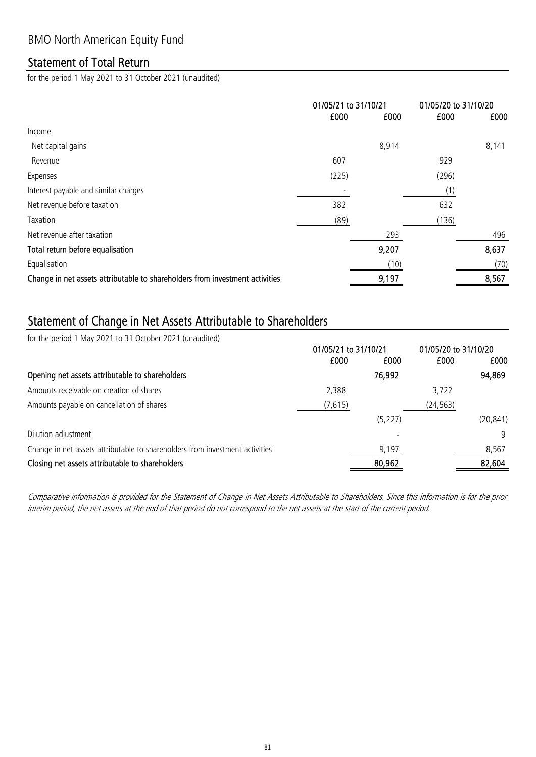### Statement of Total Return

for the period 1 May 2021 to 31 October 2021 (unaudited)

|                                                                              | 01/05/21 to 31/10/21 |       | 01/05/20 to 31/10/20 |       |
|------------------------------------------------------------------------------|----------------------|-------|----------------------|-------|
|                                                                              | £000                 | £000  | £000                 | £000  |
| Income                                                                       |                      |       |                      |       |
| Net capital gains                                                            |                      | 8,914 |                      | 8,141 |
| Revenue                                                                      | 607                  |       | 929                  |       |
| Expenses                                                                     | (225)                |       | (296)                |       |
| Interest payable and similar charges                                         |                      |       | (1)                  |       |
| Net revenue before taxation                                                  | 382                  |       | 632                  |       |
| Taxation                                                                     | (89)                 |       | (136)                |       |
| Net revenue after taxation                                                   |                      | 293   |                      | 496   |
| Total return before equalisation                                             |                      | 9,207 |                      | 8,637 |
| Equalisation                                                                 |                      | (10)  |                      | (70)  |
| Change in net assets attributable to shareholders from investment activities |                      | 9,197 |                      | 8,567 |

### Statement of Change in Net Assets Attributable to Shareholders

for the period 1 May 2021 to 31 October 2021 (unaudited)

|                                                                              | 01/05/21 to 31/10/21 |          | 01/05/20 to 31/10/20 |           |
|------------------------------------------------------------------------------|----------------------|----------|----------------------|-----------|
|                                                                              | £000                 | £000     | £000                 | £000      |
| Opening net assets attributable to shareholders                              |                      | 76,992   |                      | 94,869    |
| Amounts receivable on creation of shares                                     | 2,388                |          | 3.722                |           |
| Amounts payable on cancellation of shares                                    | (7,615)              |          | (24, 563)            |           |
|                                                                              |                      | (5, 227) |                      | (20, 841) |
| Dilution adjustment                                                          |                      |          |                      | 9         |
| Change in net assets attributable to shareholders from investment activities |                      | 9,197    |                      | 8,567     |
| Closing net assets attributable to shareholders                              |                      | 80,962   |                      | 82,604    |

Comparative information is provided for the Statement of Change in Net Assets Attributable to Shareholders. Since this information is for the prior interim period, the net assets at the end of that period do not correspond to the net assets at the start of the current period.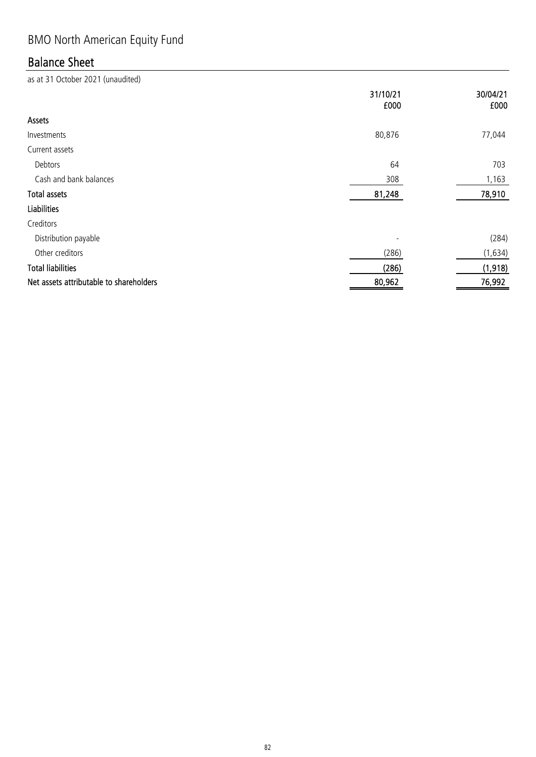# BMO North American Equity Fund

## Balance Sheet

|                                         | 31/10/21<br>£000 | 30/04/21<br>£000 |
|-----------------------------------------|------------------|------------------|
| Assets                                  |                  |                  |
| Investments                             | 80,876           | 77,044           |
| Current assets                          |                  |                  |
| Debtors                                 | 64               | 703              |
| Cash and bank balances                  | 308              | 1,163            |
| <b>Total assets</b>                     | 81,248           | 78,910           |
| <b>Liabilities</b>                      |                  |                  |
| Creditors                               |                  |                  |
| Distribution payable                    |                  | (284)            |
| Other creditors                         | (286)            | (1,634)          |
| <b>Total liabilities</b>                | (286)            | (1,918)          |
| Net assets attributable to shareholders | 80,962           | 76,992           |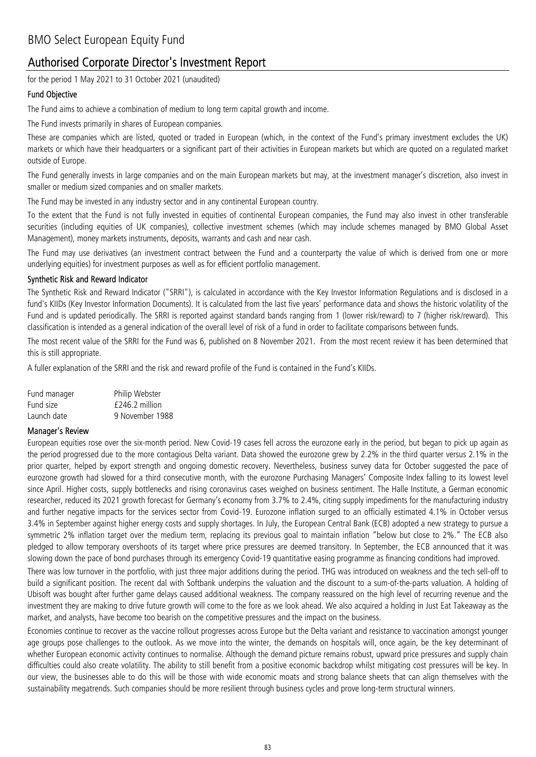### Authorised Corporate Director's Investment Report

for the period 1 May 2021 to 31 October 2021 (unaudited)

#### Fund Objective

The Fund aims to achieve a combination of medium to long term capital growth and income.

The Fund invests primarily in shares of European companies.

These are companies which are listed, quoted or traded in European (which, in the context of the Fund's primary investment excludes the UK) markets or which have their headquarters or a significant part of their activities in European markets but which are quoted on a regulated market outside of Europe.

The Fund generally invests in large companies and on the main European markets but may, at the investment manager's discretion, also invest in smaller or medium sized companies and on smaller markets.

The Fund may be invested in any industry sector and in any continental European country.

To the extent that the Fund is not fully invested in equities of continental European companies, the Fund may also invest in other transferable securities (including equities of UK companies), collective investment schemes (which may include schemes managed by BMO Global Asset Management), money markets instruments, deposits, warrants and cash and near cash.

The Fund may use derivatives (an investment contract between the Fund and a counterparty the value of which is derived from one or more underlying equities) for investment purposes as well as for efficient portfolio management.

#### Synthetic Risk and Reward Indicator

The Synthetic Risk and Reward Indicator ("SRRI"), is calculated in accordance with the Key Investor Information Regulations and is disclosed in a fund's KIIDs (Key Investor Information Documents). It is calculated from the last five years' performance data and shows the historic volatility of the Fund and is updated periodically. The SRRI is reported against standard bands ranging from 1 (lower risk/reward) to 7 (higher risk/reward). This classification is intended as a general indication of the overall level of risk of a fund in order to facilitate comparisons between funds.

The most recent value of the SRRI for the Fund was 6, published on 8 November 2021. From the most recent review it has been determined that this is still appropriate.

A fuller explanation of the SRRI and the risk and reward profile of the Fund is contained in the Fund's KIIDs.

| Fund manager | Philip Webster   |
|--------------|------------------|
| Fund size    | $£246.2$ million |
| Launch date  | 9 November 1988  |

#### Manager's Review

European equities rose over the six-month period. New Covid-19 cases fell across the eurozone early in the period, but began to pick up again as the period progressed due to the more contagious Delta variant. Data showed the eurozone grew by 2.2% in the third quarter versus 2.1% in the prior quarter, helped by export strength and ongoing domestic recovery. Nevertheless, business survey data for October suggested the pace of eurozone growth had slowed for a third consecutive month, with the eurozone Purchasing Managers' Composite Index falling to its lowest level since April. Higher costs, supply bottlenecks and rising coronavirus cases weighed on business sentiment. The Halle Institute, a German economic researcher, reduced its 2021 growth forecast for Germany's economy from 3.7% to 2.4%, citing supply impediments for the manufacturing industry and further negative impacts for the services sector from Covid-19. Eurozone inflation surged to an officially estimated 4.1% in October versus 3.4% in September against higher energy costs and supply shortages. In July, the European Central Bank (ECB) adopted a new strategy to pursue a symmetric 2% inflation target over the medium term, replacing its previous goal to maintain inflation "below but close to 2%." The ECB also pledged to allow temporary overshoots of its target where price pressures are deemed transitory. In September, the ECB announced that it was slowing down the pace of bond purchases through its emergency Covid-19 quantitative easing programme as financing conditions had improved.

There was low turnover in the portfolio, with just three major additions during the period. THG was introduced on weakness and the tech sell-off to build a significant position. The recent dal with Softbank underpins the valuation and the discount to a sum-of-the-parts valuation. A holding of Ubisoft was bought after further game delays caused additional weakness. The company reassured on the high level of recurring revenue and the investment they are making to drive future growth will come to the fore as we look ahead. We also acquired a holding in Just Eat Takeaway as the market, and analysts, have become too bearish on the competitive pressures and the impact on the business.

Economies continue to recover as the vaccine rollout progresses across Europe but the Delta variant and resistance to vaccination amongst younger age groups pose challenges to the outlook. As we move into the winter, the demands on hospitals will, once again, be the key determinant of whether European economic activity continues to normalise. Although the demand picture remains robust, upward price pressures and supply chain difficulties could also create volatility. The ability to still benefit from a positive economic backdrop whilst mitigating cost pressures will be key. In our view, the businesses able to do this will be those with wide economic moats and strong balance sheets that can align themselves with the sustainability megatrends. Such companies should be more resilient through business cycles and prove long-term structural winners.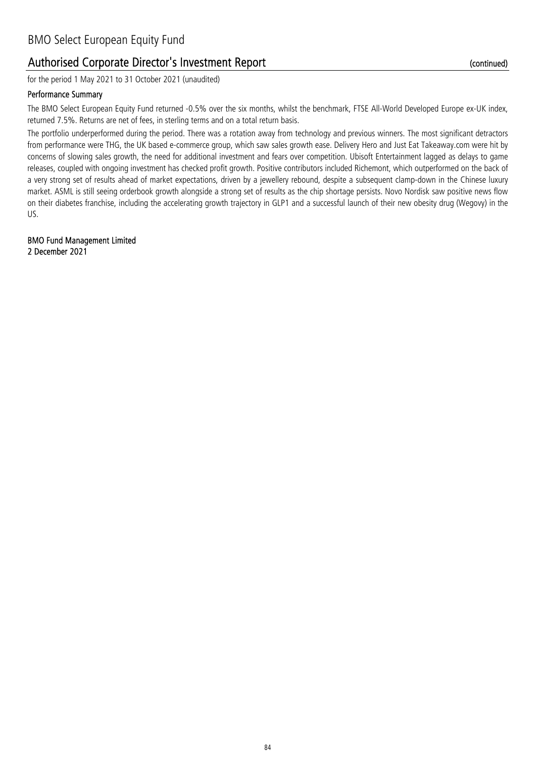### Authorised Corporate Director's Investment Report

for the period 1 May 2021 to 31 October 2021 (unaudited)

#### Performance Summary

The BMO Select European Equity Fund returned -0.5% over the six months, whilst the benchmark, FTSE All-World Developed Europe ex-UK index, returned 7.5%. Returns are net of fees, in sterling terms and on a total return basis.

The portfolio underperformed during the period. There was a rotation away from technology and previous winners. The most significant detractors from performance were THG, the UK based e-commerce group, which saw sales growth ease. Delivery Hero and Just Eat Takeaway.com were hit by concerns of slowing sales growth, the need for additional investment and fears over competition. Ubisoft Entertainment lagged as delays to game releases, coupled with ongoing investment has checked profit growth. Positive contributors included Richemont, which outperformed on the back of a very strong set of results ahead of market expectations, driven by a jewellery rebound, despite a subsequent clamp-down in the Chinese luxury market. ASML is still seeing orderbook growth alongside a strong set of results as the chip shortage persists. Novo Nordisk saw positive news flow on their diabetes franchise, including the accelerating growth trajectory in GLP1 and a successful launch of their new obesity drug (Wegovy) in the US.

2 December 2021 BMO Fund Management Limited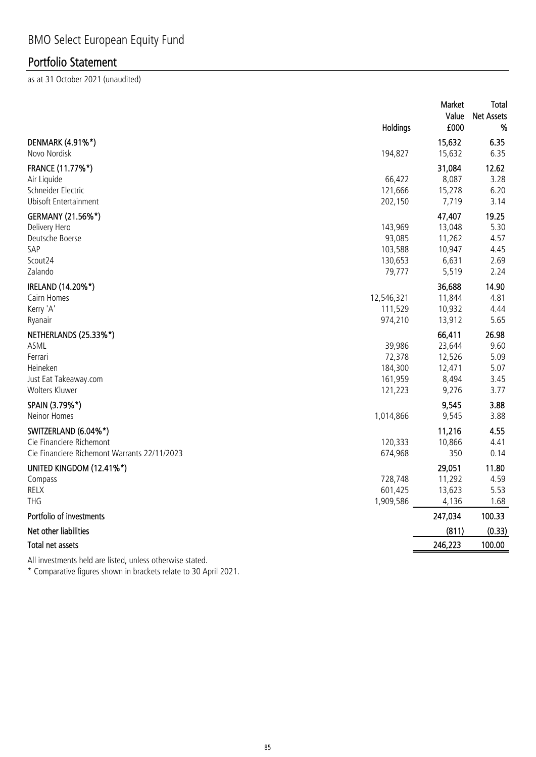as at 31 October 2021 (unaudited)

|                                              | <b>Holdings</b> | Market<br>Value<br>£000 | Total<br><b>Net Assets</b><br>% |
|----------------------------------------------|-----------------|-------------------------|---------------------------------|
| DENMARK (4.91%*)<br>Novo Nordisk             | 194,827         | 15,632<br>15,632        | 6.35<br>6.35                    |
| FRANCE (11.77%*)                             |                 | 31,084                  | 12.62                           |
| Air Liquide                                  | 66,422          | 8,087                   | 3.28                            |
| Schneider Electric                           | 121,666         | 15,278                  | 6.20                            |
| <b>Ubisoft Entertainment</b>                 | 202,150         | 7,719                   | 3.14                            |
| GERMANY (21.56%*)                            |                 | 47,407                  | 19.25                           |
| Delivery Hero                                | 143,969         | 13,048                  | 5.30                            |
| Deutsche Boerse                              | 93,085          | 11,262                  | 4.57                            |
| SAP                                          | 103,588         | 10,947                  | 4.45                            |
| Scout24                                      | 130,653         | 6,631                   | 2.69                            |
| Zalando                                      | 79,777          | 5,519                   | 2.24                            |
| IRELAND (14.20%*)                            |                 | 36,688                  | 14.90                           |
| Cairn Homes                                  | 12,546,321      | 11,844                  | 4.81                            |
| Kerry 'A'                                    | 111,529         | 10,932                  | 4.44                            |
| Ryanair                                      | 974,210         | 13,912                  | 5.65                            |
| NETHERLANDS (25.33%*)                        |                 | 66,411                  | 26.98                           |
| ASML                                         | 39,986          | 23,644                  | 9.60                            |
| Ferrari                                      | 72,378          | 12,526                  | 5.09                            |
| Heineken                                     | 184,300         | 12,471                  | 5.07                            |
| Just Eat Takeaway.com                        | 161,959         | 8,494                   | 3.45                            |
| Wolters Kluwer                               | 121,223         | 9,276                   | 3.77                            |
| SPAIN (3.79%*)                               |                 | 9,545                   | 3.88                            |
| Neinor Homes                                 | 1,014,866       | 9,545                   | 3.88                            |
| SWITZERLAND (6.04%*)                         |                 | 11,216                  | 4.55                            |
| Cie Financiere Richemont                     | 120,333         | 10,866                  | 4.41                            |
| Cie Financiere Richemont Warrants 22/11/2023 | 674,968         | 350                     | 0.14                            |
| UNITED KINGDOM (12.41%*)                     |                 | 29,051                  | 11.80                           |
| Compass                                      | 728,748         | 11,292                  | 4.59                            |
| <b>RELX</b>                                  | 601,425         | 13,623                  | 5.53                            |
| <b>THG</b>                                   | 1,909,586       | 4,136                   | 1.68                            |
| Portfolio of investments                     |                 | 247,034                 | 100.33                          |
| Net other liabilities                        |                 | (811)                   | (0.33)                          |
| Total net assets                             |                 | 246,223                 | 100.00                          |
|                                              |                 |                         |                                 |

All investments held are listed, unless otherwise stated.

\* Comparative figures shown in brackets relate to 30 April 2021.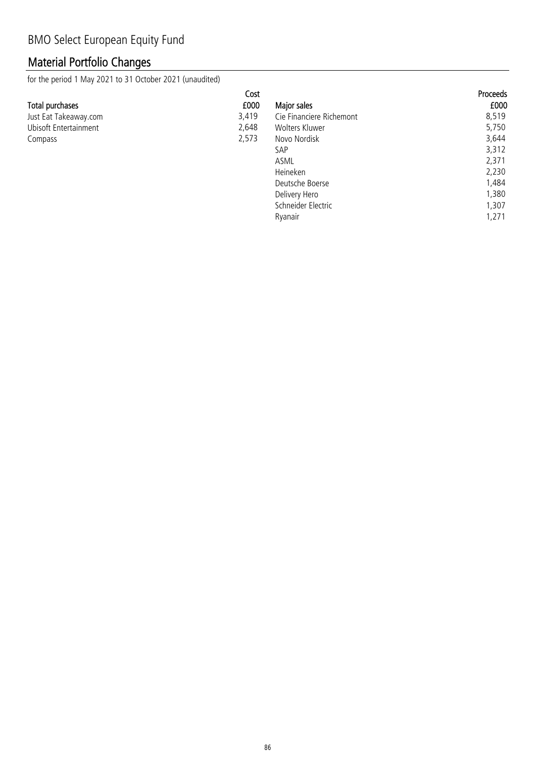## Material Portfolio Changes

for the period 1 May 2021 to 31 October 2021 (unaudited)

|                       | Cost  |                          | <b>Proceeds</b> |
|-----------------------|-------|--------------------------|-----------------|
| Total purchases       | £000  | Major sales              | £000            |
| Just Eat Takeaway.com | 3,419 | Cie Financiere Richemont | 8,519           |
| Ubisoft Entertainment | 2,648 | Wolters Kluwer           | 5,750           |
| Compass               | 2,573 | Novo Nordisk             | 3,644           |
|                       |       | SAP                      | 3,312           |
|                       |       | ASML                     | 2,371           |
|                       |       | Heineken                 | 2,230           |
|                       |       | Deutsche Boerse          | 1,484           |

Ryanair

Delivery Hero 1,380<br>Schneider Electric 1,307 Schneider Electric 1,307<br>Ryanair 1,271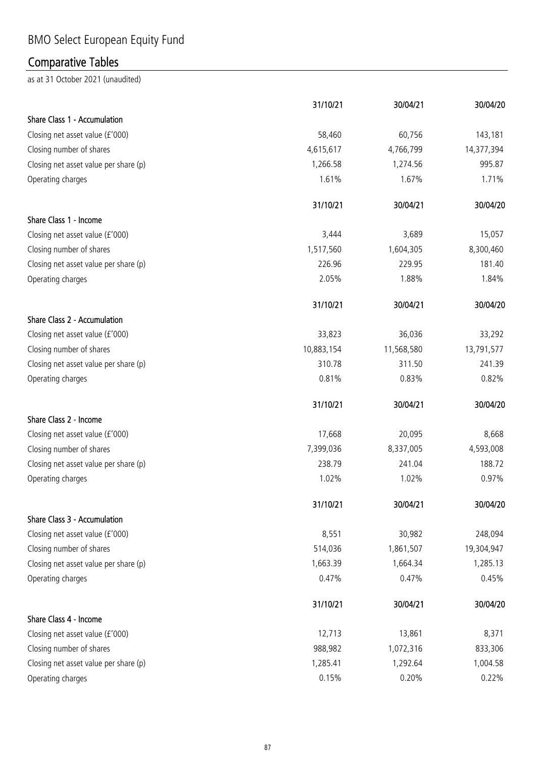# BMO Select European Equity Fund

## Comparative Tables

|                                       | 31/10/21   | 30/04/21   | 30/04/20   |
|---------------------------------------|------------|------------|------------|
| Share Class 1 - Accumulation          |            |            |            |
| Closing net asset value (£'000)       | 58,460     | 60,756     | 143,181    |
| Closing number of shares              | 4,615,617  | 4,766,799  | 14,377,394 |
| Closing net asset value per share (p) | 1,266.58   | 1,274.56   | 995.87     |
| Operating charges                     | 1.61%      | 1.67%      | 1.71%      |
|                                       | 31/10/21   | 30/04/21   | 30/04/20   |
| Share Class 1 - Income                |            |            |            |
| Closing net asset value (£'000)       | 3,444      | 3,689      | 15,057     |
| Closing number of shares              | 1,517,560  | 1,604,305  | 8,300,460  |
| Closing net asset value per share (p) | 226.96     | 229.95     | 181.40     |
| Operating charges                     | 2.05%      | 1.88%      | 1.84%      |
|                                       | 31/10/21   | 30/04/21   | 30/04/20   |
| Share Class 2 - Accumulation          |            |            |            |
| Closing net asset value (£'000)       | 33,823     | 36,036     | 33,292     |
| Closing number of shares              | 10,883,154 | 11,568,580 | 13,791,577 |
| Closing net asset value per share (p) | 310.78     | 311.50     | 241.39     |
| Operating charges                     | 0.81%      | 0.83%      | 0.82%      |
|                                       | 31/10/21   | 30/04/21   | 30/04/20   |
| Share Class 2 - Income                |            |            |            |
| Closing net asset value (£'000)       | 17,668     | 20,095     | 8,668      |
| Closing number of shares              | 7,399,036  | 8,337,005  | 4,593,008  |
| Closing net asset value per share (p) | 238.79     | 241.04     | 188.72     |
| Operating charges                     | 1.02%      | 1.02%      | 0.97%      |
|                                       | 31/10/21   | 30/04/21   | 30/04/20   |
| Share Class 3 - Accumulation          |            |            |            |
| Closing net asset value (£'000)       | 8,551      | 30,982     | 248,094    |
| Closing number of shares              | 514,036    | 1,861,507  | 19,304,947 |
| Closing net asset value per share (p) | 1,663.39   | 1,664.34   | 1,285.13   |
| Operating charges                     | 0.47%      | 0.47%      | 0.45%      |
|                                       | 31/10/21   | 30/04/21   | 30/04/20   |
| Share Class 4 - Income                |            |            |            |
| Closing net asset value (£'000)       | 12,713     | 13,861     | 8,371      |
| Closing number of shares              | 988,982    | 1,072,316  | 833,306    |
| Closing net asset value per share (p) | 1,285.41   | 1,292.64   | 1,004.58   |
| Operating charges                     | 0.15%      | 0.20%      | 0.22%      |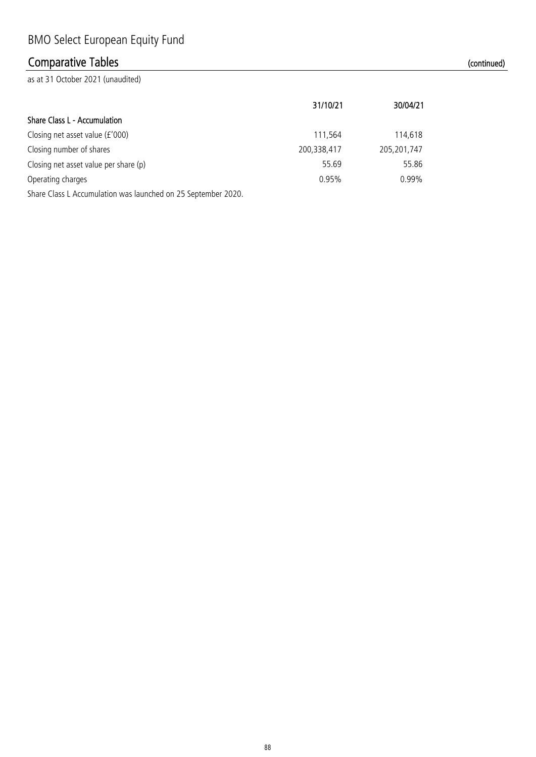## Comparative Tables (continued)

|                                                               | 31/10/21    | 30/04/21      |
|---------------------------------------------------------------|-------------|---------------|
| Share Class L - Accumulation                                  |             |               |
| Closing net asset value (£'000)                               | 111,564     | 114,618       |
| Closing number of shares                                      | 200,338,417 | 205, 201, 747 |
| Closing net asset value per share (p)                         | 55.69       | 55.86         |
| Operating charges                                             | 0.95%       | $0.99\%$      |
| Share Class L Accumulation was launched on 25 September 2020. |             |               |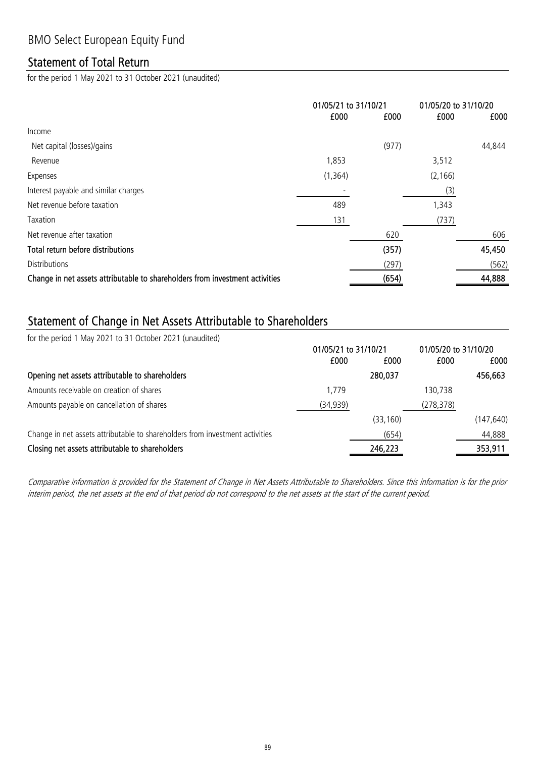### Statement of Total Return

for the period 1 May 2021 to 31 October 2021 (unaudited)

|                                                                              | 01/05/21 to 31/10/21 |       | 01/05/20 to 31/10/20 |        |
|------------------------------------------------------------------------------|----------------------|-------|----------------------|--------|
|                                                                              | £000                 | £000  | £000                 | £000   |
| Income                                                                       |                      |       |                      |        |
| Net capital (losses)/gains                                                   |                      | (977) |                      | 44,844 |
| Revenue                                                                      | 1,853                |       | 3,512                |        |
| Expenses                                                                     | (1, 364)             |       | (2, 166)             |        |
| Interest payable and similar charges                                         |                      |       | (3)                  |        |
| Net revenue before taxation                                                  | 489                  |       | 1,343                |        |
| Taxation                                                                     | 131                  |       | (737)                |        |
| Net revenue after taxation                                                   |                      | 620   |                      | 606    |
| Total return before distributions                                            |                      | (357) |                      | 45,450 |
| <b>Distributions</b>                                                         |                      | (297) |                      | (562)  |
| Change in net assets attributable to shareholders from investment activities |                      | (654) |                      | 44,888 |

### Statement of Change in Net Assets Attributable to Shareholders

for the period 1 May 2021 to 31 October 2021 (unaudited)

| 01/05/21 to 31/10/21 |           | 01/05/20 to 31/10/20 |            |
|----------------------|-----------|----------------------|------------|
| £000                 | £000      | £000                 | £000       |
|                      | 280,037   |                      | 456,663    |
| 1,779                |           | 130,738              |            |
| (34, 939)            |           | (278, 378)           |            |
|                      | (33, 160) |                      | (147, 640) |
|                      | (654)     |                      | 44,888     |
|                      | 246,223   |                      | 353,911    |
|                      |           |                      |            |

Comparative information is provided for the Statement of Change in Net Assets Attributable to Shareholders. Since this information is for the prior interim period, the net assets at the end of that period do not correspond to the net assets at the start of the current period.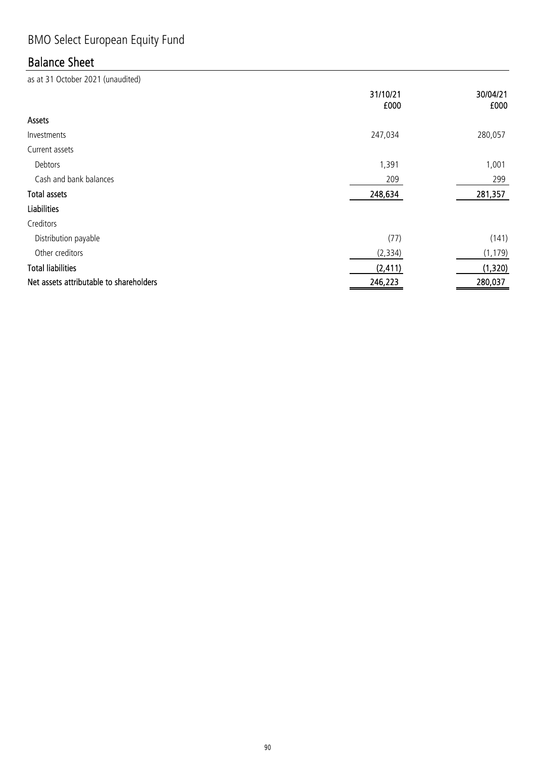# BMO Select European Equity Fund

## Balance Sheet

|                                         | 31/10/21<br>£000 | 30/04/21<br>£000 |
|-----------------------------------------|------------------|------------------|
| Assets                                  |                  |                  |
| Investments                             | 247,034          | 280,057          |
| Current assets                          |                  |                  |
| Debtors                                 | 1,391            | 1,001            |
| Cash and bank balances                  | 209              | 299              |
| <b>Total assets</b>                     | 248,634          | 281,357          |
| <b>Liabilities</b>                      |                  |                  |
| Creditors                               |                  |                  |
| Distribution payable                    | (77)             | (141)            |
| Other creditors                         | (2, 334)         | (1, 179)         |
| <b>Total liabilities</b>                | (2, 411)         | (1, 320)         |
| Net assets attributable to shareholders | 246,223          | 280,037          |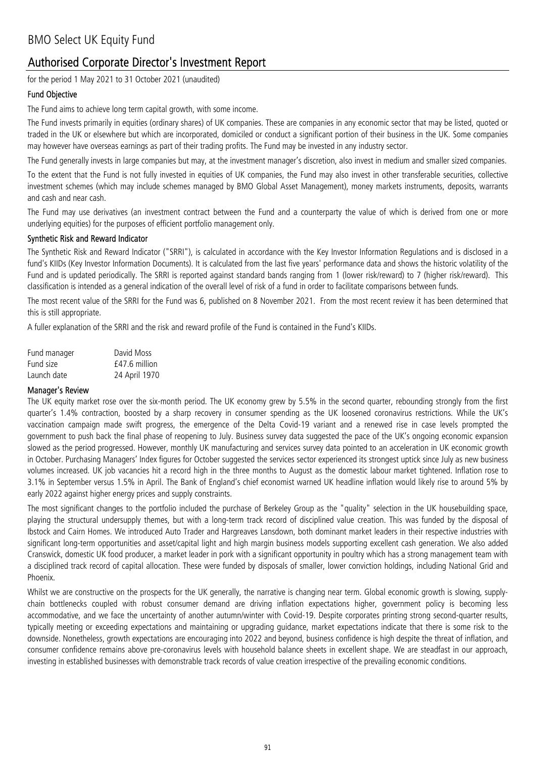### Authorised Corporate Director's Investment Report

for the period 1 May 2021 to 31 October 2021 (unaudited)

#### Fund Objective

The Fund aims to achieve long term capital growth, with some income.

The Fund invests primarily in equities (ordinary shares) of UK companies. These are companies in any economic sector that may be listed, quoted or traded in the UK or elsewhere but which are incorporated, domiciled or conduct a significant portion of their business in the UK. Some companies may however have overseas earnings as part of their trading profits. The Fund may be invested in any industry sector.

The Fund generally invests in large companies but may, at the investment manager's discretion, also invest in medium and smaller sized companies.

To the extent that the Fund is not fully invested in equities of UK companies, the Fund may also invest in other transferable securities, collective investment schemes (which may include schemes managed by BMO Global Asset Management), money markets instruments, deposits, warrants and cash and near cash.

The Fund may use derivatives (an investment contract between the Fund and a counterparty the value of which is derived from one or more underlying equities) for the purposes of efficient portfolio management only.

#### Synthetic Risk and Reward Indicator

The Synthetic Risk and Reward Indicator ("SRRI"), is calculated in accordance with the Key Investor Information Regulations and is disclosed in a fund's KIIDs (Key Investor Information Documents). It is calculated from the last five years' performance data and shows the historic volatility of the Fund and is updated periodically. The SRRI is reported against standard bands ranging from 1 (lower risk/reward) to 7 (higher risk/reward). This classification is intended as a general indication of the overall level of risk of a fund in order to facilitate comparisons between funds.

The most recent value of the SRRI for the Fund was 6, published on 8 November 2021. From the most recent review it has been determined that this is still appropriate.

A fuller explanation of the SRRI and the risk and reward profile of the Fund is contained in the Fund's KIIDs.

| Fund manager | David Moss      |
|--------------|-----------------|
| Fund size    | $f47.6$ million |
| Launch date  | 24 April 1970   |

#### Manager's Review

The UK equity market rose over the six-month period. The UK economy grew by 5.5% in the second quarter, rebounding strongly from the first quarter's 1.4% contraction, boosted by a sharp recovery in consumer spending as the UK loosened coronavirus restrictions. While the UK's vaccination campaign made swift progress, the emergence of the Delta Covid-19 variant and a renewed rise in case levels prompted the government to push back the final phase of reopening to July. Business survey data suggested the pace of the UK's ongoing economic expansion slowed as the period progressed. However, monthly UK manufacturing and services survey data pointed to an acceleration in UK economic growth in October. Purchasing Managers' Index figures for October suggested the services sector experienced its strongest uptick since July as new business volumes increased. UK job vacancies hit a record high in the three months to August as the domestic labour market tightened. Inflation rose to 3.1% in September versus 1.5% in April. The Bank of England's chief economist warned UK headline inflation would likely rise to around 5% by early 2022 against higher energy prices and supply constraints.

The most significant changes to the portfolio included the purchase of Berkeley Group as the "quality" selection in the UK housebuilding space, playing the structural undersupply themes, but with a long-term track record of disciplined value creation. This was funded by the disposal of Ibstock and Cairn Homes. We introduced Auto Trader and Hargreaves Lansdown, both dominant market leaders in their respective industries with significant long-term opportunities and asset/capital light and high margin business models supporting excellent cash generation. We also added Cranswick, domestic UK food producer, a market leader in pork with a significant opportunity in poultry which has a strong management team with a disciplined track record of capital allocation. These were funded by disposals of smaller, lower conviction holdings, including National Grid and Phoenix.

Whilst we are constructive on the prospects for the UK generally, the narrative is changing near term. Global economic growth is slowing, supplychain bottlenecks coupled with robust consumer demand are driving inflation expectations higher, government policy is becoming less accommodative, and we face the uncertainty of another autumn/winter with Covid-19. Despite corporates printing strong second-quarter results, typically meeting or exceeding expectations and maintaining or upgrading guidance, market expectations indicate that there is some risk to the downside. Nonetheless, growth expectations are encouraging into 2022 and beyond, business confidence is high despite the threat of inflation, and consumer confidence remains above pre-coronavirus levels with household balance sheets in excellent shape. We are steadfast in our approach, investing in established businesses with demonstrable track records of value creation irrespective of the prevailing economic conditions.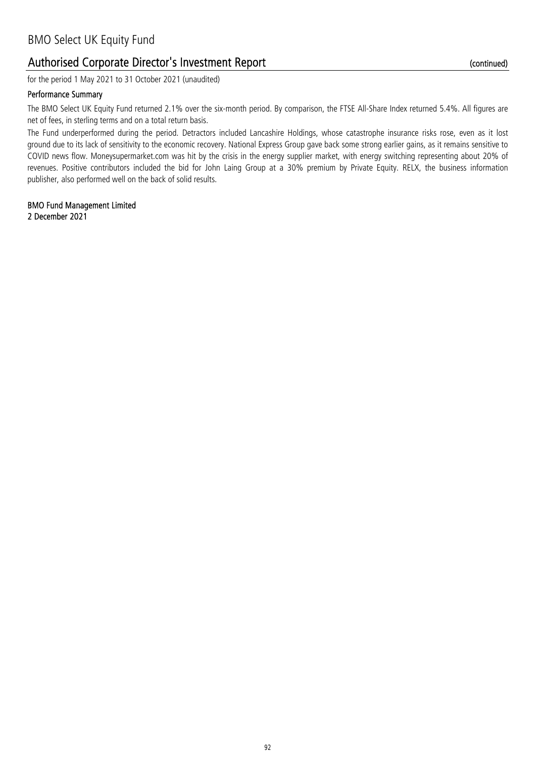### Authorised Corporate Director's Investment Report

for the period 1 May 2021 to 31 October 2021 (unaudited)

#### Performance Summary

The BMO Select UK Equity Fund returned 2.1% over the six-month period. By comparison, the FTSE All-Share Index returned 5.4%. All figures are net of fees, in sterling terms and on a total return basis.

The Fund underperformed during the period. Detractors included Lancashire Holdings, whose catastrophe insurance risks rose, even as it lost ground due to its lack of sensitivity to the economic recovery. National Express Group gave back some strong earlier gains, as it remains sensitive to COVID news flow. Moneysupermarket.com was hit by the crisis in the energy supplier market, with energy switching representing about 20% of revenues. Positive contributors included the bid for John Laing Group at a 30% premium by Private Equity. RELX, the business information publisher, also performed well on the back of solid results.

2 December 2021 BMO Fund Management Limited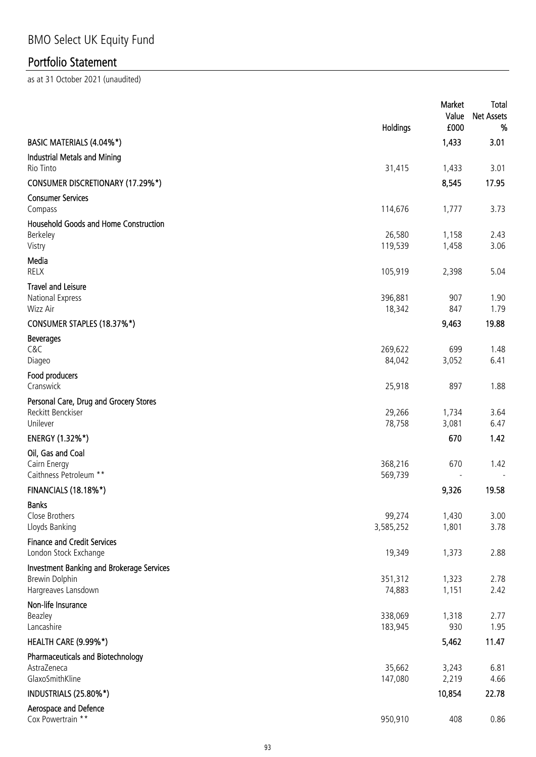|                                                                                    | Holdings            | Market<br>Value<br>£000 | Total<br><b>Net Assets</b><br>% |
|------------------------------------------------------------------------------------|---------------------|-------------------------|---------------------------------|
| BASIC MATERIALS (4.04%*)                                                           |                     | 1,433                   | 3.01                            |
| Industrial Metals and Mining<br>Rio Tinto                                          | 31,415              | 1,433                   | 3.01                            |
| <b>CONSUMER DISCRETIONARY (17.29%*)</b>                                            |                     | 8,545                   | 17.95                           |
| <b>Consumer Services</b><br>Compass                                                | 114,676             | 1,777                   | 3.73                            |
| <b>Household Goods and Home Construction</b><br>Berkeley<br>Vistry                 | 26,580<br>119,539   | 1,158<br>1,458          | 2.43<br>3.06                    |
| Media<br>RELX                                                                      | 105,919             | 2,398                   | 5.04                            |
| <b>Travel and Leisure</b><br>National Express<br>Wizz Air                          | 396,881<br>18,342   | 907<br>847              | 1.90<br>1.79                    |
| CONSUMER STAPLES (18.37%*)                                                         |                     | 9,463                   | 19.88                           |
| <b>Beverages</b><br>C&C<br>Diageo                                                  | 269,622<br>84,042   | 699<br>3,052            | 1.48<br>6.41                    |
| Food producers<br>Cranswick                                                        | 25,918              | 897                     | 1.88                            |
| Personal Care, Drug and Grocery Stores<br>Reckitt Benckiser<br>Unilever            | 29,266<br>78,758    | 1,734<br>3,081          | 3.64<br>6.47                    |
| <b>ENERGY (1.32%*)</b>                                                             |                     | 670                     | 1.42                            |
| Oil, Gas and Coal<br>Cairn Energy<br>Caithness Petroleum **                        | 368,216<br>569,739  | 670                     | 1.42                            |
| <b>FINANCIALS (18.18%*)</b>                                                        |                     | 9,326                   | 19.58                           |
| <b>Banks</b><br>Close Brothers<br>Lloyds Banking                                   | 99,274<br>3,585,252 | 1,430<br>1,801          | 3.00<br>3.78                    |
| <b>Finance and Credit Services</b><br>London Stock Exchange                        | 19,349              | 1,373                   | 2.88                            |
| Investment Banking and Brokerage Services<br>Brewin Dolphin<br>Hargreaves Lansdown | 351,312<br>74,883   | 1,323<br>1,151          | 2.78<br>2.42                    |
| Non-life Insurance<br>Beazley<br>Lancashire                                        | 338,069<br>183,945  | 1,318<br>930            | 2.77<br>1.95                    |
| HEALTH CARE (9.99%*)                                                               |                     | 5,462                   | 11.47                           |
| <b>Pharmaceuticals and Biotechnology</b><br>AstraZeneca<br>GlaxoSmithKline         | 35,662<br>147,080   | 3,243<br>2,219          | 6.81<br>4.66                    |
| INDUSTRIALS (25.80%*)                                                              |                     | 10,854                  | 22.78                           |
| Aerospace and Defence<br>Cox Powertrain **                                         | 950,910             | 408                     | 0.86                            |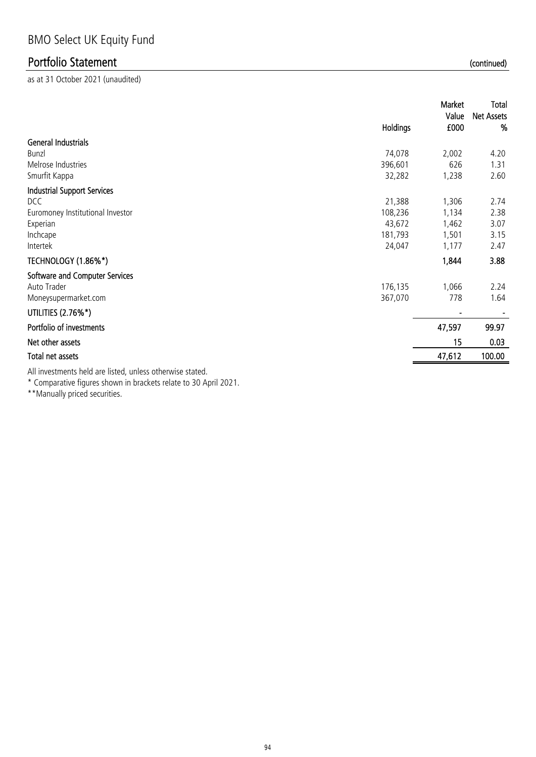as at 31 October 2021 (unaudited)

|                                                                                                                                                                                                                                                                                                                                                  | <b>Holdings</b> | Market<br>Value<br>£000 | Total<br><b>Net Assets</b><br>% |
|--------------------------------------------------------------------------------------------------------------------------------------------------------------------------------------------------------------------------------------------------------------------------------------------------------------------------------------------------|-----------------|-------------------------|---------------------------------|
| <b>General Industrials</b>                                                                                                                                                                                                                                                                                                                       |                 |                         |                                 |
| Bunzl                                                                                                                                                                                                                                                                                                                                            | 74,078          | 2,002                   | 4.20                            |
| Melrose Industries                                                                                                                                                                                                                                                                                                                               | 396,601         | 626                     | 1.31                            |
| Smurfit Kappa                                                                                                                                                                                                                                                                                                                                    | 32,282          | 1,238                   | 2.60                            |
| <b>Industrial Support Services</b>                                                                                                                                                                                                                                                                                                               |                 |                         |                                 |
| DCC                                                                                                                                                                                                                                                                                                                                              | 21,388          | 1,306                   | 2.74                            |
| Euromoney Institutional Investor                                                                                                                                                                                                                                                                                                                 | 108,236         | 1,134                   | 2.38                            |
| Experian                                                                                                                                                                                                                                                                                                                                         | 43,672          | 1,462                   | 3.07                            |
| Inchcape                                                                                                                                                                                                                                                                                                                                         | 181,793         | 1,501                   | 3.15                            |
| Intertek                                                                                                                                                                                                                                                                                                                                         | 24,047          | 1,177                   | 2.47                            |
| TECHNOLOGY (1.86%*)                                                                                                                                                                                                                                                                                                                              |                 | 1,844                   | 3.88                            |
| Software and Computer Services                                                                                                                                                                                                                                                                                                                   |                 |                         |                                 |
| Auto Trader                                                                                                                                                                                                                                                                                                                                      | 176,135         | 1,066                   | 2.24                            |
| Moneysupermarket.com                                                                                                                                                                                                                                                                                                                             | 367,070         | 778                     | 1.64                            |
| UTILITIES (2.76%*)                                                                                                                                                                                                                                                                                                                               |                 |                         |                                 |
| Portfolio of investments                                                                                                                                                                                                                                                                                                                         |                 | 47,597                  | 99.97                           |
| Net other assets                                                                                                                                                                                                                                                                                                                                 |                 | 15                      | 0.03                            |
| Total net assets                                                                                                                                                                                                                                                                                                                                 |                 | 47,612                  | 100.00                          |
| the contract of the contract of the contract of the contract of the contract of the contract of the contract of<br>the set of the contract of the set of the set of the set of the set of the set of the set of the set of the set of the set of the set of the set of the set of the set of the set of the set of the set of the set of the set |                 |                         |                                 |

All investments held are listed, unless otherwise stated.

\* Comparative figures shown in brackets relate to 30 April 2021.

\*\*Manually priced securities.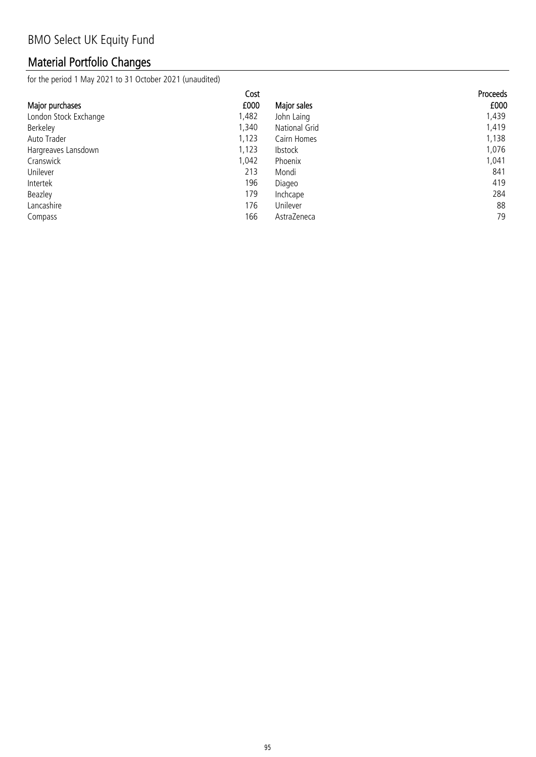## Material Portfolio Changes

for the period 1 May 2021 to 31 October 2021 (unaudited)

|                       | Cost  |                | Proceeds |
|-----------------------|-------|----------------|----------|
| Major purchases       | £000  | Major sales    | £000     |
| London Stock Exchange | 1,482 | John Laing     | 1,439    |
| Berkeley              | 1,340 | National Grid  | 1,419    |
| Auto Trader           | 1,123 | Cairn Homes    | 1,138    |
| Hargreaves Lansdown   | 1,123 | <b>Ibstock</b> | 1,076    |
| Cranswick             | 1,042 | Phoenix        | 1,041    |
| Unilever              | 213   | Mondi          | 841      |
| Intertek              | 196   | Diageo         | 419      |
| Beazley               | 179   | Inchcape       | 284      |
| Lancashire            | 176   | Unilever       | 88       |
| Compass               | 166   | AstraZeneca    | 79       |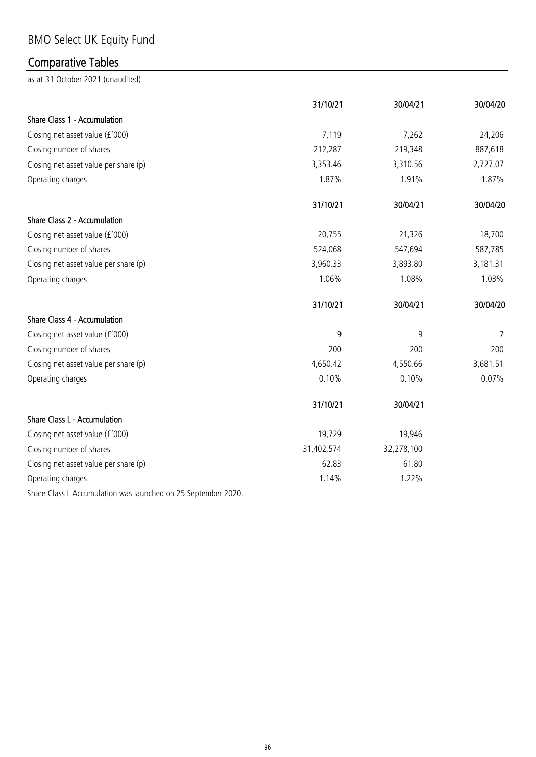# BMO Select UK Equity Fund

## Comparative Tables

as at 31 October 2021 (unaudited)

|                                       | 31/10/21   | 30/04/21   | 30/04/20 |
|---------------------------------------|------------|------------|----------|
| Share Class 1 - Accumulation          |            |            |          |
| Closing net asset value (£'000)       | 7,119      | 7,262      | 24,206   |
| Closing number of shares              | 212,287    | 219,348    | 887,618  |
| Closing net asset value per share (p) | 3,353.46   | 3,310.56   | 2,727.07 |
| Operating charges                     | 1.87%      | 1.91%      | 1.87%    |
|                                       | 31/10/21   | 30/04/21   | 30/04/20 |
| Share Class 2 - Accumulation          |            |            |          |
| Closing net asset value (£'000)       | 20,755     | 21,326     | 18,700   |
| Closing number of shares              | 524,068    | 547,694    | 587,785  |
| Closing net asset value per share (p) | 3,960.33   | 3,893.80   | 3,181.31 |
| Operating charges                     | 1.06%      | 1.08%      | 1.03%    |
|                                       | 31/10/21   | 30/04/21   | 30/04/20 |
| Share Class 4 - Accumulation          |            |            |          |
| Closing net asset value (£'000)       | 9          | 9          | 7        |
| Closing number of shares              | 200        | 200        | 200      |
| Closing net asset value per share (p) | 4,650.42   | 4,550.66   | 3,681.51 |
| Operating charges                     | 0.10%      | 0.10%      | 0.07%    |
|                                       | 31/10/21   | 30/04/21   |          |
| Share Class L - Accumulation          |            |            |          |
| Closing net asset value (£'000)       | 19,729     | 19,946     |          |
| Closing number of shares              | 31,402,574 | 32,278,100 |          |
| Closing net asset value per share (p) | 62.83      | 61.80      |          |
| Operating charges                     | 1.14%      | 1.22%      |          |

Share Class L Accumulation was launched on 25 September 2020.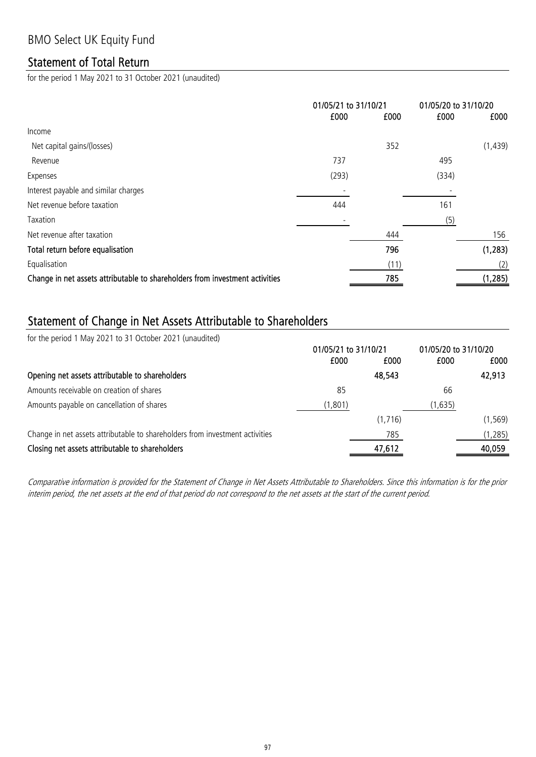### Statement of Total Return

for the period 1 May 2021 to 31 October 2021 (unaudited)

|                                                                              | 01/05/21 to 31/10/21 |      | 01/05/20 to 31/10/20 |          |
|------------------------------------------------------------------------------|----------------------|------|----------------------|----------|
|                                                                              | £000                 | £000 | £000                 | £000     |
| Income                                                                       |                      |      |                      |          |
| Net capital gains/(losses)                                                   |                      | 352  |                      | (1, 439) |
| Revenue                                                                      | 737                  |      | 495                  |          |
| Expenses                                                                     | (293)                |      | (334)                |          |
| Interest payable and similar charges                                         |                      |      |                      |          |
| Net revenue before taxation                                                  | 444                  |      | 161                  |          |
| Taxation                                                                     |                      |      | (5)                  |          |
| Net revenue after taxation                                                   |                      | 444  |                      | 156      |
| Total return before equalisation                                             |                      | 796  |                      | (1, 283) |
| Equalisation                                                                 |                      | (11) |                      | (2)      |
| Change in net assets attributable to shareholders from investment activities |                      | 785  |                      | (1, 285) |

### Statement of Change in Net Assets Attributable to Shareholders

for the period 1 May 2021 to 31 October 2021 (unaudited)

|                                                                              | 01/05/21 to 31/10/21 |         | 01/05/20 to 31/10/20 |          |
|------------------------------------------------------------------------------|----------------------|---------|----------------------|----------|
|                                                                              | £000                 | £000    | £000                 | £000     |
| Opening net assets attributable to shareholders                              |                      | 48,543  |                      | 42,913   |
| Amounts receivable on creation of shares                                     | 85                   |         | 66                   |          |
| Amounts payable on cancellation of shares                                    | (1,801)              |         | (1,635)              |          |
|                                                                              |                      | (1,716) |                      | (1, 569) |
| Change in net assets attributable to shareholders from investment activities |                      | 785     |                      | (1, 285) |
| Closing net assets attributable to shareholders                              |                      | 47,612  |                      | 40,059   |

Comparative information is provided for the Statement of Change in Net Assets Attributable to Shareholders. Since this information is for the prior interim period, the net assets at the end of that period do not correspond to the net assets at the start of the current period.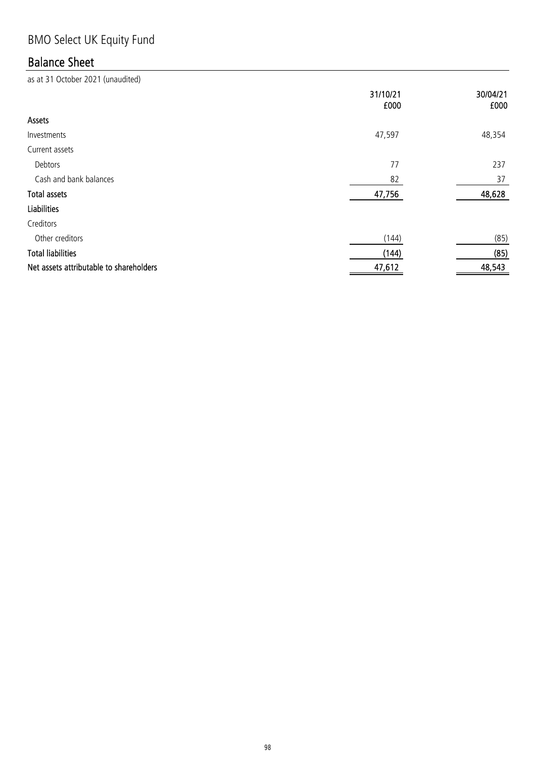# BMO Select UK Equity Fund

## Balance Sheet

|                                         | 31/10/21<br>£000 | 30/04/21<br>£000 |
|-----------------------------------------|------------------|------------------|
| Assets                                  |                  |                  |
| Investments                             | 47,597           | 48,354           |
| Current assets                          |                  |                  |
| Debtors                                 | 77               | 237              |
| Cash and bank balances                  | 82               | 37               |
| <b>Total assets</b>                     | 47,756           | 48,628           |
| <b>Liabilities</b>                      |                  |                  |
| Creditors                               |                  |                  |
| Other creditors                         | (144)            | (85)             |
| <b>Total liabilities</b>                | (144)            | (85)             |
| Net assets attributable to shareholders | 47,612           | 48,543           |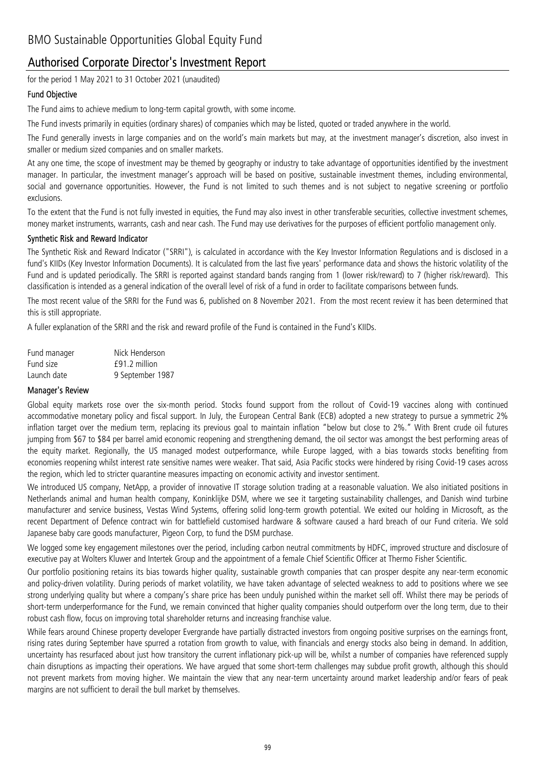### Authorised Corporate Director's Investment Report

for the period 1 May 2021 to 31 October 2021 (unaudited)

#### Fund Objective

The Fund aims to achieve medium to long-term capital growth, with some income.

The Fund invests primarily in equities (ordinary shares) of companies which may be listed, quoted or traded anywhere in the world.

The Fund generally invests in large companies and on the world's main markets but may, at the investment manager's discretion, also invest in smaller or medium sized companies and on smaller markets.

At any one time, the scope of investment may be themed by geography or industry to take advantage of opportunities identified by the investment manager. In particular, the investment manager's approach will be based on positive, sustainable investment themes, including environmental, social and governance opportunities. However, the Fund is not limited to such themes and is not subject to negative screening or portfolio exclusions.

To the extent that the Fund is not fully invested in equities, the Fund may also invest in other transferable securities, collective investment schemes, money market instruments, warrants, cash and near cash. The Fund may use derivatives for the purposes of efficient portfolio management only.

#### Synthetic Risk and Reward Indicator

The Synthetic Risk and Reward Indicator ("SRRI"), is calculated in accordance with the Key Investor Information Regulations and is disclosed in a fund's KIIDs (Key Investor Information Documents). It is calculated from the last five years' performance data and shows the historic volatility of the Fund and is updated periodically. The SRRI is reported against standard bands ranging from 1 (lower risk/reward) to 7 (higher risk/reward). This classification is intended as a general indication of the overall level of risk of a fund in order to facilitate comparisons between funds.

The most recent value of the SRRI for the Fund was 6, published on 8 November 2021. From the most recent review it has been determined that this is still appropriate.

A fuller explanation of the SRRI and the risk and reward profile of the Fund is contained in the Fund's KIIDs.

| Fund manager | Nick Henderson   |
|--------------|------------------|
| Fund size    | f91.2 million    |
| Launch date  | 9 September 1987 |

#### Manager's Review

Global equity markets rose over the six-month period. Stocks found support from the rollout of Covid-19 vaccines along with continued accommodative monetary policy and fiscal support. In July, the European Central Bank (ECB) adopted a new strategy to pursue a symmetric 2% inflation target over the medium term, replacing its previous goal to maintain inflation "below but close to 2%." With Brent crude oil futures jumping from \$67 to \$84 per barrel amid economic reopening and strengthening demand, the oil sector was amongst the best performing areas of the equity market. Regionally, the US managed modest outperformance, while Europe lagged, with a bias towards stocks benefiting from economies reopening whilst interest rate sensitive names were weaker. That said, Asia Pacific stocks were hindered by rising Covid-19 cases across the region, which led to stricter quarantine measures impacting on economic activity and investor sentiment.

We introduced US company, NetApp, a provider of innovative IT storage solution trading at a reasonable valuation. We also initiated positions in Netherlands animal and human health company, Koninklijke DSM, where we see it targeting sustainability challenges, and Danish wind turbine manufacturer and service business, Vestas Wind Systems, offering solid long-term growth potential. We exited our holding in Microsoft, as the recent Department of Defence contract win for battlefield customised hardware & software caused a hard breach of our Fund criteria. We sold Japanese baby care goods manufacturer, Pigeon Corp, to fund the DSM purchase.

We logged some key engagement milestones over the period, including carbon neutral commitments by HDFC, improved structure and disclosure of executive pay at Wolters Kluwer and Intertek Group and the appointment of a female Chief Scientific Officer at Thermo Fisher Scientific.

Our portfolio positioning retains its bias towards higher quality, sustainable growth companies that can prosper despite any near-term economic and policy-driven volatility. During periods of market volatility, we have taken advantage of selected weakness to add to positions where we see strong underlying quality but where a company's share price has been unduly punished within the market sell off. Whilst there may be periods of short-term underperformance for the Fund, we remain convinced that higher quality companies should outperform over the long term, due to their robust cash flow, focus on improving total shareholder returns and increasing franchise value.

While fears around Chinese property developer Evergrande have partially distracted investors from ongoing positive surprises on the earnings front, rising rates during September have spurred a rotation from growth to value, with financials and energy stocks also being in demand. In addition, uncertainty has resurfaced about just how transitory the current inflationary pick-up will be, whilst a number of companies have referenced supply chain disruptions as impacting their operations. We have argued that some short-term challenges may subdue profit growth, although this should not prevent markets from moving higher. We maintain the view that any near-term uncertainty around market leadership and/or fears of peak margins are not sufficient to derail the bull market by themselves.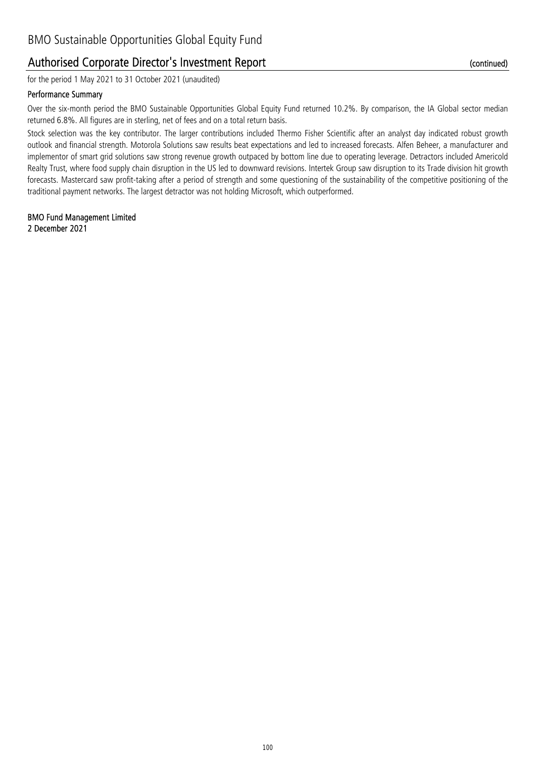### Authorised Corporate Director's Investment Report

for the period 1 May 2021 to 31 October 2021 (unaudited)

#### Performance Summary

Over the six-month period the BMO Sustainable Opportunities Global Equity Fund returned 10.2%. By comparison, the IA Global sector median returned 6.8%. All figures are in sterling, net of fees and on a total return basis.

Stock selection was the key contributor. The larger contributions included Thermo Fisher Scientific after an analyst day indicated robust growth outlook and financial strength. Motorola Solutions saw results beat expectations and led to increased forecasts. Alfen Beheer, a manufacturer and implementor of smart grid solutions saw strong revenue growth outpaced by bottom line due to operating leverage. Detractors included Americold Realty Trust, where food supply chain disruption in the US led to downward revisions. Intertek Group saw disruption to its Trade division hit growth forecasts. Mastercard saw profit-taking after a period of strength and some questioning of the sustainability of the competitive positioning of the traditional payment networks. The largest detractor was not holding Microsoft, which outperformed.

#### 2 December 2021 BMO Fund Management Limited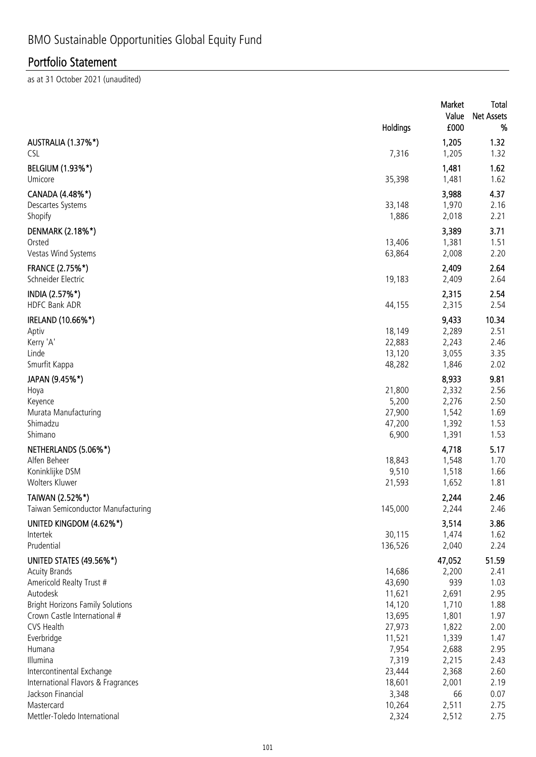|                                              |                  | Market<br>Value | Total<br><b>Net Assets</b> |
|----------------------------------------------|------------------|-----------------|----------------------------|
|                                              | Holdings         | £000            | %                          |
| AUSTRALIA (1.37%*)                           |                  | 1,205           | 1.32                       |
| <b>CSL</b>                                   | 7,316            | 1,205           | 1.32                       |
| BELGIUM (1.93%*)<br>Umicore                  | 35,398           | 1,481<br>1,481  | 1.62<br>1.62               |
| CANADA (4.48%*)                              |                  | 3,988           | 4.37                       |
| Descartes Systems<br>Shopify                 | 33,148<br>1,886  | 1,970<br>2,018  | 2.16<br>2.21               |
| DENMARK (2.18%*)                             |                  | 3,389           | 3.71                       |
| Orsted<br>Vestas Wind Systems                | 13,406<br>63,864 | 1,381<br>2,008  | 1.51<br>2.20               |
| <b>FRANCE (2.75%*)</b><br>Schneider Electric | 19,183           | 2,409<br>2,409  | 2.64<br>2.64               |
| INDIA (2.57%*)<br><b>HDFC Bank ADR</b>       | 44,155           | 2,315<br>2,315  | 2.54<br>2.54               |
| IRELAND (10.66%*)                            |                  | 9,433           | 10.34                      |
| Aptiv                                        | 18,149           | 2,289           | 2.51                       |
| Kerry 'A'                                    | 22,883           | 2,243           | 2.46                       |
| Linde<br>Smurfit Kappa                       | 13,120<br>48,282 | 3,055<br>1,846  | 3.35<br>2.02               |
| JAPAN (9.45%*)                               |                  | 8,933           | 9.81                       |
| Hoya                                         | 21,800           | 2,332           | 2.56                       |
| Keyence                                      | 5,200            | 2,276           | 2.50                       |
| Murata Manufacturing                         | 27,900           | 1,542           | 1.69                       |
| Shimadzu                                     | 47,200           | 1,392           | 1.53                       |
| Shimano                                      | 6,900            | 1,391           | 1.53                       |
| NETHERLANDS (5.06%*)<br>Alfen Beheer         | 18,843           | 4,718<br>1,548  | 5.17<br>1.70               |
| Koninklijke DSM                              | 9,510            | 1,518           | 1.66                       |
| Wolters Kluwer                               | 21,593           | 1,652           | 1.81                       |
| TAIWAN (2.52%*)                              |                  | 2,244           | 2.46                       |
| Taiwan Semiconductor Manufacturing           | 145,000          | 2,244           | 2.46                       |
| UNITED KINGDOM (4.62%*)                      |                  | 3,514           | 3.86                       |
| Intertek                                     | 30,115           | 1,474           | 1.62                       |
| Prudential                                   | 136,526          | 2,040           | 2.24                       |
| UNITED STATES (49.56%*)                      |                  | 47,052          | 51.59                      |
| <b>Acuity Brands</b>                         | 14,686<br>43,690 | 2,200<br>939    | 2.41<br>1.03               |
| Americold Realty Trust #<br>Autodesk         | 11,621           | 2,691           | 2.95                       |
| <b>Bright Horizons Family Solutions</b>      | 14,120           | 1,710           | 1.88                       |
| Crown Castle International #                 | 13,695           | 1,801           | 1.97                       |
| CVS Health                                   | 27,973           | 1,822           | 2.00                       |
| Everbridge                                   | 11,521           | 1,339           | 1.47                       |
| Humana                                       | 7,954            | 2,688           | 2.95                       |
| Illumina<br>Intercontinental Exchange        | 7,319<br>23,444  | 2,215<br>2,368  | 2.43<br>2.60               |
| International Flavors & Fragrances           | 18,601           | 2,001           | 2.19                       |
| Jackson Financial                            | 3,348            | 66              | 0.07                       |
| Mastercard                                   | 10,264           | 2,511           | 2.75                       |
| Mettler-Toledo International                 | 2,324            | 2,512           | 2.75                       |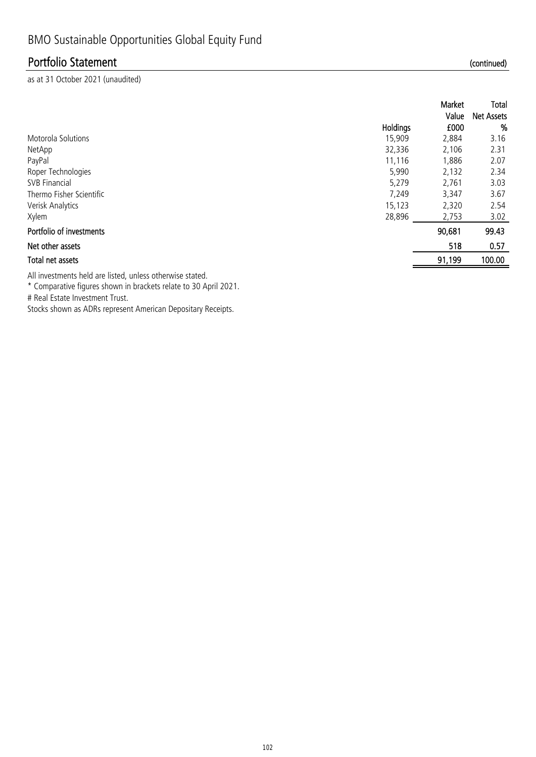as at 31 October 2021 (unaudited)

|                          |          | Market<br>Value | Total<br><b>Net Assets</b> |
|--------------------------|----------|-----------------|----------------------------|
|                          | Holdings | £000            | %                          |
| Motorola Solutions       | 15,909   | 2,884           | 3.16                       |
| NetApp                   | 32,336   | 2,106           | 2.31                       |
| PayPal                   | 11,116   | 1,886           | 2.07                       |
| Roper Technologies       | 5,990    | 2,132           | 2.34                       |
| <b>SVB Financial</b>     | 5,279    | 2,761           | 3.03                       |
| Thermo Fisher Scientific | 7,249    | 3,347           | 3.67                       |
| Verisk Analytics         | 15,123   | 2,320           | 2.54                       |
| Xylem                    | 28,896   | 2,753           | 3.02                       |
| Portfolio of investments |          | 90,681          | 99.43                      |
| Net other assets         |          | 518             | 0.57                       |
| Total net assets         |          | 91,199          | 100.00                     |

All investments held are listed, unless otherwise stated.

\* Comparative figures shown in brackets relate to 30 April 2021.

# Real Estate Investment Trust.

Stocks shown as ADRs represent American Depositary Receipts.

(continued)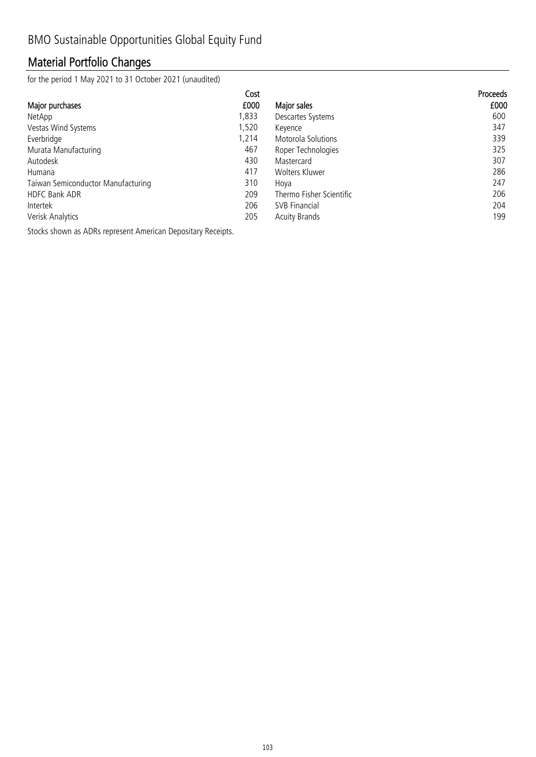## Material Portfolio Changes

for the period 1 May 2021 to 31 October 2021 (unaudited)

| Cost                                      |                          | Proceeds |
|-------------------------------------------|--------------------------|----------|
| £000<br>Major purchases                   | Major sales              | £000     |
| 1,833<br>NetApp                           | Descartes Systems        | 600      |
| 1,520<br>Vestas Wind Systems              | Keyence                  | 347      |
| Everbridge<br>1.214                       | Motorola Solutions       | 339      |
| 467<br>Murata Manufacturing               | Roper Technologies       | 325      |
| Autodesk<br>430                           | Mastercard               | 307      |
| 417<br>Humana                             | Wolters Kluwer           | 286      |
| 310<br>Taiwan Semiconductor Manufacturing | Hova                     | 247      |
| 209<br>HDFC Bank ADR                      | Thermo Fisher Scientific | 206      |
| 206<br>Intertek                           | <b>SVB Financial</b>     | 204      |
| 205<br>Verisk Analytics                   | <b>Acuity Brands</b>     | 199      |

Stocks shown as ADRs represent American Depositary Receipts.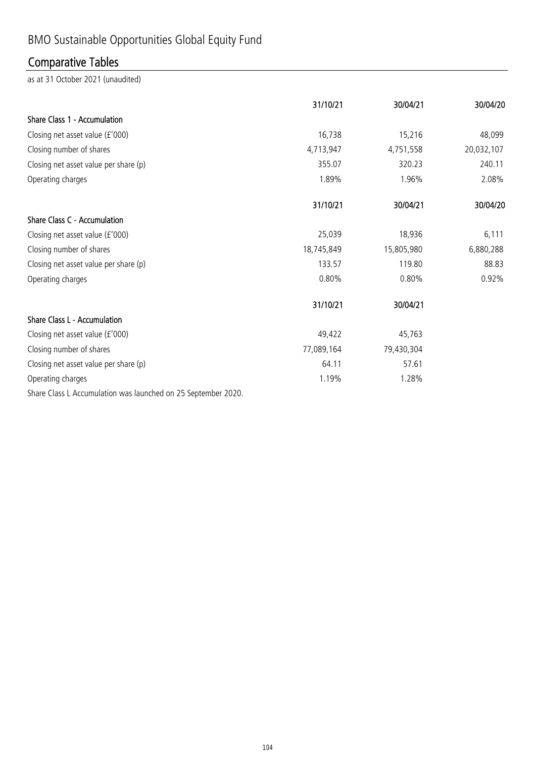# BMO Sustainable Opportunities Global Equity Fund

## Comparative Tables

as at 31 October 2021 (unaudited)

|                                                                                                                      | 31/10/21   | 30/04/21   | 30/04/20   |
|----------------------------------------------------------------------------------------------------------------------|------------|------------|------------|
| Share Class 1 - Accumulation                                                                                         |            |            |            |
| Closing net asset value (£'000)                                                                                      | 16,738     | 15,216     | 48,099     |
| Closing number of shares                                                                                             | 4,713,947  | 4,751,558  | 20,032,107 |
| Closing net asset value per share (p)                                                                                | 355.07     | 320.23     | 240.11     |
| Operating charges                                                                                                    | 1.89%      | 1.96%      | 2.08%      |
|                                                                                                                      | 31/10/21   | 30/04/21   | 30/04/20   |
| Share Class C - Accumulation                                                                                         |            |            |            |
| Closing net asset value (£'000)                                                                                      | 25,039     | 18,936     | 6,111      |
| Closing number of shares                                                                                             | 18,745,849 | 15,805,980 | 6,880,288  |
| Closing net asset value per share (p)                                                                                | 133.57     | 119.80     | 88.83      |
| Operating charges                                                                                                    | 0.80%      | $0.80\%$   | 0.92%      |
|                                                                                                                      | 31/10/21   | 30/04/21   |            |
| Share Class L - Accumulation                                                                                         |            |            |            |
| Closing net asset value (£'000)                                                                                      | 49,422     | 45,763     |            |
| Closing number of shares                                                                                             | 77,089,164 | 79,430,304 |            |
| Closing net asset value per share (p)                                                                                | 64.11      | 57.61      |            |
| Operating charges                                                                                                    | 1.19%      | 1.28%      |            |
| $C_{2}$ and $C_{3}$ and $C_{4}$ are contributions on a local contract of $C_{4}$ and $C_{5}$ and $C_{6}$ and $C_{6}$ |            |            |            |

Share Class L Accumulation was launched on 25 September 2020.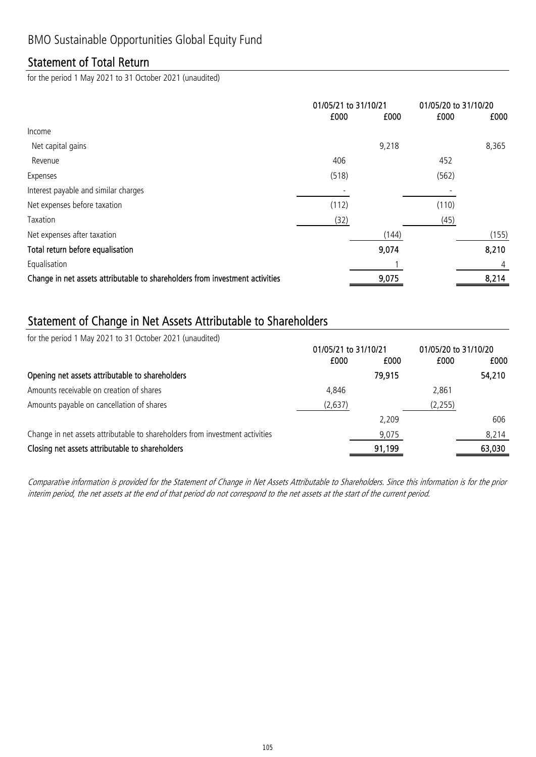### Statement of Total Return

for the period 1 May 2021 to 31 October 2021 (unaudited)

|                                                                              | 01/05/21 to 31/10/21 |       | 01/05/20 to 31/10/20 |       |
|------------------------------------------------------------------------------|----------------------|-------|----------------------|-------|
|                                                                              | £000                 | £000  | £000                 | £000  |
| Income                                                                       |                      |       |                      |       |
| Net capital gains                                                            |                      | 9,218 |                      | 8,365 |
| Revenue                                                                      | 406                  |       | 452                  |       |
| Expenses                                                                     | (518)                |       | (562)                |       |
| Interest payable and similar charges                                         |                      |       |                      |       |
| Net expenses before taxation                                                 | (112)                |       | (110)                |       |
| Taxation                                                                     | (32)                 |       | (45)                 |       |
| Net expenses after taxation                                                  |                      | (144) |                      | (155) |
| Total return before equalisation                                             |                      | 9,074 |                      | 8,210 |
| Equalisation                                                                 |                      |       |                      | 4     |
| Change in net assets attributable to shareholders from investment activities |                      | 9,075 |                      | 8,214 |
|                                                                              |                      |       |                      |       |

### Statement of Change in Net Assets Attributable to Shareholders

for the period 1 May 2021 to 31 October 2021 (unaudited)

| 01/05/21 to 31/10/21 |        | 01/05/20 to 31/10/20 |        |
|----------------------|--------|----------------------|--------|
| £000                 | £000   | £000                 | £000   |
|                      | 79,915 |                      | 54,210 |
| 4.846                |        | 2.861                |        |
| (2,637)              |        | (2, 255)             |        |
|                      | 2.209  |                      | 606    |
|                      | 9,075  |                      | 8.214  |
|                      | 91,199 |                      | 63,030 |
|                      |        |                      |        |

Comparative information is provided for the Statement of Change in Net Assets Attributable to Shareholders. Since this information is for the prior interim period, the net assets at the end of that period do not correspond to the net assets at the start of the current period.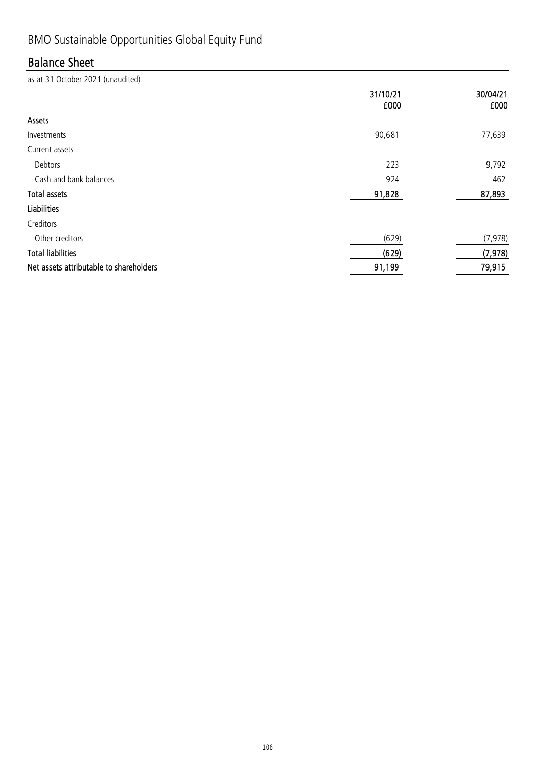# BMO Sustainable Opportunities Global Equity Fund

## Balance Sheet

|                                         | 31/10/21<br>£000 | 30/04/21<br>£000 |
|-----------------------------------------|------------------|------------------|
| Assets                                  |                  |                  |
| Investments                             | 90,681           | 77,639           |
| Current assets                          |                  |                  |
| Debtors                                 | 223              | 9,792            |
| Cash and bank balances                  | 924              | 462              |
| <b>Total assets</b>                     | 91,828           | 87,893           |
| <b>Liabilities</b>                      |                  |                  |
| Creditors                               |                  |                  |
| Other creditors                         | (629)            | (7, 978)         |
| <b>Total liabilities</b>                | (629)            | (7, 978)         |
| Net assets attributable to shareholders | 91,199           | 79,915           |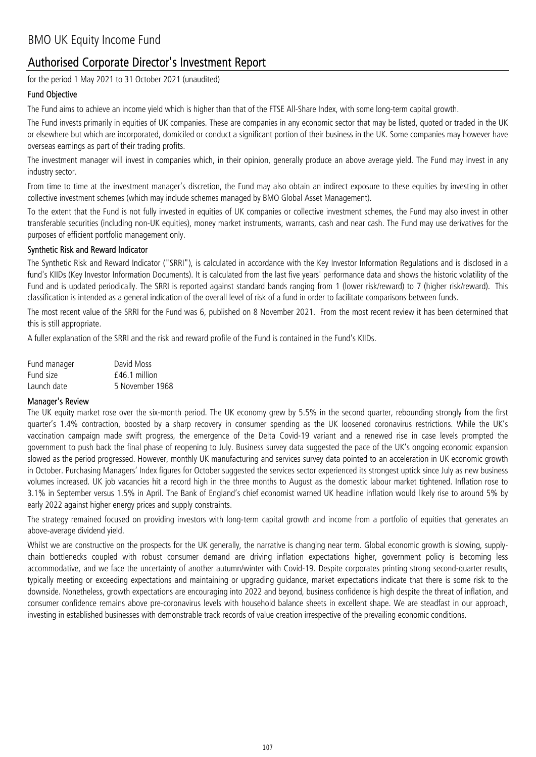for the period 1 May 2021 to 31 October 2021 (unaudited)

#### Fund Objective

The Fund aims to achieve an income yield which is higher than that of the FTSE All-Share Index, with some long-term capital growth.

The Fund invests primarily in equities of UK companies. These are companies in any economic sector that may be listed, quoted or traded in the UK or elsewhere but which are incorporated, domiciled or conduct a significant portion of their business in the UK. Some companies may however have overseas earnings as part of their trading profits.

The investment manager will invest in companies which, in their opinion, generally produce an above average yield. The Fund may invest in any industry sector.

From time to time at the investment manager's discretion, the Fund may also obtain an indirect exposure to these equities by investing in other collective investment schemes (which may include schemes managed by BMO Global Asset Management).

To the extent that the Fund is not fully invested in equities of UK companies or collective investment schemes, the Fund may also invest in other transferable securities (including non-UK equities), money market instruments, warrants, cash and near cash. The Fund may use derivatives for the purposes of efficient portfolio management only.

#### Synthetic Risk and Reward Indicator

The Synthetic Risk and Reward Indicator ("SRRI"), is calculated in accordance with the Key Investor Information Regulations and is disclosed in a fund's KIIDs (Key Investor Information Documents). It is calculated from the last five years' performance data and shows the historic volatility of the Fund and is updated periodically. The SRRI is reported against standard bands ranging from 1 (lower risk/reward) to 7 (higher risk/reward). This classification is intended as a general indication of the overall level of risk of a fund in order to facilitate comparisons between funds.

The most recent value of the SRRI for the Fund was 6, published on 8 November 2021. From the most recent review it has been determined that this is still appropriate.

A fuller explanation of the SRRI and the risk and reward profile of the Fund is contained in the Fund's KIIDs.

| Fund manager | David Moss      |
|--------------|-----------------|
| Fund size    | $f46.1$ million |
| Launch date  | 5 November 1968 |

#### Manager's Review

The UK equity market rose over the six-month period. The UK economy grew by 5.5% in the second quarter, rebounding strongly from the first quarter's 1.4% contraction, boosted by a sharp recovery in consumer spending as the UK loosened coronavirus restrictions. While the UK's vaccination campaign made swift progress, the emergence of the Delta Covid-19 variant and a renewed rise in case levels prompted the government to push back the final phase of reopening to July. Business survey data suggested the pace of the UK's ongoing economic expansion slowed as the period progressed. However, monthly UK manufacturing and services survey data pointed to an acceleration in UK economic growth in October. Purchasing Managers' Index figures for October suggested the services sector experienced its strongest uptick since July as new business volumes increased. UK job vacancies hit a record high in the three months to August as the domestic labour market tightened. Inflation rose to 3.1% in September versus 1.5% in April. The Bank of England's chief economist warned UK headline inflation would likely rise to around 5% by early 2022 against higher energy prices and supply constraints.

The strategy remained focused on providing investors with long-term capital growth and income from a portfolio of equities that generates an above-average dividend yield.

Whilst we are constructive on the prospects for the UK generally, the narrative is changing near term. Global economic growth is slowing, supplychain bottlenecks coupled with robust consumer demand are driving inflation expectations higher, government policy is becoming less accommodative, and we face the uncertainty of another autumn/winter with Covid-19. Despite corporates printing strong second-quarter results, typically meeting or exceeding expectations and maintaining or upgrading guidance, market expectations indicate that there is some risk to the downside. Nonetheless, growth expectations are encouraging into 2022 and beyond, business confidence is high despite the threat of inflation, and consumer confidence remains above pre-coronavirus levels with household balance sheets in excellent shape. We are steadfast in our approach, investing in established businesses with demonstrable track records of value creation irrespective of the prevailing economic conditions.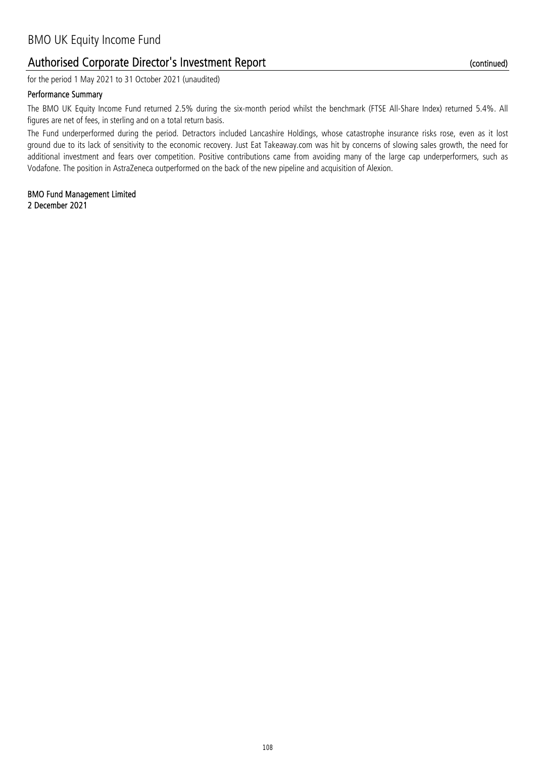for the period 1 May 2021 to 31 October 2021 (unaudited)

#### Performance Summary

The BMO UK Equity Income Fund returned 2.5% during the six-month period whilst the benchmark (FTSE All-Share Index) returned 5.4%. All figures are net of fees, in sterling and on a total return basis.

The Fund underperformed during the period. Detractors included Lancashire Holdings, whose catastrophe insurance risks rose, even as it lost ground due to its lack of sensitivity to the economic recovery. Just Eat Takeaway.com was hit by concerns of slowing sales growth, the need for additional investment and fears over competition. Positive contributions came from avoiding many of the large cap underperformers, such as Vodafone. The position in AstraZeneca outperformed on the back of the new pipeline and acquisition of Alexion.

2 December 2021 BMO Fund Management Limited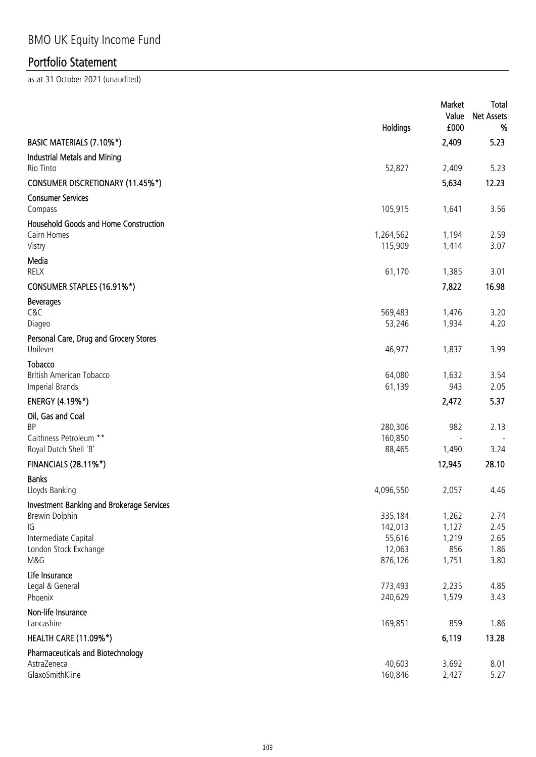|                                                                       | Holdings                    | Market<br>Value<br>£000 | Total<br><b>Net Assets</b><br>% |
|-----------------------------------------------------------------------|-----------------------------|-------------------------|---------------------------------|
| BASIC MATERIALS (7.10%*)                                              |                             | 2,409                   | 5.23                            |
| <b>Industrial Metals and Mining</b><br>Rio Tinto                      | 52,827                      | 2,409                   | 5.23                            |
| <b>CONSUMER DISCRETIONARY (11.45%*)</b>                               |                             | 5,634                   | 12.23                           |
| <b>Consumer Services</b><br>Compass                                   | 105,915                     | 1,641                   | 3.56                            |
| <b>Household Goods and Home Construction</b><br>Cairn Homes<br>Vistry | 1,264,562<br>115,909        | 1,194<br>1,414          | 2.59<br>3.07                    |
| Media<br>RELX                                                         | 61,170                      | 1,385                   | 3.01                            |
| CONSUMER STAPLES (16.91%*)                                            |                             | 7,822                   | 16.98                           |
| <b>Beverages</b><br>C&C<br>Diageo                                     | 569,483<br>53,246           | 1,476<br>1,934          | 3.20<br>4.20                    |
| Personal Care, Drug and Grocery Stores<br>Unilever                    | 46,977                      | 1,837                   | 3.99                            |
| Tobacco<br>British American Tobacco<br><b>Imperial Brands</b>         | 64,080<br>61,139            | 1,632<br>943            | 3.54<br>2.05                    |
| <b>ENERGY (4.19%*)</b>                                                |                             | 2,472                   | 5.37                            |
| Oil, Gas and Coal<br><b>BP</b>                                        | 280,306                     | 982                     | 2.13                            |
| Caithness Petroleum **<br>Royal Dutch Shell 'B'                       | 160,850<br>88,465           | 1,490                   | 3.24                            |
| <b>FINANCIALS (28.11%*)</b>                                           |                             | 12,945                  | 28.10                           |
| <b>Banks</b><br>Lloyds Banking                                        | 4,096,550                   | 2,057                   | 4.46                            |
| Investment Banking and Brokerage Services<br>Brewin Dolphin<br>IG     | 335,184<br>142,013          | 1,262<br>1,127          | 2.74<br>2.45                    |
| Intermediate Capital<br>London Stock Exchange<br>M&G                  | 55,616<br>12,063<br>876,126 | 1,219<br>856<br>1,751   | 2.65<br>1.86<br>3.80            |
| Life Insurance<br>Legal & General<br>Phoenix                          | 773,493<br>240,629          | 2,235<br>1,579          | 4.85<br>3.43                    |
| Non-life Insurance<br>Lancashire                                      | 169,851                     | 859                     | 1.86                            |
| <b>HEALTH CARE (11.09%*)</b>                                          |                             | 6,119                   | 13.28                           |
| <b>Pharmaceuticals and Biotechnology</b><br>AstraZeneca               | 40,603                      | 3,692                   | 8.01                            |
| GlaxoSmithKline                                                       | 160,846                     | 2,427                   | 5.27                            |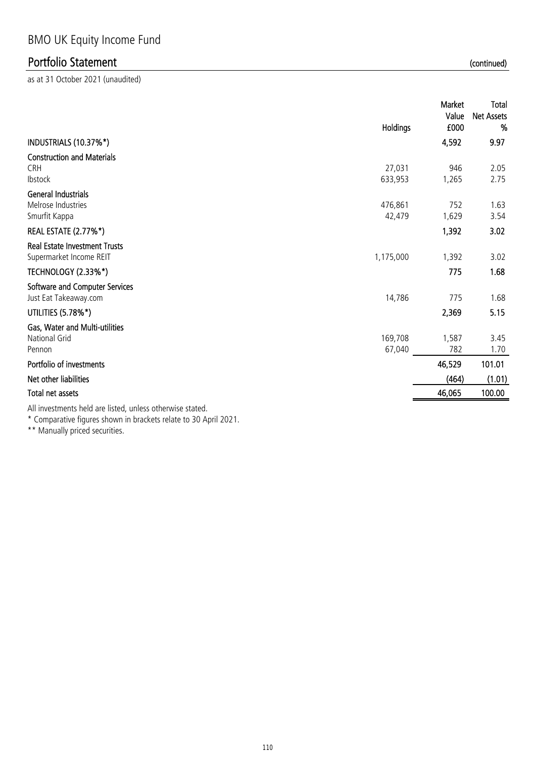as at 31 October 2021 (unaudited)

|                                                                                                                                                                                                                                | Holdings          | Market<br>Value<br>£000 | Total<br><b>Net Assets</b><br>% |
|--------------------------------------------------------------------------------------------------------------------------------------------------------------------------------------------------------------------------------|-------------------|-------------------------|---------------------------------|
| INDUSTRIALS (10.37%*)                                                                                                                                                                                                          |                   | 4,592                   | 9.97                            |
| <b>Construction and Materials</b><br><b>CRH</b><br>Ibstock                                                                                                                                                                     | 27,031<br>633,953 | 946<br>1,265            | 2.05<br>2.75                    |
| <b>General Industrials</b><br>Melrose Industries<br>Smurfit Kappa                                                                                                                                                              | 476,861<br>42,479 | 752<br>1,629            | 1.63<br>3.54                    |
| <b>REAL ESTATE (2.77%*)</b>                                                                                                                                                                                                    |                   | 1,392                   | 3.02                            |
| <b>Real Estate Investment Trusts</b><br>Supermarket Income REIT                                                                                                                                                                | 1,175,000         | 1,392                   | 3.02                            |
| <b>TECHNOLOGY (2.33%*)</b>                                                                                                                                                                                                     |                   | 775                     | 1.68                            |
| Software and Computer Services<br>Just Eat Takeaway.com                                                                                                                                                                        | 14,786            | 775                     | 1.68                            |
| UTILITIES (5.78%*)                                                                                                                                                                                                             |                   | 2,369                   | 5.15                            |
| Gas, Water and Multi-utilities<br>National Grid<br>Pennon                                                                                                                                                                      | 169,708<br>67,040 | 1,587<br>782            | 3.45<br>1.70                    |
| Portfolio of investments                                                                                                                                                                                                       |                   | 46,529                  | 101.01                          |
| Net other liabilities                                                                                                                                                                                                          |                   | (464)                   | (1.01)                          |
| Total net assets                                                                                                                                                                                                               |                   | 46,065                  | 100.00                          |
| All the second the three than the second the second terms of the second terms of the second terms of the second terms of the second terms of the second terms of the second terms of the second terms of the second terms of t |                   |                         |                                 |

All investments held are listed, unless otherwise stated.

\* Comparative figures shown in brackets relate to 30 April 2021.

\*\* Manually priced securities.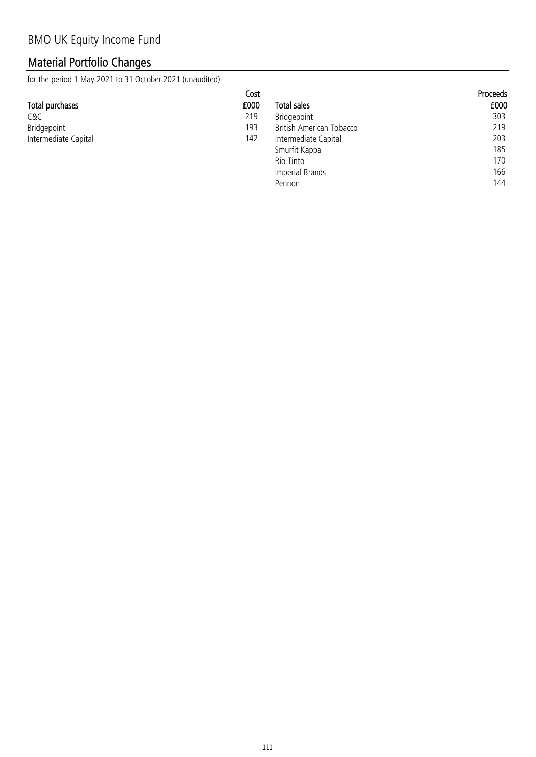## Material Portfolio Changes

for the period 1 May 2021 to 31 October 2021 (unaudited)

|                      | Cost |                          | <b>Proceeds</b> |
|----------------------|------|--------------------------|-----------------|
| Total purchases      | £000 | <b>Total sales</b>       | £000            |
| C&C                  | 219  | Bridgepoint              | 303             |
| Bridgepoint          | 193  | British American Tobacco | 219             |
| Intermediate Capital | 142  | Intermediate Capital     | 203             |
|                      |      | Smurfit Kappa            | 185             |
|                      |      | Rio Tinto                | 170             |

Pennon

Imperial Brands 166<br>
Pennon 144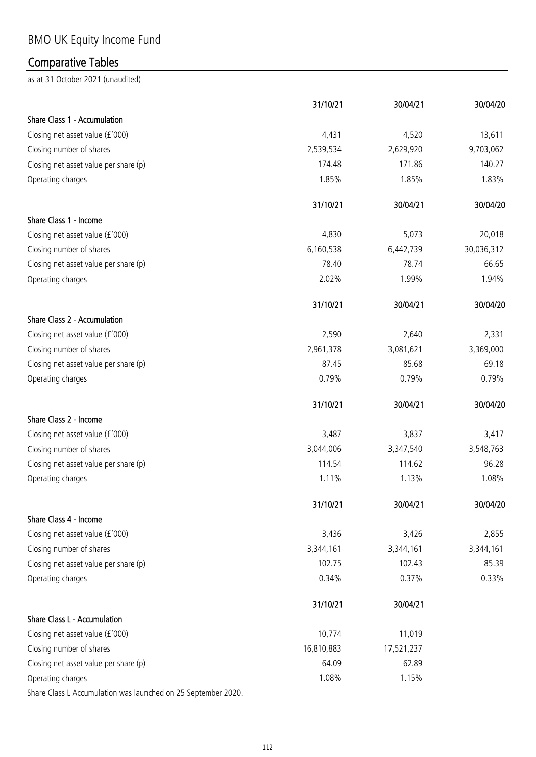# BMO UK Equity Income Fund

# Comparative Tables

|                                                               | 31/10/21   | 30/04/21   | 30/04/20   |
|---------------------------------------------------------------|------------|------------|------------|
| Share Class 1 - Accumulation                                  |            |            |            |
| Closing net asset value (£'000)                               | 4,431      | 4,520      | 13,611     |
| Closing number of shares                                      | 2,539,534  | 2,629,920  | 9,703,062  |
| Closing net asset value per share (p)                         | 174.48     | 171.86     | 140.27     |
| Operating charges                                             | 1.85%      | 1.85%      | 1.83%      |
|                                                               | 31/10/21   | 30/04/21   | 30/04/20   |
| Share Class 1 - Income                                        |            |            |            |
| Closing net asset value (£'000)                               | 4,830      | 5,073      | 20,018     |
| Closing number of shares                                      | 6,160,538  | 6,442,739  | 30,036,312 |
| Closing net asset value per share (p)                         | 78.40      | 78.74      | 66.65      |
| Operating charges                                             | 2.02%      | 1.99%      | 1.94%      |
|                                                               | 31/10/21   | 30/04/21   | 30/04/20   |
| Share Class 2 - Accumulation                                  |            |            |            |
| Closing net asset value (£'000)                               | 2,590      | 2,640      | 2,331      |
| Closing number of shares                                      | 2,961,378  | 3,081,621  | 3,369,000  |
| Closing net asset value per share (p)                         | 87.45      | 85.68      | 69.18      |
| Operating charges                                             | 0.79%      | 0.79%      | 0.79%      |
|                                                               | 31/10/21   | 30/04/21   | 30/04/20   |
| Share Class 2 - Income                                        |            |            |            |
| Closing net asset value (£'000)                               | 3,487      | 3,837      | 3,417      |
| Closing number of shares                                      | 3,044,006  | 3,347,540  | 3,548,763  |
| Closing net asset value per share (p)                         | 114.54     | 114.62     | 96.28      |
| Operating charges                                             | 1.11%      | 1.13%      | 1.08%      |
|                                                               | 31/10/21   | 30/04/21   | 30/04/20   |
| Share Class 4 - Income                                        |            |            |            |
| Closing net asset value (£'000)                               | 3,436      | 3,426      | 2,855      |
| Closing number of shares                                      | 3,344,161  | 3,344,161  | 3,344,161  |
| Closing net asset value per share (p)                         | 102.75     | 102.43     | 85.39      |
| Operating charges                                             | 0.34%      | 0.37%      | 0.33%      |
|                                                               | 31/10/21   | 30/04/21   |            |
| Share Class L - Accumulation                                  |            |            |            |
| Closing net asset value (£'000)                               | 10,774     | 11,019     |            |
| Closing number of shares                                      | 16,810,883 | 17,521,237 |            |
| Closing net asset value per share (p)                         | 64.09      | 62.89      |            |
| Operating charges                                             | 1.08%      | 1.15%      |            |
| Share Class L Accumulation was launched on 25 September 2020. |            |            |            |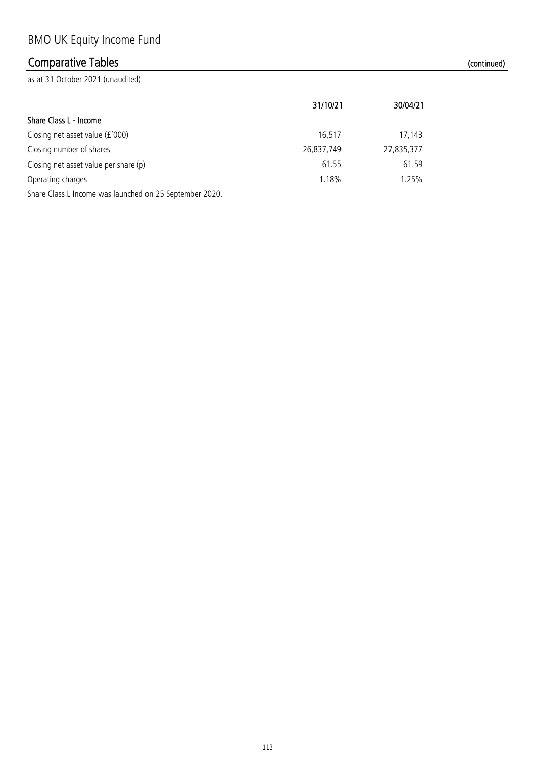## Comparative Tables (continued)

Share Class L - Income

| Closing net asset value $(f'000)$                       | 16.517     | 17,143     |
|---------------------------------------------------------|------------|------------|
| Closing number of shares                                | 26,837,749 | 27,835,377 |
| Closing net asset value per share (p)                   | 61.55      | 61.59      |
| Operating charges                                       | 1.18%      | 1.25%      |
| Share Class L Income was launched on 25 September 2020. |            |            |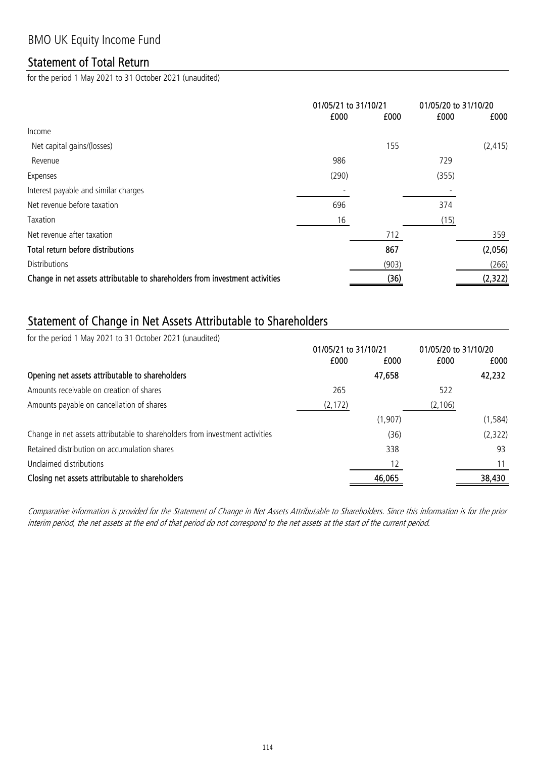### Statement of Total Return

for the period 1 May 2021 to 31 October 2021 (unaudited)

|                                                                              | 01/05/21 to 31/10/21 |       | 01/05/20 to 31/10/20 |          |
|------------------------------------------------------------------------------|----------------------|-------|----------------------|----------|
|                                                                              | £000                 | £000  | £000                 | £000     |
| Income                                                                       |                      |       |                      |          |
| Net capital gains/(losses)                                                   |                      | 155   |                      | (2, 415) |
| Revenue                                                                      | 986                  |       | 729                  |          |
| Expenses                                                                     | (290)                |       | (355)                |          |
| Interest payable and similar charges                                         |                      |       |                      |          |
| Net revenue before taxation                                                  | 696                  |       | 374                  |          |
| Taxation                                                                     | 16                   |       | (15)                 |          |
| Net revenue after taxation                                                   |                      | 712   |                      | 359      |
| Total return before distributions                                            |                      | 867   |                      | (2,056)  |
| <b>Distributions</b>                                                         |                      | (903) |                      | (266)    |
| Change in net assets attributable to shareholders from investment activities |                      | (36)  |                      | (2,322)  |

### Statement of Change in Net Assets Attributable to Shareholders

for the period 1 May 2021 to 31 October 2021 (unaudited)

|                                                                              | 01/05/21 to 31/10/21 |          | 01/05/20 to 31/10/20 |          |
|------------------------------------------------------------------------------|----------------------|----------|----------------------|----------|
|                                                                              | £000                 | £000     | £000                 | £000     |
| Opening net assets attributable to shareholders                              |                      | 47,658   |                      | 42,232   |
| Amounts receivable on creation of shares                                     | 265                  |          | 522                  |          |
| Amounts payable on cancellation of shares                                    | (2, 172)             |          | (2, 106)             |          |
|                                                                              |                      | (1, 907) |                      | (1, 584) |
| Change in net assets attributable to shareholders from investment activities |                      | (36)     |                      | (2,322)  |
| Retained distribution on accumulation shares                                 |                      | 338      |                      | 93       |
| Unclaimed distributions                                                      |                      | 12       |                      | 11       |
| Closing net assets attributable to shareholders                              |                      | 46,065   |                      | 38,430   |

Comparative information is provided for the Statement of Change in Net Assets Attributable to Shareholders. Since this information is for the prior interim period, the net assets at the end of that period do not correspond to the net assets at the start of the current period.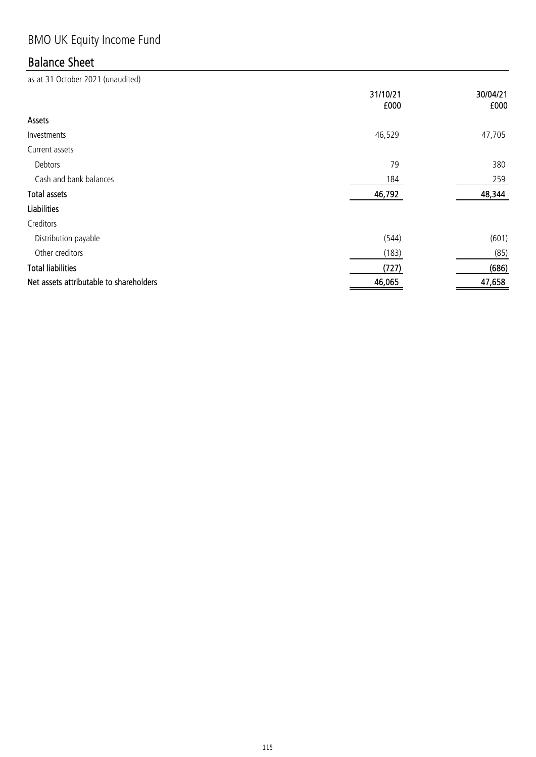# BMO UK Equity Income Fund

## Balance Sheet

|                                         | 31/10/21<br>£000 | 30/04/21<br>£000 |
|-----------------------------------------|------------------|------------------|
| Assets                                  |                  |                  |
| Investments                             | 46,529           | 47,705           |
| Current assets                          |                  |                  |
| Debtors                                 | 79               | 380              |
| Cash and bank balances                  | 184              | 259              |
| <b>Total assets</b>                     | 46,792           | 48,344           |
| <b>Liabilities</b>                      |                  |                  |
| Creditors                               |                  |                  |
| Distribution payable                    | (544)            | (601)            |
| Other creditors                         | (183)            | (85)             |
| <b>Total liabilities</b>                | (727)            | (686)            |
| Net assets attributable to shareholders | 46,065           | 47,658           |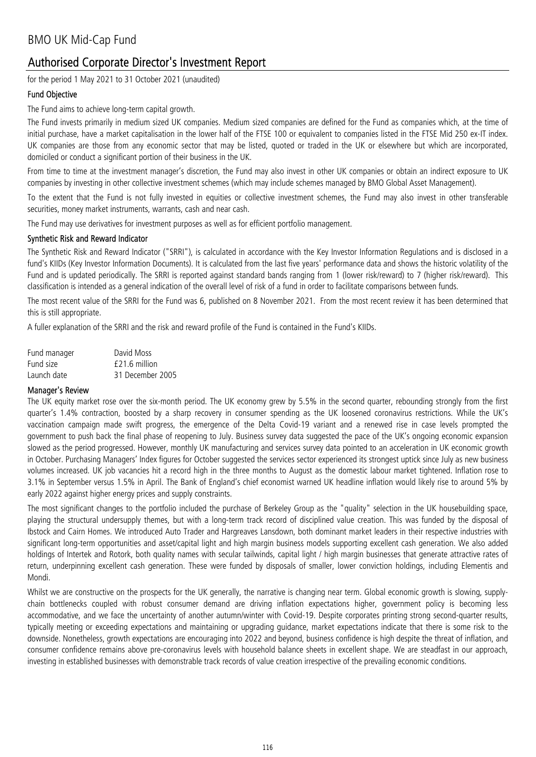for the period 1 May 2021 to 31 October 2021 (unaudited)

#### Fund Objective

The Fund aims to achieve long-term capital growth.

The Fund invests primarily in medium sized UK companies. Medium sized companies are defined for the Fund as companies which, at the time of initial purchase, have a market capitalisation in the lower half of the FTSE 100 or equivalent to companies listed in the FTSE Mid 250 ex-IT index. UK companies are those from any economic sector that may be listed, quoted or traded in the UK or elsewhere but which are incorporated, domiciled or conduct a significant portion of their business in the UK.

From time to time at the investment manager's discretion, the Fund may also invest in other UK companies or obtain an indirect exposure to UK companies by investing in other collective investment schemes (which may include schemes managed by BMO Global Asset Management).

To the extent that the Fund is not fully invested in equities or collective investment schemes, the Fund may also invest in other transferable securities, money market instruments, warrants, cash and near cash.

The Fund may use derivatives for investment purposes as well as for efficient portfolio management.

#### Synthetic Risk and Reward Indicator

The Synthetic Risk and Reward Indicator ("SRRI"), is calculated in accordance with the Key Investor Information Regulations and is disclosed in a fund's KIIDs (Key Investor Information Documents). It is calculated from the last five years' performance data and shows the historic volatility of the Fund and is updated periodically. The SRRI is reported against standard bands ranging from 1 (lower risk/reward) to 7 (higher risk/reward). This classification is intended as a general indication of the overall level of risk of a fund in order to facilitate comparisons between funds.

The most recent value of the SRRI for the Fund was 6, published on 8 November 2021. From the most recent review it has been determined that this is still appropriate.

A fuller explanation of the SRRI and the risk and reward profile of the Fund is contained in the Fund's KIIDs.

| Fund manager | David Moss       |
|--------------|------------------|
| Fund size    | £21.6 million    |
| Launch date  | 31 December 2005 |

#### Manager's Review

The UK equity market rose over the six-month period. The UK economy grew by 5.5% in the second quarter, rebounding strongly from the first quarter's 1.4% contraction, boosted by a sharp recovery in consumer spending as the UK loosened coronavirus restrictions. While the UK's vaccination campaign made swift progress, the emergence of the Delta Covid-19 variant and a renewed rise in case levels prompted the government to push back the final phase of reopening to July. Business survey data suggested the pace of the UK's ongoing economic expansion slowed as the period progressed. However, monthly UK manufacturing and services survey data pointed to an acceleration in UK economic growth in October. Purchasing Managers' Index figures for October suggested the services sector experienced its strongest uptick since July as new business volumes increased. UK job vacancies hit a record high in the three months to August as the domestic labour market tightened. Inflation rose to 3.1% in September versus 1.5% in April. The Bank of England's chief economist warned UK headline inflation would likely rise to around 5% by early 2022 against higher energy prices and supply constraints.

The most significant changes to the portfolio included the purchase of Berkeley Group as the "quality" selection in the UK housebuilding space, playing the structural undersupply themes, but with a long-term track record of disciplined value creation. This was funded by the disposal of Ibstock and Cairn Homes. We introduced Auto Trader and Hargreaves Lansdown, both dominant market leaders in their respective industries with significant long-term opportunities and asset/capital light and high margin business models supporting excellent cash generation. We also added holdings of Intertek and Rotork, both quality names with secular tailwinds, capital light / high margin businesses that generate attractive rates of return, underpinning excellent cash generation. These were funded by disposals of smaller, lower conviction holdings, including Elementis and Mondi.

Whilst we are constructive on the prospects for the UK generally, the narrative is changing near term. Global economic growth is slowing, supplychain bottlenecks coupled with robust consumer demand are driving inflation expectations higher, government policy is becoming less accommodative, and we face the uncertainty of another autumn/winter with Covid-19. Despite corporates printing strong second-quarter results, typically meeting or exceeding expectations and maintaining or upgrading guidance, market expectations indicate that there is some risk to the downside. Nonetheless, growth expectations are encouraging into 2022 and beyond, business confidence is high despite the threat of inflation, and consumer confidence remains above pre-coronavirus levels with household balance sheets in excellent shape. We are steadfast in our approach, investing in established businesses with demonstrable track records of value creation irrespective of the prevailing economic conditions.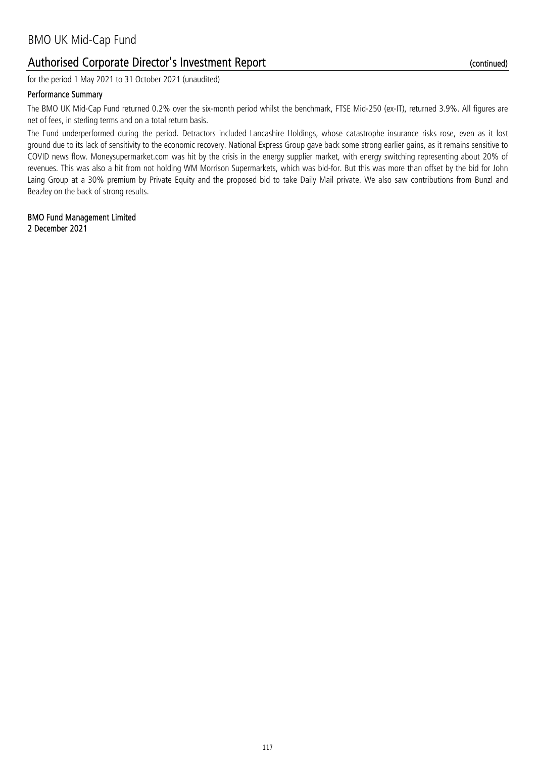for the period 1 May 2021 to 31 October 2021 (unaudited)

#### Performance Summary

The BMO UK Mid-Cap Fund returned 0.2% over the six-month period whilst the benchmark, FTSE Mid-250 (ex-IT), returned 3.9%. All figures are net of fees, in sterling terms and on a total return basis.

The Fund underperformed during the period. Detractors included Lancashire Holdings, whose catastrophe insurance risks rose, even as it lost ground due to its lack of sensitivity to the economic recovery. National Express Group gave back some strong earlier gains, as it remains sensitive to COVID news flow. Moneysupermarket.com was hit by the crisis in the energy supplier market, with energy switching representing about 20% of revenues. This was also a hit from not holding WM Morrison Supermarkets, which was bid-for. But this was more than offset by the bid for John Laing Group at a 30% premium by Private Equity and the proposed bid to take Daily Mail private. We also saw contributions from Bunzl and Beazley on the back of strong results.

## BMO Fund Management Limited

2 December 2021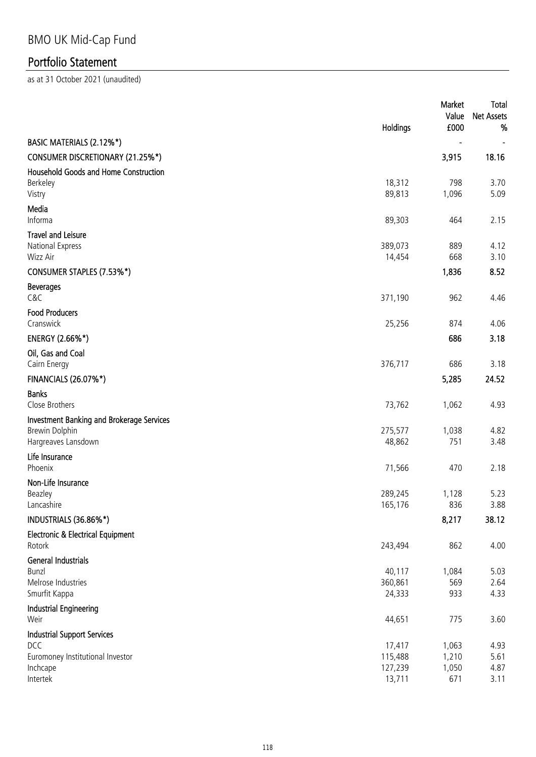|                                                                                                       | Holdings                               | Market<br>Value<br>£000        | Total<br><b>Net Assets</b><br>% |
|-------------------------------------------------------------------------------------------------------|----------------------------------------|--------------------------------|---------------------------------|
| BASIC MATERIALS (2.12%*)                                                                              |                                        |                                |                                 |
| CONSUMER DISCRETIONARY (21.25%*)                                                                      |                                        | 3,915                          | 18.16                           |
| <b>Household Goods and Home Construction</b><br>Berkeley<br>Vistry                                    | 18,312<br>89,813                       | 798<br>1,096                   | 3.70<br>5.09                    |
| Media<br>Informa                                                                                      | 89,303                                 | 464                            | 2.15                            |
| <b>Travel and Leisure</b><br>National Express<br>Wizz Air                                             | 389,073<br>14,454                      | 889<br>668                     | 4.12<br>3.10                    |
| CONSUMER STAPLES (7.53%*)                                                                             |                                        | 1,836                          | 8.52                            |
| <b>Beverages</b><br>C&C                                                                               | 371,190                                | 962                            | 4.46                            |
| <b>Food Producers</b><br>Cranswick                                                                    | 25,256                                 | 874                            | 4.06                            |
| ENERGY (2.66%*)                                                                                       |                                        | 686                            | 3.18                            |
| Oil, Gas and Coal<br>Cairn Energy                                                                     | 376,717                                | 686                            | 3.18                            |
| <b>FINANCIALS (26.07%*)</b>                                                                           |                                        | 5,285                          | 24.52                           |
| <b>Banks</b><br>Close Brothers                                                                        | 73,762                                 | 1,062                          | 4.93                            |
| <b>Investment Banking and Brokerage Services</b><br><b>Brewin Dolphin</b><br>Hargreaves Lansdown      | 275,577<br>48,862                      | 1,038<br>751                   | 4.82<br>3.48                    |
| Life Insurance<br>Phoenix                                                                             | 71,566                                 | 470                            | 2.18                            |
| Non-Life Insurance<br>Beazley<br>Lancashire                                                           | 289,245<br>165,176                     | 1,128<br>836                   | 5.23<br>3.88                    |
| INDUSTRIALS (36.86%*)                                                                                 |                                        | 8,217                          | 38.12                           |
| <b>Electronic &amp; Electrical Equipment</b><br>Rotork                                                | 243,494                                | 862                            | 4.00                            |
| <b>General Industrials</b><br>Bunzl<br>Melrose Industries<br>Smurfit Kappa                            | 40,117<br>360,861<br>24,333            | 1,084<br>569<br>933            | 5.03<br>2.64<br>4.33            |
| <b>Industrial Engineering</b><br>Weir                                                                 | 44,651                                 | 775                            | 3.60                            |
| <b>Industrial Support Services</b><br>DCC<br>Euromoney Institutional Investor<br>Inchcape<br>Intertek | 17,417<br>115,488<br>127,239<br>13,711 | 1,063<br>1,210<br>1,050<br>671 | 4.93<br>5.61<br>4.87<br>3.11    |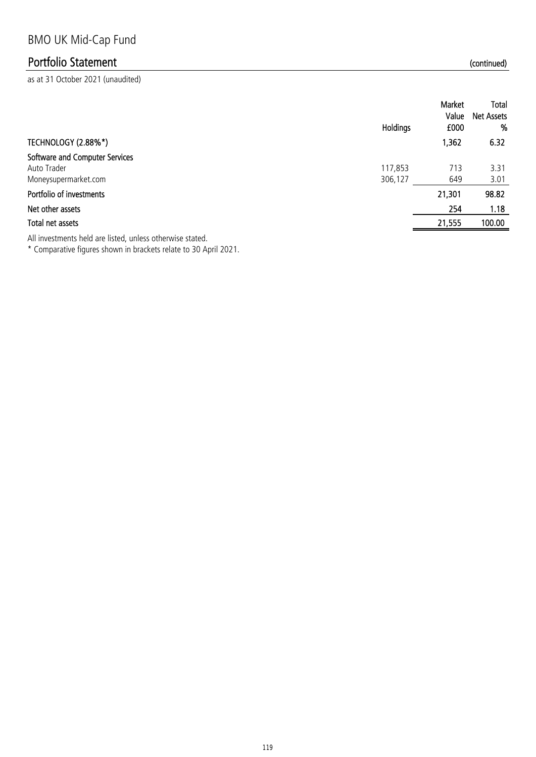as at 31 October 2021 (unaudited)

|                                                                       | Holdings           | Market<br>Value<br>£000 | Total<br><b>Net Assets</b><br>% |
|-----------------------------------------------------------------------|--------------------|-------------------------|---------------------------------|
| TECHNOLOGY (2.88%*)                                                   |                    | 1,362                   | 6.32                            |
| Software and Computer Services<br>Auto Trader<br>Moneysupermarket.com | 117,853<br>306,127 | 713<br>649              | 3.31<br>3.01                    |
| Portfolio of investments                                              |                    | 21,301                  | 98.82                           |
| Net other assets                                                      |                    | 254                     | 1.18                            |
| Total net assets                                                      |                    | 21,555                  | 100.00                          |
|                                                                       |                    |                         |                                 |

All investments held are listed, unless otherwise stated.

\* Comparative figures shown in brackets relate to 30 April 2021.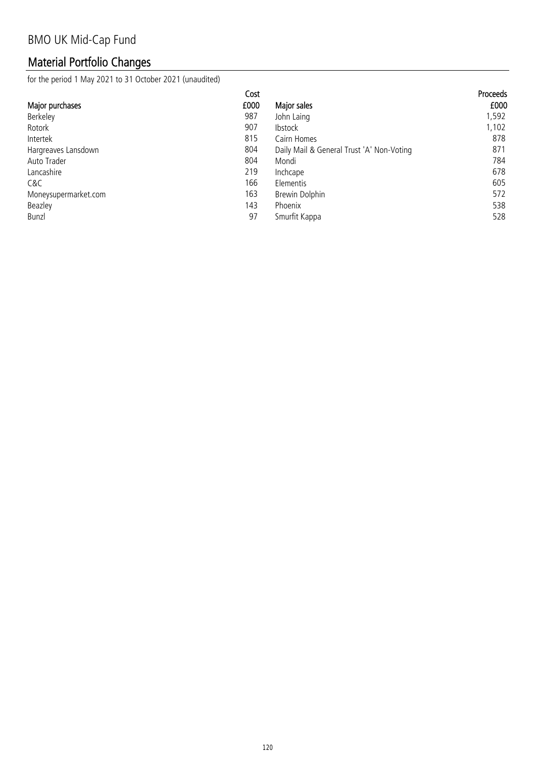# Material Portfolio Changes

for the period 1 May 2021 to 31 October 2021 (unaudited)

| Cost                        |                                           | <b>Proceeds</b> |
|-----------------------------|-------------------------------------------|-----------------|
| £000<br>Major purchases     | Major sales                               | £000            |
| Berkeley<br>987             | John Laing                                | 1,592           |
| 907<br>Rotork               | <b>Ibstock</b>                            | 1,102           |
| 815<br>Intertek             | Cairn Homes                               | 878             |
| 804<br>Hargreaves Lansdown  | Daily Mail & General Trust 'A' Non-Voting | 871             |
| 804<br>Auto Trader          | Mondi                                     | 784             |
| 219<br>Lancashire           | Inchcape                                  | 678             |
| 166<br>C&C                  | Elementis                                 | 605             |
| 163<br>Moneysupermarket.com | Brewin Dolphin                            | 572             |
| 143<br>Beazley              | <b>Phoenix</b>                            | 538             |
| 97<br>Bunzl                 | Smurfit Kappa                             | 528             |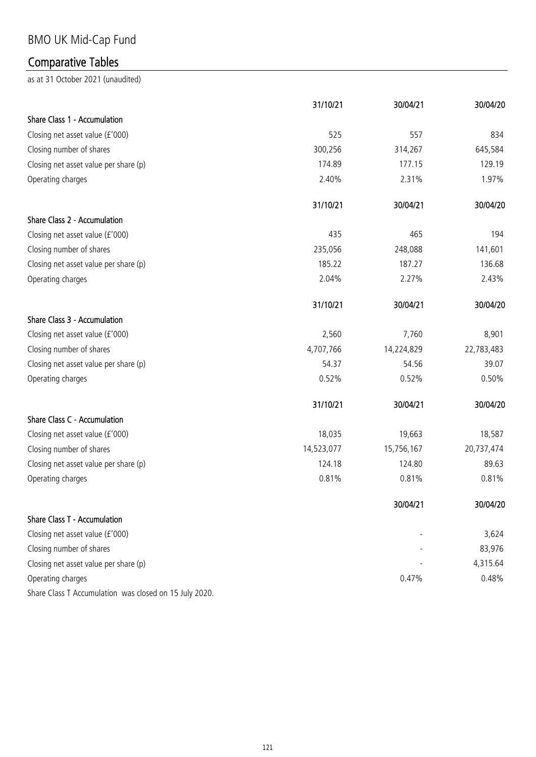# BMO UK Mid-Cap Fund

# Comparative Tables

|                                                        | 31/10/21   | 30/04/21   | 30/04/20   |
|--------------------------------------------------------|------------|------------|------------|
| Share Class 1 - Accumulation                           |            |            |            |
| Closing net asset value (£'000)                        | 525        | 557        | 834        |
| Closing number of shares                               | 300,256    | 314,267    | 645,584    |
| Closing net asset value per share (p)                  | 174.89     | 177.15     | 129.19     |
| Operating charges                                      | 2.40%      | 2.31%      | 1.97%      |
|                                                        | 31/10/21   | 30/04/21   | 30/04/20   |
| Share Class 2 - Accumulation                           |            |            |            |
| Closing net asset value (£'000)                        | 435        | 465        | 194        |
| Closing number of shares                               | 235,056    | 248,088    | 141,601    |
| Closing net asset value per share (p)                  | 185.22     | 187.27     | 136.68     |
| Operating charges                                      | 2.04%      | 2.27%      | 2.43%      |
|                                                        | 31/10/21   | 30/04/21   | 30/04/20   |
| Share Class 3 - Accumulation                           |            |            |            |
| Closing net asset value (£'000)                        | 2,560      | 7,760      | 8,901      |
| Closing number of shares                               | 4,707,766  | 14,224,829 | 22,783,483 |
| Closing net asset value per share (p)                  | 54.37      | 54.56      | 39.07      |
| Operating charges                                      | 0.52%      | 0.52%      | 0.50%      |
|                                                        | 31/10/21   | 30/04/21   | 30/04/20   |
| Share Class C - Accumulation                           |            |            |            |
| Closing net asset value (£'000)                        | 18,035     | 19,663     | 18,587     |
| Closing number of shares                               | 14,523,077 | 15,756,167 | 20,737,474 |
| Closing net asset value per share (p)                  | 124.18     | 124.80     | 89.63      |
| Operating charges                                      | 0.81%      | 0.81%      | 0.81%      |
|                                                        |            | 30/04/21   | 30/04/20   |
| Share Class T - Accumulation                           |            |            |            |
| Closing net asset value (£'000)                        |            |            | 3,624      |
| Closing number of shares                               |            |            | 83,976     |
| Closing net asset value per share (p)                  |            |            | 4,315.64   |
| Operating charges                                      |            | 0.47%      | 0.48%      |
| Share Class T Accumulation was closed on 15 July 2020. |            |            |            |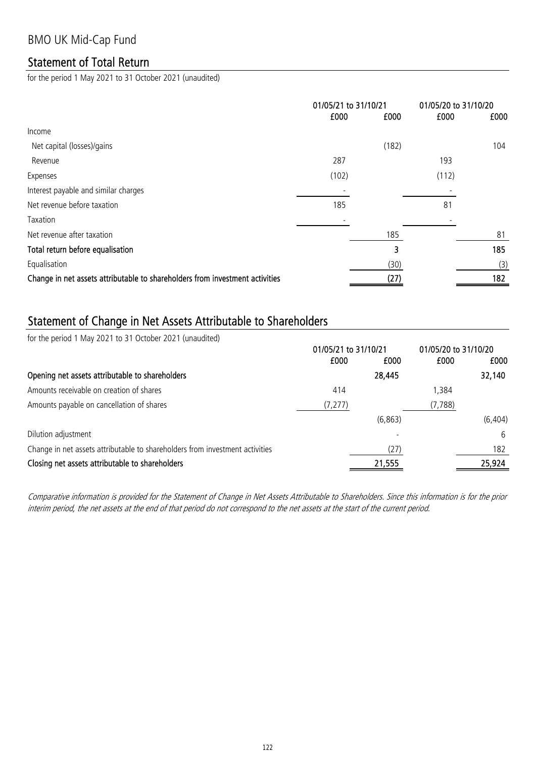### Statement of Total Return

for the period 1 May 2021 to 31 October 2021 (unaudited)

|                                                                              | 01/05/21 to 31/10/21 |       | 01/05/20 to 31/10/20 |      |
|------------------------------------------------------------------------------|----------------------|-------|----------------------|------|
|                                                                              | £000                 | £000  | £000                 | £000 |
| Income                                                                       |                      |       |                      |      |
| Net capital (losses)/gains                                                   |                      | (182) |                      | 104  |
| Revenue                                                                      | 287                  |       | 193                  |      |
| Expenses                                                                     | (102)                |       | (112)                |      |
| Interest payable and similar charges                                         |                      |       |                      |      |
| Net revenue before taxation                                                  | 185                  |       | 81                   |      |
| Taxation                                                                     |                      |       |                      |      |
| Net revenue after taxation                                                   |                      | 185   |                      | 81   |
| Total return before equalisation                                             |                      | 3     |                      | 185  |
| Equalisation                                                                 |                      | (30)  |                      | (3)  |
| Change in net assets attributable to shareholders from investment activities |                      | (27)  |                      | 182  |
|                                                                              |                      |       |                      |      |

### Statement of Change in Net Assets Attributable to Shareholders

for the period 1 May 2021 to 31 October 2021 (unaudited)

|                                                                              | 01/05/21 to 31/10/21 |          | 01/05/20 to 31/10/20 |          |
|------------------------------------------------------------------------------|----------------------|----------|----------------------|----------|
|                                                                              | £000                 | £000     | £000                 | £000     |
| Opening net assets attributable to shareholders                              |                      | 28,445   |                      | 32,140   |
| Amounts receivable on creation of shares                                     | 414                  |          | 1,384                |          |
| Amounts payable on cancellation of shares                                    | (7, 277)             |          | (7, 788)             |          |
|                                                                              |                      | (6, 863) |                      | (6, 404) |
| Dilution adjustment                                                          |                      |          |                      | 6        |
| Change in net assets attributable to shareholders from investment activities |                      | (27)     |                      | 182      |
| Closing net assets attributable to shareholders                              |                      | 21,555   |                      | 25,924   |

Comparative information is provided for the Statement of Change in Net Assets Attributable to Shareholders. Since this information is for the prior interim period, the net assets at the end of that period do not correspond to the net assets at the start of the current period.